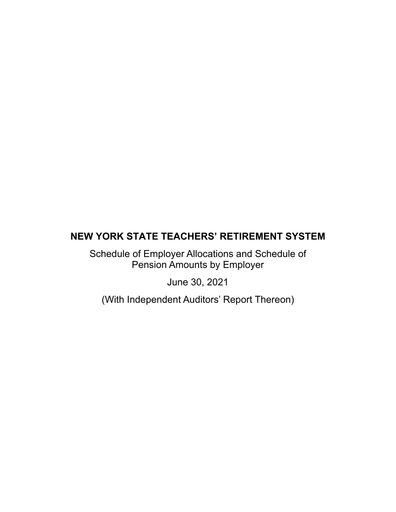Schedule of Employer Allocations and Schedule of Pension Amounts by Employer

June 30, 2021

(With Independent Auditors' Report Thereon)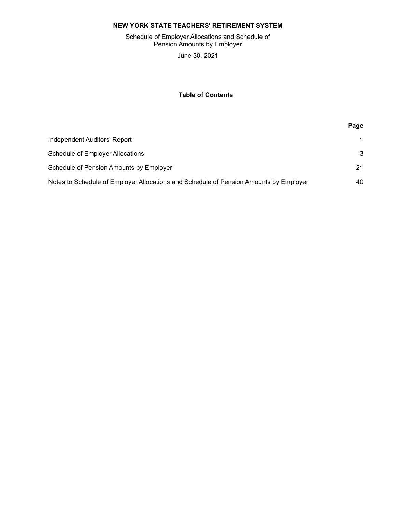Schedule of Employer Allocations and Schedule of Pension Amounts by Employer

June 30, 2021

# **Table of Contents**

| Independent Auditors' Report                                                          |    |
|---------------------------------------------------------------------------------------|----|
| Schedule of Employer Allocations                                                      | 3  |
| Schedule of Pension Amounts by Employer                                               | 21 |
| Notes to Schedule of Employer Allocations and Schedule of Pension Amounts by Employer | 40 |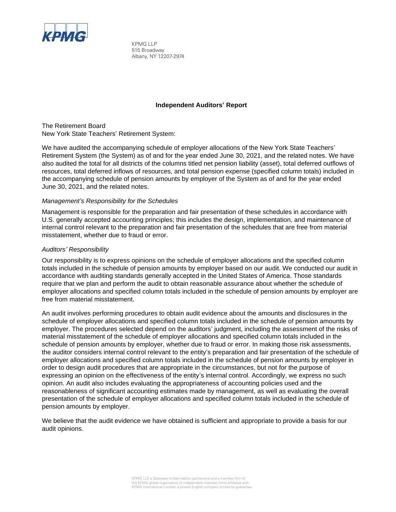

KPMG LLP 515 Broadway Albany, NY 12207-2974

## **Independent Auditors' Report**

The Retirement Board New York State Teachers' Retirement System:

We have audited the accompanying schedule of employer allocations of the New York State Teachers' Retirement System (the System) as of and for the year ended June 30, 2021, and the related notes. We have also audited the total for all districts of the columns titled net pension liability (asset), total deferred outflows of resources, total deferred inflows of resources, and total pension expense (specified column totals) included in the accompanying schedule of pension amounts by employer of the System as of and for the year ended June 30, 2021, and the related notes.

## *Management's Responsibility for the Schedules*

Management is responsible for the preparation and fair presentation of these schedules in accordance with U.S. generally accepted accounting principles; this includes the design, implementation, and maintenance of internal control relevant to the preparation and fair presentation of the schedules that are free from material misstatement, whether due to fraud or error.

# *Auditors' Responsibility*

Our responsibility is to express opinions on the schedule of employer allocations and the specified column totals included in the schedule of pension amounts by employer based on our audit. We conducted our audit in accordance with auditing standards generally accepted in the United States of America. Those standards require that we plan and perform the audit to obtain reasonable assurance about whether the schedule of employer allocations and specified column totals included in the schedule of pension amounts by employer are free from material misstatement.

An audit involves performing procedures to obtain audit evidence about the amounts and disclosures in the schedule of employer allocations and specified column totals included in the schedule of pension amounts by employer. The procedures selected depend on the auditors' judgment, including the assessment of the risks of material misstatement of the schedule of employer allocations and specified column totals included in the schedule of pension amounts by employer, whether due to fraud or error. In making those risk assessments, the auditor considers internal control relevant to the entity's preparation and fair presentation of the schedule of employer allocations and specified column totals included in the schedule of pension amounts by employer in order to design audit procedures that are appropriate in the circumstances, but not for the purpose of expressing an opinion on the effectiveness of the entity's internal control. Accordingly, we express no such opinion. An audit also includes evaluating the appropriateness of accounting policies used and the reasonableness of significant accounting estimates made by management, as well as evaluating the overall presentation of the schedule of employer allocations and specified column totals included in the schedule of pension amounts by employer.

We believe that the audit evidence we have obtained is sufficient and appropriate to provide a basis for our audit opinions.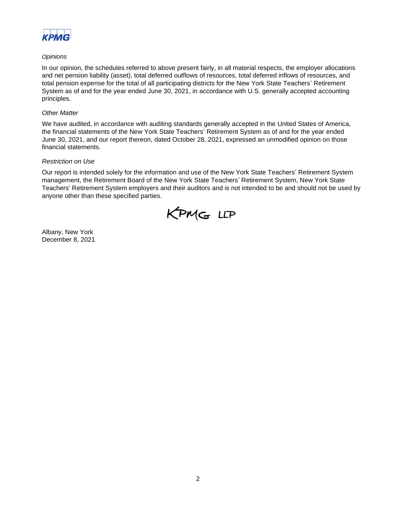

# *Opinions*

In our opinion, the schedules referred to above present fairly, in all material respects, the employer allocations and net pension liability (asset), total deferred outflows of resources, total deferred inflows of resources, and total pension expense for the total of all participating districts for the New York State Teachers' Retirement System as of and for the year ended June 30, 2021, in accordance with U.S. generally accepted accounting principles.

## *Other Matter*

We have audited, in accordance with auditing standards generally accepted in the United States of America, the financial statements of the New York State Teachers' Retirement System as of and for the year ended June 30, 2021, and our report thereon, dated October 28, 2021, expressed an unmodified opinion on those financial statements.

# *Restriction on Use*

Our report is intended solely for the information and use of the New York State Teachers' Retirement System management, the Retirement Board of the New York State Teachers' Retirement System, New York State Teachers' Retirement System employers and their auditors and is not intended to be and should not be used by anyone other than these specified parties.



Albany, New York December 8, 2021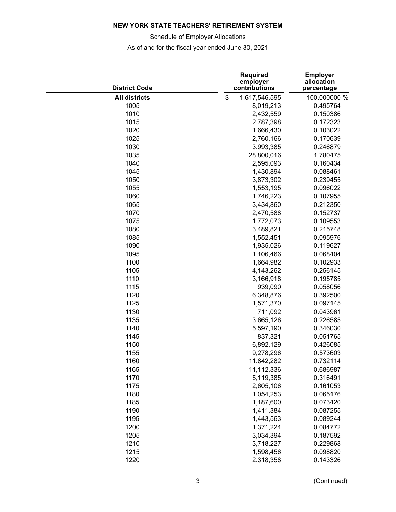Schedule of Employer Allocations

<span id="page-4-0"></span>

| <b>District Code</b> | <b>Required</b><br>employer<br>contributions | <b>Employer</b><br>allocation<br>percentage |
|----------------------|----------------------------------------------|---------------------------------------------|
| <b>All districts</b> | \$<br>1,617,546,595                          | 100.000000 %                                |
| 1005                 | 8,019,213                                    | 0.495764                                    |
| 1010                 | 2,432,559                                    | 0.150386                                    |
| 1015                 | 2,787,398                                    | 0.172323                                    |
| 1020                 | 1,666,430                                    | 0.103022                                    |
| 1025                 | 2,760,166                                    | 0.170639                                    |
| 1030                 | 3,993,385                                    | 0.246879                                    |
| 1035                 | 28,800,016                                   | 1.780475                                    |
| 1040                 | 2,595,093                                    | 0.160434                                    |
| 1045                 | 1,430,894                                    | 0.088461                                    |
| 1050                 | 3,873,302                                    | 0.239455                                    |
| 1055                 | 1,553,195                                    | 0.096022                                    |
| 1060                 | 1,746,223                                    | 0.107955                                    |
| 1065                 | 3,434,860                                    | 0.212350                                    |
| 1070                 | 2,470,588                                    | 0.152737                                    |
| 1075                 | 1,772,073                                    | 0.109553                                    |
| 1080                 | 3,489,821                                    | 0.215748                                    |
| 1085                 | 1,552,451                                    | 0.095976                                    |
| 1090                 | 1,935,026                                    | 0.119627                                    |
| 1095                 | 1,106,466                                    | 0.068404                                    |
| 1100                 | 1,664,982                                    | 0.102933                                    |
| 1105                 | 4,143,262                                    | 0.256145                                    |
| 1110                 | 3,166,918                                    | 0.195785                                    |
| 1115                 | 939,090                                      | 0.058056                                    |
| 1120                 | 6,348,876                                    | 0.392500                                    |
| 1125                 | 1,571,370                                    | 0.097145                                    |
| 1130                 | 711,092                                      | 0.043961                                    |
| 1135                 | 3,665,126                                    | 0.226585                                    |
| 1140                 | 5,597,190                                    | 0.346030                                    |
| 1145                 | 837,321                                      | 0.051765                                    |
| 1150                 | 6,892,129                                    | 0.426085                                    |
| 1155                 | 9,278,296                                    | 0.573603                                    |
| 1160                 | 11,842,282                                   | 0.732114                                    |
| 1165                 | 11,112,336                                   | 0.686987                                    |
| 1170                 | 5,119,385                                    | 0.316491                                    |
| 1175                 | 2,605,106                                    | 0.161053                                    |
| 1180                 | 1,054,253                                    | 0.065176                                    |
| 1185                 | 1,187,600                                    | 0.073420                                    |
| 1190                 | 1,411,384                                    | 0.087255                                    |
| 1195                 | 1,443,563                                    | 0.089244                                    |
| 1200                 | 1,371,224                                    | 0.084772                                    |
| 1205                 | 3,034,394                                    | 0.187592                                    |
| 1210                 | 3,718,227                                    | 0.229868                                    |
| 1215                 | 1,598,456                                    | 0.098820                                    |
| 1220                 | 2,318,358                                    | 0.143326                                    |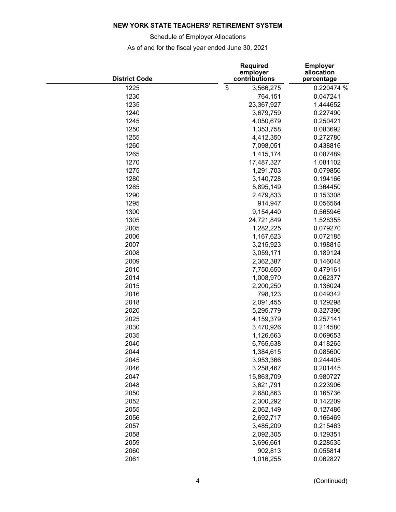Schedule of Employer Allocations

| <b>District Code</b> | <b>Required</b><br>employer<br>contributions | <b>Employer</b><br>allocation<br>percentage |
|----------------------|----------------------------------------------|---------------------------------------------|
| 1225                 | \$<br>3,566,275                              | 0.220474 %                                  |
| 1230                 | 764,151                                      | 0.047241                                    |
| 1235                 | 23,367,927                                   | 1.444652                                    |
| 1240                 | 3,679,759                                    | 0.227490                                    |
| 1245                 | 4,050,679                                    | 0.250421                                    |
| 1250                 | 1,353,758                                    | 0.083692                                    |
| 1255                 | 4,412,350                                    | 0.272780                                    |
| 1260                 | 7,098,051                                    | 0.438816                                    |
| 1265                 | 1,415,174                                    | 0.087489                                    |
| 1270                 | 17,487,327                                   | 1.081102                                    |
| 1275                 | 1,291,703                                    | 0.079856                                    |
| 1280                 | 3,140,728                                    | 0.194166                                    |
| 1285                 | 5,895,149                                    | 0.364450                                    |
| 1290                 | 2,479,833                                    | 0.153308                                    |
| 1295                 | 914,947                                      | 0.056564                                    |
| 1300                 | 9,154,440                                    | 0.565946                                    |
| 1305                 | 24,721,849                                   | 1.528355                                    |
| 2005                 | 1,282,225                                    | 0.079270                                    |
| 2006                 | 1,167,623                                    | 0.072185                                    |
| 2007                 | 3,215,923                                    | 0.198815                                    |
| 2008                 | 3,059,171                                    | 0.189124                                    |
| 2009                 | 2,362,387                                    | 0.146048                                    |
| 2010                 | 7,750,650                                    | 0.479161                                    |
| 2014                 | 1,008,970                                    | 0.062377                                    |
| 2015                 | 2,200,250                                    | 0.136024                                    |
| 2016                 | 798,123                                      | 0.049342                                    |
| 2018                 | 2,091,455                                    | 0.129298                                    |
| 2020                 | 5,295,779                                    | 0.327396                                    |
| 2025                 | 4,159,379                                    | 0.257141                                    |
| 2030                 | 3,470,926                                    | 0.214580                                    |
| 2035                 | 1,126,663                                    | 0.069653                                    |
| 2040                 | 6,765,638                                    | 0.418265                                    |
| 2044                 | 1,384,615                                    | 0.085600                                    |
| 2045                 | 3,953,366                                    | 0.244405                                    |
| 2046                 | 3,258,467                                    | 0.201445                                    |
| 2047                 | 15,863,709                                   | 0.980727                                    |
| 2048                 | 3,621,791                                    | 0.223906                                    |
| 2050                 | 2,680,863                                    | 0.165736                                    |
| 2052                 | 2,300,292                                    | 0.142209                                    |
| 2055                 | 2,062,149                                    | 0.127486                                    |
| 2056                 | 2,692,717                                    | 0.166469                                    |
| 2057                 | 3,485,209                                    | 0.215463                                    |
| 2058                 | 2,092,305                                    | 0.129351                                    |
| 2059                 | 3,696,661                                    | 0.228535                                    |
| 2060                 | 902,813                                      | 0.055814                                    |
| 2061                 | 1,016,255                                    | 0.062827                                    |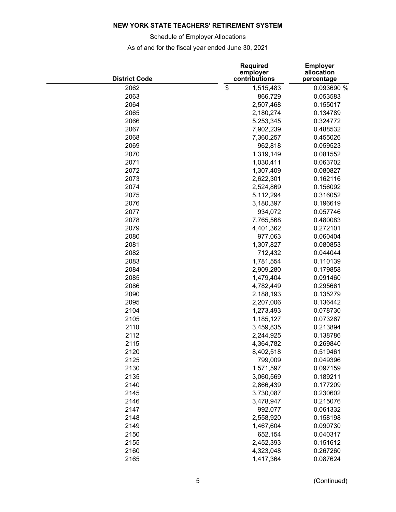Schedule of Employer Allocations

| <b>District Code</b> | <b>Required</b><br>employer<br>contributions | <b>Employer</b><br>allocation<br>percentage |
|----------------------|----------------------------------------------|---------------------------------------------|
| 2062                 | \$<br>1,515,483                              | 0.093690 %                                  |
| 2063                 | 866,729                                      | 0.053583                                    |
| 2064                 | 2,507,468                                    | 0.155017                                    |
| 2065                 | 2,180,274                                    | 0.134789                                    |
| 2066                 | 5,253,345                                    | 0.324772                                    |
| 2067                 | 7,902,239                                    | 0.488532                                    |
| 2068                 | 7,360,257                                    | 0.455026                                    |
| 2069                 | 962,818                                      | 0.059523                                    |
| 2070                 | 1,319,149                                    | 0.081552                                    |
| 2071                 | 1,030,411                                    | 0.063702                                    |
| 2072                 | 1,307,409                                    | 0.080827                                    |
| 2073                 | 2,622,301                                    | 0.162116                                    |
| 2074                 | 2,524,869                                    | 0.156092                                    |
| 2075                 | 5,112,294                                    | 0.316052                                    |
| 2076                 | 3,180,397                                    | 0.196619                                    |
| 2077                 | 934,072                                      | 0.057746                                    |
| 2078                 | 7,765,568                                    | 0.480083                                    |
| 2079                 | 4,401,362                                    | 0.272101                                    |
| 2080                 | 977,063                                      | 0.060404                                    |
| 2081                 | 1,307,827                                    | 0.080853                                    |
| 2082                 | 712,432                                      |                                             |
|                      |                                              | 0.044044                                    |
| 2083                 | 1,781,554                                    | 0.110139                                    |
| 2084                 | 2,909,280                                    | 0.179858                                    |
| 2085                 | 1,479,404                                    | 0.091460                                    |
| 2086                 | 4,782,449                                    | 0.295661                                    |
| 2090                 | 2,188,193                                    | 0.135279                                    |
| 2095                 | 2,207,006                                    | 0.136442                                    |
| 2104                 | 1,273,493                                    | 0.078730                                    |
| 2105                 | 1,185,127                                    | 0.073267                                    |
| 2110                 | 3,459,835                                    | 0.213894                                    |
| 2112                 | 2,244,925                                    | 0.138786                                    |
| 2115                 | 4,364,782                                    | 0.269840                                    |
| 2120                 | 8,402,518                                    | 0.519461                                    |
| 2125                 | 799,009                                      | 0.049396                                    |
| 2130                 | 1,571,597                                    | 0.097159                                    |
| 2135                 | 3,060,569                                    | 0.189211                                    |
| 2140                 | 2,866,439                                    | 0.177209                                    |
| 2145                 | 3,730,087                                    | 0.230602                                    |
| 2146                 | 3,478,947                                    | 0.215076                                    |
| 2147                 | 992,077                                      | 0.061332                                    |
| 2148                 | 2,558,920                                    | 0.158198                                    |
| 2149                 | 1,467,604                                    | 0.090730                                    |
| 2150                 | 652,154                                      | 0.040317                                    |
| 2155                 | 2,452,393                                    | 0.151612                                    |
| 2160                 | 4,323,048                                    | 0.267260                                    |
| 2165                 | 1,417,364                                    | 0.087624                                    |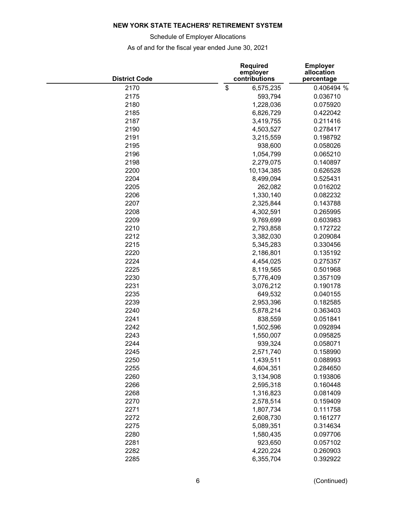Schedule of Employer Allocations

| <b>District Code</b> | <b>Required</b><br>employer<br>contributions | <b>Employer</b><br>allocation<br>percentage |
|----------------------|----------------------------------------------|---------------------------------------------|
| 2170                 | \$<br>6,575,235                              | 0.406494 %                                  |
| 2175                 | 593,794                                      | 0.036710                                    |
| 2180                 | 1,228,036                                    | 0.075920                                    |
| 2185                 | 6,826,729                                    | 0.422042                                    |
| 2187                 | 3,419,755                                    | 0.211416                                    |
| 2190                 | 4,503,527                                    | 0.278417                                    |
| 2191                 | 3,215,559                                    | 0.198792                                    |
| 2195                 | 938,600                                      | 0.058026                                    |
| 2196                 | 1,054,799                                    | 0.065210                                    |
| 2198                 | 2,279,075                                    | 0.140897                                    |
| 2200                 | 10,134,385                                   | 0.626528                                    |
| 2204                 | 8,499,094                                    | 0.525431                                    |
| 2205                 | 262,082                                      | 0.016202                                    |
| 2206                 | 1,330,140                                    | 0.082232                                    |
| 2207                 | 2,325,844                                    | 0.143788                                    |
| 2208                 | 4,302,591                                    | 0.265995                                    |
| 2209                 | 9,769,699                                    | 0.603983                                    |
| 2210                 | 2,793,858                                    | 0.172722                                    |
| 2212                 | 3,382,030                                    | 0.209084                                    |
| 2215                 | 5,345,283                                    | 0.330456                                    |
| 2220                 | 2,186,801                                    | 0.135192                                    |
| 2224                 | 4,454,025                                    | 0.275357                                    |
| 2225                 | 8,119,565                                    | 0.501968                                    |
| 2230                 | 5,776,409                                    | 0.357109                                    |
| 2231                 | 3,076,212                                    | 0.190178                                    |
| 2235                 | 649,532                                      | 0.040155                                    |
| 2239                 | 2,953,396                                    | 0.182585                                    |
| 2240                 | 5,878,214                                    | 0.363403                                    |
| 2241                 | 838,559                                      | 0.051841                                    |
| 2242                 |                                              |                                             |
| 2243                 | 1,502,596                                    | 0.092894                                    |
| 2244                 | 1,550,007                                    | 0.095825<br>0.058071                        |
|                      | 939,324                                      |                                             |
| 2245                 | 2,571,740                                    | 0.158990                                    |
| 2250                 | 1,439,511                                    | 0.088993                                    |
| 2255                 | 4,604,351                                    | 0.284650                                    |
| 2260                 | 3,134,908                                    | 0.193806                                    |
| 2266                 | 2,595,318                                    | 0.160448                                    |
| 2268                 | 1,316,823                                    | 0.081409                                    |
| 2270                 | 2,578,514                                    | 0.159409                                    |
| 2271                 | 1,807,734                                    | 0.111758                                    |
| 2272                 | 2,608,730                                    | 0.161277                                    |
| 2275                 | 5,089,351                                    | 0.314634                                    |
| 2280                 | 1,580,435                                    | 0.097706                                    |
| 2281                 | 923,650                                      | 0.057102                                    |
| 2282                 | 4,220,224                                    | 0.260903                                    |
| 2285                 | 6,355,704                                    | 0.392922                                    |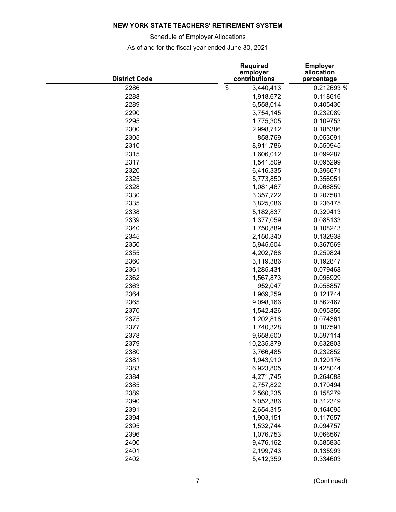Schedule of Employer Allocations

| <b>District Code</b> | <b>Required</b><br>employer<br>contributions | <b>Employer</b><br>allocation<br>percentage |
|----------------------|----------------------------------------------|---------------------------------------------|
| 2286                 | \$<br>3,440,413                              | 0.212693 %                                  |
| 2288                 | 1,918,672                                    | 0.118616                                    |
| 2289                 | 6,558,014                                    | 0.405430                                    |
| 2290                 | 3,754,145                                    | 0.232089                                    |
| 2295                 | 1,775,305                                    | 0.109753                                    |
| 2300                 | 2,998,712                                    | 0.185386                                    |
| 2305                 | 858,769                                      | 0.053091                                    |
| 2310                 | 8,911,786                                    | 0.550945                                    |
| 2315                 | 1,606,012                                    | 0.099287                                    |
| 2317                 | 1,541,509                                    | 0.095299                                    |
| 2320                 | 6,416,335                                    | 0.396671                                    |
| 2325                 | 5,773,850                                    | 0.356951                                    |
| 2328                 | 1,081,467                                    | 0.066859                                    |
| 2330                 | 3,357,722                                    | 0.207581                                    |
| 2335                 | 3,825,086                                    | 0.236475                                    |
| 2338                 | 5,182,837                                    | 0.320413                                    |
| 2339                 | 1,377,059                                    | 0.085133                                    |
| 2340                 | 1,750,889                                    | 0.108243                                    |
| 2345                 | 2,150,340                                    | 0.132938                                    |
| 2350                 | 5,945,604                                    | 0.367569                                    |
| 2355                 | 4,202,768                                    | 0.259824                                    |
| 2360                 | 3,119,386                                    | 0.192847                                    |
| 2361                 | 1,285,431                                    | 0.079468                                    |
| 2362                 | 1,567,873                                    | 0.096929                                    |
| 2363                 | 952,047                                      | 0.058857                                    |
| 2364                 | 1,969,259                                    | 0.121744                                    |
| 2365                 | 9,098,166                                    | 0.562467                                    |
| 2370                 | 1,542,426                                    | 0.095356                                    |
| 2375                 | 1,202,818                                    | 0.074361                                    |
| 2377                 | 1,740,328                                    | 0.107591                                    |
| 2378                 | 9,658,600                                    | 0.597114                                    |
| 2379                 | 10,235,879                                   | 0.632803                                    |
| 2380                 | 3,766,485                                    | 0.232852                                    |
| 2381                 | 1,943,910                                    | 0.120176                                    |
| 2383                 | 6,923,805                                    | 0.428044                                    |
| 2384                 | 4,271,745                                    | 0.264088                                    |
| 2385                 | 2,757,822                                    | 0.170494                                    |
| 2389                 | 2,560,235                                    | 0.158279                                    |
| 2390                 | 5,052,386                                    | 0.312349                                    |
| 2391                 | 2,654,315                                    | 0.164095                                    |
| 2394                 | 1,903,151                                    | 0.117657                                    |
| 2395                 | 1,532,744                                    | 0.094757                                    |
| 2396                 | 1,076,753                                    | 0.066567                                    |
| 2400                 | 9,476,162                                    | 0.585835                                    |
| 2401                 | 2,199,743                                    | 0.135993                                    |
| 2402                 | 5,412,359                                    | 0.334603                                    |
|                      |                                              |                                             |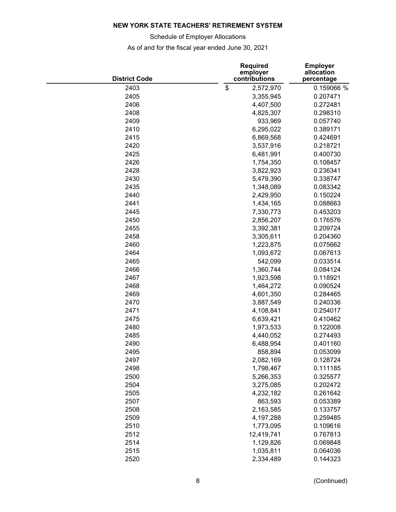Schedule of Employer Allocations

| <b>District Code</b> | <b>Required</b><br>employer<br>contributions | <b>Employer</b><br>allocation<br>percentage |
|----------------------|----------------------------------------------|---------------------------------------------|
| 2403                 | \$<br>2,572,970                              | 0.159066 %                                  |
| 2405                 | 3,355,945                                    | 0.207471                                    |
| 2406                 | 4,407,500                                    | 0.272481                                    |
| 2408                 | 4,825,307                                    | 0.298310                                    |
| 2409                 | 933,969                                      | 0.057740                                    |
| 2410                 | 6,295,022                                    | 0.389171                                    |
| 2415                 | 6,869,568                                    | 0.424691                                    |
| 2420                 | 3,537,916                                    | 0.218721                                    |
| 2425                 | 6,481,991                                    | 0.400730                                    |
| 2426                 | 1,754,350                                    | 0.108457                                    |
| 2428                 | 3,822,923                                    | 0.236341                                    |
| 2430                 | 5,479,390                                    | 0.338747                                    |
| 2435                 | 1,348,089                                    | 0.083342                                    |
| 2440                 | 2,429,950                                    | 0.150224                                    |
| 2441                 | 1,434,165                                    | 0.088663                                    |
| 2445                 | 7,330,773                                    | 0.453203                                    |
| 2450                 | 2,856,207                                    | 0.176576                                    |
| 2455                 | 3,392,381                                    | 0.209724                                    |
| 2458                 | 3,305,611                                    | 0.204360                                    |
| 2460                 |                                              |                                             |
|                      | 1,223,875                                    | 0.075662                                    |
| 2464                 | 1,093,672                                    | 0.067613                                    |
| 2465                 | 542,099                                      | 0.033514                                    |
| 2466                 | 1,360,744                                    | 0.084124                                    |
| 2467                 | 1,923,598                                    | 0.118921                                    |
| 2468                 | 1,464,272                                    | 0.090524                                    |
| 2469                 | 4,601,350                                    | 0.284465                                    |
| 2470                 | 3,887,549                                    | 0.240336                                    |
| 2471                 | 4,108,841                                    | 0.254017                                    |
| 2475                 | 6,639,421                                    | 0.410462                                    |
| 2480                 | 1,973,533                                    | 0.122008                                    |
| 2485                 | 4,440,052                                    | 0.274493                                    |
| 2490                 | 6,488,954                                    | 0.401160                                    |
| 2495                 | 858,894                                      | 0.053099                                    |
| 2497                 | 2,082,169                                    | 0.128724                                    |
| 2498                 | 1,798,467                                    | 0.111185                                    |
| 2500                 | 5,266,353                                    | 0.325577                                    |
| 2504                 | 3,275,085                                    | 0.202472                                    |
| 2505                 | 4,232,182                                    | 0.261642                                    |
| 2507                 | 863,593                                      | 0.053389                                    |
| 2508                 | 2,163,585                                    | 0.133757                                    |
| 2509                 | 4,197,288                                    | 0.259485                                    |
| 2510                 | 1,773,095                                    | 0.109616                                    |
| 2512                 | 12,419,741                                   | 0.767813                                    |
| 2514                 | 1,129,826                                    | 0.069848                                    |
| 2515                 | 1,035,811                                    | 0.064036                                    |
| 2520                 | 2,334,489                                    | 0.144323                                    |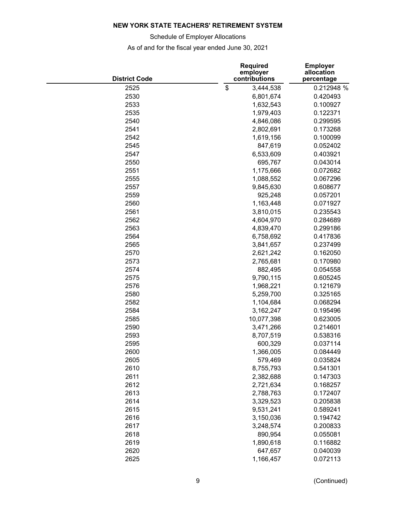Schedule of Employer Allocations

| <b>District Code</b> | <b>Required</b><br>employer<br>contributions | <b>Employer</b><br>allocation<br>percentage |
|----------------------|----------------------------------------------|---------------------------------------------|
| 2525                 | \$<br>3,444,538                              | 0.212948 %                                  |
| 2530                 | 6,801,674                                    | 0.420493                                    |
| 2533                 | 1,632,543                                    | 0.100927                                    |
| 2535                 | 1,979,403                                    | 0.122371                                    |
| 2540                 | 4,846,086                                    | 0.299595                                    |
| 2541                 | 2,802,691                                    | 0.173268                                    |
| 2542                 | 1,619,156                                    | 0.100099                                    |
| 2545                 | 847,619                                      | 0.052402                                    |
| 2547                 | 6,533,609                                    | 0.403921                                    |
| 2550                 | 695,767                                      | 0.043014                                    |
| 2551                 | 1,175,666                                    | 0.072682                                    |
| 2555                 | 1,088,552                                    | 0.067296                                    |
| 2557                 | 9,845,630                                    | 0.608677                                    |
| 2559                 | 925,248                                      | 0.057201                                    |
| 2560                 | 1,163,448                                    | 0.071927                                    |
| 2561                 | 3,810,015                                    | 0.235543                                    |
| 2562                 | 4,604,970                                    | 0.284689                                    |
| 2563                 | 4,839,470                                    | 0.299186                                    |
| 2564                 | 6,758,692                                    | 0.417836                                    |
| 2565                 | 3,841,657                                    | 0.237499                                    |
| 2570                 | 2,621,242                                    | 0.162050                                    |
| 2573                 | 2,765,681                                    | 0.170980                                    |
| 2574                 | 882,495                                      | 0.054558                                    |
| 2575                 | 9,790,115                                    | 0.605245                                    |
| 2576                 | 1,968,221                                    | 0.121679                                    |
| 2580                 | 5,259,700                                    | 0.325165                                    |
| 2582                 | 1,104,684                                    | 0.068294                                    |
| 2584                 | 3,162,247                                    | 0.195496                                    |
| 2585                 | 10,077,398                                   | 0.623005                                    |
| 2590                 | 3,471,266                                    | 0.214601                                    |
| 2593                 | 8,707,519                                    | 0.538316                                    |
| 2595                 | 600,329                                      | 0.037114                                    |
| 2600                 | 1,366,005                                    | 0.084449                                    |
| 2605                 | 579,469                                      | 0.035824                                    |
| 2610                 | 8,755,793                                    | 0.541301                                    |
| 2611                 | 2,382,688                                    | 0.147303                                    |
| 2612                 | 2,721,634                                    | 0.168257                                    |
| 2613                 | 2,788,763                                    | 0.172407                                    |
| 2614                 | 3,329,523                                    | 0.205838                                    |
| 2615                 | 9,531,241                                    | 0.589241                                    |
| 2616                 | 3,150,036                                    | 0.194742                                    |
| 2617                 | 3,248,574                                    | 0.200833                                    |
| 2618                 | 890,954                                      | 0.055081                                    |
| 2619                 | 1,890,618                                    | 0.116882                                    |
| 2620                 | 647,657                                      | 0.040039                                    |
| 2625                 | 1,166,457                                    | 0.072113                                    |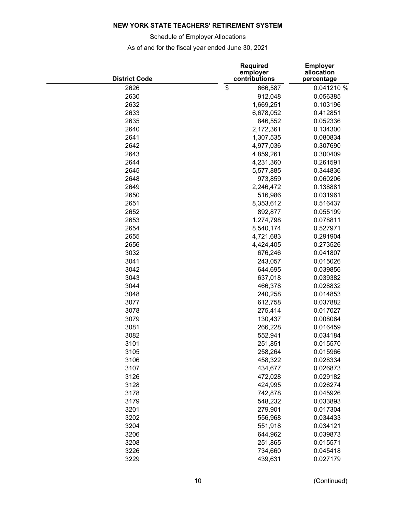Schedule of Employer Allocations

| <b>District Code</b> | <b>Required</b><br>employer<br>contributions | <b>Employer</b><br>allocation<br>percentage |
|----------------------|----------------------------------------------|---------------------------------------------|
| 2626                 | \$<br>666,587                                | 0.041210 %                                  |
| 2630                 | 912,048                                      | 0.056385                                    |
| 2632                 | 1,669,251                                    | 0.103196                                    |
| 2633                 | 6,678,052                                    | 0.412851                                    |
| 2635                 | 846,552                                      | 0.052336                                    |
| 2640                 | 2,172,361                                    | 0.134300                                    |
| 2641                 | 1,307,535                                    | 0.080834                                    |
| 2642                 | 4,977,036                                    | 0.307690                                    |
| 2643                 | 4,859,261                                    | 0.300409                                    |
| 2644                 | 4,231,360                                    | 0.261591                                    |
| 2645                 | 5,577,885                                    | 0.344836                                    |
| 2648                 | 973,859                                      | 0.060206                                    |
| 2649                 | 2,246,472                                    | 0.138881                                    |
| 2650                 | 516,986                                      | 0.031961                                    |
| 2651                 | 8,353,612                                    | 0.516437                                    |
| 2652                 | 892,877                                      | 0.055199                                    |
| 2653                 | 1,274,798                                    | 0.078811                                    |
| 2654                 | 8,540,174                                    | 0.527971                                    |
| 2655                 | 4,721,683                                    | 0.291904                                    |
| 2656                 | 4,424,405                                    | 0.273526                                    |
| 3032                 | 676,246                                      | 0.041807                                    |
| 3041                 | 243,057                                      | 0.015026                                    |
| 3042                 | 644,695                                      | 0.039856                                    |
| 3043                 | 637,018                                      | 0.039382                                    |
| 3044                 | 466,378                                      | 0.028832                                    |
| 3048                 | 240,258                                      | 0.014853                                    |
| 3077                 | 612,758                                      | 0.037882                                    |
| 3078                 | 275,414                                      | 0.017027                                    |
| 3079                 | 130,437                                      | 0.008064                                    |
| 3081                 | 266,228                                      | 0.016459                                    |
| 3082                 | 552,941                                      | 0.034184                                    |
| 3101                 | 251,851                                      | 0.015570                                    |
| 3105                 | 258,264                                      | 0.015966                                    |
| 3106                 | 458,322                                      | 0.028334                                    |
| 3107                 | 434,677                                      | 0.026873                                    |
| 3126                 | 472,028                                      | 0.029182                                    |
| 3128                 | 424,995                                      | 0.026274                                    |
| 3178                 | 742,878                                      | 0.045926                                    |
| 3179                 | 548,232                                      | 0.033893                                    |
| 3201                 | 279,901                                      |                                             |
| 3202                 | 556,968                                      | 0.017304                                    |
|                      |                                              | 0.034433                                    |
| 3204                 | 551,918                                      | 0.034121                                    |
| 3206                 | 644,962                                      | 0.039873                                    |
| 3208                 | 251,865                                      | 0.015571                                    |
| 3226                 | 734,660                                      | 0.045418                                    |
| 3229                 | 439,631                                      | 0.027179                                    |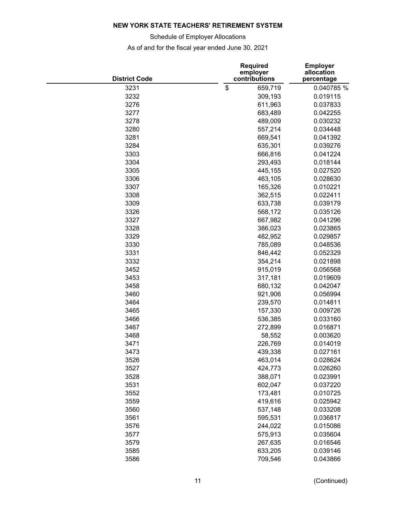Schedule of Employer Allocations

| <b>District Code</b> | <b>Required</b><br>employer<br>contributions | <b>Employer</b><br>allocation<br>percentage |
|----------------------|----------------------------------------------|---------------------------------------------|
| 3231                 | \$<br>659,719                                | 0.040785 %                                  |
| 3232                 | 309,193                                      | 0.019115                                    |
| 3276                 | 611,963                                      | 0.037833                                    |
| 3277                 | 683,489                                      | 0.042255                                    |
| 3278                 | 489,009                                      | 0.030232                                    |
| 3280                 | 557,214                                      | 0.034448                                    |
| 3281                 | 669,541                                      | 0.041392                                    |
| 3284                 | 635,301                                      | 0.039276                                    |
| 3303                 | 666,816                                      | 0.041224                                    |
| 3304                 | 293,493                                      | 0.018144                                    |
| 3305                 | 445,155                                      | 0.027520                                    |
| 3306                 | 463,105                                      | 0.028630                                    |
| 3307                 | 165,326                                      | 0.010221                                    |
| 3308                 | 362,515                                      | 0.022411                                    |
| 3309                 | 633,738                                      | 0.039179                                    |
| 3326                 | 568,172                                      | 0.035126                                    |
| 3327                 | 667,982                                      | 0.041296                                    |
| 3328                 | 386,023                                      | 0.023865                                    |
| 3329                 | 482,952                                      | 0.029857                                    |
| 3330                 | 785,089                                      | 0.048536                                    |
| 3331                 | 846,442                                      | 0.052329                                    |
| 3332                 | 354,214                                      | 0.021898                                    |
| 3452                 | 915,019                                      | 0.056568                                    |
| 3453                 |                                              |                                             |
|                      | 317,181                                      | 0.019609                                    |
| 3458                 | 680,132                                      | 0.042047                                    |
| 3460                 | 921,906                                      | 0.056994                                    |
| 3464                 | 239,570                                      | 0.014811                                    |
| 3465                 | 157,330                                      | 0.009726                                    |
| 3466                 | 536,385                                      | 0.033160                                    |
| 3467                 | 272,899                                      | 0.016871                                    |
| 3468                 | 58,552                                       | 0.003620                                    |
| 3471                 | 226,769                                      | 0.014019                                    |
| 3473                 | 439,338                                      | 0.027161                                    |
| 3526                 | 463,014                                      | 0.028624                                    |
| 3527                 | 424,773                                      | 0.026260                                    |
| 3528                 | 388,071                                      | 0.023991                                    |
| 3531                 | 602,047                                      | 0.037220                                    |
| 3552                 | 173,481                                      | 0.010725                                    |
| 3559                 | 419,616                                      | 0.025942                                    |
| 3560                 | 537,148                                      | 0.033208                                    |
| 3561                 | 595,531                                      | 0.036817                                    |
| 3576                 | 244,022                                      | 0.015086                                    |
| 3577                 | 575,913                                      | 0.035604                                    |
| 3579                 | 267,635                                      | 0.016546                                    |
| 3585                 | 633,205                                      | 0.039146                                    |
| 3586                 | 709,546                                      | 0.043866                                    |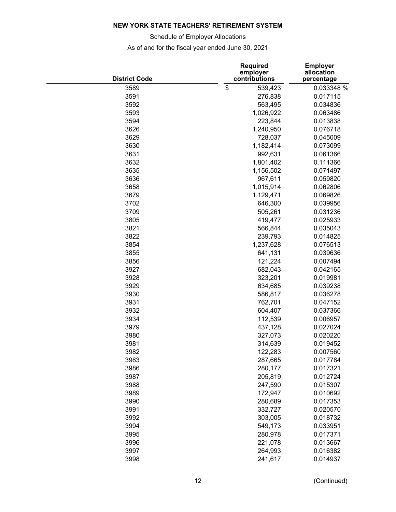Schedule of Employer Allocations

| <b>District Code</b> | <b>Required</b><br>employer<br>contributions | <b>Employer</b><br>allocation<br>percentage |
|----------------------|----------------------------------------------|---------------------------------------------|
| 3589                 | \$<br>539,423                                | 0.033348 %                                  |
| 3591                 | 276,838                                      | 0.017115                                    |
| 3592                 | 563,495                                      | 0.034836                                    |
| 3593                 | 1,026,922                                    | 0.063486                                    |
| 3594                 | 223,844                                      | 0.013838                                    |
| 3626                 | 1,240,950                                    | 0.076718                                    |
| 3629                 | 728,037                                      | 0.045009                                    |
| 3630                 | 1,182,414                                    | 0.073099                                    |
| 3631                 | 992,631                                      | 0.061366                                    |
| 3632                 | 1,801,402                                    | 0.111366                                    |
| 3635                 | 1,156,502                                    | 0.071497                                    |
| 3636                 | 967,611                                      | 0.059820                                    |
| 3658                 | 1,015,914                                    | 0.062806                                    |
| 3679                 | 1,129,471                                    | 0.069826                                    |
| 3702                 | 646,300                                      | 0.039956                                    |
| 3709                 | 505,261                                      | 0.031236                                    |
| 3805                 | 419,477                                      | 0.025933                                    |
| 3821                 | 566,844                                      | 0.035043                                    |
| 3822                 | 239,793                                      | 0.014825                                    |
| 3854                 | 1,237,628                                    | 0.076513                                    |
| 3855                 | 641,131                                      | 0.039636                                    |
| 3856                 | 121,224                                      | 0.007494                                    |
| 3927                 | 682,043                                      | 0.042165                                    |
| 3928                 |                                              |                                             |
|                      | 323,201                                      | 0.019981                                    |
| 3929                 | 634,685                                      | 0.039238                                    |
| 3930                 | 586,817                                      | 0.036278                                    |
| 3931                 | 762,701                                      | 0.047152                                    |
| 3932                 | 604,407                                      | 0.037366                                    |
| 3934                 | 112,539                                      | 0.006957                                    |
| 3979                 | 437,128                                      | 0.027024                                    |
| 3980                 | 327,073                                      | 0.020220                                    |
| 3981                 | 314,639                                      | 0.019452                                    |
| 3982                 | 122,283                                      | 0.007560                                    |
| 3983                 | 287,665                                      | 0.017784                                    |
| 3986                 | 280,177                                      | 0.017321                                    |
| 3987                 | 205,819                                      | 0.012724                                    |
| 3988                 | 247,590                                      | 0.015307                                    |
| 3989                 | 172,947                                      | 0.010692                                    |
| 3990                 | 280,689                                      | 0.017353                                    |
| 3991                 | 332,727                                      | 0.020570                                    |
| 3992                 | 303,005                                      | 0.018732                                    |
| 3994                 | 549,173                                      | 0.033951                                    |
| 3995                 | 280,978                                      | 0.017371                                    |
| 3996                 | 221,078                                      | 0.013667                                    |
| 3997                 | 264,993                                      | 0.016382                                    |
| 3998                 | 241,617                                      | 0.014937                                    |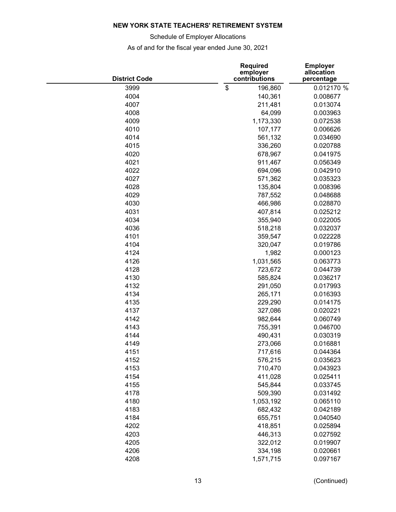Schedule of Employer Allocations

| <b>District Code</b> | <b>Required</b><br>employer<br>contributions | <b>Employer</b><br>allocation<br>percentage |  |  |
|----------------------|----------------------------------------------|---------------------------------------------|--|--|
| 3999                 | \$<br>196,860                                | 0.012170 %                                  |  |  |
| 4004                 | 140,361                                      | 0.008677                                    |  |  |
| 4007                 | 211,481                                      | 0.013074                                    |  |  |
| 4008                 | 64,099                                       | 0.003963                                    |  |  |
| 4009                 | 1,173,330                                    | 0.072538                                    |  |  |
| 4010                 | 107,177                                      | 0.006626                                    |  |  |
| 4014                 | 561,132                                      | 0.034690                                    |  |  |
| 4015                 | 336,260                                      | 0.020788                                    |  |  |
| 4020                 | 678,967                                      | 0.041975                                    |  |  |
| 4021                 | 911,467                                      | 0.056349                                    |  |  |
| 4022                 | 694,096                                      | 0.042910                                    |  |  |
| 4027                 | 571,362                                      | 0.035323                                    |  |  |
| 4028                 | 135,804                                      | 0.008396                                    |  |  |
| 4029                 | 787,552                                      | 0.048688                                    |  |  |
| 4030                 | 466,986                                      | 0.028870                                    |  |  |
| 4031                 | 407,814                                      | 0.025212                                    |  |  |
| 4034                 | 355,940                                      | 0.022005                                    |  |  |
| 4036                 | 518,218                                      | 0.032037                                    |  |  |
| 4101                 | 359,547                                      | 0.022228                                    |  |  |
| 4104                 | 320,047                                      | 0.019786                                    |  |  |
| 4124                 | 1,982                                        | 0.000123                                    |  |  |
| 4126                 | 1,031,565                                    | 0.063773                                    |  |  |
| 4128                 | 723,672                                      | 0.044739                                    |  |  |
| 4130                 | 585,824                                      | 0.036217                                    |  |  |
| 4132                 | 291,050                                      | 0.017993                                    |  |  |
| 4134                 | 265,171                                      | 0.016393                                    |  |  |
| 4135                 | 229,290                                      | 0.014175                                    |  |  |
| 4137                 | 327,086                                      | 0.020221                                    |  |  |
| 4142                 | 982,644                                      | 0.060749                                    |  |  |
| 4143                 | 755,391                                      | 0.046700                                    |  |  |
| 4144                 | 490,431                                      | 0.030319                                    |  |  |
| 4149                 | 273,066                                      | 0.016881                                    |  |  |
| 4151                 |                                              | 0.044364                                    |  |  |
| 4152                 | 717,616<br>576,215                           | 0.035623                                    |  |  |
| 4153                 | 710,470                                      | 0.043923                                    |  |  |
|                      | 411,028                                      |                                             |  |  |
| 4154                 |                                              | 0.025411                                    |  |  |
| 4155                 | 545,844<br>509,390                           | 0.033745                                    |  |  |
| 4178                 |                                              | 0.031492                                    |  |  |
| 4180                 | 1,053,192                                    | 0.065110                                    |  |  |
| 4183                 | 682,432                                      | 0.042189                                    |  |  |
| 4184                 | 655,751                                      | 0.040540                                    |  |  |
| 4202                 | 418,851                                      | 0.025894                                    |  |  |
| 4203                 | 446,313                                      | 0.027592                                    |  |  |
| 4205                 | 322,012                                      | 0.019907                                    |  |  |
| 4206                 | 334,198                                      | 0.020661                                    |  |  |
| 4208                 | 1,571,715                                    | 0.097167                                    |  |  |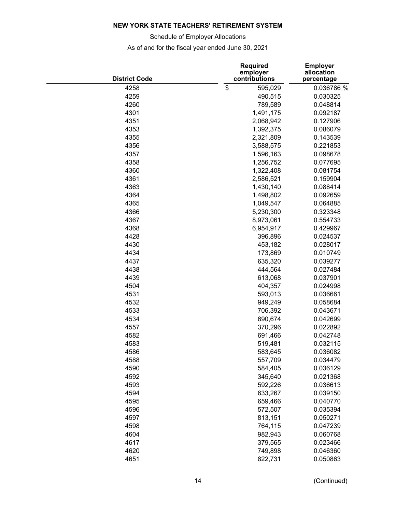Schedule of Employer Allocations

| <b>District Code</b> | <b>Required</b><br>employer<br>contributions | <b>Employer</b><br>allocation<br>percentage |  |  |
|----------------------|----------------------------------------------|---------------------------------------------|--|--|
| 4258                 | \$<br>595,029                                | 0.036786 %                                  |  |  |
| 4259                 | 490,515                                      | 0.030325                                    |  |  |
| 4260                 | 789,589                                      | 0.048814                                    |  |  |
| 4301                 | 1,491,175                                    | 0.092187                                    |  |  |
| 4351                 | 2,068,942                                    | 0.127906                                    |  |  |
| 4353                 | 1,392,375                                    | 0.086079                                    |  |  |
| 4355                 | 2,321,809                                    | 0.143539                                    |  |  |
| 4356                 | 3,588,575                                    | 0.221853                                    |  |  |
| 4357                 | 1,596,163                                    | 0.098678                                    |  |  |
| 4358                 | 1,256,752                                    | 0.077695                                    |  |  |
| 4360                 | 1,322,408                                    | 0.081754                                    |  |  |
| 4361                 | 2,586,521                                    | 0.159904                                    |  |  |
| 4363                 | 1,430,140                                    | 0.088414                                    |  |  |
| 4364                 | 1,498,802                                    | 0.092659                                    |  |  |
| 4365                 | 1,049,547                                    | 0.064885                                    |  |  |
| 4366                 | 5,230,300                                    | 0.323348                                    |  |  |
| 4367                 | 8,973,061                                    | 0.554733                                    |  |  |
| 4368                 | 6,954,917                                    | 0.429967                                    |  |  |
| 4428                 | 396,896                                      | 0.024537                                    |  |  |
| 4430                 | 453,182                                      | 0.028017                                    |  |  |
| 4434                 | 173,869                                      | 0.010749                                    |  |  |
| 4437                 | 635,320                                      | 0.039277                                    |  |  |
| 4438                 | 444,564                                      | 0.027484                                    |  |  |
| 4439                 | 613,068                                      | 0.037901                                    |  |  |
| 4504                 | 404,357                                      | 0.024998                                    |  |  |
| 4531                 | 593,013                                      | 0.036661                                    |  |  |
| 4532                 | 949,249                                      | 0.058684                                    |  |  |
| 4533                 | 706,392                                      | 0.043671                                    |  |  |
| 4534                 | 690,674                                      | 0.042699                                    |  |  |
| 4557                 | 370,296                                      | 0.022892                                    |  |  |
| 4582                 | 691,466                                      | 0.042748                                    |  |  |
| 4583                 | 519,481                                      | 0.032115                                    |  |  |
| 4586                 | 583,645                                      | 0.036082                                    |  |  |
| 4588                 | 557,709                                      | 0.034479                                    |  |  |
| 4590                 | 584,405                                      | 0.036129                                    |  |  |
| 4592                 | 345,640                                      | 0.021368                                    |  |  |
| 4593                 | 592,226                                      | 0.036613                                    |  |  |
| 4594                 | 633,267                                      | 0.039150                                    |  |  |
| 4595                 | 659,466                                      | 0.040770                                    |  |  |
| 4596                 | 572,507                                      | 0.035394                                    |  |  |
| 4597                 | 813,151                                      | 0.050271                                    |  |  |
| 4598                 | 764,115                                      | 0.047239                                    |  |  |
| 4604                 | 982,943                                      | 0.060768                                    |  |  |
| 4617                 | 379,565                                      | 0.023466                                    |  |  |
| 4620                 | 749,898                                      | 0.046360                                    |  |  |
| 4651                 | 822,731                                      | 0.050863                                    |  |  |
|                      |                                              |                                             |  |  |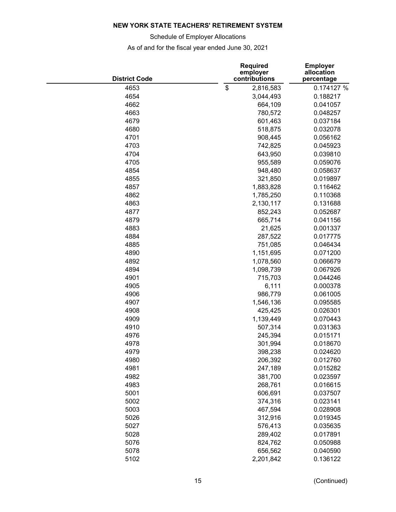Schedule of Employer Allocations

| <b>District Code</b> | <b>Required</b><br>employer<br>contributions | <b>Employer</b><br>allocation<br>percentage |  |  |
|----------------------|----------------------------------------------|---------------------------------------------|--|--|
| 4653                 | \$<br>2,816,583                              | 0.174127 %                                  |  |  |
| 4654                 | 3,044,493                                    | 0.188217                                    |  |  |
| 4662                 | 664,109                                      | 0.041057                                    |  |  |
| 4663                 | 780,572                                      | 0.048257                                    |  |  |
| 4679                 | 601,463                                      | 0.037184                                    |  |  |
| 4680                 | 518,875                                      | 0.032078                                    |  |  |
| 4701                 | 908,445                                      | 0.056162                                    |  |  |
| 4703                 | 742,825                                      | 0.045923                                    |  |  |
| 4704                 | 643,950                                      | 0.039810                                    |  |  |
| 4705                 | 955,589                                      | 0.059076                                    |  |  |
| 4854                 | 948,480                                      | 0.058637                                    |  |  |
| 4855                 | 321,850                                      | 0.019897                                    |  |  |
| 4857                 | 1,883,828                                    | 0.116462                                    |  |  |
| 4862                 | 1,785,250                                    | 0.110368                                    |  |  |
| 4863                 | 2,130,117                                    | 0.131688                                    |  |  |
| 4877                 | 852,243                                      | 0.052687                                    |  |  |
| 4879                 | 665,714                                      | 0.041156                                    |  |  |
| 4883                 | 21,625                                       | 0.001337                                    |  |  |
| 4884                 | 287,522                                      | 0.017775                                    |  |  |
| 4885                 | 751,085                                      | 0.046434                                    |  |  |
| 4890                 | 1,151,695                                    | 0.071200                                    |  |  |
| 4892                 | 1,078,560                                    | 0.066679                                    |  |  |
| 4894                 | 1,098,739                                    | 0.067926                                    |  |  |
| 4901                 | 715,703                                      | 0.044246                                    |  |  |
| 4905                 | 6,111                                        | 0.000378                                    |  |  |
| 4906                 | 986,779                                      | 0.061005                                    |  |  |
| 4907                 | 1,546,136                                    | 0.095585                                    |  |  |
| 4908                 | 425,425                                      | 0.026301                                    |  |  |
| 4909                 | 1,139,449                                    | 0.070443                                    |  |  |
| 4910                 | 507,314                                      | 0.031363                                    |  |  |
| 4976                 | 245,394                                      | 0.015171                                    |  |  |
| 4978                 | 301,994                                      | 0.018670                                    |  |  |
|                      |                                              |                                             |  |  |
| 4979                 | 398,238                                      | 0.024620<br>0.012760                        |  |  |
| 4980                 | 206,392                                      |                                             |  |  |
| 4981                 | 247,189                                      | 0.015282                                    |  |  |
| 4982                 | 381,700                                      | 0.023597                                    |  |  |
| 4983                 | 268,761                                      | 0.016615                                    |  |  |
| 5001                 | 606,691                                      | 0.037507                                    |  |  |
| 5002                 | 374,316                                      | 0.023141                                    |  |  |
| 5003                 | 467,594                                      | 0.028908                                    |  |  |
| 5026                 | 312,916                                      | 0.019345                                    |  |  |
| 5027                 | 576,413                                      | 0.035635                                    |  |  |
| 5028                 | 289,402                                      | 0.017891                                    |  |  |
| 5076                 | 824,762                                      | 0.050988                                    |  |  |
| 5078                 | 656,562                                      | 0.040590                                    |  |  |
| 5102                 | 2,201,842                                    | 0.136122                                    |  |  |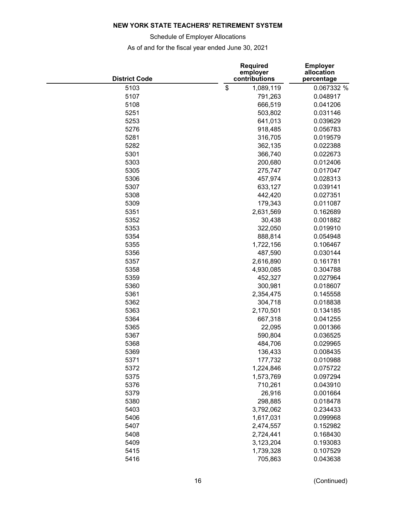Schedule of Employer Allocations

| <b>District Code</b> | <b>Required</b><br>employer<br>contributions | <b>Employer</b><br>allocation<br>percentage |  |  |
|----------------------|----------------------------------------------|---------------------------------------------|--|--|
| 5103                 | \$<br>1,089,119                              | 0.067332 %                                  |  |  |
| 5107                 | 791,263                                      | 0.048917                                    |  |  |
| 5108                 | 666,519                                      | 0.041206                                    |  |  |
| 5251                 | 503,802                                      | 0.031146                                    |  |  |
| 5253                 | 641,013                                      | 0.039629                                    |  |  |
| 5276                 | 918,485                                      | 0.056783                                    |  |  |
| 5281                 | 316,705                                      | 0.019579                                    |  |  |
| 5282                 | 362,135                                      | 0.022388                                    |  |  |
| 5301                 | 366,740                                      | 0.022673                                    |  |  |
| 5303                 | 200,680                                      | 0.012406                                    |  |  |
| 5305                 | 275,747                                      | 0.017047                                    |  |  |
| 5306                 | 457,974                                      | 0.028313                                    |  |  |
| 5307                 | 633,127                                      | 0.039141                                    |  |  |
| 5308                 | 442,420                                      | 0.027351                                    |  |  |
| 5309                 | 179,343                                      | 0.011087                                    |  |  |
| 5351                 | 2,631,569                                    | 0.162689                                    |  |  |
| 5352                 | 30,438                                       | 0.001882                                    |  |  |
| 5353                 | 322,050                                      | 0.019910                                    |  |  |
| 5354                 | 888,814                                      | 0.054948                                    |  |  |
| 5355                 | 1,722,156                                    | 0.106467                                    |  |  |
| 5356                 | 487,590                                      | 0.030144                                    |  |  |
| 5357                 | 2,616,890                                    | 0.161781                                    |  |  |
| 5358                 | 4,930,085                                    | 0.304788                                    |  |  |
| 5359                 | 452,327                                      | 0.027964                                    |  |  |
| 5360                 | 300,981                                      | 0.018607                                    |  |  |
| 5361                 | 2,354,475                                    | 0.145558                                    |  |  |
| 5362                 | 304,718                                      | 0.018838                                    |  |  |
| 5363                 | 2,170,501                                    | 0.134185                                    |  |  |
| 5364                 | 667,318                                      | 0.041255                                    |  |  |
| 5365                 | 22,095                                       | 0.001366                                    |  |  |
| 5367                 | 590,804                                      | 0.036525                                    |  |  |
| 5368                 | 484,706                                      | 0.029965                                    |  |  |
| 5369                 | 136,433                                      | 0.008435                                    |  |  |
| 5371                 | 177,732                                      | 0.010988                                    |  |  |
| 5372                 | 1,224,846                                    | 0.075722                                    |  |  |
| 5375                 | 1,573,769                                    | 0.097294                                    |  |  |
| 5376                 | 710,261                                      | 0.043910                                    |  |  |
| 5379                 | 26,916                                       | 0.001664                                    |  |  |
| 5380                 | 298,885                                      | 0.018478                                    |  |  |
|                      | 3,792,062                                    |                                             |  |  |
| 5403                 |                                              | 0.234433                                    |  |  |
| 5406<br>5407         | 1,617,031                                    | 0.099968                                    |  |  |
|                      | 2,474,557                                    | 0.152982                                    |  |  |
| 5408                 | 2,724,441                                    | 0.168430                                    |  |  |
| 5409                 | 3,123,204                                    | 0.193083                                    |  |  |
| 5415                 | 1,739,328                                    | 0.107529                                    |  |  |
| 5416                 | 705,863                                      | 0.043638                                    |  |  |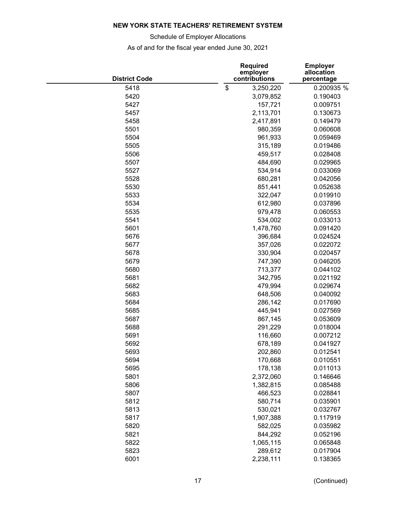Schedule of Employer Allocations

| <b>District Code</b> | <b>Required</b><br>employer<br>contributions | <b>Employer</b><br>allocation<br>percentage |  |  |
|----------------------|----------------------------------------------|---------------------------------------------|--|--|
| 5418                 | \$<br>3,250,220                              | 0.200935 %                                  |  |  |
| 5420                 | 3,079,852                                    | 0.190403                                    |  |  |
| 5427                 | 157,721                                      | 0.009751                                    |  |  |
| 5457                 | 2,113,701                                    | 0.130673                                    |  |  |
| 5458                 | 2,417,891                                    | 0.149479                                    |  |  |
| 5501                 | 980,359                                      | 0.060608                                    |  |  |
| 5504                 | 961,933                                      | 0.059469                                    |  |  |
| 5505                 | 315,189                                      | 0.019486                                    |  |  |
| 5506                 | 459,517                                      | 0.028408                                    |  |  |
| 5507                 | 484,690                                      | 0.029965                                    |  |  |
| 5527                 | 534,914                                      | 0.033069                                    |  |  |
| 5528                 | 680,281                                      | 0.042056                                    |  |  |
| 5530                 | 851,441                                      | 0.052638                                    |  |  |
| 5533                 | 322,047                                      | 0.019910                                    |  |  |
| 5534                 | 612,980                                      | 0.037896                                    |  |  |
| 5535                 | 979,478                                      | 0.060553                                    |  |  |
| 5541                 | 534,002                                      | 0.033013                                    |  |  |
| 5601                 | 1,478,760                                    | 0.091420                                    |  |  |
| 5676                 | 396,684                                      | 0.024524                                    |  |  |
| 5677                 | 357,026                                      | 0.022072                                    |  |  |
| 5678                 | 330,904                                      | 0.020457                                    |  |  |
| 5679                 | 747,390                                      | 0.046205                                    |  |  |
| 5680                 | 713,377                                      | 0.044102                                    |  |  |
| 5681                 | 342,795                                      | 0.021192                                    |  |  |
| 5682                 | 479,994                                      | 0.029674                                    |  |  |
| 5683                 | 648,506                                      | 0.040092                                    |  |  |
| 5684                 | 286,142                                      | 0.017690                                    |  |  |
| 5685                 | 445,941                                      | 0.027569                                    |  |  |
| 5687                 | 867,145                                      | 0.053609                                    |  |  |
| 5688                 | 291,229                                      | 0.018004                                    |  |  |
| 5691                 | 116,660                                      | 0.007212                                    |  |  |
| 5692                 | 678,189                                      | 0.041927                                    |  |  |
| 5693                 | 202,860                                      | 0.012541                                    |  |  |
| 5694                 | 170,668                                      | 0.010551                                    |  |  |
| 5695                 | 178,138                                      | 0.011013                                    |  |  |
| 5801                 | 2,372,060                                    | 0.146646                                    |  |  |
| 5806                 | 1,382,815                                    | 0.085488                                    |  |  |
| 5807                 | 466,523                                      | 0.028841                                    |  |  |
| 5812                 | 580,714                                      | 0.035901                                    |  |  |
| 5813                 | 530,021                                      | 0.032767                                    |  |  |
| 5817                 | 1,907,388                                    | 0.117919                                    |  |  |
| 5820                 | 582,025                                      | 0.035982                                    |  |  |
| 5821                 | 844,292                                      | 0.052196                                    |  |  |
| 5822                 | 1,065,115                                    | 0.065848                                    |  |  |
| 5823                 | 289,612                                      | 0.017904                                    |  |  |
| 6001                 | 2,238,111                                    | 0.138365                                    |  |  |
|                      |                                              |                                             |  |  |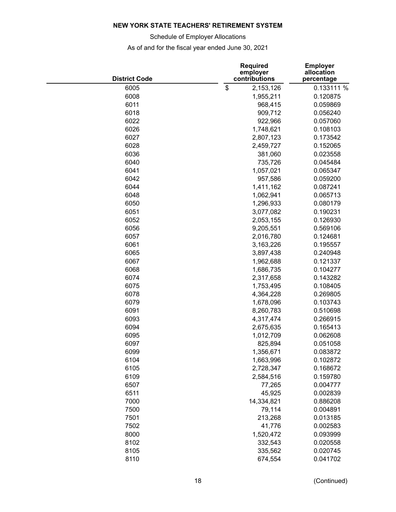Schedule of Employer Allocations

| <b>District Code</b> | <b>Required</b><br>employer<br>contributions | <b>Employer</b><br>allocation<br>percentage |  |  |
|----------------------|----------------------------------------------|---------------------------------------------|--|--|
| 6005                 | \$<br>2,153,126                              | 0.133111 %                                  |  |  |
| 6008                 | 1,955,211                                    | 0.120875                                    |  |  |
| 6011                 | 968,415                                      | 0.059869                                    |  |  |
| 6018                 | 909,712                                      | 0.056240                                    |  |  |
| 6022                 | 922,966                                      | 0.057060                                    |  |  |
| 6026                 | 1,748,621                                    | 0.108103                                    |  |  |
| 6027                 | 2,807,123                                    | 0.173542                                    |  |  |
| 6028                 | 2,459,727                                    | 0.152065                                    |  |  |
| 6036                 | 381,060                                      | 0.023558                                    |  |  |
| 6040                 | 735,726                                      | 0.045484                                    |  |  |
| 6041                 | 1,057,021                                    | 0.065347                                    |  |  |
| 6042                 | 957,586                                      | 0.059200                                    |  |  |
| 6044                 | 1,411,162                                    | 0.087241                                    |  |  |
| 6048                 | 1,062,941                                    | 0.065713                                    |  |  |
| 6050                 | 1,296,933                                    | 0.080179                                    |  |  |
| 6051                 | 3,077,082                                    | 0.190231                                    |  |  |
| 6052                 | 2,053,155                                    | 0.126930                                    |  |  |
| 6056                 | 9,205,551                                    | 0.569106                                    |  |  |
| 6057                 | 2,016,780                                    | 0.124681                                    |  |  |
| 6061                 | 3,163,226                                    | 0.195557                                    |  |  |
| 6065                 | 3,897,438                                    | 0.240948                                    |  |  |
| 6067                 | 1,962,688                                    | 0.121337                                    |  |  |
| 6068                 |                                              | 0.104277                                    |  |  |
| 6074                 | 1,686,735                                    |                                             |  |  |
|                      | 2,317,658                                    | 0.143282                                    |  |  |
| 6075                 | 1,753,495                                    | 0.108405                                    |  |  |
| 6078                 | 4,364,228                                    | 0.269805                                    |  |  |
| 6079                 | 1,678,096                                    | 0.103743                                    |  |  |
| 6091                 | 8,260,783                                    | 0.510698                                    |  |  |
| 6093                 | 4,317,474                                    | 0.266915                                    |  |  |
| 6094                 | 2,675,635                                    | 0.165413                                    |  |  |
| 6095                 | 1,012,709                                    | 0.062608                                    |  |  |
| 6097                 | 825,894                                      | 0.051058                                    |  |  |
| 6099                 | 1,356,671                                    | 0.083872                                    |  |  |
| 6104                 | 1,663,996                                    | 0.102872                                    |  |  |
| 6105                 | 2,728,347                                    | 0.168672                                    |  |  |
| 6109                 | 2,584,516                                    | 0.159780                                    |  |  |
| 6507                 | 77,265                                       | 0.004777                                    |  |  |
| 6511                 | 45,925                                       | 0.002839                                    |  |  |
| 7000                 | 14,334,821                                   | 0.886208                                    |  |  |
| 7500                 | 79,114                                       | 0.004891                                    |  |  |
| 7501                 | 213,268                                      | 0.013185                                    |  |  |
| 7502                 | 41,776                                       | 0.002583                                    |  |  |
| 8000                 | 1,520,472                                    | 0.093999                                    |  |  |
| 8102                 | 332,543                                      | 0.020558                                    |  |  |
| 8105                 | 335,562                                      | 0.020745                                    |  |  |
| 8110                 | 674,554                                      | 0.041702                                    |  |  |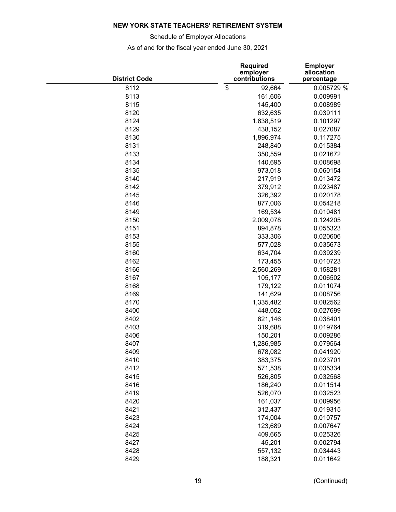Schedule of Employer Allocations

| <b>District Code</b> | <b>Required</b><br>employer<br>contributions | <b>Employer</b><br>allocation<br>percentage |  |  |
|----------------------|----------------------------------------------|---------------------------------------------|--|--|
| 8112                 | \$<br>92,664                                 | 0.005729 %                                  |  |  |
| 8113                 | 161,606                                      | 0.009991                                    |  |  |
| 8115                 | 145,400                                      | 0.008989                                    |  |  |
| 8120                 | 632,635                                      | 0.039111                                    |  |  |
| 8124                 | 1,638,519                                    | 0.101297                                    |  |  |
| 8129                 | 438,152                                      | 0.027087                                    |  |  |
| 8130                 | 1,896,974                                    | 0.117275                                    |  |  |
| 8131                 | 248,840                                      | 0.015384                                    |  |  |
| 8133                 | 350,559                                      | 0.021672                                    |  |  |
| 8134                 | 140,695                                      | 0.008698                                    |  |  |
| 8135                 | 973,018                                      | 0.060154                                    |  |  |
| 8140                 | 217,919                                      | 0.013472                                    |  |  |
| 8142                 | 379,912                                      | 0.023487                                    |  |  |
| 8145                 | 326,392                                      | 0.020178                                    |  |  |
| 8146                 | 877,006                                      | 0.054218                                    |  |  |
| 8149                 | 169,534                                      | 0.010481                                    |  |  |
| 8150                 | 2,009,078                                    | 0.124205                                    |  |  |
| 8151                 | 894,878                                      | 0.055323                                    |  |  |
| 8153                 | 333,306                                      | 0.020606                                    |  |  |
| 8155                 | 577,028                                      | 0.035673                                    |  |  |
| 8160                 | 634,704                                      | 0.039239                                    |  |  |
| 8162                 | 173,455                                      | 0.010723                                    |  |  |
| 8166                 | 2,560,269                                    | 0.158281                                    |  |  |
| 8167                 | 105,177                                      | 0.006502                                    |  |  |
| 8168                 | 179,122                                      | 0.011074                                    |  |  |
| 8169                 | 141,629                                      | 0.008756                                    |  |  |
| 8170                 | 1,335,482                                    | 0.082562                                    |  |  |
| 8400                 | 448,052                                      | 0.027699                                    |  |  |
| 8402                 | 621,146                                      | 0.038401                                    |  |  |
| 8403                 | 319,688                                      | 0.019764                                    |  |  |
| 8406                 | 150,201                                      | 0.009286                                    |  |  |
| 8407                 | 1,286,985                                    | 0.079564                                    |  |  |
| 8409                 | 678,082                                      | 0.041920                                    |  |  |
| 8410                 | 383,375                                      | 0.023701                                    |  |  |
| 8412                 | 571,538                                      | 0.035334                                    |  |  |
| 8415                 | 526,805                                      | 0.032568                                    |  |  |
| 8416                 | 186,240                                      | 0.011514                                    |  |  |
| 8419                 | 526,070                                      | 0.032523                                    |  |  |
| 8420                 | 161,037                                      | 0.009956                                    |  |  |
| 8421                 | 312,437                                      | 0.019315                                    |  |  |
| 8423                 | 174,004                                      | 0.010757                                    |  |  |
| 8424                 | 123,689                                      | 0.007647                                    |  |  |
| 8425                 | 409,665                                      | 0.025326                                    |  |  |
| 8427                 | 45,201                                       | 0.002794                                    |  |  |
| 8428                 | 557,132                                      | 0.034443                                    |  |  |
| 8429                 | 188,321                                      | 0.011642                                    |  |  |
|                      |                                              |                                             |  |  |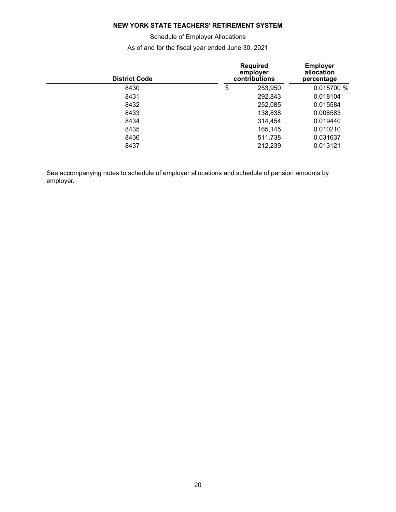Schedule of Employer Allocations

As of and for the fiscal year ended June 30, 2021

| <b>District Code</b> | <b>Required</b><br>employer<br>contributions | <b>Employer</b><br>allocation<br>percentage |            |  |
|----------------------|----------------------------------------------|---------------------------------------------|------------|--|
| 8430                 | \$                                           | 253,950                                     | 0.015700 % |  |
| 8431                 |                                              | 292,843                                     | 0.018104   |  |
| 8432                 |                                              | 252,085                                     | 0.015584   |  |
| 8433                 |                                              | 138,838                                     | 0.008583   |  |
| 8434                 |                                              | 314,454                                     | 0.019440   |  |
| 8435                 |                                              | 165,145                                     | 0.010210   |  |
| 8436                 |                                              | 511,738                                     | 0.031637   |  |
| 8437                 |                                              | 212,239                                     | 0.013121   |  |
|                      |                                              |                                             |            |  |

See accompanying notes to schedule of employer allocations and schedule of pension amounts by employer.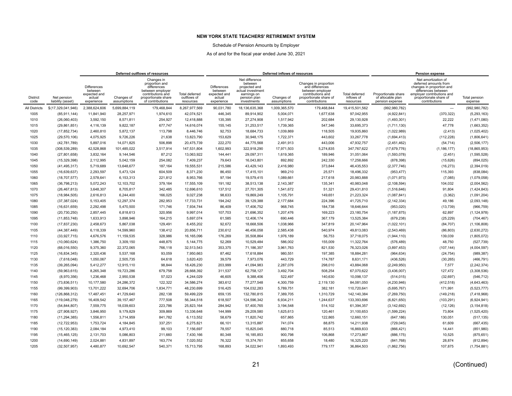Schedule of Pension Amounts by Employer

<span id="page-22-0"></span>

|                         |                                  |                                                                       |                           | Deferred outflows of resources                                                                                                  |                                            |                                                                |                                                                                                               | Deferred inflows of resources |                                                                                                                              |                                                  |                                                             | <b>Pension expense</b><br>Net amortization of<br>deferred amounts from<br>changes in proportion and<br>differences between |                                 |  |
|-------------------------|----------------------------------|-----------------------------------------------------------------------|---------------------------|---------------------------------------------------------------------------------------------------------------------------------|--------------------------------------------|----------------------------------------------------------------|---------------------------------------------------------------------------------------------------------------|-------------------------------|------------------------------------------------------------------------------------------------------------------------------|--------------------------------------------------|-------------------------------------------------------------|----------------------------------------------------------------------------------------------------------------------------|---------------------------------|--|
| <b>District</b><br>code | Net pension<br>liability (asset) | <b>Differences</b><br>between<br>expected and<br>actual<br>experience | Changes of<br>assumptions | Changes in<br>proportion and<br>differences<br>between employer<br>contributions and<br>proportionate share<br>of contributions | Total deferred<br>outflows of<br>resources | Differences<br>between<br>expected and<br>actual<br>experience | Net difference<br>between<br>projected and<br>actual investment<br>earnings on<br>pension plan<br>investments | Changes of<br>assumptions     | Changes in proportion<br>and differences<br>between employer<br>contributions and<br>proportionate share of<br>contributions | <b>Total deferred</b><br>inflows of<br>resources | Proportionate share<br>of allocable plan<br>pension expense | employer contributions and<br>proportionate share of<br>contributions                                                      | <b>Total pension</b><br>expense |  |
| <b>All Districts</b>    | \$(17,329,041,946)               | 2,388,624,606                                                         | 5,699,884,119             | 179,468,844                                                                                                                     | 8,267,977,569                              | 90,031,780                                                     | 18,136,635,368                                                                                                | 1,009,365,570                 | 179,468,844                                                                                                                  | 19,415,501,562                                   | (992, 980, 782)                                             | $\overline{\phantom{0}}$                                                                                                   | (992, 980, 782)                 |  |
| 1005                    | (85, 911, 144)                   | 11,841,940                                                            | 28,257,971                | 1,974,610                                                                                                                       | 42,074,521                                 | 446,345                                                        | 89,914,902                                                                                                    | 5,004,071                     | 1,677,638                                                                                                                    | 97,042,955                                       | (4,922,841)                                                 | (370, 322)                                                                                                                 | (5, 293, 163)                   |  |
| 1010                    | (26,060,403)                     | 3,592,150                                                             | 8,571,811                 | 254,927                                                                                                                         | 12,418,888                                 | 135,395                                                        | 27,274,908                                                                                                    | 1,517,942                     | 202,684                                                                                                                      | 29,130,928                                       | (1,493,301)                                                 | 22,222                                                                                                                     | (1,471,080)                     |  |
| 1015                    | (29, 861, 851)                   | 4,116,139                                                             | 9.822.187                 | 677.747                                                                                                                         | 14.616.074                                 | 155,145                                                        | 31,253,517                                                                                                    | 1,739,365                     | 547.346                                                                                                                      | 33,695,373                                       | (1,711,130)                                                 | 47.778                                                                                                                     | (1,663,352)                     |  |
| 1020                    | (17, 852, 734)                   | 2,460,810                                                             | 5,872,137                 | 113,798                                                                                                                         | 8,446,746                                  | 92,753                                                         | 18,684,733                                                                                                    | 1,039,869                     | 118,505                                                                                                                      | 19,935,860                                       | (1,022,989)                                                 | (2, 413)                                                                                                                   | (1,025,402)                     |  |
| 1025                    | (29, 570, 106)                   | 4,075,925                                                             | 9,726,226                 | 21,638                                                                                                                          | 13,823,790                                 | 153,629                                                        | 30,948,175                                                                                                    | 1,722,371                     | 443,602                                                                                                                      | 33,267,778                                       | (1,694,413)                                                 | (112, 228)                                                                                                                 | (1,806,641)                     |  |
| 1030                    | (42,781,789)                     | 5,897,016                                                             | 14,071,825                | 506,898                                                                                                                         | 20,475,739                                 | 222,270                                                        | 44,775,568                                                                                                    | 2,491,913                     | 443,006                                                                                                                      | 47,932,757                                       | (2,451,462)                                                 | (54, 714)                                                                                                                  | (2,506,177)                     |  |
| 1035                    | (308, 539, 289)                  | 42,528,868                                                            | 101,485,022               | 3,517,914                                                                                                                       | 147,531,804                                | 1,602,993                                                      | 322,918,290                                                                                                   | 17,971,503                    | 5,274,835                                                                                                                    | 347,767,622                                      | (17,679,776)                                                | (1, 186, 177)                                                                                                              | (18, 865, 953)                  |  |
| 1040                    | (27, 801, 658)                   | 3,832,164                                                             | 9,144,546                 | 87,212                                                                                                                          | 13,063,922                                 | 144,441                                                        | 29,097,311                                                                                                    | 1,619,365                     | 189,946                                                                                                                      | 31,051,064                                       | (1,593,078)                                                 | (2, 451)                                                                                                                   | (1,595,528)                     |  |
| 1045                    | (15, 329, 398)                   | 2.112.995                                                             | 5.042.159                 | 254,082                                                                                                                         | 7.409.237                                  | 79.643                                                         | 16,043,801                                                                                                    | 892.892                       | 242,330                                                                                                                      | 17,258,666                                       | (878, 398)                                                  | (15, 626)                                                                                                                  | (894, 025)                      |  |
| 1050                    | (41, 495, 317)                   | 5.719.689                                                             | 13.648.677                | 187.164                                                                                                                         | 19.555.531                                 | 215.586                                                        | 43.429.143                                                                                                    | 2,416,980                     | 373.844                                                                                                                      | 46.435.553                                       | (2,377,746)                                                 | (16, 273)                                                                                                                  | (2,394,019)                     |  |
| 1055                    | (16,639,637)                     | 2,293,597                                                             | 5,473,124                 | 604,509                                                                                                                         | 8,371,230                                  | 86,450                                                         | 17,415,101                                                                                                    | 969,210                       | 25,571                                                                                                                       | 18,496,332                                       | (953, 477)                                                  | 115,393                                                                                                                    | (838,084)                       |  |
| 1060                    | (18,707,577)                     | 2,578,641                                                             | 6,153,313                 | 221,812                                                                                                                         | 8,953,766                                  | 97,194                                                         | 19,579,415                                                                                                    | 1,089,661                     | 217,618                                                                                                                      | 20,983,888                                       | (1,071,973)                                                 | (7,085)                                                                                                                    | (1,079,058)                     |  |
| 1065                    | (36, 798, 213)                   | 5,072,243                                                             | 12,103,702                | 379,164                                                                                                                         | 17,555,109                                 | 191,182                                                        | 38,513,138                                                                                                    | 2,143,387                     | 135,341                                                                                                                      | 40,983,048                                       | (2, 108, 594)                                               | 104,032                                                                                                                    | (2,004,562)                     |  |
| 1070                    | (26, 467, 813)                   | 3,648,307                                                             | 8,705,817                 | 342,485                                                                                                                         | 12,696,610                                 | 137,512                                                        | 27,701,305                                                                                                    | 1,541,672                     | 51,321                                                                                                                       | 29,431,810                                       | (1,516,646)                                                 | 91,804                                                                                                                     | (1,424,843)                     |  |
| 1075                    | (18,984,505)                     | 2,616,813                                                             | 6,244,400                 | 166,025                                                                                                                         | 9,027,238                                  | 98,633                                                         | 19,869,249                                                                                                    | 1,105,791                     | 149,651                                                                                                                      | 21,223,324                                       | (1,087,841)                                                 | (3, 362)                                                                                                                   | (1,091,204)                     |  |
| 1080                    | (37, 387, 024)                   | 5,153,405                                                             | 12,297,374                | 282,953                                                                                                                         | 17,733,731                                 | 194,242                                                        | 39,129,388                                                                                                    | 2,177,684                     | 224,396                                                                                                                      | 41,725,710                                       | (2, 142, 334)                                               | 49,186                                                                                                                     | (2,093,148)                     |  |
| 1085                    | (16,631,659)                     | 2.292.498                                                             | 5.470.500                 | 171,746                                                                                                                         | 7.934.744                                  | 86,409                                                         | 17.406.752                                                                                                    | 968.745                       | 184,738                                                                                                                      | 18,646,644                                       | (953,020)                                                   | (13, 739)                                                                                                                  | (966, 759)                      |  |
| 1090                    | (20, 730, 250)                   | 2,857,445                                                             | 6,818,613                 | 320,956                                                                                                                         | 9,997,014                                  | 107,703                                                        | 21,696,352                                                                                                    | 1,207,476                     | 169,223                                                                                                                      | 23,180,754                                       | (1, 187, 875)                                               | 62,897                                                                                                                     | (1, 124, 978)                   |  |
| 1095                    | (11, 853, 748)                   | 1,633,913                                                             | 3,898,946                 | 164,215                                                                                                                         | 5,697,074                                  | 61,585                                                         | 12,406,174                                                                                                    | 690,446                       | 367,179                                                                                                                      | 13,525,384                                       | (679, 238)                                                  | (25, 229)                                                                                                                  | (704, 467)                      |  |
| 1100                    | (17, 837, 230)                   | 2,458,673                                                             | 5,867,038                 | 129,491                                                                                                                         | 8,455,202                                  | 92,672                                                         | 18,668,506                                                                                                    | 1,038,966                     | 347,819                                                                                                                      | 20,147,964                                       | (1,022,101)                                                 | (84, 707)                                                                                                                  | (1, 106, 808)                   |  |
| 1105                    | (44, 387, 449)                   | 6,118,339                                                             | 14,599,960                | 138,412                                                                                                                         | 20,856,711                                 | 230,612                                                        | 46,456,058                                                                                                    | 2,585,438                     | 540,974                                                                                                                      | 49,813,083                                       | (2,543,469)                                                 | (86, 803)                                                                                                                  | (2,630,272)                     |  |
| 1110                    | (33,927,715)                     | 4,676,576                                                             | 11,159,535                | 328,986                                                                                                                         | 16,165,096                                 | 176,269                                                        | 35,508,864                                                                                                    | 1,976,189                     | 56,753                                                                                                                       | 37,718,075                                       | (1,944,110)                                                 | 139,039                                                                                                                    | (1,805,072)                     |  |
| 1115                    | (10,060,624)                     | 1,386,750                                                             | 3.309.150                 | 448,875                                                                                                                         | 5.144.775                                  | 52,269                                                         | 10,529,484                                                                                                    | 586,002                       | 155,009                                                                                                                      | 11,322,764                                       | (576, 489)                                                  | 48,750                                                                                                                     | (527, 739)                      |  |
| 1120                    | (68,016,550)                     | 9.375.360                                                             | 22.372.065                | 766.118                                                                                                                         | 32.513.543                                 | 353,375                                                        | 71.186.357                                                                                                    | 3,961,763                     | 821,530                                                                                                                      | 76,323,026                                       | (3,897,453)                                                 | (107, 144)                                                                                                                 | (4,004,597)                     |  |
| 1125                    | (16, 834, 345)                   | 2,320,436                                                             | 5,537,168                 | 93,059                                                                                                                          | 7,950,663                                  | 87,462                                                         | 17,618,884                                                                                                    | 980,551                       | 197,385                                                                                                                      | 18,884,281                                       | (964, 634)                                                  | (24, 754)                                                                                                                  | (989, 387)                      |  |
| 1130                    | (7,618,048)                      | 1,050,067                                                             | 2,505,735                 | 64,618                                                                                                                          | 3,620,420                                  | 39,579                                                         | 7,973,076                                                                                                     | 443,729                       | 174,787                                                                                                                      | 8,631,171                                        | (436, 526)                                                  | (30, 265)                                                                                                                  | (466, 791)                      |  |
| 1135                    | (39, 265, 094)                   | 5,412,277                                                             | 12,915,110                | 98,844                                                                                                                          | 18,426,230                                 | 203,999                                                        | 41,094,983                                                                                                    | 2,287,076                     | 298,010                                                                                                                      | 43,884,068                                       | (2, 249, 950)                                               | 7,577                                                                                                                      | (2, 242, 374)                   |  |
| 1140                    | (59,963,615)                     | 8,265,348                                                             | 19,723,286                | 679,758                                                                                                                         | 28,668,392                                 | 311,537                                                        | 62,758,127                                                                                                    | 3,492,704                     | 508,254                                                                                                                      | 67,070,622                                       | (3,436,007)                                                 | 127,472                                                                                                                    | (3,308,536)                     |  |
| 1145                    | (8,970,356)                      | 1,236,468                                                             | 2,950,538                 | 57,023                                                                                                                          | 4,244,029                                  | 46,605                                                         | 9,388,406                                                                                                     | 522,497                       | 140,630                                                                                                                      | 10,098,137                                       | (514, 015)                                                  | (32, 697)                                                                                                                  | (546, 712)                      |  |
| 1150                    | (73,836,511)                     | 10,177,580                                                            | 24,286,372                | 122,322                                                                                                                         | 34,586,274                                 | 383,612                                                        | 77,277,548                                                                                                    | 4,300,759                     | 2,119,130                                                                                                                    | 84,081,050                                       | (4,230,946)                                                 | (412, 518)                                                                                                                 | (4,643,463)                     |  |
| 1155                    | (99, 399, 903)                   | 13,701,222                                                            | 32,694,706                | 1,834,771                                                                                                                       | 48,230,699                                 | 516,425                                                        | 104,032,283                                                                                                   | 5,789,751                     | 382,181                                                                                                                      | 110,720,641                                      | (5,695,767)                                                 | 171,991                                                                                                                    | (5,523,777)                     |  |
| 1160                    | (126, 868, 312)                  | 17,487,451                                                            | 41,729,640                | 282,138                                                                                                                         | 59,499,229                                 | 659,135                                                        | 132,780,815                                                                                                   | 7,389,705                     | 1,310,729                                                                                                                    | 142,140,384                                      | (7,269,750)                                                 | (149, 218)                                                                                                                 | (7, 418, 968)                   |  |
| 1165                    | (119,048,279)                    | 16,409,542                                                            | 39, 157, 467              | 777,508                                                                                                                         | 56,344,518                                 | 618,507                                                        | 124,596,342                                                                                                   | 6,934,211                     | 1,244,637                                                                                                                    | 133,393,696                                      | (6,821,650)                                                 | (103, 291)                                                                                                                 | (6,924,941)                     |  |
| 1170                    | (54, 844, 807)                   | 7,559,775                                                             | 18,039,603                | 223,786                                                                                                                         | 25,823,164                                 | 284,942                                                        | 57,400,765                                                                                                    | 3,194,548                     | 514,102                                                                                                                      | 61,394,357                                       | (3, 142, 692)                                               | (12, 126)                                                                                                                  | (3, 154, 818)                   |  |
| 1175                    | (27,908,927)                     | 3,846,950                                                             | 9,179,829                 | 309,869                                                                                                                         | 13,336,648                                 | 144,999                                                        | 29,209,580                                                                                                    | 1,625,613                     | 120,461                                                                                                                      | 31,100,653                                       | (1,599,224)                                                 | 73,804                                                                                                                     | (1,525,420)                     |  |
| 1180                    | (11, 294, 385)                   | 1,556,811                                                             | 3,714,959                 | 841,782                                                                                                                         | 6,113,552                                  | 58,679                                                         | 11,820,742                                                                                                    | 657,865                       | 122,865                                                                                                                      | 12,660,151                                       | (647, 186)                                                  | 130,051                                                                                                                    | (517, 135)                      |  |
| 1185                    | (12, 722, 953)                   | 1,753,724                                                             | 4,184,845                 | 337,251                                                                                                                         | 6,275,821                                  | 66,101                                                         | 13,315,887                                                                                                    | 741,074                       | 88,875                                                                                                                       | 14,211,938                                       | (729, 045)                                                  | 61,609                                                                                                                     | (667, 435)                      |  |
| 1190                    | (15, 120, 383)                   | 2,084,184                                                             | 4,973,410                 | 99,103                                                                                                                          | 7,156,697                                  | 78,557                                                         | 15,825,045                                                                                                    | 880,718                       | 85,513                                                                                                                       | 16,869,833                                       | (866, 421)                                                  | 14,441                                                                                                                     | (851,980)                       |  |
| 1195                    | (15, 465, 125)                   | 2,131,703                                                             | 5,086,803                 | 211,660                                                                                                                         | 7,430,166                                  | 80,348                                                         | 16,185,853                                                                                                    | 900,798                       | 106,868                                                                                                                      | 17,273,867                                       | (886, 175)                                                  | 10,525                                                                                                                     | (875, 651)                      |  |
| 1200                    | (14,690,149)                     | 2,024,881                                                             | 4,831,897                 | 163,774                                                                                                                         | 7,020,552                                  | 76,322                                                         | 15,374,761                                                                                                    | 855,658                       | 18,480                                                                                                                       | 16,325,220                                       | (841,768)                                                   | 28,874                                                                                                                     | (812, 894)                      |  |
| 1205                    | (32, 507, 957)                   | 4,480,877                                                             | 10,692,547                | 540,371                                                                                                                         | 15,713,795                                 | 168,893                                                        | 34,022,941                                                                                                    | 1,893,493                     | 779,177                                                                                                                      | 36,864,503                                       | (1,862,756)                                                 | 107,875                                                                                                                    | (1,754,881)                     |  |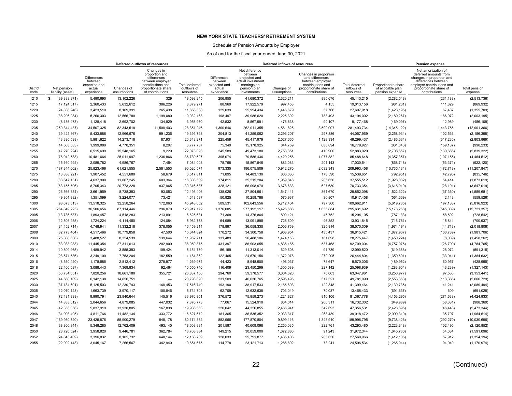### Schedule of Pension Amounts by Employer

|                         |                                  |                                                                       |                           | Deferred outflows of resources                                                                                                  |                                                   |                                                                |                                                                                                               | Deferred inflows of resources |                                                                                                                              |                                           |                                                             | Pension expense                                                                                                                                                           |                          |  |
|-------------------------|----------------------------------|-----------------------------------------------------------------------|---------------------------|---------------------------------------------------------------------------------------------------------------------------------|---------------------------------------------------|----------------------------------------------------------------|---------------------------------------------------------------------------------------------------------------|-------------------------------|------------------------------------------------------------------------------------------------------------------------------|-------------------------------------------|-------------------------------------------------------------|---------------------------------------------------------------------------------------------------------------------------------------------------------------------------|--------------------------|--|
| <b>District</b><br>code | Net pension<br>liability (asset) | <b>Differences</b><br>between<br>expected and<br>actual<br>experience | Changes of<br>assumptions | Changes in<br>proportion and<br>differences<br>between employer<br>contributions and<br>proportionate share<br>of contributions | <b>Total deferred</b><br>outflows of<br>resources | Differences<br>between<br>expected and<br>actual<br>experience | Net difference<br>between<br>projected and<br>actual investment<br>earnings on<br>pension plan<br>investments | Changes of<br>assumptions     | Changes in proportion<br>and differences<br>between employer<br>contributions and<br>proportionate share of<br>contributions | Total deferred<br>inflows of<br>resources | Proportionate share<br>of allocable plan<br>pension expense | Net amortization of<br>deferred amounts from<br>changes in proportion and<br>differences between<br>employer contributions and<br>proportionate share of<br>contributions | Total pension<br>expense |  |
| 1210                    | s.<br>(39, 833, 971)             | 5,490,690                                                             | 13,102,226                | 329                                                                                                                             | 18,593,245                                        | 206,955                                                        | 41,690,372                                                                                                    | 2,320,211                     | 895,676                                                                                                                      | 45,113,215                                | (2, 282, 548)                                               | (231, 188)                                                                                                                                                                | (2,513,736)              |  |
| 1215                    | (17, 124, 517)                   | 2,360,433                                                             | 5,632,612                 | 386,226                                                                                                                         | 8,379,271                                         | 88,969                                                         | 17,922,579                                                                                                    | 997,453                       | 4,155                                                                                                                        | 19,013,156                                | (981, 261)                                                  | 111,329                                                                                                                                                                   | (869, 932)               |  |
| 1220                    | (24, 836, 946)                   | 3,423,510                                                             | 8.169.391                 | 265.438                                                                                                                         | 11.858.338                                        | 129.039                                                        | 25.994.434                                                                                                    | 1,446,679                     | 37.766                                                                                                                       | 27.607.918                                | (1,423,195)                                                 | 67.487                                                                                                                                                                    | (1,355,709)              |  |
| 1225                    | (38, 206, 084)                   | 5,266,303                                                             | 12,566,780                | 1,199,080                                                                                                                       | 19,032,163                                        | 198,497                                                        | 39,986,620                                                                                                    | 2,225,392                     | 783,493                                                                                                                      | 43,194,002                                | (2, 189, 267)                                               | 186,072                                                                                                                                                                   | (2,003,195)              |  |
| 1230                    | (8, 186, 473)                    | 1.128.418                                                             | 2.692.702                 | 134.829                                                                                                                         | 3.955.950                                         | 42.532                                                         | 8.567.991                                                                                                     | 476,838                       | 90.107                                                                                                                       | 9,177,468                                 | (469, 097)                                                  | 12.989                                                                                                                                                                    | (456, 109)               |  |
| 1235                    | (250, 344, 437)                  | 34,507,325                                                            | 82,343,518                | 11,500,403                                                                                                                      | 128,351,246                                       | 1,300,646                                                      | 262,011,355                                                                                                   | 14,581,825                    | 3,599,907                                                                                                                    | 281,493,734                               | (14, 345, 122)                                              | 1,443,755                                                                                                                                                                 | (12, 901, 366)           |  |
| 1240                    | (39, 421, 867)                   | 5,433,886                                                             | 12,966,676                | 991,236                                                                                                                         | 19,391,798                                        | 204,813                                                        | 41,259,062                                                                                                    | 2,296,207                     | 297,886                                                                                                                      | 44,057,969                                | (2, 258, 934)                                               | 102,536                                                                                                                                                                   | (2, 156, 398)            |  |
| 1245                    | (43, 395, 593)                   | 5,981,622                                                             | 14,273,718                | 87,931                                                                                                                          | 20,343,271                                        | 225,459                                                        | 45,417,979                                                                                                    | 2,527,665                     | 1,128,334                                                                                                                    | 49,299,437                                | (2,486,634)                                                 | (317, 235)                                                                                                                                                                | (2,803,869)              |  |
| 1250                    | (14, 503, 033)                   | 1,999,089                                                             | 4,770,351                 | 8,297                                                                                                                           | 6,777,737                                         | 75,349                                                         | 15,178,925                                                                                                    | 844,759                       | 680,894                                                                                                                      | 16,779,927                                | (831,046)                                                   | (159, 187)                                                                                                                                                                | (990, 233)               |  |
| 1255                    | (47, 270, 224)                   | 6,515,699                                                             | 15,548,165                | 9.229                                                                                                                           | 22,073,093                                        | 245,589                                                        | 49,473,180                                                                                                    | 2,753,351                     | 410,900                                                                                                                      | 52,883,020                                | (2,708,657)                                                 | (130, 665)                                                                                                                                                                | (2,839,322)              |  |
| 1260                    | (76,042,588)                     | 10,481,664                                                            | 25,011,997                | 1,236,866                                                                                                                       | 36,730,527                                        | 395,074                                                        | 79,586,436                                                                                                    | 4,429,256                     | 1,077,882                                                                                                                    | 85,488,648                                | (4,357,357)                                                 | (107, 155)                                                                                                                                                                | (4,464,512)              |  |
| 1265                    | (15, 160, 992)                   | 2.089.782                                                             | 4.986.767                 | 7,454                                                                                                                           | 7.084.003                                         | 78,768                                                         | 15,867,546                                                                                                    | 883.083                       | 201.143                                                                                                                      | 17,030,541                                | (868, 748)                                                  | (53, 371)                                                                                                                                                                 | (922, 120)               |  |
| 1270                    | (187, 344, 602)                  | 25,823,466                                                            | 61,621,555                | 2,581,553                                                                                                                       | 90,026,574                                        | 973,335                                                        | 196,075,509                                                                                                   | 10,912,270                    | 2,032,343                                                                                                                    | 209,993,458                               | (10, 735, 134)                                              | (472, 713)                                                                                                                                                                | (11, 207, 847)           |  |
| 1275                    | (13,838,221)                     | 1,907,452                                                             | 4,551,680                 | 58,679                                                                                                                          | 6,517,811                                         | 71,895                                                         | 14,483,130                                                                                                    | 806,036                       | 178,590                                                                                                                      | 15,539,651                                | (792, 951)                                                  | (42, 795)                                                                                                                                                                 | (835, 746)               |  |
| 1280                    | (33, 647, 131)                   | 4,637,900                                                             | 11,067,245                | 603,364                                                                                                                         | 16,308,509                                        | 174,811                                                        | 35,215,204                                                                                                    | 1,959,846                     | 205,650                                                                                                                      | 37,555,512                                | (1,928,032)                                                 | 54,414                                                                                                                                                                    | (1,873,619)              |  |
| 1285                    | (63, 155, 696)                   | 8,705,343                                                             | 20,773,228                | 837,965                                                                                                                         | 30,316,537                                        | 328,121                                                        | 66,098,970                                                                                                    | 3,678,633                     | 627,630                                                                                                                      | 70,733,354                                | (3,618,919)                                                 | (28, 101)                                                                                                                                                                 | (3,647,019)              |  |
| 1290                    | (26, 566, 854)                   | 3,661,959                                                             | 8,738,393                 | 93,053                                                                                                                          | 12,493,406                                        | 138,026                                                        | 27,804,961                                                                                                    | 1,547,441                     | 361,670                                                                                                                      | 29,852,098                                | (1,522,322)                                                 | (37, 360)                                                                                                                                                                 | (1,559,681)              |  |
| 1295                    | (9,801,982)                      | 1,351,099                                                             | 3,224,077                 | 73,421                                                                                                                          | 4,648,597                                         | 50,925                                                         | 10,258,788                                                                                                    | 570,937                       | 36,807                                                                                                                       | 10,917,458                                | (561, 669)                                                  | 2,143                                                                                                                                                                     | (559, 526)               |  |
| 1300                    | (98,073,013)                     | 13,518,325                                                            | 32,258,264                | 172,063                                                                                                                         | 45,948,652                                        | 509,531                                                        | 102,643,556                                                                                                   | 5,712,464                     | 797,360                                                                                                                      | 109,662,911                               | (5,619,735)                                                 | (197, 188)                                                                                                                                                                | (5,816,923)              |  |
| 1305                    | (264, 849, 225)                  | 36.506.656                                                            | 87,114,446                | 296.070                                                                                                                         | 123.917.172                                       | 1,376,005                                                      | 277,192,117                                                                                                   | 15,426,686                    | 1,636,884                                                                                                                    | 295.631.692                               | (15, 176, 268)                                              | (545,089)                                                                                                                                                                 | (15, 721, 357)           |  |
| 2005                    | (13,736,687)                     | 1,893,457                                                             | 4,518,283                 | 213,891                                                                                                                         | 6,625,631                                         | 71,368                                                         | 14,376,864                                                                                                    | 800,121                       | 45,752                                                                                                                       | 15,294,105                                | (787, 133)                                                  | 58,592                                                                                                                                                                    | (728, 542)               |  |
| 2006                    | (12,508,935)                     | 1,724,224                                                             | 4.114.450                 | 124.084                                                                                                                         | 5.962.758                                         | 64.989                                                         | 13.091.895                                                                                                    | 728.609                       | 46,352                                                                                                                       | 13.931.845                                | (716, 781)                                                  | 15.844                                                                                                                                                                    | (700, 937)               |  |
| 2007                    | (34, 452, 714)                   | 4,748,941                                                             | 11,332,218                | 378,055                                                                                                                         | 16,459,214                                        | 178,997                                                        | 36,058,330                                                                                                    | 2,006,769                     | 325,914                                                                                                                      | 38,570,009                                | (1,974,194)                                                 | (44, 713)                                                                                                                                                                 | (2,018,906)              |  |
| 2008                    | (32, 773, 404)                   | 4,517,466                                                             | 10,779,858                | 47,500                                                                                                                          | 15,344,824                                        | 170,272                                                        | 34,300,758                                                                                                    | 1,908,954                     | 435,437                                                                                                                      | 36,815,421                                | (1,877,967)                                                 | (103, 739)                                                                                                                                                                | (1,981,706)              |  |
| 2009                    | (25, 308, 636)                   | 3,488,527                                                             | 8,324,539                 | 139,644                                                                                                                         | 11,952,711                                        | 131,489                                                        | 26,488,106                                                                                                    | 1,474,153                     | 181,698                                                                                                                      | 28,275,447                                | (1,450,224)                                                 | (8,039)                                                                                                                                                                   | (1,458,262)              |  |
| 2010                    | (83,033,983)                     | 11,445,354                                                            | 27,311,613                | 202,909                                                                                                                         | 38,959,875                                        | 431,397                                                        | 86,903,655                                                                                                    | 4,836,485                     | 537,468                                                                                                                      | 92,709,004                                | (4,757,975)                                                 | (26, 790)                                                                                                                                                                 | (4,784,765)              |  |
| 2014                    | (10, 809, 265)                   | 1,489,942                                                             | 3.555.393                 | 109,424                                                                                                                         | 5,154,759                                         | 56,159                                                         | 11,313,014                                                                                                    | 629,608                       | 91,739                                                                                                                       | 12.090.520                                | (619, 388)                                                  | 28,072                                                                                                                                                                    | (591, 315)               |  |
| 2015                    | (23,571,636)                     | 3,249,100                                                             | 7,753,204                 | 182,559                                                                                                                         | 11,184,862                                        | 122,465                                                        | 24,670,156                                                                                                    | 1,372,978                     | 279,205                                                                                                                      | 26,444,804                                | (1,350,691)                                                 | (33, 941)                                                                                                                                                                 | (1,384,632)              |  |
| 2016                    | (8,550,420)                      | 1.178.585                                                             | 2.812.412                 | 278.977                                                                                                                         | 4.269.974                                         | 44,423                                                         | 8.948.900                                                                                                     | 498.037                       | 78.647                                                                                                                       | 9.570.006                                 | (489, 952)                                                  | 60,957                                                                                                                                                                    | (428, 995)               |  |
| 2018                    | (22, 406, 097)                   | 3,088,443                                                             | 7,369,834                 | 92,464                                                                                                                          | 10,550,740                                        | 116,409                                                        | 23,450,299                                                                                                    | 1,305,089                     | 227,142                                                                                                                      | 25,098,939                                | (1,283,904)                                                 | (43, 239)                                                                                                                                                                 | (1,327,143)              |  |
| 2020                    | (56, 734, 551)                   | 7.820.256                                                             | 18,661,180                | 355,721                                                                                                                         | 26,837,156                                        | 294,760                                                        | 59,378,577                                                                                                    | 3,304,620                     | 70,003                                                                                                                       | 63,047,961                                | (3,250,977)                                                 | 97,536                                                                                                                                                                    | (3, 153, 441)            |  |
| 2025                    | (44, 560, 109)                   | 6,142,138                                                             | 14,656,751                | $\overline{\phantom{0}}$                                                                                                        | 20,798,890                                        | 231,509                                                        | 46,636,765                                                                                                    | 2,595,495                     | 317,321                                                                                                                      | 49,781,090                                | (2, 553, 363)                                               | (113, 366)                                                                                                                                                                | (2,666,729)              |  |
| 2030                    | (37, 184, 601)                   | 5,125,503                                                             | 12,230,793                | 160,453                                                                                                                         | 17,516,749                                        | 193,190                                                        | 38,917,533                                                                                                    | 2,165,893                     | 122,848                                                                                                                      | 41,399,464                                | (2, 130, 735)                                               | 41,241                                                                                                                                                                    | (2,089,494)              |  |
| 2035                    | (12,070,128)                     | 1,663,739                                                             | 3,970,117                 | 100,846                                                                                                                         | 5,734,703                                         | 62,709                                                         | 12,632,638                                                                                                    | 703,049                       | 70,037                                                                                                                       | 13,468,433                                | (691, 637)                                                  | 609                                                                                                                                                                       | (691, 028)               |  |
| 2040                    | (72, 481, 389)                   | 9,990,791                                                             | 23,840,644                | 145,516                                                                                                                         | 33,976,951                                        | 376,572                                                        | 75,859,273                                                                                                    | 4,221,827                     | 910.106                                                                                                                      | 81,367,778                                | (4, 153, 295)                                               | (271, 638)                                                                                                                                                                | (4,424,933)              |  |
| 2044                    | (14, 833, 612)                   | 2,044,656                                                             | 4,879,085                 | 447,032                                                                                                                         | 7,370,773                                         | 77,067                                                         | 15,524,910                                                                                                    | 864,014                       | 266,311                                                                                                                      | 16,732,302                                | (849, 989)                                                  | (58, 381)                                                                                                                                                                 | (908, 369)               |  |
| 2045                    | (42, 353, 056)                   | 5.837.919                                                             | 13,930,805                | 167,838                                                                                                                         | 19.936.563                                        | 220,042                                                        | 44,326,855                                                                                                    | 2.466.941                     | 342.693                                                                                                                      | 47,356,531                                | (2,426,895)                                                 | (46, 448)                                                                                                                                                                 | (2,473,344)              |  |
| 2046                    | (34,908,495)                     | 4,811,766                                                             | 11,482,134                | 333,772                                                                                                                         | 16,627,672                                        | 181,365                                                        | 36,535,352                                                                                                    | 2,033,317                     | 268,439                                                                                                                      | 39,018,472                                | (2,000,310)                                                 | 35,797                                                                                                                                                                    | (1,964,514)              |  |
| 2047                    | (169, 950, 520)                  | 23,425,876                                                            | 55,900,279                | 848,178                                                                                                                         | 80,174,332                                        | 882,966                                                        | 177,870,804                                                                                                   | 9,899,116                     | 1,343,910                                                                                                                    | 189,996,795                               | (9,738,426)                                                 | (292, 270)                                                                                                                                                                | (10,030,696)             |  |
| 2048                    | (38,800,844)                     | 5,348,285                                                             | 12,762,409                | 493,140                                                                                                                         | 18,603,834                                        | 201,587                                                        | 40,609,098                                                                                                    | 2,260,035                     | 222,761                                                                                                                      | 43,293,480                                | (2, 223, 348)                                               | 102,496                                                                                                                                                                   | (2, 120, 852)            |  |
| 2050                    | (28, 720, 524)                   | 3,958,820                                                             | 9,446,781                 | 362,784                                                                                                                         | 13,768,384                                        | 149,215                                                        | 30,059,000                                                                                                    | 1,672,886                     | 91,243                                                                                                                       | 31,972,344                                | (1,645,730)                                                 | 54,634                                                                                                                                                                    | (1,591,096)              |  |
| 2052                    | (24, 643, 409)                   | 3,396,832                                                             | 8,105,732                 | 648,144                                                                                                                         | 12,150,709                                        | 128,033                                                        | 25,791,877                                                                                                    | 1,435,406                     | 205,650                                                                                                                      | 27,560,966                                | (1,412,105)                                                 | 57,912                                                                                                                                                                    | (1, 354, 194)            |  |
| 2055                    | (22,092,143)                     | 3,045,167                                                             | 7,266,567                 | 342,940                                                                                                                         | 10,654,675                                        | 114,778                                                        | 23,121,713                                                                                                    | 1,286,802                     | 73,241                                                                                                                       | 24,596,534                                | (1,265,914)                                                 | 94,940                                                                                                                                                                    | (1, 170, 974)            |  |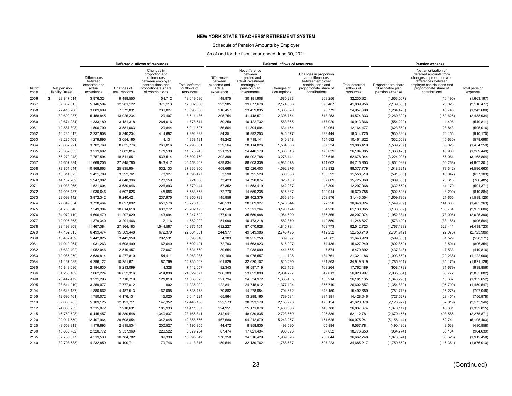### Schedule of Pension Amounts by Employer

|                         |                                  |                                                                       |                           | Deferred outflows of resources                                                                                                  |                                                   |                                                                |                                                                                                               | Deferred inflows of resources |                                                                                                                              |                                           |                                                             | Pension expense                                                                                                                                                           |                          |  |
|-------------------------|----------------------------------|-----------------------------------------------------------------------|---------------------------|---------------------------------------------------------------------------------------------------------------------------------|---------------------------------------------------|----------------------------------------------------------------|---------------------------------------------------------------------------------------------------------------|-------------------------------|------------------------------------------------------------------------------------------------------------------------------|-------------------------------------------|-------------------------------------------------------------|---------------------------------------------------------------------------------------------------------------------------------------------------------------------------|--------------------------|--|
| <b>District</b><br>code | Net pension<br>liability (asset) | <b>Differences</b><br>between<br>expected and<br>actual<br>experience | Changes of<br>assumptions | Changes in<br>proportion and<br>differences<br>between employer<br>contributions and<br>proportionate share<br>of contributions | <b>Total deferred</b><br>outflows of<br>resources | Differences<br>between<br>expected and<br>actual<br>experience | Net difference<br>between<br>projected and<br>actual investment<br>earnings on<br>pension plan<br>investments | Changes of<br>assumptions     | Changes in proportion<br>and differences<br>between employer<br>contributions and<br>proportionate share of<br>contributions | Total deferred<br>inflows of<br>resources | Proportionate share<br>of allocable plan<br>pension expense | Net amortization of<br>deferred amounts from<br>changes in proportion and<br>differences between<br>employer contributions and<br>proportionate share of<br>contributions | Total pension<br>expense |  |
| 2056                    | (28, 847, 514)<br>s.             | 3.976.324                                                             | 9.488.550                 | 154.712                                                                                                                         | 13,619,586                                        | 149,875                                                        | 30,191,908                                                                                                    | 1,680,283                     | 208,256                                                                                                                      | 32,230,321                                | (1,653,007)                                                 | (10, 190)                                                                                                                                                                 | (1,663,197)              |  |
| 2057                    | (37, 337, 615)                   | 5,146,594                                                             | 12,281,122                | 375,113                                                                                                                         | 17,802,830                                        | 193,985                                                        | 39,077,678                                                                                                    | 2,174,806                     | 393,487                                                                                                                      | 41,839,956                                | (2, 139, 503)                                               | 23,026                                                                                                                                                                    | (2, 116, 477)            |  |
| 2058                    | (22, 415, 208)                   | 3,089,699                                                             | 7,372,831                 | 230,827                                                                                                                         | 10,693,356                                        | 116,457                                                        | 23,459,835                                                                                                    | 1,305,620                     | 75,779                                                                                                                       | 24,957,690                                | (1,284,426)                                                 | 40,746                                                                                                                                                                    | (1,243,680)              |  |
| 2059                    | (39,602,937)                     | 5,458,845                                                             | 13,026,234                | 29.407                                                                                                                          | 18,514,486                                        | 205,754                                                        | 41,448,571                                                                                                    | 2,306,754                     | 613.253                                                                                                                      | 44,574,333                                | (2,269,309)                                                 | (169, 625)                                                                                                                                                                | (2,438,934)              |  |
| 2060                    | (9,671,984)                      | 1,333,180                                                             | 3,181,318                 | 264,016                                                                                                                         | 4,778,514                                         | 50,250                                                         | 10,122,732                                                                                                    | 563,365                       | 177,020                                                                                                                      | 10,913,366                                | (554, 220)                                                  | 4,408                                                                                                                                                                     | (549, 811)               |  |
| 2061                    | (10, 887, 308)                   | 1.500.700                                                             | 3,581,063                 | 129.844                                                                                                                         | 5.211.607                                         | 56,564                                                         | 11,394,694                                                                                                    | 634,154                       | 79.064                                                                                                                       | 12, 164, 477                              | (623, 860)                                                  | 28,843                                                                                                                                                                    | (595, 016)               |  |
| 2062                    | (16, 235, 617)                   | 2,237,908                                                             | 5,340,234                 | 414,692                                                                                                                         | 7,992,833                                         | 84,351                                                         | 16,992,253                                                                                                    | 945,677                       | 292,444                                                                                                                      | 18,314,725                                | (930, 326)                                                  | 20,155                                                                                                                                                                    | (910, 170)               |  |
| 2063                    | (9,285,409)                      | 1,279,895                                                             | 3,054,165                 | 4,131                                                                                                                           | 4,338,191                                         | 48,242                                                         | 9,718,141                                                                                                     | 540,848                       | 154,592                                                                                                                      | 10,461,822                                | (532,068)                                                   | (46, 630)                                                                                                                                                                 | (578, 698)               |  |
| 2064                    | (26, 862, 921)                   | 3,702,769                                                             | 8,835,776                 | 260,016                                                                                                                         | 12,798,561                                        | 139,564                                                        | 28,114,826                                                                                                    | 1,564,686                     | 67,334                                                                                                                       | 29,886,410                                | (1,539,287)                                                 | 85,028                                                                                                                                                                    | (1,454,259)              |  |
| 2065                    | (23, 357, 633)                   | 3,219,602                                                             | 7.682.814                 | 171,530                                                                                                                         | 11,073,945                                        | 121,353                                                        | 24,446,179                                                                                                    | 1,360,513                     | 176,039                                                                                                                      | 26,104,085                                | (1,338,428)                                                 | 48,980                                                                                                                                                                    | (1,289,449)              |  |
| 2066                    | (56, 279, 948)                   | 7,757,594                                                             | 18,511,651                | 533,514                                                                                                                         | 26,802,759                                        | 292,398                                                        | 58,902,788                                                                                                    | 3,278,141                     | 205,616                                                                                                                      | 62,678,944                                | (3,224,928)                                                 | 56,064                                                                                                                                                                    | (3, 168, 864)            |  |
| 2067                    | (84, 657, 984)                   | 11,669,205                                                            | 27,845,780                | 943,417                                                                                                                         | 40,458,402                                        | 439,834                                                        | 88,603,339                                                                                                    | 4,931,078                     | 741,602                                                                                                                      | 94,715,853                                | (4,851,033)                                                 | (56, 268)                                                                                                                                                                 | (4,907,301)              |  |
| 2068                    | (78, 851, 644)                   | 10,868,863                                                            | 25,935,954                | 532,133                                                                                                                         | 37,336,950                                        | 409,668                                                        | 82,526,403                                                                                                    | 4,592,876                     | 848,832                                                                                                                      | 88,377,779                                | (4,518,321)                                                 | (78, 342)                                                                                                                                                                 | (4,596,663)              |  |
| 2069                    | (10, 314, 823)                   | 1,421,789                                                             | 3,392,761                 | 78,927                                                                                                                          | 4,893,477                                         | 53,590                                                         | 10,795,529                                                                                                    | 600,808                       | 108,592                                                                                                                      | 11,558,519                                | (591, 055)                                                  | (46, 047)                                                                                                                                                                 | (637, 103)               |  |
| 2070                    | (14, 132, 262)                   | 1,947,982                                                             | 4,648,396                 | 128,159                                                                                                                         | 6,724,538                                         | 73,423                                                         | 14,790,874                                                                                                    | 823,163                       | 37,609                                                                                                                       | 15,725,069                                | (809, 800)                                                  | 23,315                                                                                                                                                                    | (786, 485)               |  |
| 2071                    | (11,038,965)                     | 1,521,604                                                             | 3,630,946                 | 226,893                                                                                                                         | 5,379,444                                         | 57,352                                                         | 11,553,419                                                                                                    | 642,987                       | 43,309                                                                                                                       | 12,297,068                                | (632, 550)                                                  | 41,179                                                                                                                                                                    | (591, 371)               |  |
| 2072                    | (14,006,487)                     | 1,930,646                                                             | 4,607,026                 | 45,986                                                                                                                          | 6,583,658                                         | 72,770                                                         | 14,659,238                                                                                                    | 815,837                       | 122,914                                                                                                                      | 15,670,758                                | (802, 593)                                                  | (8,290)                                                                                                                                                                   | (810, 884)               |  |
| 2073                    | (28,093,142)                     | 3,872,342                                                             | 9,240,421                 | 237,975                                                                                                                         | 13,350,738                                        | 145,956                                                        | 29,402,379                                                                                                    | 1,636,343                     | 258,876                                                                                                                      | 31,443,554                                | (1,609,780)                                                 | 21,655                                                                                                                                                                    | (1,588,125)              |  |
| 2074                    | (27,049,334)                     | 3,728,464                                                             | 8,897,092                 | 650,578                                                                                                                         | 13,276,133                                        | 140,533                                                        | 28,309,927                                                                                                    | 1,575,544                     | 22,320                                                                                                                       | 30,048,324                                | (1,549,969)                                                 | 144,606                                                                                                                                                                   | (1,405,363)              |  |
| 2075                    | (54, 768, 846)                   | 7,549,304                                                             | 18,014,618                | 638,272                                                                                                                         | 26,202,195                                        | 284,548                                                        | 57,321,264                                                                                                    | 3,190,124                     | 334,930                                                                                                                      | 61,130,865                                | (3, 138, 339)                                               | 185,734                                                                                                                                                                   | (2,952,606)              |  |
| 2076                    | (34,072,110)                     | 4,696,479                                                             | 11,207,029                | 143,994                                                                                                                         | 16,047,502                                        | 177,019                                                        | 35,659,988                                                                                                    | 1,984,600                     | 386,366                                                                                                                      | 38,207,974                                | (1,952,384)                                                 | (73,006)                                                                                                                                                                  | (2,025,390)              |  |
| 2077                    | (10,006,863)                     | 1.379.340                                                             | 3,291,466                 | 12.116                                                                                                                          | 4.682.922                                         | 51.990                                                         | 10,473,218                                                                                                    | 582,870                       | 140,550                                                                                                                      | 11,248,627                                | (573, 409)                                                  | (33, 186)                                                                                                                                                                 | (606, 594)               |  |
| 2078                    | (83, 193, 809)                   | 11,467,384                                                            | 27,364,183                | 1,544,587                                                                                                                       | 40,376,154                                        | 432,227                                                        | 87,070,928                                                                                                    | 4,845,794                     | 163,773                                                                                                                      | 92,512,723                                | (4, 767, 133)                                               | 328,411                                                                                                                                                                   | (4, 438, 723)            |  |
| 2079                    | (47, 152, 515)                   | 6,499,474                                                             | 15,509,448                | 672,379                                                                                                                         | 22,681,301                                        | 244,977                                                        | 49,349,986                                                                                                    | 2,746,495                     | 412,252                                                                                                                      | 52,753,710                                | (2,701,912)                                                 | (22, 075)                                                                                                                                                                 | (2,723,986)              |  |
| 2080                    | (10, 467, 439)                   | 1,442,825                                                             | 3,442,959                 | 207,531                                                                                                                         | 5,093,316                                         | 54,383                                                         | 10,955,258                                                                                                    | 609,697                       | 24,582                                                                                                                       | 11,643,920                                | (599, 800)                                                  | 61,529                                                                                                                                                                    | (538, 271)               |  |
| 2081                    | (14,010,964)                     | 1,931,263                                                             | 4,608,499                 | 62,640                                                                                                                          | 6,602,401                                         | 72,793                                                         | 14,663,923                                                                                                    | 816,097                       | 74,436                                                                                                                       | 15,627,249                                | (802, 850)                                                  | (3,504)                                                                                                                                                                   | (806, 354)               |  |
| 2082                    | (7,632,402)                      | 1,052,046                                                             | 2,510,457                 | 72,067                                                                                                                          | 3,634,569                                         | 39,654                                                         | 7,988,099                                                                                                     | 444,565                       | 7,574                                                                                                                        | 8,479,892                                 | (437, 348)                                                  | 17,533                                                                                                                                                                    | (419, 816)               |  |
| 2083                    | (19,086,079)                     | 2,630,814                                                             | 6,277,810                 | 54,411                                                                                                                          | 8.963.035                                         | 99,160                                                         | 19,975,557                                                                                                    | 1,111,708                     | 134,761                                                                                                                      | 21,321,186                                | (1,093,662)                                                 | (29, 238)                                                                                                                                                                 | (1, 122, 900)            |  |
| 2084                    | (31, 167, 589)                   | 4,296,122                                                             | 10,251,671                | 187,769                                                                                                                         | 14,735,562                                        | 161,929                                                        | 32,620,107                                                                                                    | 1,815,420                     | 321,863                                                                                                                      | 34,919,319                                | (1,785,951)                                                 | (35, 175)                                                                                                                                                                 | (1,821,126)              |  |
| 2085                    | (15,849,096)                     | 2,184,630                                                             | 5.213.099                 | 14.328                                                                                                                          | 7.412.057                                         | 82.343                                                         | 16,587,719                                                                                                    | 923.163                       | 169.264                                                                                                                      | 17,762,489                                | (908, 178)                                                  | (31, 679)                                                                                                                                                                 | (939, 856)               |  |
| 2086                    | (51, 235, 162)                   | 7,062,224                                                             | 16,852,316                | 414.838                                                                                                                         | 24.329.377                                        | 266,189                                                        | 53,622,899                                                                                                    | 2,984,297                     | 47,613                                                                                                                       | 56.920.997                                | (2,935,854)                                                 | 80,772                                                                                                                                                                    | (2,855,082)              |  |
| 2090                    | (23, 442, 472)                   | 3,231,296                                                             | 7,710,719                 | 121,810                                                                                                                         | 11,063,825                                        | 121,794                                                        | 24,534,972                                                                                                    | 1,365,455                     | 158,914                                                                                                                      | 26, 181, 135                              | (1,343,290)                                                 | 10,637                                                                                                                                                                    | (1,332,652)              |  |
| 2095                    | (23, 644, 019)                   | 3,259,077                                                             | 7,777,012                 | 902                                                                                                                             | 11,036,992                                        | 122,841                                                        | 24,745,912                                                                                                    | 1,377,194                     | 356,710                                                                                                                      | 26,602,657                                | (1, 354, 839)                                               | (95, 709)                                                                                                                                                                 | (1,450,547)              |  |
| 2104                    | (13, 643, 137)                   | 1,880,562                                                             | 4,487,513                 | 167,098                                                                                                                         | 6,535,173                                         | 70,882                                                         | 14,278,954                                                                                                    | 794,672                       | 348,150                                                                                                                      | 15,492,659                                | (781, 773)                                                  | (15, 275)                                                                                                                                                                 | (797, 048)               |  |
| 2105                    | (12,696,461)                     | 1,750,072                                                             | 4,176,131                 | 115,020                                                                                                                         | 6,041,224                                         | 65,964                                                         | 13,288,160                                                                                                    | 739,531                       | 334,391                                                                                                                      | 14,428,046                                | (727, 527)                                                  | (29, 451)                                                                                                                                                                 | (756, 978)               |  |
| 2110                    | (37,065,785)                     | 5,109,125                                                             | 12,191,711                | 142,352                                                                                                                         | 17,443,188                                        | 192,573                                                        | 38,793,179                                                                                                    | 2,158,973                     | 476,154                                                                                                                      | 41,620,878                                | (2, 123, 927)                                               | (52,019)                                                                                                                                                                  | (2, 175, 946)            |  |
| 2112                    | (24,050,253)                     | 3,315,072                                                             | 7,910,631                 | 185,933                                                                                                                         | 11,411,637                                        | 124,951                                                        | 25,171,078                                                                                                    | 1,400,856                     | 140,788                                                                                                                      | 26,837,674                                | (1,378,117)                                                 | 45,301                                                                                                                                                                    | (1,332,815)              |  |
| 2115                    | (46, 760, 628)                   | 6,445,457                                                             | 15,380,548                | 1,340,837                                                                                                                       | 23,166,841                                        | 242,941                                                        | 48,939,835                                                                                                    | 2,723,669                     | 206,336                                                                                                                      | 52,112,781                                | (2,679,456)                                                 | 403,585                                                                                                                                                                   | (2, 275, 871)            |  |
| 2120                    | (90,017,550)                     | 12.407.964                                                            | 29.608.654                | 342.048                                                                                                                         | 42.358.666                                        | 467.680                                                        | 94,212,679                                                                                                    | 5,243,257                     | 151,625                                                                                                                      | 100.075.241                               | (5, 158, 144)                                               | 52.741                                                                                                                                                                    | (5, 105, 403)            |  |
| 2125                    | (8,559,913)                      | 1,179,893                                                             | 2,815,534                 | 200,527                                                                                                                         | 4,195,955                                         | 44,472                                                         | 8,958,835                                                                                                     | 498,590                       | 65,884                                                                                                                       | 9,567,781                                 | (490, 496)                                                  | 9,538                                                                                                                                                                     | (480, 958)               |  |
| 2130                    | (16, 836, 782)                   | 2,320,772                                                             | 5,537,969                 | 220,522                                                                                                                         | 8,079,264                                         | 87,474                                                         | 17,621,434                                                                                                    | 980,693                       | 87,052                                                                                                                       | 18,776,653                                | (964, 774)                                                  | 60,134                                                                                                                                                                    | (904, 639)               |  |
| 2135                    | (32, 788, 377)                   | 4,519,530                                                             | 10,784,782                | 89,330                                                                                                                          | 15,393,642                                        | 170,350                                                        | 34,316,429                                                                                                    | 1,909,826                     | 265,644                                                                                                                      | 36,662,248                                | (1,878,824)                                                 | (33, 626)                                                                                                                                                                 | (1,912,450)              |  |
| 2140                    | (30, 708, 633)                   | 4,232,859                                                             | 10,100,711                | 79,746                                                                                                                          | 14,413,316                                        | 159,544                                                        | 32,139,762                                                                                                    | 1,788,687                     | 597,223                                                                                                                      | 34,685,217                                | (1,759,652)                                                 | (116, 361)                                                                                                                                                                | (1,876,013)              |  |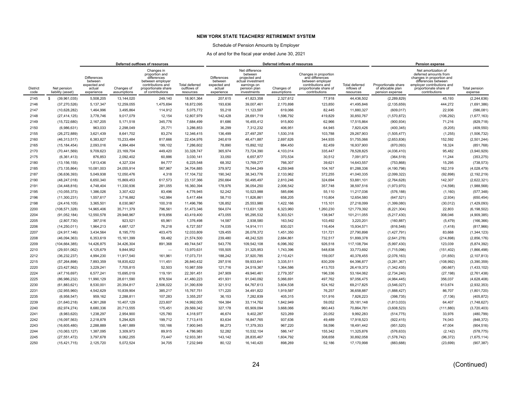### Schedule of Pension Amounts by Employer

|                         |                                  |                                                                       |                           | Deferred outflows of resources                                                                                                  |                                                   |                                                                |                                                                                                               | Deferred inflows of resources |                                                                                                                              |                                           |                                                             | Pension expense                                                                                                                                                           |                          |  |
|-------------------------|----------------------------------|-----------------------------------------------------------------------|---------------------------|---------------------------------------------------------------------------------------------------------------------------------|---------------------------------------------------|----------------------------------------------------------------|---------------------------------------------------------------------------------------------------------------|-------------------------------|------------------------------------------------------------------------------------------------------------------------------|-------------------------------------------|-------------------------------------------------------------|---------------------------------------------------------------------------------------------------------------------------------------------------------------------------|--------------------------|--|
| <b>District</b><br>code | Net pension<br>liability (asset) | <b>Differences</b><br>between<br>expected and<br>actual<br>experience | Changes of<br>assumptions | Changes in<br>proportion and<br>differences<br>between employer<br>contributions and<br>proportionate share<br>of contributions | <b>Total deferred</b><br>outflows of<br>resources | Differences<br>between<br>expected and<br>actual<br>experience | Net difference<br>between<br>projected and<br>actual investment<br>earnings on<br>pension plan<br>investments | Changes of<br>assumptions     | Changes in proportion<br>and differences<br>between employer<br>contributions and<br>proportionate share of<br>contributions | Total deferred<br>inflows of<br>resources | Proportionate share<br>of allocable plan<br>pension expense | Net amortization of<br>deferred amounts from<br>changes in proportion and<br>differences between<br>employer contributions and<br>proportionate share of<br>contributions | Total pension<br>expense |  |
| 2145                    | (39,961,035)<br>s.               | 5,508,205                                                             | 13.144.020                | 249.140                                                                                                                         | 18,901,364                                        | 207,615                                                        | 41,823,358                                                                                                    | 2.327.612                     | 77,918                                                                                                                       | 44,436,502                                | (2,289,829)                                                 | 45.193                                                                                                                                                                    | (2, 244, 636)            |  |
| 2146                    | (37, 270, 526)                   | 5,137,347                                                             | 12,259,055                | 1,475,694                                                                                                                       | 18,872,095                                        | 193,636                                                        | 39,007,461                                                                                                    | 2,170,898                     | 123,850                                                                                                                      | 41,495,846                                | (2, 135, 659)                                               | 444,272                                                                                                                                                                   | (1,691,386)              |  |
| 2147                    | (10,628,282)                     | 1,464,996                                                             | 3,495,864                 | 114,912                                                                                                                         | 5,075,772                                         | 55,218                                                         | 11,123,597                                                                                                    | 619,066                       | 82,445                                                                                                                       | 11,880,327                                | (609, 017)                                                  | 22,936                                                                                                                                                                    | (586, 081)               |  |
| 2148                    | (27, 414, 125)                   | 3.778.746                                                             | 9.017.079                 | 12.154                                                                                                                          | 12,807,979                                        | 142,428                                                        | 28,691,719                                                                                                    | 1,596,792                     | 419.829                                                                                                                      | 30.850.767                                | (1,570,872)                                                 | (106, 292)                                                                                                                                                                | (1,677,163)              |  |
| 2149                    | (15, 722, 680)                   | 2,167,205                                                             | 5,171,518                 | 345,776                                                                                                                         | 7,684,499                                         | 81,686                                                         | 16,455,412                                                                                                    | 915,800                       | 62,966                                                                                                                       | 17,515,864                                | (900, 934)                                                  | 71,216                                                                                                                                                                    | (829, 718)               |  |
| 2150                    | (6,986,631)                      | 963.033                                                               | 2.298.049                 | 25,771                                                                                                                          | 3,286,853                                         | 36,299                                                         | 7,312,232                                                                                                     | 406,951                       | 64.945                                                                                                                       | 7,820,426                                 | (400, 345)                                                  | (9,205)                                                                                                                                                                   | (409, 550)               |  |
| 2155                    | (26, 272, 889)                   | 3,621,439                                                             | 8,641,702                 | 83,274                                                                                                                          | 12,346,415                                        | 136,499                                                        | 27,497,297                                                                                                    | 1,530,318                     | 103,788                                                                                                                      | 29,267,903                                | (1,505,477)                                                 | (1,255)                                                                                                                                                                   | (1,506,732)              |  |
| 2160                    | (46, 313, 517)                   | 6,383,827                                                             | 15,233,484                | 817,666                                                                                                                         | 22,434,976                                        | 240,619                                                        | 48,471,887                                                                                                    | 2,697,626                     | 344,935                                                                                                                      | 51,755,066                                | (2,653,836)                                                 | 152,592                                                                                                                                                                   | (2,501,244)              |  |
| 2165                    | (15, 184, 454)                   | 2,093,016                                                             | 4,994,484                 | 199,102                                                                                                                         | 7,286,602                                         | 78,890                                                         | 15,892,102                                                                                                    | 884,450                       | 82,459                                                                                                                       | 16,937,900                                | (870,093)                                                   | 18,324                                                                                                                                                                    | (851,768)                |  |
| 2170                    | (70, 441, 569)                   | 9,709,623                                                             | 23,169,704                | 449,420                                                                                                                         | 33.328.747                                        | 365,974                                                        | 73,724,390                                                                                                    | 4,103,014                     | 335,447                                                                                                                      | 78.528.825                                | (4,036,410)                                                 | 95,482                                                                                                                                                                    | (3,940,929)              |  |
| 2175                    | (6,361,413)                      | 876,853                                                               | 2,092,402                 | 60,886                                                                                                                          | 3,030,141                                         | 33,050                                                         | 6,657,877                                                                                                     | 370,534                       | 30,512                                                                                                                       | 7,091,973                                 | (364, 519)                                                  | 11,244                                                                                                                                                                    | (353, 275)               |  |
| 2180                    | (13, 156, 155)                   | 1,813,436                                                             | 4,327,334                 | 84,777                                                                                                                          | 6,225,548                                         | 68,352                                                         | 13,769,277                                                                                                    | 766,307                       | 39,621                                                                                                                       | 14,643,557                                | (753, 868)                                                  | 15,295                                                                                                                                                                    | (738, 573)               |  |
| 2185                    | (73, 135, 864)                   | 10,081,003                                                            | 24,055,914                | 567,967                                                                                                                         | 34,704,885                                        | 379,972                                                        | 76,544,249                                                                                                    | 4,259,948                     | 104,167                                                                                                                      | 81,288,336                                | (4, 190, 798)                                               | 162,319                                                                                                                                                                   | (4,028,479)              |  |
| 2187                    | (36,636,393)                     | 5,049,938                                                             | 12,050,476                | 4,318                                                                                                                           | 17,104,732                                        | 190,342                                                        | 38,343,776                                                                                                    | 2,133,962                     | 372,255                                                                                                                      | 41,040,335                                | (2,099,322)                                                 | (92, 898)                                                                                                                                                                 | (2, 192, 219)            |  |
| 2190                    | (48, 247, 018)                   | 6,650,340                                                             | 15,869,453                | 617,573                                                                                                                         | 23,137,366                                        | 250,664                                                        | 50,495,497                                                                                                    | 2,810,246                     | 324,694                                                                                                                      | 53,881,101                                | (2,764,628)                                                 | 142,307                                                                                                                                                                   | (2,622,321)              |  |
| 2191                    | (34, 448, 816)                   | 4,748,404                                                             | 11,330,936                | 281,055                                                                                                                         | 16,360,394                                        | 178,976                                                        | 36,054,250                                                                                                    | 2,006,542                     | 357,748                                                                                                                      | 38,597,516                                | (1,973,970)                                                 | (14, 598)                                                                                                                                                                 | (1,988,568)              |  |
| 2195                    | (10,055,373)                     | 1,386,026                                                             | 3,307,422                 | 83,496                                                                                                                          | 4,776,945                                         | 52,242                                                         | 10,523,988                                                                                                    | 585,696                       | 55,110                                                                                                                       | 11,217,036                                | (576, 188)                                                  | (1,160)                                                                                                                                                                   | (577, 348)               |  |
| 2196                    | (11,300,231)                     | 1,557,617                                                             | 3,716,882                 | 142,984                                                                                                                         | 5,417,484                                         | 58,710                                                         | 11,826,861                                                                                                    | 658,205                       | 110,804                                                                                                                      | 12,654,580                                | (647, 521)                                                  | (2,934)                                                                                                                                                                   | (650, 454)               |  |
| 2198                    | (24, 416, 105)                   | 3,365,501                                                             | 8,030,967                 | 100,318                                                                                                                         | 11,496,786                                        | 126,852                                                        | 25,553,980                                                                                                    | 1,422,166                     | 115,101                                                                                                                      | 27,218,099                                | (1,399,080)                                                 | (30, 012)                                                                                                                                                                 | (1,429,093)              |  |
| 2200                    | (108, 571, 328)                  | 14,965,406                                                            | 35,711,379                | 796,561                                                                                                                         | 51,473,346                                        | 564,074                                                        | 113,631,128                                                                                                   | 6,323,960                     | 1,260,230                                                                                                                    | 121,779,392                               | (6,221,304)                                                 | 22,803                                                                                                                                                                    | (6, 198, 502)            |  |
| 2204                    | (91,052,184)                     | 12,550,578                                                            | 29,948,967                | 919,856                                                                                                                         | 43,419,400                                        | 473,055                                                        | 95,295,532                                                                                                    | 5,303,521                     | 138,947                                                                                                                      | 101,211,055                               | (5,217,430)                                                 | 308,046                                                                                                                                                                   | (4,909,385)              |  |
| 2205                    | (2,807,730)                      | 387,016                                                               | 923,521                   | 65,961                                                                                                                          | 1,376,498                                         | 14,587                                                         | 2.938.580                                                                                                     | 163,542                       | 103,492                                                                                                                      | 3,220,201                                 | (160, 887)                                                  | (5, 479)                                                                                                                                                                  | (166, 366)               |  |
| 2206                    | (14, 250, 011)                   | 1,964,213                                                             | 4,687,127                 | 76,218                                                                                                                          | 6,727,557                                         | 74,035                                                         | 14,914,111                                                                                                    | 830,021                       | 116,404                                                                                                                      | 15,934,571                                | (816, 548)                                                  | (1, 418)                                                                                                                                                                  | (817,966)                |  |
| 2207                    | (24, 917, 146)                   | 3,434,564                                                             | 8,195,770                 | 403,475                                                                                                                         | 12,033,809                                        | 129,455                                                        | 26,078,372                                                                                                    | 1,451,350                     | 131,721                                                                                                                      | 27,790,898                                | (1,427,791)                                                 | 83,668                                                                                                                                                                    | (1,344,123)              |  |
| 2208                    | (46,094,363)                     | 6,353,619                                                             | 15,161,399                | 59,482                                                                                                                          | 21,574,500                                        | 239,480                                                        | 48,242,520                                                                                                    | 2,684,861                     | 732,517                                                                                                                      | 51,899,378                                | (2,641,278)                                                 | (214, 898)                                                                                                                                                                | (2,856,176)              |  |
| 2209                    | (104, 664, 385)                  | 14,426,875                                                            | 34,426,304                | 891,368                                                                                                                         | 49,744,547                                        | 543,776                                                        | 109,542,108                                                                                                   | 6,096,392                     | 926,518                                                                                                                      | 117,108,794                               | (5,997,430)                                                 | 123,039                                                                                                                                                                   | (5,874,392)              |  |
| 2210                    | (29, 931, 062)                   | 4,125,679                                                             | 9,844,952                 | $\overline{\phantom{0}}$                                                                                                        | 13,970,631                                        | 155,505                                                        | 31,325,953                                                                                                    | 1,743,396                     | 548,838                                                                                                                      | 33,773,692                                | (1,715,096)                                                 | (151, 402)                                                                                                                                                                | (1,866,498)              |  |
| 2212                    | (36, 232, 237)                   | 4,994,230                                                             | 11,917,540                | 161,961                                                                                                                         | 17,073,731                                        | 188,242                                                        | 37,920,785                                                                                                    | 2,110,421                     | 159,007                                                                                                                      | 40,378,455                                | (2,076,163)                                                 | (31,650)                                                                                                                                                                  | (2, 107, 813)            |  |
| 2215                    | (57, 264, 898)                   | 7,893,359                                                             | 18,835,622                | 111,451                                                                                                                         | 26,840,432                                        | 297,516                                                        | 59,933,641                                                                                                    | 3,335,511                     | 830,209                                                                                                                      | 64,396,877                                | (3,281,367)                                                 | (108, 992)                                                                                                                                                                | (3,390,359)              |  |
| 2220                    | (23, 427, 562)                   | 3.229.241                                                             | 7.705.815                 | 52.503                                                                                                                          | 10.987.559                                        | 121.716                                                        | 24.519.367                                                                                                    | 1,364,586                     | 413.703                                                                                                                      | 26.419.373                                | (1,342,435)                                                 | (90, 667)                                                                                                                                                                 | (1,433,102)              |  |
| 2224                    | (47, 716, 697)                   | 6,577,241                                                             | 15,695,019                | 119,191                                                                                                                         | 22.391.451                                        | 247,909                                                        | 49,940,461                                                                                                    | 2,779,357                     | 196,336                                                                                                                      | 53,164,062                                | (2,734,240)                                                 | (27, 198)                                                                                                                                                                 | (2,761,438)              |  |
| 2225                    | (86,986,232)                     | 11,990,129                                                            | 28,611,590                | 878,504                                                                                                                         | 41,480,223                                        | 451,931                                                        | 91,040,092                                                                                                    | 5,066,691                     | 497,762                                                                                                                      | 97,056,475                                | (4,984,445)                                                 | 356,037                                                                                                                                                                   | (4,628,408)              |  |
| 2230                    | (61,883,621)                     | 8,530,001                                                             | 20,354,817                | 2,506,022                                                                                                                       | 31,390,839                                        | 321,512                                                        | 64,767,613                                                                                                    | 3,604,538                     | 524,162                                                                                                                      | 69,217,825                                | (3,546,027)                                                 | 613,674                                                                                                                                                                   | (2,932,353)              |  |
| 2231                    | (32, 955, 960)                   | 4,542,629                                                             | 10,839,904                | 385,217                                                                                                                         | 15,767,751                                        | 171,220                                                        | 34,491,822                                                                                                    | 1,919,587                     | 76,257                                                                                                                       | 36,658,887                                | (1,888,427)                                                 | 86,707                                                                                                                                                                    | (1,801,720)              |  |
| 2235                    | (6,958,547)                      | 959,162                                                               | 2,288,811                 | 107,283                                                                                                                         | 3,355,257                                         | 36,153                                                         | 7,282,839                                                                                                     | 405,315                       | 101,916                                                                                                                      | 7,826,223                                 | (398, 735)                                                  | (7, 136)                                                                                                                                                                  | (405, 872)               |  |
| 2239                    | (31, 640, 218)                   | 4,361,268                                                             | 10,407,129                | 223,607                                                                                                                         | 14,992,005                                        | 164,384                                                        | 33,114,762                                                                                                    | 1,842,949                     | 59,052                                                                                                                       | 35, 181, 148                              | (1,813,033)                                                 | 64,407                                                                                                                                                                    | (1,748,627)              |  |
| 2240                    | (62, 974, 274)                   | 8,680,336                                                             | 20,713,555                | 175,451                                                                                                                         | 29,569,342                                        | 327,178                                                        | 65,909,094                                                                                                    | 3,668,066                     | 960,443                                                                                                                      | 70,864,781                                | (3,608,523)                                                 | (111, 880)                                                                                                                                                                | (3,720,403)              |  |
| 2241                    | (8,983,620)                      | 1,238,297                                                             | 2,954,900                 | 125,780                                                                                                                         | 4,318,977                                         | 46,674                                                         | 9,402,287                                                                                                     | 523,269                       | 20,052                                                                                                                       | 9,992,283                                 | (514, 775)                                                  | 33,976                                                                                                                                                                    | (480, 799)               |  |
| 2242                    | (16,097,563)                     | 2.218.878                                                             | 5.294.825                 | 199.712                                                                                                                         | 7.713.415                                         | 83.634                                                         | 16.847.765                                                                                                    | 937.636                       | 49.489                                                                                                                       | 17.918.523                                | (922, 415)                                                  | 74.043                                                                                                                                                                    | (848, 372)               |  |
| 2243                    | (16,605,480)                     | 2,288,889                                                             | 5,461,889                 | 150,166                                                                                                                         | 7,900,945                                         | 86,273                                                         | 17,379,353                                                                                                    | 967,220                       | 58,596                                                                                                                       | 18,491,442                                | (951, 520)                                                  | 47,004                                                                                                                                                                    | (904, 516)               |  |
| 2244                    | (10,063,127)                     | 1,387,095                                                             | 3,309,973                 | 89,915                                                                                                                          | 4,786,983                                         | 52,282                                                         | 10,532,104                                                                                                    | 586,147                       | 155,342                                                                                                                      | 11,325,876                                | (576, 633)                                                  | (2, 142)                                                                                                                                                                  | (578, 775)               |  |
| 2245                    | (27, 551, 472)                   | 3,797,678                                                             | 9,062,255                 | 73,447                                                                                                                          | 12,933,381                                        | 143,142                                                        | 28,835,467                                                                                                    | 1,604,792                     | 308,658                                                                                                                      | 30,892,058                                | (1,578,742)                                                 | (96, 372)                                                                                                                                                                 | (1,675,114)              |  |
| 2250                    | (15, 421, 715)                   | 2,125,720                                                             | 5,072,524                 | 34,705                                                                                                                          | 7,232,949                                         | 80,122                                                         | 16,140,420                                                                                                    | 898,269                       | 52,186                                                                                                                       | 17,170,998                                | (883, 688)                                                  | (23, 699)                                                                                                                                                                 | (907, 387)               |  |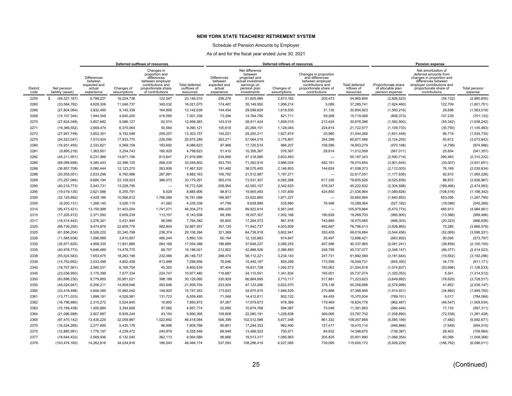### Schedule of Pension Amounts by Employer

|                         |                                  | Deferred outflows of resources<br>Changes in                          |                           |                                                                                                                   |                                            |                                                                       |                                                                                                               | Deferred inflows of resources |                                                                                                                              |                                                  |                                                             | <b>Pension expense</b>                                                                                                                                                    |                          |
|-------------------------|----------------------------------|-----------------------------------------------------------------------|---------------------------|-------------------------------------------------------------------------------------------------------------------|--------------------------------------------|-----------------------------------------------------------------------|---------------------------------------------------------------------------------------------------------------|-------------------------------|------------------------------------------------------------------------------------------------------------------------------|--------------------------------------------------|-------------------------------------------------------------|---------------------------------------------------------------------------------------------------------------------------------------------------------------------------|--------------------------|
| <b>District</b><br>code | Net pension<br>liability (asset) | <b>Differences</b><br>between<br>expected and<br>actual<br>experience | Changes of<br>assumptions | proportion and<br>differences<br>between employer<br>contributions and<br>proportionate share<br>of contributions | Total deferred<br>outflows of<br>resources | <b>Differences</b><br>between<br>expected and<br>actual<br>experience | Net difference<br>between<br>projected and<br>actual investment<br>earnings on<br>pension plan<br>investments | Changes of<br>assumptions     | Changes in proportion<br>and differences<br>between employer<br>contributions and<br>proportionate share of<br>contributions | <b>Total deferred</b><br>inflows of<br>resources | Proportionate share<br>of allocable plan<br>pension expense | Net amortization of<br>deferred amounts from<br>changes in proportion and<br>differences between<br>employer contributions and<br>proportionate share of<br>contributions | Total pension<br>expense |
| 2255                    | s<br>(49, 327, 167)              | 6,799,227                                                             | 16,224,736                | 122.547                                                                                                           | 23,146,510                                 | 256,276                                                               | 51,625,984                                                                                                    | 2,873,162                     | 205,473                                                                                                                      | 54,960,894                                       | (2,826,523)                                                 | (54, 132)                                                                                                                                                                 | (2,880,655)              |
| 2260                    | (33, 584, 782)                   | 4,629,306                                                             | 11,046,737                | 345,032                                                                                                           | 16,021,075                                 | 174,487                                                               | 35,149,950                                                                                                    | 1,956,214                     | 5,089                                                                                                                        | 37,285,741                                       | (1,924,460)                                                 | 122,709                                                                                                                                                                   | (1,801,751)              |
| 2266                    | (27, 804, 064)                   | 3.832.495                                                             | 9.145.338                 | 164.806                                                                                                           | 13.142.639                                 | 144.454                                                               | 29.099.829                                                                                                    | 1,619,505                     | 31.135                                                                                                                       | 30,894,923                                       | (1,593,216)                                                 | 29.698                                                                                                                                                                    | (1,563,518)              |
| 2268                    | (14, 107, 344)                   | 1,944,548                                                             | 4,640,200                 | 416,590                                                                                                           | 7,001,338                                  | 73,294                                                                | 14,764,795                                                                                                    | 821,711                       | 59.268                                                                                                                       | 15,719,068                                       | (808, 373)                                                  | 107,239                                                                                                                                                                   | (701, 133)               |
| 2270                    | (27, 624, 048)                   | 3.807.682                                                             | 9.086.127                 | 62,574                                                                                                            | 12.956.383                                 | 143.519                                                               | 28.911.424                                                                                                    | 1.609.019                     | 212.424                                                                                                                      | 30,876,386                                       | (1,582,900)                                                 | (55, 342)                                                                                                                                                                 | (1,638,242)              |
| 2271                    | (19, 366, 552)                   | 2,669,474                                                             | 6,370,064                 | 50,584                                                                                                            | 9,090,121                                  | 100,618                                                               | 20,269,101                                                                                                    | 1,128,045                     | 224,814                                                                                                                      | 21,722,577                                       | (1, 109, 733)                                               | (35, 750)                                                                                                                                                                 | (1, 145, 483)            |
| 2272                    | (27, 947, 749)                   | 3,852,301                                                             | 9,192,599                 | 258,257                                                                                                           | 13,303,157                                 | 145,201                                                               | 29,250,211                                                                                                    | 1,627,874                     | 20,980                                                                                                                       | 31,044,266                                       | (1,601,449)                                                 | 66,719                                                                                                                                                                    | (1,534,730)              |
| 2275                    | (54, 523, 047)                   | 7,515,424                                                             | 17,933,770                | 226,095                                                                                                           | 25,675,289                                 | 283,271                                                               | 57,064,010                                                                                                    | 3,175,807                     | 354,399                                                                                                                      | 60,877,486                                       | (3, 124, 255)                                               | 50,612                                                                                                                                                                    | (3,073,643)              |
| 2280                    | (16, 931, 455)                   | 2,333,821                                                             | 5,569,109                 | 183,692                                                                                                           | 8,086,623                                  | 87,966                                                                | 17,720,519                                                                                                    | 986,207                       | 108,586                                                                                                                      | 18,903,279                                       | (970, 198)                                                  | (4, 798)                                                                                                                                                                  | (974, 996)               |
| 2281                    | (9,895,216)                      | 1,363,951                                                             | 3.254.743                 | 180,929                                                                                                           | 4,799,623                                  | 51,410                                                                | 10,356,367                                                                                                    | 576,367                       | 28,814                                                                                                                       | 11,012,958                                       | (567, 011)                                                  | 25,654                                                                                                                                                                    | (541, 357)               |
| 2282                    | (45, 211, 951)                   | 6,231,988                                                             | 14,871,156                | 813,847                                                                                                           | 21,916,990                                 | 234,895                                                               | 47,318,985                                                                                                    | 2,633,463                     | $\overline{\phantom{0}}$                                                                                                     | 50,187,343                                       | (2,590,714)                                                 | 280,483                                                                                                                                                                   | (2,310,232)              |
| 2285                    | (68,089,698)                     | 9.385.443                                                             | 22.396.125                | 268,234                                                                                                           | 32.049.802                                 | 353,755                                                               | 71,262,914                                                                                                    | 3.966.024                     | 492.161                                                                                                                      | 76,074,854                                       | (3,901,645)                                                 | (30,007)                                                                                                                                                                  | (3,931,651)              |
| 2286                    | (36, 857, 708)                   | 5,080,444                                                             | 12,123,270                | 263,806                                                                                                           | 17,467,520                                 | 191,492                                                               | 38,575,405                                                                                                    | 2,146,853                     | 144,624                                                                                                                      | 41,058,373                                       | (2, 112, 003)                                               | 76,169                                                                                                                                                                    | (2,035,834)              |
| 2288                    | (20, 555, 051)                   | 2,833,296                                                             | 6,760,986                 | 287,881                                                                                                           | 9,882,163                                  | 106,792                                                               | 21,512,987                                                                                                    | 1,197,271                     | $\overline{\phantom{a}}$                                                                                                     | 22,817,051                                       | (1, 177, 836)                                               | 92,610                                                                                                                                                                    | (1,085,226)              |
| 2289                    | (70, 257, 084)                   | 9,684,194                                                             | 23,109,023                | 386,073                                                                                                           | 33,179,291                                 | 365,016                                                               | 73,531,307                                                                                                    | 4,092,268                     | 617,335                                                                                                                      | 78,605,926                                       | (4,025,839)                                                 | 88,872                                                                                                                                                                    | (3,936,967)              |
| 2290                    | (40, 218, 773)                   | 5,543,731                                                             | 13,228,795                | $\overline{\phantom{0}}$                                                                                          | 18,772,526                                 | 208,954                                                               | 42,093,107                                                                                                    | 2,342,625                     | 578,247                                                                                                                      | 45,222,932                                       | (2,304,598)                                                 | (169, 466)                                                                                                                                                                | (2,474,063)              |
| 2295                    | (19,019,135)                     | 2,621,586                                                             | 6,255,791                 | 8,529                                                                                                             | 8,885,906                                  | 98,813                                                                | 19,905,493                                                                                                    | 1,107,809                     | 424,850                                                                                                                      | 21,536,964                                       | (1,089,826)                                                 | (108, 516)                                                                                                                                                                | (1, 198, 342)            |
| 2300                    | (32, 125, 692)                   | 4,428,186                                                             | 10,566,812                | 1,786,089                                                                                                         | 16,781,086                                 | 166,907                                                               | 33,622,860                                                                                                    | 1,871,227                     | $\overline{\phantom{0}}$                                                                                                     | 35,660,994                                       | (1,840,852)                                                 | 553,056                                                                                                                                                                   | (1, 287, 795)            |
| 2305                    | (9,200,131)                      | 1,268,140                                                             | 3,026,115                 | 41,082                                                                                                            | 4,335,338                                  | 47,799                                                                | 9,628,889                                                                                                     | 535,880                       | 76,496                                                                                                                       | 10,289,064                                       | (527, 182)                                                  | (18,088)                                                                                                                                                                  | (545, 269)               |
| 2310                    | (95, 473, 421)                   | 13.159.998                                                            | 31,403,204                | 1,741,071                                                                                                         | 46.304.273                                 | 496,025                                                               | 99,922,814                                                                                                    | 5,561,045                     | $\overline{\phantom{a}}$                                                                                                     | 105,979,884                                      | (5,470,774)                                                 | 485,913                                                                                                                                                                   | (4,984,861)              |
| 2315                    | (17, 205, 472)                   | 2.371.592                                                             | 5,659,239                 | 113,107                                                                                                           | 8,143,938                                  | 89,390                                                                | 18,007,307                                                                                                    | 1,002,168                     | 190,839                                                                                                                      | 19,289,703                                       | (985, 900)                                                  | (13,586)                                                                                                                                                                  | (999, 486)               |
| 2317                    | (16, 514, 442)                   | 2.276.341                                                             | 5.431.945                 | 56.096                                                                                                            | 7.764.382                                  | 85.800                                                                | 17.284.073                                                                                                    | 961.918                       | 143.895                                                                                                                      | 18,475,685                                       | (946, 303)                                                  | (20, 323)                                                                                                                                                                 | (966, 626)               |
| 2320                    | (68, 739, 250)                   | 9,474,976                                                             | 22,609,776                | 582,804                                                                                                           | 32,667,557                                 | 357,130                                                               | 71,942,737                                                                                                    | 4,003,859                     | 492,687                                                                                                                      | 76,796,413                                       | (3,938,865)                                                 | 72,285                                                                                                                                                                    | (3,866,579)              |
| 2325                    | (61, 856, 204)                   | 8,526,222                                                             | 20,345,798                | 236,374                                                                                                           | 29,108,394                                 | 321,369                                                               | 64,738,918                                                                                                    | 3,602,941                     | 355,455                                                                                                                      | 69,018,684                                       | (3,544,456)                                                 | (52,065)                                                                                                                                                                  | (3,596,521)              |
| 2328                    | (11, 585, 938)                   | 1,596,999                                                             | 3,810,857                 | 485,244                                                                                                           | 5,893,100                                  | 60,194                                                                | 12,125,883                                                                                                    | 674,847                       | 35,497                                                                                                                       | 12,896,421                                       | (663, 892)                                                  | 90,095                                                                                                                                                                    | (573, 797)               |
| 2330                    | (35, 971, 825)                   | 4,958,335                                                             | 11,831,885                | 264,168                                                                                                           | 17,054,388                                 | 186,889                                                               | 37,648,237                                                                                                    | 2,095,253                     | 407,586                                                                                                                      | 40,337,965                                       | (2,061,241)                                                 | (38, 859)                                                                                                                                                                 | (2, 100, 100)            |
| 2335                    | (40, 978, 773)                   | 5,648,489                                                             | 13,478,775                | 68,757                                                                                                            | 19,196,021                                 | 212,902                                                               | 42.888.526                                                                                                    | 2,386,893                     | 248,756                                                                                                                      | 45,737,077                                       | (2,348,147)                                                 | (66, 377)                                                                                                                                                                 | (2,414,523)              |
| 2338                    | (55, 524, 583)                   | 7,653,475                                                             | 18,263,196                | 232,066                                                                                                           | 26,148,737                                 | 288,474                                                               | 58,112,221                                                                                                    | 3,234,143                     | 247,731                                                                                                                      | 61,882,569                                       | (3, 181, 644)                                               | (10, 652)                                                                                                                                                                 | (3, 192, 296)            |
| 2339                    | (14, 752, 662)                   | 2.033.498                                                             | 4.852.459                 | 413.999                                                                                                           | 7.299.956                                  | 76,646                                                                | 15.440.187                                                                                                    | 859.299                       | 173.599                                                                                                                      | 16.549.731                                       | (845, 350)                                                  | 34.179                                                                                                                                                                    | (811, 171)               |
| 2340                    | (18, 757, 561)                   | 2,585,531                                                             | 6,169,754                 | 45,350                                                                                                            | 8,800,635                                  | 97,454                                                                | 19,631,728                                                                                                    | 1,092,573                     | 183,063                                                                                                                      | 21,004,818                                       | (1,074,837)                                                 | (53, 696)                                                                                                                                                                 | (1, 128, 533)            |
| 2345                    | (23,036,950)                     | 3,175,399                                                             | 7,577,334                 | 224,747                                                                                                           | 10.977.480                                 | 119,687                                                               | 24,110,551                                                                                                    | 1,341,834                     | 165,001                                                                                                                      | 25,737,074                                       | (1,320,053)                                                 | 5,541                                                                                                                                                                     | (1,314,512)              |
| 2350                    | (63, 696, 230)                   | 8,779,850                                                             | 20,951,021                | 398,188                                                                                                           | 30,129,060                                 | 330,929                                                               | 66,664,695                                                                                                    | 3,710,117                     | 517,881                                                                                                                      | 71,223,623                                       | (3,649,892)                                                 | (78, 625)                                                                                                                                                                 | (3,728,517)              |
| 2355                    | (45,024,947)                     | 6,206,211                                                             | 14,809,646                | 493,846                                                                                                           | 21,509,704                                 | 233,924                                                               | 47,123,266                                                                                                    | 2,622,570                     | 379,138                                                                                                                      | 50,358,898                                       | (2,579,999)                                                 | 41,852                                                                                                                                                                    | (2,538,147)              |
| 2360                    | (33, 418, 498)                   | 4,606,385                                                             | 10,992,042                | 148,925                                                                                                           | 15,747,353                                 | 173,623                                                               | 34,975,915                                                                                                    | 1,946,529                     | 270,888                                                                                                                      | 37,366,956                                       | (1,914,931)                                                 | (34, 860)                                                                                                                                                                 | (1,949,792)              |
| 2361                    | (13, 771, 033)                   | 1,898,191                                                             | 4,529,581                 | 131,723                                                                                                           | 6,559,495                                  | 71,546                                                                | 14,412,811                                                                                                    | 802,122                       | 84,455                                                                                                                       | 15,370,934                                       | (789, 101)                                                  | 5,017                                                                                                                                                                     | (784, 084)               |
| 2362                    | (16, 796, 880)                   | 2,315,272                                                             | 5,524,845                 | 10,855                                                                                                            | 7,850,972                                  | 87,267                                                                | 17,579,673                                                                                                    | 978,369                       | 179,469                                                                                                                      | 18,824,778                                       | (962, 487)                                                  | (46, 547)                                                                                                                                                                 | (1,009,034)              |
| 2363                    | (10, 199, 438)                   | 1.405.884                                                             | 3,354,808                 | 97.082                                                                                                            | 4.857.774                                  | 52.990                                                                | 10,674,768                                                                                                    | 594.087                       | 70.048                                                                                                                       | 11,391,893                                       | (584, 444)                                                  | 17.133                                                                                                                                                                    | (567, 311)               |
| 2364                    | (21,096,998)                     | 2,907,997                                                             | 6,939,244                 | 43,154                                                                                                            | 9,890,395                                  | 109,608                                                               | 22,080,191                                                                                                    | 1,228,838                     | 369,065                                                                                                                      | 23,787,702                                       | (1,208,890)                                                 | (72, 538)                                                                                                                                                                 | (1, 281, 428)            |
| 2365                    | (97, 470, 142)                   | 13,435,225                                                            | 32,059,967                | 1,022,892                                                                                                         | 46,518,084                                 | 506,399                                                               | 102,012,588                                                                                                   | 5,677,348                     | 861,332                                                                                                                      | 109,057,668                                      | (5,585,189)                                                 | (7, 482)                                                                                                                                                                  | (5,592,671)              |
| 2370                    | (16, 524, 265)                   | 2,277,695                                                             | 5,435,176                 | 96,896                                                                                                            | 7,809,766                                  | 85,851                                                                | 17,294,353                                                                                                    | 962,490                       | 127,417                                                                                                                      | 18,470,110                                       | (946, 866)                                                  | (7,649)                                                                                                                                                                   | (954, 515)               |
| 2375                    | (12,885,991)                     | 1,776,197                                                             | 4,238,472                 | 240,879                                                                                                           | 6,255,548                                  | 66,948                                                                | 13,486,523                                                                                                    | 750,571                       | 84,632                                                                                                                       | 14,388,675                                       | (738, 387)                                                  | 28,403                                                                                                                                                                    | (709, 984)               |
| 2377                    | (18, 644, 422)                   | 2,569,936                                                             | 6,132,540                 | 362,113                                                                                                           | 9,064,589                                  | 96,866                                                                | 19,513,317                                                                                                    | 1,085,983                     | 205,825                                                                                                                      | 20,901,990                                       | (1,068,354)                                                 | 60,088                                                                                                                                                                    | (1,008,266)              |
| 2378                    | (103, 474, 165)                  | 14,262,816                                                            | 34,034,816                | 186,543                                                                                                           | 48,484,174                                 | 537,593                                                               | 108,296,419                                                                                                   | 6,027,065                     | 739,095                                                                                                                      | 115,600,172                                      | (5,929,229)                                                 | (166, 782)                                                                                                                                                                | (6,096,011)              |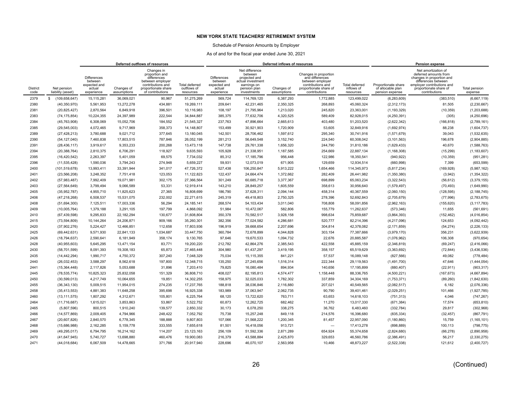### Schedule of Pension Amounts by Employer

|                         |                                  | Deferred outflows of resources                                        |                           |                                                                                                                                 |                                                   |                                                                       |                                                                                                               | Deferred inflows of resources |                                                                                                                              |                                                  |                                                             | <b>Pension expense</b>                                                                                                                                                    |                          |
|-------------------------|----------------------------------|-----------------------------------------------------------------------|---------------------------|---------------------------------------------------------------------------------------------------------------------------------|---------------------------------------------------|-----------------------------------------------------------------------|---------------------------------------------------------------------------------------------------------------|-------------------------------|------------------------------------------------------------------------------------------------------------------------------|--------------------------------------------------|-------------------------------------------------------------|---------------------------------------------------------------------------------------------------------------------------------------------------------------------------|--------------------------|
| <b>District</b><br>code | Net pension<br>liability (asset) | <b>Differences</b><br>between<br>expected and<br>actual<br>experience | Changes of<br>assumptions | Changes in<br>proportion and<br>differences<br>between employer<br>contributions and<br>proportionate share<br>of contributions | <b>Total deferred</b><br>outflows of<br>resources | <b>Differences</b><br>between<br>expected and<br>actual<br>experience | Net difference<br>between<br>projected and<br>actual investment<br>earnings on<br>pension plan<br>investments | Changes of<br>assumptions     | Changes in proportion<br>and differences<br>between employer<br>contributions and<br>proportionate share of<br>contributions | <b>Total deferred</b><br>inflows of<br>resources | Proportionate share<br>of allocable plan<br>pension expense | Net amortization of<br>deferred amounts from<br>changes in proportion and<br>differences between<br>employer contributions and<br>proportionate share of<br>contributions | Total pension<br>expense |
| 2379                    | s.<br>(109, 658, 647)            | 15,115,281                                                            | 36.069.021                | 90,967                                                                                                                          | 51,275,269                                        | 569.724                                                               | 114,769,120                                                                                                   | 6,387,293                     | 1,772,885                                                                                                                    | 123,499,022                                      | (6, 283, 609)                                               | (383, 510)                                                                                                                                                                | (6,667,119)              |
| 2380                    | (40, 350, 970)                   | 5,561,953                                                             | 13,272,278                | 434,881                                                                                                                         | 19,269,111                                        | 209,641                                                               | 42,231,465                                                                                                    | 2,350,325                     | 268,893                                                                                                                      | 45,060,324                                       | (2,312,173)                                                 | 81,505                                                                                                                                                                    | (2, 230, 667)            |
| 2381                    | (20, 825, 427)                   | 2.870.564                                                             | 6.849.918                 | 396.501                                                                                                                         | 10.116.983                                        | 108.197                                                               | 21,795,964                                                                                                    | 1,213,020                     | 245.820                                                                                                                      | 23,363,001                                       | (1, 193, 329)                                               | (10, 359)                                                                                                                                                                 | (1,203,688)              |
| 2383                    | (74, 175, 854)                   | 10,224,355                                                            | 24,397,989                | 222,544                                                                                                                         | 34.844.887                                        | 385,375                                                               | 77,632,706                                                                                                    | 4,320,525                     | 589,409                                                                                                                      | 82,928,015                                       | (4,250,391)                                                 | (305)                                                                                                                                                                     | (4,250,696)              |
| 2384                    | (45, 763, 908)                   | 6.308.069                                                             | 15.052.706                | 184.552                                                                                                                         | 21.545.327                                        | 237,763                                                               | 47.896.664                                                                                                    | 2.665.613                     | 403,480                                                                                                                      | 51,203,520                                       | (2,622,342)                                                 | (166, 818)                                                                                                                                                                | (2,789,161)              |
| 2385                    | (29, 545, 003)                   | 4,072,465                                                             | 9,717,969                 | 358,373                                                                                                                         | 14,148,807                                        | 153,499                                                               | 30,921,903                                                                                                    | 1,720,909                     | 53,605                                                                                                                       | 32,849,916                                       | (1,692,974)                                                 | 88,238                                                                                                                                                                    | (1,604,737)              |
| 2389                    | (27, 428, 213)                   | 3,780,688                                                             | 9,021,712                 | 377,645                                                                                                                         | 13,180,045                                        | 142,501                                                               | 28,706,462                                                                                                    | 1,597,612                     | 295,340                                                                                                                      | 30,741,916                                       | (1,571,679)                                                 | 39,043                                                                                                                                                                    | (1,532,635)              |
| 2390                    | (54, 127, 040)                   | 7,460,838                                                             | 17,803,515                | 787,846                                                                                                                         | 26,052,199                                        | 281,213                                                               | 56,649,548                                                                                                    | 3,152,740                     | 224,540                                                                                                                      | 60,308,042                                       | (3, 101, 563)                                               | 196,678                                                                                                                                                                   | (2,904,885)              |
| 2391                    | (28, 436, 117)                   | 3,919,617                                                             | 9,353,233                 | 200,268                                                                                                                         | 13,473,118                                        | 147,738                                                               | 29,761,338                                                                                                    | 1,656,320                     | 244,790                                                                                                                      | 31,810,186                                       | (1,629,433)                                                 | 40,670                                                                                                                                                                    | (1,588,763)              |
| 2394                    | (20, 388, 764)                   | 2,810,375                                                             | 6,706,291                 | 118,927                                                                                                                         | 9.635.593                                         | 105,928                                                               | 21,338,951                                                                                                    | 1,187,585                     | 254,669                                                                                                                      | 22,887,134                                       | (1, 168, 308)                                               | (15, 299)                                                                                                                                                                 | (1, 183, 607)            |
| 2395                    | (16, 420, 542)                   | 2,263,397                                                             | 5,401,059                 | 69,575                                                                                                                          | 7,734,032                                         | 85,312                                                                | 17,185,796                                                                                                    | 956,448                       | 122,986                                                                                                                      | 18,350,541                                       | (940, 922)                                                  | (10, 359)                                                                                                                                                                 | (951, 281)               |
| 2396                    | (11, 535, 428)                   | 1.590.036                                                             | 3.794.243                 | 274.948                                                                                                                         | 5.659.227                                         | 59,931                                                                | 12,073,019                                                                                                    | 671,905                       | 129.659                                                                                                                      | 12,934,514                                       | (660, 998)                                                  | 7,399                                                                                                                                                                     | (653, 599)               |
| 2400                    | (101, 519, 678)                  | 13,993,411                                                            | 33,391,944                | 341,017                                                                                                                         | 47,726,372                                        | 527,438                                                               | 106,250,847                                                                                                   | 5,913,222                     | 1,654,466                                                                                                                    | 114,345,973                                      | (5,817,234)                                                 | (169, 928)                                                                                                                                                                | (5,987,162)              |
| 2401                    | (23, 566, 208)                   | 3,248,352                                                             | 7,751,418                 | 123,053                                                                                                                         | 11,122,823                                        | 122,437                                                               | 24,664,474                                                                                                    | 1,372,662                     | 282,409                                                                                                                      | 26,441,982                                       | (1,350,380)                                                 | (3,942)                                                                                                                                                                   | (1, 354, 322)            |
| 2402                    | (57,983,487)                     | 7,992,409                                                             | 19,071,981                | 302,175                                                                                                                         | 27,366,564                                        | 301,249                                                               | 60,685,718                                                                                                    | 3,377,367                     | 698,899                                                                                                                      | 65,063,234                                       | (3,322,543)                                                 | (56, 612)                                                                                                                                                                 | (3,379,155)              |
| 2403                    | (27, 564, 649)                   | 3,799,494                                                             | 9,066,589                 | 53,331                                                                                                                          | 12,919,414                                        | 143,210                                                               | 28,849,257                                                                                                    | 1,605,559                     | 358,613                                                                                                                      | 30,956,640                                       | (1,579,497)                                                 | (70, 493)                                                                                                                                                                 | (1,649,990)              |
| 2405                    | (35,952,787)                     | 4,955,710                                                             | 11,825,623                | 27,365                                                                                                                          | 16,808,699                                        | 186,790                                                               | 37,628,311                                                                                                    | 2,094,144                     | 458,314                                                                                                                      | 40,367,559                                       | (2,060,150)                                                 | (128, 595)                                                                                                                                                                | (2, 188, 745)            |
| 2406                    | (47, 218, 268)                   | 6,508,537                                                             | 15,531,075                | 232,002                                                                                                                         | 22,271,615                                        | 245,319                                                               | 49,418,803                                                                                                    | 2,750,325                     | 278,396                                                                                                                      | 52,692,843                                       | (2,705,679)                                                 | (77, 996)                                                                                                                                                                 | (2,783,675)              |
| 2408                    | (51, 694, 300)                   | 7,125,511                                                             | 17,003,336                | 56,294                                                                                                                          | 24, 185, 141                                      | 268,574                                                               | 54,103,434                                                                                                    | 3,011,040                     | 708,808                                                                                                                      | 58,091,856                                       | (2,962,163)                                                 | (155, 620)                                                                                                                                                                | (3, 117, 783)            |
| 2409                    | (10,005,764)                     | 1.379.188                                                             | 3.291.105                 | 197.799                                                                                                                         | 4.868.092                                         | 51,984                                                                | 10,472,067                                                                                                    | 582.806                       | 155,779                                                                                                                      | 11,262,637                                       | (573, 346)                                                  | 11.655                                                                                                                                                                    | (561, 691)               |
| 2410                    | (67, 439, 598)                   | 9,295,833                                                             | 22,182,294                | 130,677                                                                                                                         | 31,608,804                                        | 350,378                                                               | 70,582,517                                                                                                    | 3,928,158                     | 998,634                                                                                                                      | 75,859,687                                       | (3,864,393)                                                 | (152, 462)                                                                                                                                                                | (4,016,854)              |
| 2415                    | (73, 594, 809)                   | 10.144.264                                                            | 24.206.871                | 909,166                                                                                                                         | 35.260.301                                        | 382.356                                                               | 77.024.582                                                                                                    | 4.286.681                     | 520,777                                                                                                                      | 82,214,396                                       | (4,217,096)                                                 | 124,653                                                                                                                                                                   | (4,092,442)              |
| 2420                    | (37,902,276)                     | 5,224,427                                                             | 12,466,851                | 112,658                                                                                                                         | 17,803,936                                        | 196,919                                                               | 39,668,654                                                                                                    | 2,207,696                     | 304,814                                                                                                                      | 42,378,082                                       | (2, 171, 859)                                               | (54, 274)                                                                                                                                                                 | (2, 226, 133)            |
| 2425                    | (69, 442, 631)                   | 9,571,930                                                             | 22,841,133                | 1,034,687                                                                                                                       | 33,447,750                                        | 360,784                                                               | 72,678,899                                                                                                    | 4,044,828                     | 303,154                                                                                                                      | 77,387,666                                       | (3,979,170)                                                 | 356,231                                                                                                                                                                   | (3,622,939)              |
| 2426                    | (18, 794, 637)                   | 2,590,641                                                             | 6,181,949                 | 358,174                                                                                                                         | 9,130,765                                         | 97,646                                                                | 19,670,533                                                                                                    | 1,094,732                     | 22,676                                                                                                                       | 20,885,587                                       | (1,076,962)                                                 | 106,308                                                                                                                                                                   | (970, 654)               |
| 2428                    | (40,955,603)                     | 5,645,295                                                             | 13,471,154                | 83,771                                                                                                                          | 19,200,220                                        | 212,782                                                               | 42,864,276                                                                                                    | 2,385,543                     | 422,558                                                                                                                      | 45,885,159                                       | (2,346,819)                                                 | (69, 247)                                                                                                                                                                 | (2,416,066)              |
| 2430                    | (58, 701, 599)                   | 8,091,393                                                             | 19,308,183                | 65,873                                                                                                                          | 27,465,448                                        | 304,980                                                               | 61,437,297                                                                                                    | 3,419,195                     | 358,157                                                                                                                      | 65,519,629                                       | (3,363,692)                                                 | (72, 844)                                                                                                                                                                 | (3,436,536)              |
| 2435                    | (14, 442, 294)                   | 1,990,717                                                             | 4,750,372                 | 307,240                                                                                                                         | 7,048,329                                         | 75,034                                                                | 15,115,355                                                                                                    | 841,221                       | 57,537                                                                                                                       | 16,089,148                                       | (827, 566)                                                  | 49,082                                                                                                                                                                    | (778, 484)               |
| 2440                    | (26, 032, 453)                   | 3.588.297                                                             | 8.562.618                 | 197.800                                                                                                                         | 12.348.715                                        | 135,250                                                               | 27,245,656                                                                                                    | 1,516,314                     | 222.344                                                                                                                      | 29,119,563                                       | (1,491,700)                                                 | 47.646                                                                                                                                                                    | (1,444,054)              |
| 2441                    | (15, 364, 448)                   | 2,117,826                                                             | 5,053,688                 | 31,896                                                                                                                          | 7,203,410                                         | 79,825                                                                | 16,080,484                                                                                                    | 894,934                       | 140,656                                                                                                                      | 17,195,899                                       | (880, 407)                                                  | (22, 911)                                                                                                                                                                 | (903, 317)               |
| 2445                    | (78, 535, 774)                   | 10,825,323                                                            | 25,832,058                | 151,329                                                                                                                         | 36,808,710                                        | 408,027                                                               | 82,195,813                                                                                                    | 4,574,477                     | 1,158,448                                                                                                                    | 88,336,765                                       | (4,500,221)                                                 | (167, 673)                                                                                                                                                                | (4,667,894)              |
| 2450                    | (30, 599, 013)                   | 4,217,749                                                             | 10,064,655                | 19,851                                                                                                                          | 14,302,255                                        | 158,975                                                               | 32,025,033                                                                                                    | 1,782,302                     | 337,859                                                                                                                      | 34,304,169                                       | (1,753,371)                                                 | (89, 260)                                                                                                                                                                 | (1,842,630)              |
| 2455                    | (36, 343, 130)                   | 5,009,515                                                             | 11,954,015                | 274,235                                                                                                                         | 17,237,765                                        | 188,818                                                               | 38,036,846                                                                                                    | 2,116,880                     | 207,021                                                                                                                      | 40,549,565                                       | (2,082,517)                                                 | 6,182                                                                                                                                                                     | (2,076,336)              |
| 2458                    | (35, 413, 553)                   | 4,881,383                                                             | 11,648,258                | 395,698                                                                                                                         | 16,925,338                                        | 183,989                                                               | 37,063,947                                                                                                    | 2,062,735                     | 90,790                                                                                                                       | 39,401,461                                       | (2,029,251)                                                 | 101,466                                                                                                                                                                   | (1,927,785)              |
| 2460                    | (13, 111, 575)                   | 1,807,292                                                             | 4,312,671                 | 105,801                                                                                                                         | 6,225,764                                         | 68,120                                                                | 13,722,620                                                                                                    | 763,711                       | 63,653                                                                                                                       | 14,618,103                                       | (751, 313)                                                  | 4,046                                                                                                                                                                     | (747, 267)               |
| 2464                    | (11,716,687)                     | 1,615,021                                                             | 3,853,863                 | 53,867                                                                                                                          | 5,522,752                                         | 60,873                                                                | 12,262,725                                                                                                    | 682,462                       | 11,270                                                                                                                       | 13,017,330                                       | (671, 384)                                                  | 17,574                                                                                                                                                                    | (653, 810)               |
| 2465                    | (5,807,596)                      | 800.515                                                               | 1,910,240                 | 139,577                                                                                                                         | 2.850.332                                         | 30.173                                                                | 6,078,250                                                                                                     | 338,275                       | 36.762                                                                                                                       | 6,483,460                                        | (332, 784)                                                  | 29,817                                                                                                                                                                    | (302, 968)               |
| 2466                    | (14, 577, 869)                   | 2,009,405                                                             | 4,794,966                 | 248,422                                                                                                                         | 7,052,792                                         | 75,738                                                                | 15,257,248                                                                                                    | 849,118                       | 214,576                                                                                                                      | 16,396,680                                       | (835, 334)                                                  | (32, 457)                                                                                                                                                                 | (867, 791)               |
| 2467                    | (20,607,826)                     | 2,840,570                                                             | 6,778,345                 | 188,888                                                                                                                         | 9,807,803                                         | 107,066                                                               | 21,568,222                                                                                                    | 1,200,345                     | 81,457                                                                                                                       | 22,957,090                                       | (1, 180, 860)                                               | 15,759                                                                                                                                                                    | (1, 165, 101)            |
| 2468                    | (15,686,988)                     | 2,162,285                                                             | 5,159,778                 | 333,555                                                                                                                         | 7,655,618                                         | 81,501                                                                | 16,418,056                                                                                                    | 913,721                       |                                                                                                                              | 17,413,278                                       | (898, 889)                                                  | 100,113                                                                                                                                                                   | (798, 775)               |
| 2469                    | (49, 295, 017)                   | 6,794,795                                                             | 16,214,162                | 114,207                                                                                                                         | 23,123,163                                        | 256,109                                                               | 51,592,336                                                                                                    | 2,871,289                     | 654,924                                                                                                                      | 55,374,658                                       | (2,824,680)                                                 | (66, 278)                                                                                                                                                                 | (2,890,958)              |
| 2470                    | (41, 647, 945)                   | 5,740,727                                                             | 13,698,880                | 460,476                                                                                                                         | 19.900.083                                        | 216,379                                                               | 43,588,884                                                                                                    | 2,425,870                     | 329,653                                                                                                                      | 46,560,786                                       | (2,386,491)                                                 | 56,217                                                                                                                                                                    | (2,330,275)              |
| 2471                    | (44, 018, 684)                   | 6,067,509                                                             | 14,478,665                | 371,766                                                                                                                         | 20,917,940                                        | 228,696                                                               | 46,070,107                                                                                                    | 2,563,958                     | 10,466                                                                                                                       | 48,873,227                                       | (2,522,338)                                                 | 121,612                                                                                                                                                                   | (2,400,727)              |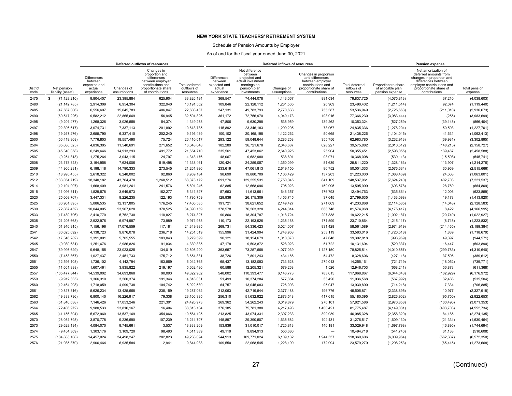### Schedule of Pension Amounts by Employer

|                         |                                  |                                                                       |                           | Deferred outflows of resources                                                                                                  |                                                   |                                                                |                                                                                                               | Deferred inflows of resources |                                                                                                                              |                                           |                                                             | Pension expense                                                                                                                                                           |                          |
|-------------------------|----------------------------------|-----------------------------------------------------------------------|---------------------------|---------------------------------------------------------------------------------------------------------------------------------|---------------------------------------------------|----------------------------------------------------------------|---------------------------------------------------------------------------------------------------------------|-------------------------------|------------------------------------------------------------------------------------------------------------------------------|-------------------------------------------|-------------------------------------------------------------|---------------------------------------------------------------------------------------------------------------------------------------------------------------------------|--------------------------|
| <b>District</b><br>code | Net pension<br>liability (asset) | <b>Differences</b><br>between<br>expected and<br>actual<br>experience | Changes of<br>assumptions | Changes in<br>proportion and<br>differences<br>between employer<br>contributions and<br>proportionate share<br>of contributions | <b>Total deferred</b><br>outflows of<br>resources | Differences<br>between<br>expected and<br>actual<br>experience | Net difference<br>between<br>projected and<br>actual investment<br>earnings on<br>pension plan<br>investments | Changes of<br>assumptions     | Changes in proportion<br>and differences<br>between employer<br>contributions and<br>proportionate share of<br>contributions | Total deferred<br>inflows of<br>resources | Proportionate share<br>of allocable plan<br>pension expense | Net amortization of<br>deferred amounts from<br>changes in proportion and<br>differences between<br>employer contributions and<br>proportionate share of<br>contributions | Total pension<br>expense |
| 2475                    | s.<br>(71, 129, 210)             | 9,804,407                                                             | 23,395,884                | 625,904                                                                                                                         | 33,826,194                                        | 369,547                                                        | 74,444,078                                                                                                    | 4,143,067                     | 881,034                                                                                                                      | 79,837,725                                | (4,075,813)                                                 | 37,210                                                                                                                                                                    | (4,038,603)              |
| 2480                    | (21, 142, 785)                   | 2,914,309                                                             | 6,954,304                 | 322,940                                                                                                                         | 10,191,552                                        | 109,846                                                        | 22,128,112                                                                                                    | 1,231,505                     | 20,969                                                                                                                       | 23,490,432                                | (1,211,514)                                                 | 92,074                                                                                                                                                                    | (1, 119, 440)            |
| 2485                    | (47, 567, 006)                   | 6.556.607                                                             | 15.645.783                | 406.047                                                                                                                         | 22.608.437                                        | 247,131                                                        | 49.783.793                                                                                                    | 2,770,638                     | 735,387                                                                                                                      | 53.536.949                                | (2,725,663)                                                 | (211, 010)                                                                                                                                                                | (2,936,673)              |
| 2490                    | (69, 517, 226)                   | 9,582,212                                                             | 22,865,669                | 56,945                                                                                                                          | 32,504,826                                        | 361,172                                                        | 72,756,970                                                                                                    | 4,049,173                     | 198,916                                                                                                                      | 77,366,230                                | (3,983,444)                                                 | (255)                                                                                                                                                                     | (3,983,699)              |
| 2495                    | (9,201,477)                      | 1.268.326                                                             | 3,026,558                 | 54,374                                                                                                                          | 4.349.258                                         | 47,806                                                         | 9,630,298                                                                                                     | 535,959                       | 139,262                                                                                                                      | 10,353,324                                | (527, 259)                                                  | (39, 145)                                                                                                                                                                 | (566, 404)               |
| 2497                    | (22, 306, 617)                   | 3,074,731                                                             | 7,337,113                 | 201,892                                                                                                                         | 10,613,735                                        | 115,892                                                        | 23,346,183                                                                                                    | 1,299,295                     | 73,967                                                                                                                       | 24,835,336                                | (1,278,204)                                                 | 50,503                                                                                                                                                                    | (1,227,701)              |
| 2498                    | (19, 267, 276)                   | 2,655,790                                                             | 6,337,410                 | 202,240                                                                                                                         | 9,195,439                                         | 100,102                                                        | 20,165,198                                                                                                    | 1,122,262                     | 50,665                                                                                                                       | 21,438,226                                | (1, 104, 045)                                               | 41,631                                                                                                                                                                    | (1,062,413)              |
| 2500                    | (56, 419, 308)                   | 7,776,803                                                             | 18,557,490                | 75,724                                                                                                                          | 26,410,017                                        | 293,122                                                        | 59,048,644                                                                                                    | 3,286,258                     | 355,756                                                                                                                      | 62,983,780                                | (3,232,913)                                                 | (69, 981)                                                                                                                                                                 | (3,302,895)              |
| 2504                    | (35,086,525)                     | 4.836.305                                                             | 11,540,691                | 271,652                                                                                                                         | 16,648,648                                        | 182,289                                                        | 36,721,678                                                                                                    | 2,043,687                     | 628.227                                                                                                                      | 39,575,882                                | (2,010,512)                                                 | (148, 215)                                                                                                                                                                | (2, 158, 727)            |
| 2505                    | (45, 340, 058)                   | 6,249,646                                                             | 14,913,293                | 491,772                                                                                                                         | 21,654,710                                        | 235,561                                                        | 47,453,062                                                                                                    | 2,640,925                     | 25,904                                                                                                                       | 50,355,451                                | (2,598,055)                                                 | 139,467                                                                                                                                                                   | (2,458,588)              |
| 2507                    | (9,251,813)                      | 1.275.264                                                             | 3.043.115                 | 24.797                                                                                                                          | 4.343.176                                         | 48.067                                                         | 9,682,980                                                                                                     | 538,891                       | 98.071                                                                                                                       | 10,368,008                                | (530, 143)                                                  | (15, 598)                                                                                                                                                                 | (545, 741)               |
| 2508                    | (23, 178, 843)                   | 3,194,958                                                             | 7,624,006                 | 519,498                                                                                                                         | 11,338,461                                        | 120,424                                                        | 24,259,057                                                                                                    | 1,350,099                     | 81,639                                                                                                                       | 25,811,220                                | (1,328,183)                                                 | 113,907                                                                                                                                                                   | (1,214,276)              |
| 2509                    | (44,966,231)                     | 6,198,118                                                             | 14,790,333                | 273,545                                                                                                                         | 21,261,996                                        | 233,619                                                        | 47,061,813                                                                                                    | 2,619,150                     | 86,752                                                                                                                       | 50,001,333                                | (2,576,634)                                                 | 60,969                                                                                                                                                                    | (2,515,666)              |
| 2510                    | (18, 995, 455)                   | 2,618,322                                                             | 6,248,002                 | 92,860                                                                                                                          | 8,959,184                                         | 98,690                                                         | 19,880,709                                                                                                    | 1,106,429                     | 137,203                                                                                                                      | 21,223,030                                | (1,088,469)                                                 | 24,668                                                                                                                                                                    | (1,063,801)              |
| 2512                    | (133,054,719)                    | 18,340,182                                                            | 43,764,478                | 1,268,512                                                                                                                       | 63,373,172                                        | 691,276                                                        | 139,255,531                                                                                                   | 7,750,045                     | 841,109                                                                                                                      | 148,537,961                               | (7,624,240)                                                 | 402,703                                                                                                                                                                   | (7, 221, 537)            |
| 2514                    | (12, 104, 007)                   | 1,668,409                                                             | 3,981,261                 | 241,576                                                                                                                         | 5,891,246                                         | 62,885                                                         | 12,668,096                                                                                                    | 705,023                       | 159,995                                                                                                                      | 13,595,999                                | (693, 578)                                                  | 28,769                                                                                                                                                                    | (664, 809)               |
| 2515                    | (11,096,811)                     | 1,529,578                                                             | 3,649,973                 | 162,277                                                                                                                         | 5,341,827                                         | 57,653                                                         | 11,613,961                                                                                                    | 646,357                       | 176,793                                                                                                                      | 12,494,763                                | (635, 864)                                                  | 12,006                                                                                                                                                                    | (623, 859)               |
| 2520                    | (25,009,767)                     | 3,447,331                                                             | 8,226,235                 | 122,193                                                                                                                         | 11,795,759                                        | 129,936                                                        | 26,175,309                                                                                                    | 1,456,745                     | 37,645                                                                                                                       | 27,799,635                                | (1,433,098)                                                 | 19,178                                                                                                                                                                    | (1,413,920)              |
| 2525                    | (36,901,895)                     | 5.086.535                                                             | 12.137.805                | 176.245                                                                                                                         | 17,400,585                                        | 191,721                                                        | 38,621,652                                                                                                    | 2,149,427                     | 271.069                                                                                                                      | 41,233,868                                | (2, 114, 535)                                               | (14, 048)                                                                                                                                                                 | (2, 128, 583)            |
| 2530                    | (72, 867, 452)                   | 10,044,005                                                            | 23,967,628                | 378,525                                                                                                                         | 34,390,159                                        | 378,578                                                        | 76,263,328                                                                                                    | 4,244,314                     | 688,748                                                                                                                      | 81,574,968                                | (4, 175, 417)                                               | 8,422                                                                                                                                                                     | (4, 166, 995)            |
| 2533                    | (17, 489, 706)                   | 2.410.770                                                             | 5,752,730                 | 110,827                                                                                                                         | 8.274.327                                         | 90.866                                                         | 18,304,787                                                                                                    | 1,018,724                     | 207.838                                                                                                                      | 19,622,215                                | (1,002,187)                                                 | (20, 740)                                                                                                                                                                 | (1,022,927)              |
| 2535                    | (21, 205, 668)                   | 2,922,976                                                             | 6,974,987                 | 73,989                                                                                                                          | 9,971,953                                         | 110,173                                                        | 22,193,926                                                                                                    | 1,235,168                     | 171,599                                                                                                                      | 23,710,864                                | (1, 215, 117)                                               | (8, 715)                                                                                                                                                                  | (1,223,832)              |
| 2540                    | (51, 916, 915)                   | 7,156,196                                                             | 17,076,559                | 117,181                                                                                                                         | 24,349,935                                        | 269,731                                                        | 54,336,423                                                                                                    | 3,024,007                     | 931,428                                                                                                                      | 58,561,589                                | (2,974,919)                                                 | (214, 465)                                                                                                                                                                | (3, 189, 384)            |
| 2541                    | (30,025,692)                     | 4,138,723                                                             | 9,876,078                 | 236,718                                                                                                                         | 14,251,519                                        | 155,996                                                        | 31,424,994                                                                                                    | 1,748,908                     | 253,119                                                                                                                      | 33,583,016                                | (1,720,518)                                                 | 1,839                                                                                                                                                                     | (1,718,679)              |
| 2542                    | (17, 346, 282)                   | 2,391,001                                                             | 5,705,555                 | 183.043                                                                                                                         | 8,279,599                                         | 90,121                                                         | 18,154,679                                                                                                    | 1,010,370                     | 47,648                                                                                                                       | 19,302,818                                | (993, 969)                                                  | 49,397                                                                                                                                                                    | (944, 571)               |
| 2545                    | (9,080,681)                      | 1,251,676                                                             | 2,986,826                 | 91,834                                                                                                                          | 4,330,335                                         | 47,178                                                         | 9,503,872                                                                                                     | 528,923                       | 51,722                                                                                                                       | 10,131,694                                | (520, 337)                                                  | 16,447                                                                                                                                                                    | (503, 890)               |
| 2547                    | (69,995,629)                     | 9.648.155                                                             | 23.023.025                | 134.019                                                                                                                         | 32.805.200                                        | 363.657                                                        | 73.257.668                                                                                                    | 4,077,039                     | 1.127.150                                                                                                                    | 78.825.514                                | (4,010,857)                                                 | (299, 783)                                                                                                                                                                | (4,310,640)              |
| 2550                    | (7, 453, 867)                    | 1,027,437                                                             | 2,451,733                 | 175,712                                                                                                                         | 3,654,881                                         | 38,726                                                         | 7,801,243                                                                                                     | 434,166                       | 54,472                                                                                                                       | 8,328,606                                 | (427, 118)                                                  | 37,506                                                                                                                                                                    | (389, 612)               |
| 2551                    | (12, 595, 108)                   | 1,736,102                                                             | 4,142,794                 | 163,869                                                                                                                         | 6,042,765                                         | 65,437                                                         | 13,182,083                                                                                                    | 733,628                       | 274,013                                                                                                                      | 14,255,161                                | (721, 719)                                                  | (18,052)                                                                                                                                                                  | (739, 771)               |
| 2555                    | (11,661,838)                     | 1,607,461                                                             | 3,835,822                 | 219,197                                                                                                                         | 5,662,480                                         | 60,588                                                         | 12,205,321                                                                                                    | 679,268                       | 1,526                                                                                                                        | 12,946,703                                | (668, 241)                                                  | 56,873                                                                                                                                                                    | (611, 368)               |
| 2557                    | (105, 477, 844)                  | 14,539,002                                                            | 34,693,868                | 90,093                                                                                                                          | 49,322,962                                        | 548,002                                                        | 110,393,477                                                                                                   | 6,143,773                     | 783,615                                                                                                                      | 117,868,867                               | (6,044,043)                                                 | (132, 929)                                                                                                                                                                | (6, 176, 972)            |
| 2559                    | (9,912,335)                      | 1,366,310                                                             | 3,260,374                 | 191,346                                                                                                                         | 4,818,031                                         | 51,499                                                         | 10,374,284                                                                                                    | 577,364                       | 33,420                                                                                                                       | 11,036,568                                | (567, 992)                                                  | 32,488                                                                                                                                                                    | (535, 504)               |
| 2560                    | (12, 464, 208)                   | 1,718,059                                                             | 4,099,738                 | 104,742                                                                                                                         | 5,922,539                                         | 64,757                                                         | 13,045,083                                                                                                    | 726,003                       | 95,047                                                                                                                       | 13,930,890                                | (714, 218)                                                  | 7,334                                                                                                                                                                     | (706, 885)               |
| 2561                    | (40, 817, 316)                   | 5,626,234                                                             | 13,425,668                | 235,159                                                                                                                         | 19,287,062                                        | 212,063                                                        | 42,719,544                                                                                                    | 2,377,488                     | 196,776                                                                                                                      | 45,505,871                                | (2,338,895)                                                 | 10,977                                                                                                                                                                    | (2,327,918)              |
| 2562                    | (49, 333, 796)                   | 6,800,140                                                             | 16,226,917                | 79,338                                                                                                                          | 23,106,395                                        | 256,310                                                        | 51,632,922                                                                                                    | 2,873,548                     | 417,615                                                                                                                      | 55,180,395                                | (2,826,902)                                                 | (95, 750)                                                                                                                                                                 | (2,922,653)              |
| 2563                    | (51, 846, 038)                   | 7,146,426                                                             | 17,053,246                | 221,301                                                                                                                         | 24,420,973                                        | 269,362                                                        | 54,262,243                                                                                                    | 3,019,879                     | 270.101                                                                                                                      | 57,821,586                                | (2,970,858)                                                 | (100, 496)                                                                                                                                                                | (3,071,353)              |
| 2564                    | (72, 406, 972)                   | 9,980,533                                                             | 23,816,167                | 16,404                                                                                                                          | 33,813,104                                        | 376,185                                                        | 75,781,388                                                                                                    | 4,217,493                     | 1,400,421                                                                                                                    | 81,775,487                                | (4, 149, 031)                                               | (403, 703)                                                                                                                                                                | (4, 552, 734)            |
| 2565                    | (41, 156, 304)                   | 5,672,960                                                             | 13,537,169                | 354,066                                                                                                                         | 19,564,195                                        | 213,825                                                        | 43,074,331                                                                                                    | 2,397,233                     | 399,939                                                                                                                      | 46,085,328                                | (2,358,320)                                                 | 84,185                                                                                                                                                                    | (2, 274, 135)            |
| 2570                    | (28,081,798)                     | 3,870,778                                                             | 9,236,690                 | 107,239                                                                                                                         | 13,214,707                                        | 145,897                                                        | 29,390,507                                                                                                    | 1,635,682                     | 104,431                                                                                                                      | 31,276,517                                | (1,609,130)                                                 | (21, 334)                                                                                                                                                                 | (1,630,464)              |
| 2573                    | (29, 629, 194)                   | 4,084,070                                                             | 9,745,661                 | 3,537                                                                                                                           | 13,833,269                                        | 153,936                                                        | 31,010,017                                                                                                    | 1,725,813                     | 140,181                                                                                                                      | 33,029,948                                | (1,697,798)                                                 | (46, 895)                                                                                                                                                                 | (1,744,694)              |
| 2574                    | (9, 454, 309)                    | 1,303,176                                                             | 3,109,720                 | 98,493                                                                                                                          | 4,511,389                                         | 49,119                                                         | 9,894,913                                                                                                     | 550,686                       | $\overline{\phantom{0}}$                                                                                                     | 10,494,718                                | (541, 746)                                                  | 31,138                                                                                                                                                                    | (510, 608)               |
| 2575                    | (104, 883, 108)                  | 14,457,024                                                            | 34,498,247                | 282.823                                                                                                                         | 49,238,094                                        | 544,913                                                        | 109,771,024                                                                                                   | 6,109,132                     | 1,944,537                                                                                                                    | 118,369,606                               | (6,009,964)                                                 | (562, 387)                                                                                                                                                                | (6,572,350)              |
| 2576                    | (21,085,870)                     | 2,906,464                                                             | 6,935,584                 | 2,941                                                                                                                           | 9,844,988                                         | 109,550                                                        | 22,068,545                                                                                                    | 1,228,190                     | 172,994                                                                                                                      | 23,579,279                                | (1,208,253)                                                 | (65, 415)                                                                                                                                                                 | (1, 273, 668)            |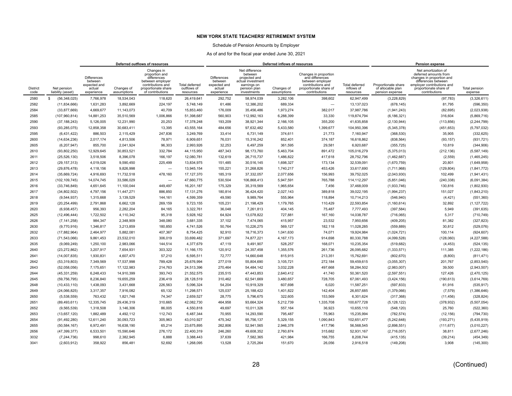### Schedule of Pension Amounts by Employer

|                         |                                  | Deferred outflows of resources<br>Changes in                          |                           |                                                                                                                   |                                            |                                                                |                                                                                                               | Deferred inflows of resources |                                                                                                                              |                                           |                                                             | Pension expense                                                                                                                                                           |                          |
|-------------------------|----------------------------------|-----------------------------------------------------------------------|---------------------------|-------------------------------------------------------------------------------------------------------------------|--------------------------------------------|----------------------------------------------------------------|---------------------------------------------------------------------------------------------------------------|-------------------------------|------------------------------------------------------------------------------------------------------------------------------|-------------------------------------------|-------------------------------------------------------------|---------------------------------------------------------------------------------------------------------------------------------------------------------------------------|--------------------------|
| <b>District</b><br>code | Net pension<br>liability (asset) | <b>Differences</b><br>between<br>expected and<br>actual<br>experience | Changes of<br>assumptions | proportion and<br>differences<br>between employer<br>contributions and<br>proportionate share<br>of contributions | Total deferred<br>outflows of<br>resources | Differences<br>between<br>expected and<br>actual<br>experience | Net difference<br>between<br>projected and<br>actual investment<br>earnings on<br>pension plan<br>investments | Changes of<br>assumptions     | Changes in proportion<br>and differences<br>between employer<br>contributions and<br>proportionate share of<br>contributions | Total deferred<br>inflows of<br>resources | Proportionate share<br>of allocable plan<br>pension expense | Net amortization of<br>deferred amounts from<br>changes in proportion and<br>differences between<br>employer contributions and<br>proportionate share of<br>contributions | Total pension<br>expense |
| 2580                    | (56, 348, 025)<br>S.             | 7,766,978                                                             | 18.534.043                | 118,620                                                                                                           | 26,419,641                                 | 292,752                                                        | 58,974,039                                                                                                    | 3,282,106                     | 398,602                                                                                                                      | 62,947,499                                | (3,228,829)                                                 | (97, 783)                                                                                                                                                                 | (3,326,611)              |
| 2582                    | (11,834,666)                     | 1,631,283                                                             | 3,892,669                 | 224,197                                                                                                           | 5,748,149                                  | 61,486                                                         | 12,386,202                                                                                                    | 689,334                       |                                                                                                                              | 13,137,023                                | (678, 145)                                                  | 81,795                                                                                                                                                                    | (596, 350)               |
| 2584                    | (33,877,669)                     | 4.669.677                                                             | 11.143.073                | 40.709                                                                                                            | 15.853.460                                 | 176.009                                                        | 35.456.486                                                                                                    | 1.973.274                     | 382.017                                                                                                                      | 37.987.786                                | (1,941,243)                                                 | (82, 695)                                                                                                                                                                 | (2,023,938)              |
| 2585                    | (107,960,814)                    | 14,881,253                                                            | 35,510,569                | 1,006,866                                                                                                         | 51,398,687                                 | 560,903                                                        | 112,992,163                                                                                                   | 6,288,399                     | 33,330                                                                                                                       | 119,874,794                               | (6, 186, 321)                                               | 316,604                                                                                                                                                                   | (5,869,716)              |
| 2590                    | (37, 188, 243)                   | 5.126.005                                                             | 12.231.990                | 20,253                                                                                                            | 17.378.248                                 | 193,209                                                        | 38.921.344                                                                                                    | 2,166,105                     | 355.200                                                                                                                      | 41,635,858                                | (2, 130, 944)                                               | (113, 856)                                                                                                                                                                | (2, 244, 799)            |
| 2593                    | (93, 285, 075)                   | 12,858,358                                                            | 30,683,411                | 13,395                                                                                                            | 43,555,164                                 | 484,656                                                        | 97,632,482                                                                                                    | 5,433,580                     | 1,399,677                                                                                                                    | 104,950,396                               | (5,345,378)                                                 | (451, 653)                                                                                                                                                                | (5,797,032)              |
| 2595                    | (6,431,422)                      | 886,503                                                               | 2,115,429                 | 247,836                                                                                                           | 3,249,769                                  | 33,414                                                         | 6,731,149                                                                                                     | 374,611                       | 21,773                                                                                                                       | 7,160,947                                 | (368, 530)                                                  | 35,905                                                                                                                                                                    | (332, 625)               |
| 2600                    | (14, 634, 236)                   | 2,017,174                                                             | 4,813,506                 | 78,971                                                                                                            | 6,909,651                                  | 76,031                                                         | 15,316,242                                                                                                    | 852,401                       | 374,187                                                                                                                      | 16,618,862                                | (838, 564)                                                  | (93, 157)                                                                                                                                                                 | (931, 721)               |
| 2605                    | (6,207,947)                      | 855,700                                                               | 2,041,924                 | 96,303                                                                                                            | 2,993,926                                  | 32,253                                                         | 6,497,259                                                                                                     | 361,595                       | 29,581                                                                                                                       | 6,920,687                                 | (355, 725)                                                  | 10,819                                                                                                                                                                    | (344, 906)               |
| 2610                    | (93,802,250)                     | 12,929,645                                                            | 30,853,521                | 332,784                                                                                                           | 44,115,950                                 | 487,343                                                        | 98,173,760                                                                                                    | 5,463,704                     | 891,472                                                                                                                      | 105,016,279                               | (5,375,013)                                                 | (212, 136)                                                                                                                                                                | (5,587,149)              |
| 2611                    | (25, 526, 130)                   | 3,518,506                                                             | 8,396,078                 | 166,197                                                                                                           | 12,080,781                                 | 132,619                                                        | 26,715,737                                                                                                    | 1,486,822                     | 417,618                                                                                                                      | 28,752,796                                | (1,462,687)                                                 | (2, 559)                                                                                                                                                                  | (1,465,245)              |
| 2612                    | (29, 157, 313)                   | 4,019,026                                                             | 9,590,450                 | 225,499                                                                                                           | 13.834.975                                 | 151,485                                                        | 30,516,145                                                                                                    | 1,698,327                     | 173,134                                                                                                                      | 32.539.091                                | (1,670,759)                                                 | 20,801                                                                                                                                                                    | (1,649,958)              |
| 2613                    | (29, 876, 478)                   | 4,118,156                                                             | 9,826,998                 | $\overline{\phantom{0}}$                                                                                          | 13,945,154                                 | 155,221                                                        | 31,268,826                                                                                                    | 1,740,217                     | 453,426                                                                                                                      | 33,617,690                                | (1,711,968)                                                 | (129, 804)                                                                                                                                                                | (1,841,772)              |
| 2614                    | (35,669,724)                     | 4,916,693                                                             | 11,732,518                | 478,160                                                                                                           | 17,127,370                                 | 185,319                                                        | 37,332,057                                                                                                    | 2,077,656                     | 156,993                                                                                                                      | 39,752,025                                | (2,043,930)                                                 | 102,499                                                                                                                                                                   | (1,941,431)              |
| 2615                    | (102, 109, 745)                  | 14,074,745                                                            | 33,586,029                | $\overline{\phantom{0}}$                                                                                          | 47,660,775                                 | 530,504                                                        | 106,868,413                                                                                                   | 5,947,591                     | 765,788                                                                                                                      | 114,112,297                               | (5,851,046)                                                 | (240, 338)                                                                                                                                                                | (6,091,384)              |
| 2616                    | (33,746,849)                     | 4,651,645                                                             | 11,100,044                | 449,497                                                                                                           | 16,201,187                                 | 175,329                                                        | 35,319,569                                                                                                    | 1,965,654                     | 7,456                                                                                                                        | 37,468,009                                | (1,933,746)                                                 | 130,816                                                                                                                                                                   | (1,802,930)              |
| 2617                    | (34,802,502)                     | 4,797,156                                                             | 11,447,271                | 886,850                                                                                                           | 17,131,276                                 | 180,814                                                        | 36,424,420                                                                                                    | 2,027,143                     | 389,818                                                                                                                      | 39,022,195                                | (1,994,237)                                                 | 151,027                                                                                                                                                                   | (1,843,210)              |
| 2618                    | (9,544,937)                      | 1,315,668                                                             | 3,139,529                 | 144,161                                                                                                           | 4.599.359                                  | 49,590                                                         | 9,989,764                                                                                                     | 555,964                       | 118,894                                                                                                                      | 10,714,213                                | (546, 940)                                                  | (4, 421)                                                                                                                                                                  | (551, 360)               |
| 2619                    | (20, 254, 499)                   | 2,791,868                                                             | 6,662,128                 | 269,159                                                                                                           | 9,723,155                                  | 105,231                                                        | 21,198,429                                                                                                    | 1,179,765                     | 110,429                                                                                                                      | 22,593,854                                | (1, 160, 614)                                               | 32,892                                                                                                                                                                    | (1, 127, 722)            |
| 2620                    | (6,938,457)                      | 956.393                                                               | 2.282.204                 | 84,165                                                                                                            | 3.322.761                                  | 36.048                                                         | 7,261,813                                                                                                     | 404,145                       | 75.487                                                                                                                       | 7,777,493                                 | (397, 584)                                                  | 5.949                                                                                                                                                                     | (391, 635)               |
| 2625                    | (12, 496, 444)                   | 1,722,502                                                             | 4,110,342                 | 95,318                                                                                                            | 5,928,162                                  | 64,924                                                         | 13,078,822                                                                                                    | 727,881                       | 167,160                                                                                                                      | 14,038,787                                | (716,065)                                                   | 5,317                                                                                                                                                                     | (710, 749)               |
| 2626                    | (7, 141, 258)                    | 984.347                                                               | 2.348.909                 | 348.080                                                                                                           | 3.681.335                                  | 37,102                                                         | 7,474,065                                                                                                     | 415,957                       | 23,532                                                                                                                       | 7.950.656                                 | (409, 205)                                                  | 81,382                                                                                                                                                                    | (327, 823)               |
| 2630                    | (9,770,916)                      | 1,346,817                                                             | 3,213,859                 | 180,850                                                                                                           | 4,741,526                                  | 50,764                                                         | 10,226,275                                                                                                    | 569,127                       | 182,118                                                                                                                      | 11,028,285                                | (559, 889)                                                  | 30,812                                                                                                                                                                    | (529, 076)               |
| 2632                    | (17,882,964)                     | 2,464,977                                                             | 5,882,081                 | 407,367                                                                                                           | 8,754,425                                  | 92,910                                                         | 18,716,373                                                                                                    | 1,041,630                     | 74,071                                                                                                                       | 19,924,984                                | (1,024,721)                                                 | 100,114                                                                                                                                                                   | (924, 607)               |
| 2633                    | (71, 543, 066)                   | 9,861,453                                                             | 23,532,010                | 306,019                                                                                                           | 33,699,482                                 | 371,697                                                        | 74,877,221                                                                                                    | 4,167,173                     | 914,698                                                                                                                      | 80,330,788                                | (4,099,528)                                                 | (128,060)                                                                                                                                                                 | (4,227,588)              |
| 2635                    | (9,069,249)                      | 1,250,100                                                             | 2,983,066                 | 144,514                                                                                                           | 4,377,679                                  | 47,119                                                         | 9,491,907                                                                                                     | 528,257                       | 168,071                                                                                                                      | 10,235,354                                | (519, 682)                                                  | (4, 453)                                                                                                                                                                  | (524, 135)               |
| 2640                    | (23, 272, 862)                   | 3,207,917                                                             | 7,654,931                 | 303,322                                                                                                           | 11,166,170                                 | 120,912                                                        | 24,357,458                                                                                                    | 1,355,576                     | 261,736                                                                                                                      | 26,095,682                                | (1,333,571)                                                 | 111,385                                                                                                                                                                   | (1,222,186)              |
| 2641                    | (14,007,835)                     | 1,930,831                                                             | 4,607,470                 | 57,210                                                                                                            | 6,595,511                                  | 72,777                                                         | 14,660,648                                                                                                    | 815,915                       | 213,351                                                                                                                      | 15,762,691                                | (802, 670)                                                  | (8,800)                                                                                                                                                                   | (811, 471)               |
| 2642                    | (53,319,803)                     | 7.349.569                                                             | 17.537.998                | 789.428                                                                                                           | 25.676.994                                 | 277.019                                                        | 55.804.690                                                                                                    | 3,105,721                     | 272.184                                                                                                                      | 59.459.615                                | (3,055,307)                                                 | 201,767                                                                                                                                                                   | (2,853,540)              |
| 2643                    | (52,058,056)                     | 7,175,651                                                             | 17,122,983                | 214,763                                                                                                           | 24,513,396                                 | 270,464                                                        | 54,484,142                                                                                                    | 3,032,228                     | 497,668                                                                                                                      | 58,284,502                                | (2,983,007)                                                 | 39,500                                                                                                                                                                    | (2,943,507)              |
| 2644                    | (45, 331, 259)                   | 6.248.433                                                             | 14.910.399                | 393.743                                                                                                           | 21.552.575                                 | 235,515                                                        | 47,443,853                                                                                                    | 2.640.412                     | 41.740                                                                                                                       | 50.361.520                                | (2,597,551)                                                 | 127.426                                                                                                                                                                   | (2,470,125)              |
| 2645                    | (59, 756, 795)                   | 8,236,840                                                             | 19,655,259                | 236,419                                                                                                           | 28,128,519                                 | 310,462                                                        | 62,541,669                                                                                                    | 3,480,657                     | 728,705                                                                                                                      | 67,061,493                                | (3,424,156)                                                 | (190, 613)                                                                                                                                                                | (3,614,769)              |
| 2648                    | (10, 433, 110)                   | 1,438,093                                                             | 3,431,668                 | 226,563                                                                                                           | 5,096,324                                  | 54,204                                                         | 10,919,329                                                                                                    | 607,698                       | 6,020                                                                                                                        | 11,587,251                                | (597, 833)                                                  | 61,916                                                                                                                                                                    | (535, 917)               |
| 2649                    | (24,066,825)                     | 3,317,357                                                             | 7,916,082                 | 65,132                                                                                                            | 11,298,571                                 | 125,037                                                        | 25,188,422                                                                                                    | 1,401,822                     | 142,404                                                                                                                      | 26,857,685                                | (1,379,066)                                                 | (7, 579)                                                                                                                                                                  | (1,386,646)              |
| 2650                    | (5,538,559)                      | 763,432                                                               | 1,821,748                 | 74,347                                                                                                            | 2,659,527                                  | 28,775                                                         | 5,796,675                                                                                                     | 322,605                       | 153,569                                                                                                                      | 6,301,624                                 | (317, 368)                                                  | (11, 456)                                                                                                                                                                 | (328, 824)               |
| 2651                    | (89, 493, 611)                   | 12,335,745                                                            | 29,436,319                | 310,665                                                                                                           | 42,082,730                                 | 464,958                                                        | 93,664,324                                                                                                    | 5,212,739                     | 1,335,708                                                                                                                    | 100,677,728                               | (5, 128, 122)                                               | (378, 932)                                                                                                                                                                | (5,507,054)              |
| 2652                    | (9,565,539)                      | 1.318.508                                                             | 3,146,306                 | 86,005                                                                                                            | 4.550.818                                  | 49.697                                                         | 10,011,326                                                                                                    | 557,164                       | 36,923                                                                                                                       | 10,655,110                                | (548, 120)                                                  | 25,760                                                                                                                                                                    | (522, 360)               |
| 2653                    | (13,657,120)                     | 1,882,489                                                             | 4,492,112                 | 112,743                                                                                                           | 6,487,344                                  | 70,955                                                         | 14,293,590                                                                                                    | 795,487                       | 75,963                                                                                                                       | 15,235,994                                | (782, 574)                                                  | (12, 156)                                                                                                                                                                 | (794, 730)               |
| 2654                    | (91, 492, 280)                   | 12,611,240                                                            | 30,093,723                | 305,963                                                                                                           | 43,010,927                                 | 475,342                                                        | 95,756,137                                                                                                    | 5,329,155                     | 1,090,843                                                                                                                    | 102,651,477                               | (5,242,648)                                                 | (193, 271)                                                                                                                                                                | (5,435,919)              |
| 2655                    | (50, 584, 167)                   | 6,972,491                                                             | 16,638,190                | 65,214                                                                                                            | 23,675,895                                 | 262,806                                                        | 52,941,565                                                                                                    | 2,946,378                     | 417,796                                                                                                                      | 56,568,545                                | (2,898,551)                                                 | (111, 677)                                                                                                                                                                | (3,010,227)              |
| 2656                    | (47, 399, 377)                   | 6,533,501                                                             | 15,590,646                | 276,172                                                                                                           | 22,400,319                                 | 246,260                                                        | 49,608,352                                                                                                    | 2,760,874                     | 315,682                                                                                                                      | 52,931,167                                | (2,716,057)                                                 | 38,811                                                                                                                                                                    | (2,677,246)              |
| 3032                    | (7, 244, 736)                    | 998,610                                                               | 2,382,945                 | 6,888                                                                                                             | 3,388,443                                  | 37,639                                                         | 7,582,365                                                                                                     | 421,984                       | 166,755                                                                                                                      | 8,208,744                                 | (415, 135)                                                  | (39, 214)                                                                                                                                                                 | (454, 349)               |
| 3041                    | (2,603,912)                      | 358,922                                                               | 856,481                   | 52,692                                                                                                            | 1,268,095                                  | 13,528                                                         | 2,725,264                                                                                                     | 151,670                       | 26,056                                                                                                                       | 2,916,518                                 | (149, 208)                                                  | 3,908                                                                                                                                                                     | (145, 300)               |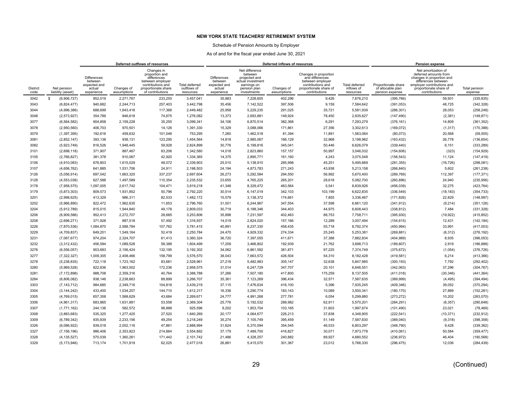### Schedule of Pension Amounts by Employer

|                         |                                  |                                                                |                           | Deferred outflows of resources                                                                                                  |                                            |                                                                       |                                                                                                               | Deferred inflows of resources |                                                                                                                              |                                           |                                                             | <b>Pension expense</b>                                                                                                                                                    |                          |
|-------------------------|----------------------------------|----------------------------------------------------------------|---------------------------|---------------------------------------------------------------------------------------------------------------------------------|--------------------------------------------|-----------------------------------------------------------------------|---------------------------------------------------------------------------------------------------------------|-------------------------------|------------------------------------------------------------------------------------------------------------------------------|-------------------------------------------|-------------------------------------------------------------|---------------------------------------------------------------------------------------------------------------------------------------------------------------------------|--------------------------|
| <b>District</b><br>code | Net pension<br>liability (asset) | Differences<br>between<br>expected and<br>actual<br>experience | Changes of<br>assumptions | Changes in<br>proportion and<br>differences<br>between employer<br>contributions and<br>proportionate share<br>of contributions | Total deferred<br>outflows of<br>resources | <b>Differences</b><br>between<br>expected and<br>actual<br>experience | Net difference<br>between<br>projected and<br>actual investment<br>earnings on<br>pension plan<br>investments | Changes of<br>assumptions     | Changes in proportion<br>and differences<br>between employer<br>contributions and<br>proportionate share of<br>contributions | Total deferred<br>inflows of<br>resources | Proportionate share<br>of allocable plan<br>pension expense | Net amortization of<br>deferred amounts from<br>changes in proportion and<br>differences between<br>employer contributions and<br>proportionate share of<br>contributions | Total pension<br>expense |
| 3042                    | (6,906,727)<br>s.                | 952,019                                                        | 2.271.767                 | 233,255                                                                                                                         | 3,457,041                                  | 35,883                                                                | 7,228,605                                                                                                     | 402.296                       | 9.426                                                                                                                        | 7,676,210                                 | (395, 766)                                                  | 59.931                                                                                                                                                                    | (335, 835)               |
| 3043                    | (6,824,477)                      | 940,682                                                        | 2,244,713                 | 257,403                                                                                                                         | 3,442,798                                  | 35,456                                                                | 7,142,522                                                                                                     | 397,506                       | 9,159                                                                                                                        | 7,584,642                                 | (391, 053)                                                  | 48,725                                                                                                                                                                    | (342, 328)               |
| 3044                    | (4,996,386)                      | 688,699                                                        | 1,643,416                 | 117,368                                                                                                                         | 2,449,482                                  | 25,958                                                                | 5,229,235                                                                                                     | 291,025                       | 35,721                                                                                                                       | 5,581,939                                 | (286, 301)                                                  | 28,053                                                                                                                                                                    | (258, 248)               |
| 3048                    | (2,573,927)                      | 354,789                                                        | 846,618                   | 74,675                                                                                                                          | 1.276.082                                  | 13,373                                                                | 2,693,881                                                                                                     | 149,924                       | 78.450                                                                                                                       | 2,935,627                                 | (147, 490)                                                  | (2, 381)                                                                                                                                                                  | (149, 871)               |
| 3077                    | (6, 564, 582)                    | 904,858                                                        | 2,159,228                 | 35,255                                                                                                                          | 3,099,341                                  | 34,106                                                                | 6,870,514                                                                                                     | 382,368                       | 6,291                                                                                                                        | 7,293,279                                 | (376, 161)                                                  | 14,809                                                                                                                                                                    | (361, 352)               |
| 3078                    | (2,950,560)                      | 406,703                                                        | 970,501                   | 14,126                                                                                                                          | 1,391,330                                  | 15,329                                                                | 3,088,066                                                                                                     | 171,861                       | 27,356                                                                                                                       | 3,302,613                                 | (169, 072)                                                  | (1, 317)                                                                                                                                                                  | (170, 388)               |
| 3079                    | (1, 397, 395)                    | 192,616                                                        | 459,632                   | 101,046                                                                                                                         | 753,295                                    | 7,260                                                                 | 1,462,518                                                                                                     | 81,394                        | 11,891                                                                                                                       | 1,563,064                                 | (80,073)                                                    | 20,568                                                                                                                                                                    | (59, 505)                |
| 3081                    | (2,852,147)                      | 393,138                                                        | 938,131                   | 123,295                                                                                                                         | 1,454,564                                  | 14,818                                                                | 2,985,067                                                                                                     | 166,129                       | 32,968                                                                                                                       | 3,198,982                                 | (163, 432)                                                  | 26,778                                                                                                                                                                    | (136, 654)               |
| 3082                    | (5,923,749)                      | 816,526                                                        | 1,948,445                 | 59,928                                                                                                                          | 2,824,899                                  | 30,776                                                                | 6,199,816                                                                                                     | 345,041                       | 50,446                                                                                                                       | 6,626,079                                 | (339, 440)                                                  | 6,151                                                                                                                                                                     | (333, 289)               |
| 3101                    | (2,698,118)                      | 371,907                                                        | 887.467                   | 83,206                                                                                                                          | 1.342.580                                  | 14,018                                                                | 2,823,860                                                                                                     | 157.157                       | 50,997                                                                                                                       | 3,046,032                                 | (154, 606)                                                  | (323)                                                                                                                                                                     | (154, 929)               |
| 3105                    | (2,766,827)                      | 381,378                                                        | 910,067                   | 42,920                                                                                                                          | 1,334,365                                  | 14,375                                                                | 2,895,771                                                                                                     | 161,160                       | 4,243                                                                                                                        | 3,075,548                                 | (158, 543)                                                  | 11,124                                                                                                                                                                    | (147, 419)               |
| 3106                    | (4,910,083)                      | 676,803                                                        | 1,615,029                 | 48,072                                                                                                                          | 2,339,903                                  | 25,510                                                                | 5,138,910                                                                                                     | 285,998                       | 45,251                                                                                                                       | 5,495,669                                 | (281, 355)                                                  | (16, 726)                                                                                                                                                                 | (298, 081)               |
| 3107                    | (4,656,762)                      | 641.885                                                        | 1,531,706                 | 24,911                                                                                                                          | 2.198.503                                  | 24,194                                                                | 4,873,783                                                                                                     | 271,243                       | 43.938                                                                                                                       | 5,213,158                                 | (266, 840)                                                  | 5,602                                                                                                                                                                     | (261, 238)               |
| 3126                    | (5,056,914)                      | 697.042                                                        | 1,663,325                 | 337,237                                                                                                                         | 2,697,604                                  | 26,273                                                                | 5,292,584                                                                                                     | 294,550                       | 56,992                                                                                                                       | 5,670,400                                 | (289, 769)                                                  | 112,397                                                                                                                                                                   | (177, 371)               |
| 3128                    | (4, 553, 038)                    | 627,588                                                        | 1,497,589                 | 110,354                                                                                                                         | 2.235.532                                  | 23,655                                                                | 4,765,225                                                                                                     | 265,201                       | 28,618                                                                                                                       | 5,082,700                                 | (260, 896)                                                  | 24,940                                                                                                                                                                    | (235, 956)               |
| 3178                    | (7,958,575)                      | 1,097,005                                                      | 2,617,742                 | 104,471                                                                                                                         | 3,819,218                                  | 41,348                                                                | 8,329,472                                                                                                     | 463,564                       | 5,541                                                                                                                        | 8,839,926                                 | (456, 039)                                                  | 32,275                                                                                                                                                                    | (423, 764)               |
| 3179                    | (5,873,303)                      | 809,573                                                        | 1,931,852                 | 50,796                                                                                                                          | 2,792,220                                  | 30,514                                                                | 6,147,019                                                                                                     | 342,103                       | 103,199                                                                                                                      | 6,622,835                                 | (336, 549)                                                  | (18, 183)                                                                                                                                                                 | (354, 733)               |
| 3201                    | (2,998,625)                      | 413,329                                                        | 986,311                   | 82,533                                                                                                                          | 1,482,172                                  | 15,579                                                                | 3,138,372                                                                                                     | 174,661                       | 7,855                                                                                                                        | 3,336,467                                 | (171, 826)                                                  | 22,829                                                                                                                                                                    | (148, 997)               |
| 3202                    | (5,966,890)                      | 822,472                                                        | 1,962,635                 | 11,653                                                                                                                          | 2,796,760                                  | 31,001                                                                | 6,244,967                                                                                                     | 347,554                       | 37,598                                                                                                                       | 6,661,120                                 | (341, 912)                                                  | (9, 214)                                                                                                                                                                  | (351, 126)               |
| 3204                    | (5,912,789)                      | 815,015                                                        | 1,944,840                 | 49,178                                                                                                                          | 2,809,033                                  | 30,719                                                                | 6,188,346                                                                                                     | 344,403                       | 44,975                                                                                                                       | 6,608,443                                 | (338, 812)                                                  | 7,484                                                                                                                                                                     | (331, 328)               |
| 3206                    | (6,909,586)                      | 952,413                                                        | 2,272,707                 | 28,685                                                                                                                          | 3,253,806                                  | 35,898                                                                | 7,231,597                                                                                                     | 402,463                       | 88,753                                                                                                                       | 7,758,711                                 | (395, 930)                                                  | (19, 922)                                                                                                                                                                 | (415, 852)               |
| 3208                    | (2,698,271)                      | 371,928                                                        | 887,518                   | 57,492                                                                                                                          | 1.316.937                                  | 14,019                                                                | 2,824,020                                                                                                     | 157,166                       | 12,289                                                                                                                       | 3,007,494                                 | (154, 615)                                                  | 12,431                                                                                                                                                                    | (142, 184)               |
| 3226                    | (7,870,536)                      | 1,084,870                                                      | 2,588,784                 | 107,762                                                                                                                         | 3,781,415                                  | 40,891                                                                | 8,237,330                                                                                                     | 458,435                       | 55,718                                                                                                                       | 8,792,374                                 | (450, 994)                                                  | 33,991                                                                                                                                                                    | (417,003)                |
| 3229                    | (4,709,837)                      | 649,201                                                        | 1,549,164                 | 52,419                                                                                                                          | 2,250,784                                  | 24,470                                                                | 4,929,332                                                                                                     | 274,334                       | 25,245                                                                                                                       | 5,253,381                                 | (269, 881)                                                  | (6, 312)                                                                                                                                                                  | (276, 192)               |
| 3231                    | (7,067,677)                      | 974,204                                                        | 2,324,707                 | 61,413                                                                                                                          | 3,360,324                                  | 36,720                                                                | 7,397,055                                                                                                     | 411,671                       | 37,388                                                                                                                       | 7,882,834                                 | (404, 989)                                                  | 8,935                                                                                                                                                                     | (396, 053)               |
| 3232                    | (3,312,432)                      | 456,584                                                        | 1,089,528                 | 58,388                                                                                                                          | 1.604.499                                  | 17,209                                                                | 3,466,802                                                                                                     | 192,939                       | 21,762                                                                                                                       | 3,698,713                                 | (189, 807)                                                  | 2,919                                                                                                                                                                     | (186, 888)               |
| 3276                    | (6, 556, 057)                    | 903,683                                                        | 2,156,424                 | 132,195                                                                                                                         | 3,192,302                                  | 34,062                                                                | 6,861,592                                                                                                     | 381,871                       | 97,225                                                                                                                       | 7,374,749                                 | (375, 672)                                                  | (1,054)                                                                                                                                                                   | (376, 726)               |
| 3277                    | (7, 322, 327)                    | 1,009,305                                                      | 2,408,466                 | 158,799                                                                                                                         | 3,576,570                                  | 38,043                                                                | 7,663,572                                                                                                     | 426,504                       | 54,310                                                                                                                       | 8,182,428                                 | (419, 581)                                                  | 6,214                                                                                                                                                                     | (413, 366)               |
| 3278                    | (5,238,835)                      | 722,118                                                        | 1,723,162                 | 83,681                                                                                                                          | 2,528,961                                  | 27,218                                                                | 5,482,983                                                                                                     | 305,147                       | 32,638                                                                                                                       | 5,847,985                                 | (300, 193)                                                  | 7,792                                                                                                                                                                     | (292, 402)               |
| 3280                    | (5,969,528)                      | 822.836                                                        | 1.963.502                 | 172,236                                                                                                                         | 2.958.575                                  | 31.014                                                                | 6,247,729                                                                                                     | 347,707                       | 20.101                                                                                                                       | 6.646.551                                 | (342,063)                                                   | 37.296                                                                                                                                                                    | (304, 767)               |
| 3281                    | (7, 172, 898)                    | 988,708                                                        | 2,359,316                 | 40,764                                                                                                                          | 3.388.788                                  | 37,266                                                                | 7,507,180                                                                                                     | 417,800                       | 175,259                                                                                                                      | 8,137,505                                 | (411, 018)                                                  | (30, 346)                                                                                                                                                                 | (441, 364)               |
| 3284<br>3303            | (6,806,082)                      | 938,146<br>984,685                                             | 2,238,663<br>2,349,716    | 89,899<br>104,818                                                                                                               | 3,266,707<br>3,439,219                     | 35,361<br>37,115                                                      | 7,123,269<br>7,476,634                                                                                        | 396,434<br>416,100            | 32,571<br>5,396                                                                                                              | 7,587,635                                 | (389, 999)                                                  | (4, 495)<br>39,052                                                                                                                                                        | (394, 494)<br>(370, 294) |
| 3304                    | (7, 143, 712)                    |                                                                |                           |                                                                                                                                 |                                            |                                                                       |                                                                                                               |                               |                                                                                                                              | 7,935,245                                 | (409, 346)                                                  |                                                                                                                                                                           |                          |
| 3305                    | (3, 144, 242)<br>(4,769,015)     | 433,400<br>657,358                                             | 1,034,207<br>1,568,629    | 144,710<br>43,684                                                                                                               | 1,612,317<br>2,269,671                     | 16,336<br>24,777                                                      | 3,290,774<br>4,991,268                                                                                        | 183,143<br>277,781            | 10,089<br>6,054                                                                                                              | 3,500,341<br>5,299,880                    | (180, 170)<br>(273, 272)                                    | 27,889<br>10,202                                                                                                                                                          | (152, 281)<br>(263,070)  |
| 3306                    | (4,961,317)                      | 683,865                                                        | 1,631,881                 | 53,558                                                                                                                          | 2,369,304                                  | 25,776                                                                | 5,192,532                                                                                                     | 288,982                       | 62,911                                                                                                                       | 5,570,201                                 | (284, 291)                                                  | (6, 357)                                                                                                                                                                  | (290, 648)               |
| 3307                    | (1,771,162)                      | 244,136                                                        | 582.572                   | 98,888                                                                                                                          | 925.596                                    | 9,202                                                                 | 1,853,704                                                                                                     | 103,165                       | 31,603                                                                                                                       | 1,997,674                                 | (101, 490)                                                  | 23,021                                                                                                                                                                    | (78, 469)                |
| 3308                    | (3,883,683)                      | 535,325                                                        | 1,277,425                 | 27,520                                                                                                                          | 1,840,269                                  | 20,177                                                                | 4,064,677                                                                                                     | 226,213                       | 37,838                                                                                                                       | 4,348,905                                 | (222, 541)                                                  | (10, 371)                                                                                                                                                                 | (232, 912)               |
| 3309                    | (6,789,342)                      | 935.839                                                        | 2.233.156                 | 49.254                                                                                                                          | 3.218.249                                  | 35,274                                                                | 7,105,749                                                                                                     | 395.459                       | 51.149                                                                                                                       | 7,587,630                                 | (389,040)                                                   | (9,318)                                                                                                                                                                   | (398, 358)               |
| 3326                    | (6,086,922)                      | 839,018                                                        | 2,002,116                 | 47,861                                                                                                                          | 2,888,994                                  | 31,624                                                                | 6,370,594                                                                                                     | 354,545                       | 46,533                                                                                                                       | 6,803,297                                 | (348, 790)                                                  | 9,428                                                                                                                                                                     | (339, 362)               |
| 3327                    | (7, 156, 196)                    | 986,406                                                        | 2,353,823                 | 214,664                                                                                                                         | 3,554,892                                  | 37,179                                                                | 7,489,700                                                                                                     | 416,827                       | 30,071                                                                                                                       | 7,973,778                                 | (410,061)                                                   | 50,584                                                                                                                                                                    | (359, 477)               |
| 3328                    | (4, 135, 527)                    | 570,039                                                        | 1,360,261                 | 171,442                                                                                                                         | 2,101,742                                  | 21,486                                                                | 4,328,257                                                                                                     | 240,882                       | 89,927                                                                                                                       | 4,680,552                                 | (236, 972)                                                  | 46,404                                                                                                                                                                    | (190, 568)               |
| 3329                    | (5, 173, 946)                    | 713,174                                                        | 1,701,819                 | 62,025                                                                                                                          | 2,477,018                                  | 26,881                                                                | 5,415,070                                                                                                     | 301,367                       | 23,012                                                                                                                       | 5,766,330                                 | (296, 475)                                                  | 12,036                                                                                                                                                                    | (284, 439)               |
|                         |                                  |                                                                |                           |                                                                                                                                 |                                            |                                                                       |                                                                                                               |                               |                                                                                                                              |                                           |                                                             |                                                                                                                                                                           |                          |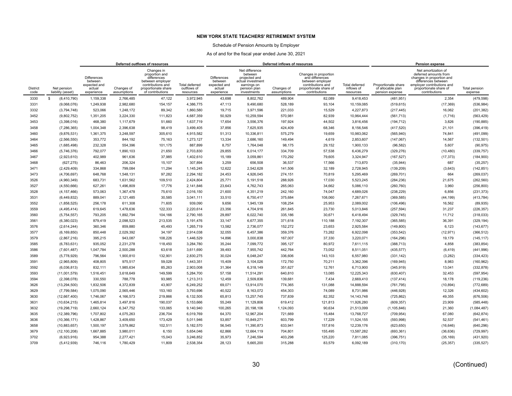### Schedule of Pension Amounts by Employer

|                         |                                  |                                                                       |                           | Deferred outflows of resources                                                                                                  |                                                   |                                                                       |                                                                                                               | Deferred inflows of resources |                                                                                                                              |                                           |                                                             | <b>Pension expense</b>                                                                                                                                                    |                          |
|-------------------------|----------------------------------|-----------------------------------------------------------------------|---------------------------|---------------------------------------------------------------------------------------------------------------------------------|---------------------------------------------------|-----------------------------------------------------------------------|---------------------------------------------------------------------------------------------------------------|-------------------------------|------------------------------------------------------------------------------------------------------------------------------|-------------------------------------------|-------------------------------------------------------------|---------------------------------------------------------------------------------------------------------------------------------------------------------------------------|--------------------------|
| <b>District</b><br>code | Net pension<br>liability (asset) | <b>Differences</b><br>between<br>expected and<br>actual<br>experience | Changes of<br>assumptions | Changes in<br>proportion and<br>differences<br>between employer<br>contributions and<br>proportionate share<br>of contributions | <b>Total deferred</b><br>outflows of<br>resources | <b>Differences</b><br>between<br>expected and<br>actual<br>experience | Net difference<br>between<br>projected and<br>actual investment<br>earnings on<br>pension plan<br>investments | Changes of<br>assumptions     | Changes in proportion<br>and differences<br>between employer<br>contributions and<br>proportionate share of<br>contributions | Total deferred<br>inflows of<br>resources | Proportionate share<br>of allocable plan<br>pension expense | Net amortization of<br>deferred amounts from<br>changes in proportion and<br>differences between<br>employer contributions and<br>proportionate share of<br>contributions | Total pension<br>expense |
| 3330                    | (8,410,790)<br>s.                | 1,159,338                                                             | 2,766,485                 | 47,122                                                                                                                          | 3,972,945                                         | 43,698                                                                | 8,802,762                                                                                                     | 489.904                       | 82,089                                                                                                                       | 9,418,453                                 | (481, 951)                                                  | 2,354                                                                                                                                                                     | (479, 598)               |
| 3331                    | (9,068,076)                      | 1,249,938                                                             | 2,982,680                 | 154,157                                                                                                                         | 4,386,775                                         | 47,113                                                                | 9,490,680                                                                                                     | 528,189                       | 93,104                                                                                                                       | 10,159,085                                | (519, 615)                                                  | (17, 369)                                                                                                                                                                 | (536, 984)               |
| 3332                    | (3,794,748)                      | 523,066                                                               | 1,248,172                 | 89,342                                                                                                                          | 1,860,580                                         | 19,715                                                                | 3,971,596                                                                                                     | 221,033                       | 15,529                                                                                                                       | 4,227,873                                 | (217, 445)                                                  | 16,062                                                                                                                                                                    | (201, 382)               |
| 3452                    | (9,802,752)                      | 1,351,205                                                             | 3,224,330                 | 111,823                                                                                                                         | 4.687.359                                         | 50,929                                                                | 10,259,594                                                                                                    | 570,981                       | 82.939                                                                                                                       | 10,964,444                                | (561, 713)                                                  | (1,716)                                                                                                                                                                   | (563, 429)               |
| 3453                    | (3,398,016)                      | 468,380                                                               | 1,117,679                 | 51,660                                                                                                                          | 1,637,719                                         | 17,654                                                                | 3,556,376                                                                                                     | 197,924                       | 44,502                                                                                                                       | 3,816,456                                 | (194, 712)                                                  | 3,826                                                                                                                                                                     | (190, 885)               |
| 3458                    | (7, 286, 365)                    | 1,004,348                                                             | 2,396,638                 | 98.419                                                                                                                          | 3,499,405                                         | 37,856                                                                | 7,625,935                                                                                                     | 424,409                       | 68.346                                                                                                                       | 8,156,546                                 | (417, 520)                                                  | 21,101                                                                                                                                                                    | (396, 419)               |
| 3460                    | (9,876,531)                      | 1,361,375                                                             | 3,248,597                 | 305,610                                                                                                                         | 4,915,582                                         | 51,313                                                                | 10,336,811                                                                                                    | 575,279                       | 19,659                                                                                                                       | 10,983,062                                | (565, 940)                                                  | 74,841                                                                                                                                                                    | (491,099)                |
| 3464                    | (2,566,550)                      | 353,772                                                               | 844,192                   | 75,163                                                                                                                          | 1,273,127                                         | 13,334                                                                | 2,686,160                                                                                                     | 149,494                       | 4,619                                                                                                                        | 2,853,607                                 | (147,067)                                                   | 14,567                                                                                                                                                                    | (132, 501)               |
| 3465                    | (1,685,498)                      | 232,328                                                               | 554,396                   | 101,175                                                                                                                         | 887,899                                           | 8,757                                                                 | 1,764,048                                                                                                     | 98,175                        | 29,152                                                                                                                       | 1,900,133                                 | (96, 582)                                                   | 5,607                                                                                                                                                                     | (90, 975)                |
| 3466                    | (5,746,376)                      | 792,077                                                               | 1.890.103                 | 21,650                                                                                                                          | 2,703,830                                         | 29,855                                                                | 6.014.177                                                                                                     | 334,709                       | 57.538                                                                                                                       | 6,436,279                                 | (329, 276)                                                  | (10, 480)                                                                                                                                                                 | (339, 757)               |
| 3467                    | (2,923,610)                      | 402,989                                                               | 961,636                   | 37,985                                                                                                                          | 1,402,610                                         | 15,189                                                                | 3,059,861                                                                                                     | 170,292                       | 79,605                                                                                                                       | 3,324,947                                 | (167, 527)                                                  | (17, 373)                                                                                                                                                                 | (184,900)                |
| 3468                    | (627, 275)                       | 86,463                                                                | 206,324                   | 15,107                                                                                                                          | 307,894                                           | 3,259                                                                 | 656,508                                                                                                       | 36,537                        | 17,566                                                                                                                       | 713,870                                   | (35, 944)                                                   | 687                                                                                                                                                                       | (35, 257)                |
| 3471                    | (2,429,409)                      | 334,868                                                               | 799,084                   | 11,294                                                                                                                          | 1,145,245                                         | 12,622                                                                | 2,542,628                                                                                                     | 141,506                       | 32,189                                                                                                                       | 2,728,945                                 | (139, 209)                                                  | (3,643)                                                                                                                                                                   | (142, 851)               |
| 3473                    | (4,706,697)                      | 648,768                                                               | 1,548,131                 | 97,282                                                                                                                          | 2,294,182                                         | 24,453                                                                | 4,926,045                                                                                                     | 274,151                       | 70,819                                                                                                                       | 5,295,469                                 | (269, 701)                                                  | 664                                                                                                                                                                       | (269, 037)               |
| 3526                    | (4,960,349)                      | 683,731                                                               | 1,631,562                 | 109,510                                                                                                                         | 2,424,804                                         | 25,771                                                                | 5,191,518                                                                                                     | 288,926                       | 17,030                                                                                                                       | 5,523,245                                 | (284, 236)                                                  | 21,675                                                                                                                                                                    | (262, 560)               |
| 3527                    | (4,550,666)                      | 627,261                                                               | 1,496,809                 | 17,776                                                                                                                          | 2,141,846                                         | 23,643                                                                | 4,762,743                                                                                                     | 265,063                       | 34,662                                                                                                                       | 5,086,110                                 | (260, 760)                                                  | 3,960                                                                                                                                                                     | (256, 800)               |
| 3528<br>3531            | (4, 157, 466)                    | 573,063<br>889,041                                                    | 1,367,478<br>2,121,485    | 75,610<br>30,585                                                                                                                | 2,016,150<br>3,041,111                            | 21,600<br>33,510                                                      | 4,351,219<br>6,750,417                                                                                        | 242,160                       | 74,047<br>108,060                                                                                                            | 4,689,026                                 | (238, 229)                                                  | 6,856                                                                                                                                                                     | (231, 373)               |
| 3552                    | (6, 449, 832)<br>(1,858,525)     | 256,178                                                               | 611,308                   | 71,605                                                                                                                          | 939.090                                           | 9,656                                                                 | 1,945,139                                                                                                     | 375,684<br>108,254            | 25,953                                                                                                                       | 7,267,671<br>2,089,002                    | (369, 585)<br>(106, 496)                                    | (44, 199)<br>16,562                                                                                                                                                       | (413, 784)<br>(89, 935)  |
| 3559                    | (4, 495, 414)                    | 619,645                                                               | 1,478,636                 | 122,333                                                                                                                         | 2,220,614                                         | 23,356                                                                | 4,704,916                                                                                                     | 261,845                       | 23,730                                                                                                                       | 5,013,846                                 | (257, 594)                                                  | 31,237                                                                                                                                                                    | (226, 357)               |
| 3560                    | (5,754,557)                      | 793,205                                                               | 1,892,794                 | 104,166                                                                                                                         | 2,790,165                                         | 29,897                                                                | 6,022,740                                                                                                     | 335,186                       | 30,671                                                                                                                       | 6,418,494                                 | (329, 745)                                                  | 11,712                                                                                                                                                                    | (318,033)                |
| 3561                    | (6,380,023)                      | 879.419                                                               | 2,098,523                 | 213,535                                                                                                                         | 3.191.476                                         | 33,147                                                                | 6,677,355                                                                                                     | 371,618                       | 110,188                                                                                                                      | 7,192,307                                 | (365, 585)                                                  | 36,391                                                                                                                                                                    | (329, 194)               |
| 3576                    | (2,614,244)                      | 360,346                                                               | 859,880                   | 45,493                                                                                                                          | 1,265,719                                         | 13,582                                                                | 2,736,077                                                                                                     | 152,272                       | 23,653                                                                                                                       | 2,925,584                                 | (149, 800)                                                  | 6,123                                                                                                                                                                     | (143, 677)               |
| 3577                    | (6, 169, 850)                    | 850,448                                                               | 2,029,392                 | 34,197                                                                                                                          | 2,914,038                                         | 32,055                                                                | 6,457,386                                                                                                     | 359,376                       | 73,282                                                                                                                       | 6,922,098                                 | (353, 542)                                                  | (12, 971)                                                                                                                                                                 | (366, 512)               |
| 3579                    | (2,867,216)                      | 395,215                                                               | 943,087                   | 108,226                                                                                                                         | 1,446,529                                         | 14,896                                                                | 3,000,838                                                                                                     | 167,007                       | 37,330                                                                                                                       | 3,220,071                                 | (164, 296)                                                  | 19,179                                                                                                                                                                    | (145, 117)               |
| 3585                    | (6,783,631)                      | 935,052                                                               | 2,231,278                 | 118,450                                                                                                                         | 3,284,780                                         | 35,244                                                                | 7,099,772                                                                                                     | 395,127                       | 80,972                                                                                                                       | 7,611,115                                 | (388, 713)                                                  | 4,858                                                                                                                                                                     | (383, 854)               |
| 3586                    | (7,601,487)                      | 1,047,784                                                             | 2,500,288                 | 63,618                                                                                                                          | 3,611,690                                         | 39,493                                                                | 7,955,742                                                                                                     | 442,764                       | 73,052                                                                                                                       | 8,511,051                                 | (435, 577)                                                  | (6, 419)                                                                                                                                                                  | (441, 996)               |
| 3589                    | (5,778,929)                      | 796,564                                                               | 1,900,810                 | 132,901                                                                                                                         | 2,830,275                                         | 30,024                                                                | 6,048,247                                                                                                     | 336,606                       | 143,103                                                                                                                      | 6,557,980                                 | (331, 142)                                                  | (3,282)                                                                                                                                                                   | (334, 423)               |
| 3591                    | (2,965,809)                      | 408,805                                                               | 975,517                   | 59,028                                                                                                                          | 1,443,351                                         | 15,409                                                                | 3,104,026                                                                                                     | 172,750                       | 70,211                                                                                                                       | 3,362,396                                 | (169, 945)                                                  | 8,983                                                                                                                                                                     | (160, 962)               |
| 3592                    | (6,036,813)                      | 832.111                                                               | 1.985.634                 | 85.263                                                                                                                          | 2.903.008                                         | 31,364                                                                | 6.318.149                                                                                                     | 351,627                       | 12.761                                                                                                                       | 6,713,900                                 | (345, 919)                                                  | 13,041                                                                                                                                                                    | (332, 878)               |
| 3593                    | (11,001,579)                     | 1,516,451                                                             | 3,618,649                 | 149,599                                                                                                                         | 5.284.700                                         | 57.158                                                                | 11,514,291                                                                                                    | 640,810                       | 13,085                                                                                                                       | 12,225,343                                | (630, 407)                                                  | 32,453                                                                                                                                                                    | (597, 954)               |
| 3594                    | (2,398,078)                      | 330,550                                                               | 788,778                   | 93,985                                                                                                                          | 1,213,313                                         | 12,459                                                                | 2,509,836                                                                                                     | 139,681                       | 7,434                                                                                                                        | 2,669,410                                 | (137, 414)                                                  | 18,178                                                                                                                                                                    | (119, 236)               |
| 3626                    | (13, 294, 500)                   | 1,832,506                                                             | 4,372,839                 | 43,907                                                                                                                          | 6,249,252                                         | 69,071                                                                | 13,914,070                                                                                                    | 774,365                       | 131,088                                                                                                                      | 14,888,594                                | (761, 795)                                                  | (10, 894)                                                                                                                                                                 | (772, 689)               |
| 3629                    | (7,799,584)                      | 1,075,090                                                             | 2,565,446                 | 153,160                                                                                                                         | 3,793,696                                         | 40,522                                                                | 8,163,072                                                                                                     | 454,303                       | 74,089                                                                                                                       | 8,731,986                                 | (446, 928)                                                  | 12,326                                                                                                                                                                    | (434, 602)               |
| 3630                    | (12,667,400)                     | 1,746,067                                                             | 4,166,573                 | 219,866                                                                                                                         | 6,132,505                                         | 65,813                                                                | 13,257,745                                                                                                    | 737,839                       | 82,352                                                                                                                       | 14, 143, 748                              | (725, 862)                                                  | 49,355                                                                                                                                                                    | (676, 506)               |
| 3631                    | (10, 634, 215)                   | 1,465,814                                                             | 3,497,816                 | 190,037                                                                                                                         | 5,153,666                                         | 55,249                                                                | 11,129,806                                                                                                    | 619,412                       | 121,813                                                                                                                      | 11,926,280                                | (609, 357)                                                  | 23,909                                                                                                                                                                    | (585, 448)               |
| 3632                    | (19, 298, 719)                   | 2,660,124                                                             | 6,347,752                 | 133,065                                                                                                                         | 9,140,940                                         | 100,265                                                               | 20,198,106                                                                                                    | 1,124,093                     | 90,634                                                                                                                       | 21,513,099                                | (1, 105, 846)                                               | 21,360                                                                                                                                                                    | (1,084,487)              |
| 3635                    | (12, 389, 796)                   | 1,707,802                                                             | 4,075,263                 | 236,704                                                                                                                         | 6,019,769                                         | 64,370                                                                | 12,967,204                                                                                                    | 721,669                       | 15,484                                                                                                                       | 13,768,727                                | (709, 954)                                                  | 67,080                                                                                                                                                                    | (642, 874)               |
| 3636                    | (10, 366, 171)                   | 1.428.867                                                             | 3,409,650                 | 173.429                                                                                                                         | 5.011.946                                         | 53.857                                                                | 10,849,271                                                                                                    | 603,799                       | 17.229                                                                                                                       | 11,524,155                                | (593, 998)                                                  | 52,537                                                                                                                                                                    | (541, 461)               |
| 3658                    | (10,883,657)                     | 1,500,197                                                             | 3,579,862                 | 102,511                                                                                                                         | 5,182,570                                         | 56,545                                                                | 11,390,873                                                                                                    | 633,941                       | 157,816                                                                                                                      | 12,239,176                                | (623, 650)                                                  | (16, 646)                                                                                                                                                                 | (640, 296)               |
| 3679                    | (12, 100, 208)                   | 1,667,885                                                             | 3,980,011                 | 6,150                                                                                                                           | 5,654,046                                         | 62,866                                                                | 12,664,119                                                                                                    | 704,801                       | 155,495                                                                                                                      | 13,587,282                                | (693, 361)                                                  | (36, 636)                                                                                                                                                                 | (729, 997)               |
| 3702                    | (6,923,916)                      | 954,388                                                               | 2,277,421                 | 15,043                                                                                                                          | 3,246,852                                         | 35,973                                                                | 7,246,594                                                                                                     | 403,298                       | 125,220                                                                                                                      | 7,811,085                                 | (396, 751)                                                  | (35, 169)                                                                                                                                                                 | (431, 920)               |
| 3709                    | (5,412,939)                      | 746,116                                                               | 1,780,429                 | 11,809                                                                                                                          | 2,538,354                                         | 28,123                                                                | 5,665,200                                                                                                     | 315,288                       | 83,579                                                                                                                       | 6,092,189                                 | (310, 170)                                                  | (25, 357)                                                                                                                                                                 | (335, 527)               |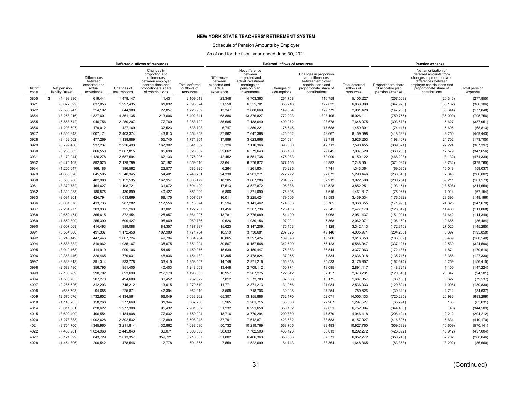### Schedule of Pension Amounts by Employer

|                         |                                  | Deferred outflows of resources                                        |                           |                                                                                                                                 |                                            |                                                                       |                                                                                                               | Deferred inflows of resources |                                                                                                                              |                                           |                                                             | <b>Pension expense</b>                                                                                                                                                    |                          |
|-------------------------|----------------------------------|-----------------------------------------------------------------------|---------------------------|---------------------------------------------------------------------------------------------------------------------------------|--------------------------------------------|-----------------------------------------------------------------------|---------------------------------------------------------------------------------------------------------------|-------------------------------|------------------------------------------------------------------------------------------------------------------------------|-------------------------------------------|-------------------------------------------------------------|---------------------------------------------------------------------------------------------------------------------------------------------------------------------------|--------------------------|
| <b>District</b><br>code | Net pension<br>liability (asset) | <b>Differences</b><br>between<br>expected and<br>actual<br>experience | Changes of<br>assumptions | Changes in<br>proportion and<br>differences<br>between employer<br>contributions and<br>proportionate share<br>of contributions | Total deferred<br>outflows of<br>resources | <b>Differences</b><br>between<br>expected and<br>actual<br>experience | Net difference<br>between<br>projected and<br>actual investment<br>earnings on<br>pension plan<br>investments | Changes of<br>assumptions     | Changes in proportion<br>and differences<br>between employer<br>contributions and<br>proportionate share of<br>contributions | Total deferred<br>inflows of<br>resources | Proportionate share<br>of allocable plan<br>pension expense | Net amortization of<br>deferred amounts from<br>changes in proportion and<br>differences between<br>employer contributions and<br>proportionate share of<br>contributions | Total pension<br>expense |
| 3805                    | (4,493,930)<br>s.                | 619,441                                                               | 1.478.147                 | 11,431                                                                                                                          | 2.109.019                                  | 23,348                                                                | 4,703,363                                                                                                     | 261.758                       | 116,758                                                                                                                      | 5,105,227                                 | (257, 509)                                                  | (20, 346)                                                                                                                                                                 | (277, 855)               |
| 3821                    | (6,072,692)                      | 837,056                                                               | 1,997,435                 | 61,032                                                                                                                          | 2,895,524                                  | 31,550                                                                | 6,355,701                                                                                                     | 353,716                       | 122,832                                                                                                                      | 6,863,800                                 | (347, 975)                                                  | (38, 132)                                                                                                                                                                 | (386, 106)               |
| 3822                    | (2, 568, 947)                    | 354,102                                                               | 844,980                   | 27,857                                                                                                                          | 1,226,939                                  | 13,347                                                                | 2,688,669                                                                                                     | 149,634                       | 129,779                                                                                                                      | 2,981,428                                 | (147, 205)                                                  | (30, 644)                                                                                                                                                                 | (177, 848)               |
| 3854                    | (13, 258, 916)                   | 1,827,601                                                             | 4,361,135                 | 213,606                                                                                                                         | 6,402,341                                  | 68,886                                                                | 13,876,827                                                                                                    | 772,293                       | 308,105                                                                                                                      | 15,026,111                                | (759, 756)                                                  | (36,000)                                                                                                                                                                  | (795, 756)               |
| 3855                    | (6,868,542)                      | 946,756                                                               | 2,259,207                 | 77,760                                                                                                                          | 3,283,722                                  | 35,685                                                                | 7,188,640                                                                                                     | 400,072                       | 23,678                                                                                                                       | 7,648,075                                 | (393, 578)                                                  | 5,627                                                                                                                                                                     | (387, 951)               |
| 3856                    | (1, 298, 697)                    | 179,012                                                               | 427,169                   | 32,523                                                                                                                          | 638,703                                    | 6,747                                                                 | 1,359,221                                                                                                     | 75,645                        | 17,688                                                                                                                       | 1,459,301                                 | (74, 417)                                                   | 5,605                                                                                                                                                                     | (68, 813)                |
| 3927                    | (7,306,843)                      | 1,007,171                                                             | 2,403,374                 | 143,813                                                                                                                         | 3,554,358                                  | 37,962                                                                | 7,647,368                                                                                                     | 425,602                       | 48,667                                                                                                                       | 8,159,598                                 | (418, 693)                                                  | 9,250                                                                                                                                                                     | (409, 443)               |
| 3928                    | (3,462,502)                      | 477,269                                                               | 1,138,889                 | 155,745                                                                                                                         | 1,771,904                                  | 17,989                                                                | 3,623,866                                                                                                     | 201,681                       | 82,718                                                                                                                       | 3,926,253                                 | (198, 407)                                                  | 24,702                                                                                                                                                                    | (173, 705)               |
| 3929                    | (6,799,486)                      | 937,237                                                               | 2,236,493                 | 167,302                                                                                                                         | 3,341,032                                  | 35,326                                                                | 7,116,366                                                                                                     | 396,050                       | 42,713                                                                                                                       | 7,590,455                                 | (389, 621)                                                  | 22,224                                                                                                                                                                    | (367, 397)               |
| 3930                    | (6, 286, 663)                    | 866,550                                                               | 2.067.815                 | 85,698                                                                                                                          | 3.020.062                                  | 32,662                                                                | 6,579,643                                                                                                     | 366.180                       | 29.045                                                                                                                       | 7,007,529                                 | (360, 235)                                                  | 12,579                                                                                                                                                                    | (347, 656)               |
| 3931                    | (8, 170, 944)                    | 1,126,278                                                             | 2,687,594                 | 162,133                                                                                                                         | 3,976,006                                  | 42,452                                                                | 8,551,738                                                                                                     | 475,933                       | 79,999                                                                                                                       | 9,150,122                                 | (468, 208)                                                  | (3, 132)                                                                                                                                                                  | (471, 339)               |
| 3932                    | (6, 475, 109)                    | 892,525                                                               | 2,129,799                 | 37,192                                                                                                                          | 3,059,516                                  | 33,641                                                                | 6,776,872                                                                                                     | 377,156                       | 60,882                                                                                                                       | 7,248,551                                 | (371, 034)                                                  | (8, 732)                                                                                                                                                                  | (379, 765)               |
| 3934                    | (1,205,647)                      | 166,186                                                               | 396.562                   | 23,577                                                                                                                          | 586.325                                    | 6,264                                                                 | 1,261,834                                                                                                     | 70,225                        | 4,741                                                                                                                        | 1,343,064                                 | (69,085)                                                    | 10,048                                                                                                                                                                    | (59,037)                 |
| 3979                    | (4,683,026)                      | 645,505                                                               | 1,540,345                 | 54,401                                                                                                                          | 2,240,251                                  | 24,330                                                                | 4,901,271                                                                                                     | 272,772                       | 92,072                                                                                                                       | 5,290,446                                 | (268, 345)                                                  | 2,343                                                                                                                                                                     | (266, 002)               |
| 3980                    | (3,503,988)                      | 482.988                                                               | 1,152,535                 | 167,957                                                                                                                         | 1,803,479                                  | 18,205                                                                | 3,667,286                                                                                                     | 204,097                       | 32.912                                                                                                                       | 3,922,500                                 | (200, 784)                                                  | 39,211                                                                                                                                                                    | (161, 573)               |
| 3981                    | (3,370,782)                      | 464,627                                                               | 1,108,721                 | 31,072                                                                                                                          | 1,604,420                                  | 17,513                                                                | 3,527,872                                                                                                     | 196,338                       | 110,528                                                                                                                      | 3,852,251                                 | (193, 151)                                                  | (18,508)                                                                                                                                                                  | (211, 659)               |
| 3982                    | (1,310,038)                      | 180,575                                                               | 430,899                   | 40,427                                                                                                                          | 651,900                                    | 6,806                                                                 | 1,371,090                                                                                                     | 76,306                        | 7,616                                                                                                                        | 1,461,817                                 | (75,067)                                                    | 7,914                                                                                                                                                                     | (67, 154)                |
| 3983                    | (3,081,801)                      | 424,794                                                               | 1,013,669                 | 69,175                                                                                                                          | 1,507,637                                  | 16,011                                                                | 3,225,424                                                                                                     | 179,506                       | 18,593                                                                                                                       | 3,439,534                                 | (176, 592)                                                  | 28,396                                                                                                                                                                    | (148, 196)               |
| 3986                    | (3,001,578)                      | 413,736                                                               | 987,282                   | 117,556                                                                                                                         | 1,518,574                                  | 15,594                                                                | 3,141,462                                                                                                     | 174,833                       | 36,765                                                                                                                       | 3,368,655                                 | (171, 995)                                                  | 24,325                                                                                                                                                                    | (147, 670)               |
| 3987                    | (2, 204, 977)                    | 303,933                                                               | 725,263                   | 93,061                                                                                                                          | 1,122,257                                  | 11,456                                                                | 2,307,736                                                                                                     | 128,433                       | 29,545                                                                                                                       | 2,477,170                                 | (126, 349)                                                  | 14,480                                                                                                                                                                    | (111, 868)               |
| 3988                    | (2,652,474)                      | 365,615                                                               | 872,454                   | 125,957                                                                                                                         | 1,364,027                                  | 13,781                                                                | 2,776,089                                                                                                     | 154,499                       | 7,068                                                                                                                        | 2,951,437                                 | (151, 991)                                                  | 37,642                                                                                                                                                                    | (114, 349)               |
| 3989                    | (1,852,809)                      | 255,390                                                               | 609,427                   | 95,969                                                                                                                          | 960.786                                    | 9,626                                                                 | 1,939,156                                                                                                     | 107,921                       | 5,368                                                                                                                        | 2,062,071                                 | (106, 169)                                                  | 19,685                                                                                                                                                                    | (86, 484)                |
| 3990                    | (3,007,069)                      | 414,493                                                               | 989,088                   | 84,357                                                                                                                          | 1,487,937                                  | 15,623                                                                | 3,147,209                                                                                                     | 175,153                       | 4,128                                                                                                                        | 3,342,113                                 | (172, 310)                                                  | 27,025                                                                                                                                                                    | (145, 285)               |
| 3991                    | (3,564,560)                      | 491,337                                                               | 1,172,458                 | 107,989                                                                                                                         | 1,771,784                                  | 18,519                                                                | 3,730,681                                                                                                     | 207,625                       | 49.146                                                                                                                       | 4,005,971                                 | (204, 255)                                                  | 8,397                                                                                                                                                                     | (195, 858)               |
| 3992                    | (3,246,142)                      | 447,446                                                               | 1,067,724                 | 49,794                                                                                                                          | 1,564,964                                  | 16,865                                                                | 3,397,424                                                                                                     | 189,078                       | 13,286                                                                                                                       | 3,616,653                                 | (186,009)                                                   | 5,469                                                                                                                                                                     | (180, 540)               |
| 3994                    | (5,883,382)                      | 810,962                                                               | 1,935,167                 | 135,075                                                                                                                         | 2,881,204                                  | 30,567                                                                | 6,157,568                                                                                                     | 342,690                       | 56,123                                                                                                                       | 6,586,947                                 | (337, 127)                                                  | 12,530                                                                                                                                                                    | (324, 596)               |
| 3995                    | (3,010,163)                      | 414,919                                                               | 990,106                   | 54,951                                                                                                                          | 1,459,976                                  | 15,639                                                                | 3,150,447                                                                                                     | 175,333                       | 36,544                                                                                                                       | 3,377,963                                 | (172, 487)                                                  | 1,871                                                                                                                                                                     | (170, 616)               |
| 3996                    | (2,368,446)                      | 326,465                                                               | 779,031                   | 48,936                                                                                                                          | 1,154,432                                  | 12,305                                                                | 2,478,824                                                                                                     | 137,955                       | 7,834                                                                                                                        | 2,636,918                                 | (135, 716)                                                  | 8,386                                                                                                                                                                     | (127, 330)               |
| 3997                    | (2,838,913)                      | 391,314                                                               | 933,778                   | 33,415                                                                                                                          | 1,358,507                                  | 14,749                                                                | 2,971,216                                                                                                     | 165,358                       | 25,533                                                                                                                       | 3,176,857                                 | (162, 674)                                                  | 6,259                                                                                                                                                                     | (156, 415)               |
| 3998                    | (2,588,480)                      | 356.795                                                               | 851.405                   | 40.403                                                                                                                          | 1.248.603                                  | 13.448                                                                | 2,709,112                                                                                                     | 150.771                       | 18.085                                                                                                                       | 2.891.417                                 | (148, 324)                                                  | 1,100                                                                                                                                                                     | (147, 224)               |
| 3999                    | (2, 108, 989)                    | 290,702                                                               | 693,690                   | 212,170                                                                                                                         | 1,196,563                                  | 10,957                                                                | 2,207,275                                                                                                     | 122,842                       | 32,157                                                                                                                       | 2,373,231                                 | (120, 848)                                                  | 26,347                                                                                                                                                                    | (94, 501)                |
| 4004<br>4007            | (1,503,705)                      | 207,270<br>312,293                                                    | 494,600<br>745,212        | 30,452<br>13,015                                                                                                                | 732,322<br>1,070,519                       | 7,812<br>11,771                                                       | 1,573,783<br>2,371,213                                                                                        | 87,586                        | 18,175<br>21,084                                                                                                             | 1,687,357<br>2,536,033                    | (86, 165)                                                   | 6,627                                                                                                                                                                     | (79, 537)                |
| 4008                    | (2, 265, 626)                    |                                                                       | 225,871                   |                                                                                                                                 | 362,919                                    |                                                                       | 718,706                                                                                                       | 131,966                       |                                                                                                                              |                                           | (129, 824)                                                  | (1,006)                                                                                                                                                                   | (130, 830)               |
| 4009                    | (686, 703)<br>(12,570,076)       | 94,655<br>1,732,652                                                   | 4,134,561                 | 42,394<br>166,049                                                                                                               | 6,033,262                                  | 3,568<br>65,307                                                       | 13,155,886                                                                                                    | 39,998<br>732,170             | 27,254<br>52,071                                                                                                             | 789,526<br>14,005,433                     | (39, 349)<br>(720, 285)                                     | 4,712<br>26,986                                                                                                                                                           | (34, 637)<br>(693, 299)  |
| 4010                    | (1, 148, 205)                    | 158,268                                                               | 377,669                   | 31,344                                                                                                                          | 567,280                                    | 5,965                                                                 | 1,201,715                                                                                                     | 66,880                        | 22,967                                                                                                                       | 1,297,527                                 | (65, 794)                                                   | 163                                                                                                                                                                       | (65, 631)                |
| 4014                    |                                  | 828,622                                                               |                           | 95,432                                                                                                                          |                                            | 31,232                                                                |                                                                                                               |                               | 79,051                                                                                                                       | 6,752,094                                 |                                                             | (40)                                                                                                                                                                      | (344, 509)               |
| 4015                    | (6,011,501)<br>(3,602,409)       | 496,554                                                               | 1,977,308<br>1,184,908    | 77,632                                                                                                                          | 2,901,362<br>1,759,094                     | 18,716                                                                | 6,291,658<br>3,770,294                                                                                        | 350,152<br>209,830            | 47,579                                                                                                                       | 4,046,418                                 | (344, 468)<br>(206, 424)                                    | 2,212                                                                                                                                                                     | (204, 212)               |
| 4020                    | (7, 273, 883)                    | 1.002.628                                                             | 2.392.532                 | 112.889                                                                                                                         | 3.508.048                                  | 37,791                                                                | 7,612,871                                                                                                     | 423,682                       | 83.583                                                                                                                       | 8,157,927                                 | (416, 805)                                                  | 6.634                                                                                                                                                                     | (410, 170)               |
| 4021                    |                                  | 1,345,960                                                             | 3,211,814                 | 130,862                                                                                                                         | 4,688,636                                  | 50,732                                                                | 10,219,769                                                                                                    | 568,765                       | 88,493                                                                                                                       | 10,927,760                                |                                                             |                                                                                                                                                                           | (570, 141)               |
| 4022                    | (9,764,700)<br>(7, 435, 961)     | 1,024,968                                                             | 2,445,843                 | 30,071                                                                                                                          | 3,500,883                                  | 38,633                                                                | 7,782,503                                                                                                     | 433,123                       | 38,013                                                                                                                       | 8,292,272                                 | (559, 532)<br>(426, 092)                                    | (10, 609)                                                                                                                                                                 | (437, 004)               |
| 4027                    | (6, 121, 099)                    | 843,729                                                               | 2,013,357                 | 359,721                                                                                                                         | 3,216,807                                  | 31,802                                                                | 6,406,363                                                                                                     | 356,536                       | 57,571                                                                                                                       | 6,852,272                                 | (350, 748)                                                  | (10, 912)<br>62,702                                                                                                                                                       | (288, 046)               |
| 4028                    | (1,454,896)                      | 200,542                                                               | 478,546                   | 12,778                                                                                                                          | 691,865                                    | 7,559                                                                 | 1,522,699                                                                                                     | 84,743                        | 33,364                                                                                                                       | 1,648,365                                 | (83, 368)                                                   | (3, 292)                                                                                                                                                                  | (86, 660)                |
|                         |                                  |                                                                       |                           |                                                                                                                                 |                                            |                                                                       |                                                                                                               |                               |                                                                                                                              |                                           |                                                             |                                                                                                                                                                           |                          |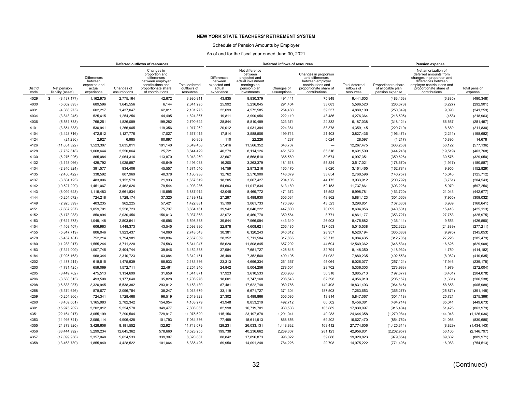### Schedule of Pension Amounts by Employer

|                         |                                  | Deferred outflows of resources                                        |                           |                                                                                                                                 |                                            |                                                                       |                                                                                                               | Deferred inflows of resources |                                                                                                                              |                                           |                                                             | <b>Pension expense</b>                                                                                                                                                    |                          |
|-------------------------|----------------------------------|-----------------------------------------------------------------------|---------------------------|---------------------------------------------------------------------------------------------------------------------------------|--------------------------------------------|-----------------------------------------------------------------------|---------------------------------------------------------------------------------------------------------------|-------------------------------|------------------------------------------------------------------------------------------------------------------------------|-------------------------------------------|-------------------------------------------------------------|---------------------------------------------------------------------------------------------------------------------------------------------------------------------------|--------------------------|
| <b>District</b><br>code | Net pension<br>liability (asset) | <b>Differences</b><br>between<br>expected and<br>actual<br>experience | Changes of<br>assumptions | Changes in<br>proportion and<br>differences<br>between employer<br>contributions and<br>proportionate share<br>of contributions | Total deferred<br>outflows of<br>resources | <b>Differences</b><br>between<br>expected and<br>actual<br>experience | Net difference<br>between<br>projected and<br>actual investment<br>earnings on<br>pension plan<br>investments | Changes of<br>assumptions     | Changes in proportion<br>and differences<br>between employer<br>contributions and<br>proportionate share of<br>contributions | Total deferred<br>inflows of<br>resources | Proportionate share<br>of allocable plan<br>pension expense | Net amortization of<br>deferred amounts from<br>changes in proportion and<br>differences between<br>employer contributions and<br>proportionate share of<br>contributions | Total pension<br>expense |
| 4029                    | (8,437,177)<br>s                 | 1,162,975                                                             | 2.775.164                 | 42,672                                                                                                                          | 3,980,811                                  | 43,835                                                                | 8,830,379                                                                                                     | 491.441                       | 75,949                                                                                                                       | 9,441,603                                 | (483, 463)                                                  | (6, 885)                                                                                                                                                                  | (490, 348)               |
| 4030                    | (5,002,893)                      | 689,596                                                               | 1,645,556                 | 6,144                                                                                                                           | 2,341,295                                  | 25,992                                                                | 5,236,045                                                                                                     | 291,404                       | 33,083                                                                                                                       | 5,586,523                                 | (286, 673)                                                  | (6, 227)                                                                                                                                                                  | (292, 901)               |
| 4031                    | (4,368,975)                      | 602,217                                                               | 1,437,047                 | 62,011                                                                                                                          | 2,101,275                                  | 22,699                                                                | 4,572,585                                                                                                     | 254,480                       | 39,337                                                                                                                       | 4,889,100                                 | (250, 349)                                                  | 9,090                                                                                                                                                                     | (241, 259)               |
| 4034                    | (3,813,245)                      | 525,615                                                               | 1,254,256                 | 44.495                                                                                                                          | 1,824,367                                  | 19,811                                                                | 3,990,956                                                                                                     | 222,110                       | 43.486                                                                                                                       | 4,276,364                                 | (218, 505)                                                  | (458)                                                                                                                                                                     | (218,963)                |
| 4036                    | (5,551,758)                      | 765,251                                                               | 1,826,089                 | 199,282                                                                                                                         | 2,790,622                                  | 28,844                                                                | 5,810,489                                                                                                     | 323,374                       | 24,332                                                                                                                       | 6,187,038                                 | (318, 124)                                                  | 66,667                                                                                                                                                                    | (251, 457)               |
| 4101                    | (3,851,883)                      | 530,941                                                               | 1,266,965                 | 119,356                                                                                                                         | 1.917.262                                  | 20,012                                                                | 4,031,394                                                                                                     | 224,361                       | 83,378                                                                                                                       | 4.359.145                                 | (220, 719)                                                  | 8,889                                                                                                                                                                     | (211, 830)               |
| 4104                    | (3,428,716)                      | 472,612                                                               | 1,127,776                 | 17,027                                                                                                                          | 1,617,415                                  | 17,814                                                                | 3,588,506                                                                                                     | 199,713                       | 21,403                                                                                                                       | 3,827,436                                 | (196, 471)                                                  | (2, 211)                                                                                                                                                                  | (198, 682)               |
| 4124                    | (21, 236)                        | 2.927                                                                 | 6,985                     | 80,897                                                                                                                          | 90.809                                     | 110                                                                   | 22,226                                                                                                        | 1,237                         | 5,024                                                                                                                        | 28,597                                    | (1,217)                                                     | 15,895                                                                                                                                                                    | 14,678                   |
| 4126                    | (11,051,322)                     | 1,523,307                                                             | 3,635,011                 | 191,140                                                                                                                         | 5,349,458                                  | 57,416                                                                | 11,566,352                                                                                                    | 643,707                       | $\overline{\phantom{a}}$                                                                                                     | 12,267,475                                | (633, 258)                                                  | 56,122                                                                                                                                                                    | (577, 136)               |
| 4128                    | (7,752,818)                      | 1.068.644                                                             | 2.550.064                 | 25.721                                                                                                                          | 3.644.429                                  | 40,279                                                                | 8,114,126                                                                                                     | 451,579                       | 85.516                                                                                                                       | 8,691,500                                 | (444, 248)                                                  | (19, 519)                                                                                                                                                                 | (463, 768)               |
| 4130                    | (6,276,026)                      | 865,084                                                               | 2,064,316                 | 113,870                                                                                                                         | 3,043,269                                  | 32,607                                                                | 6,568,510                                                                                                     | 365,560                       | 30,674                                                                                                                       | 6,997,351                                 | (359, 626)                                                  | 30,576                                                                                                                                                                    | (329,050)                |
| 4132                    | (3, 118, 066)                    | 429,792                                                               | 1,025,597                 | 40,649                                                                                                                          | 1,496,038                                  | 16,200                                                                | 3,263,379                                                                                                     | 181,618                       | 55,824                                                                                                                       | 3,517,021                                 | (178, 670)                                                  | (1, 917)                                                                                                                                                                  | (180, 587)               |
| 4134                    | (2,840,824)                      | 391,577                                                               | 934.406                   | 45,557                                                                                                                          | 1.371.540                                  | 14,759                                                                | 2,973,216                                                                                                     | 165,470                       | 8.020                                                                                                                        | 3,161,465                                 | (162, 784)                                                  | 9,955                                                                                                                                                                     | (152, 829)               |
| 4135                    | (2,456,422)                      | 338,592                                                               | 807,969                   | 40,378                                                                                                                          | 1,186,938                                  | 12,762                                                                | 2,570,900                                                                                                     | 143,079                       | 33,854                                                                                                                       | 2,760,596                                 | (140, 757)                                                  | 15,045                                                                                                                                                                    | (125, 712)               |
| 4137                    | (3,504,123)                      | 483.006                                                               | 1,152,579                 | 21,933                                                                                                                          | 1,657,519                                  | 18,205                                                                | 3,667,427                                                                                                     | 204,105                       | 44,175                                                                                                                       | 3,933,912                                 | (200, 792)                                                  | (3,751)                                                                                                                                                                   | (204, 543)               |
| 4142                    | (10,527,229)                     | 1,451,067                                                             | 3,462,626                 | 79,544                                                                                                                          | 4,993,236                                  | 54,693                                                                | 11,017,834                                                                                                    | 613,180                       | 52,153                                                                                                                       | 11,737,861                                | (603, 226)                                                  | 5,970                                                                                                                                                                     | (597, 256)               |
| 4143                    | (8,092,628)                      | 1,115,483                                                             | 2,661,834                 | 110,595                                                                                                                         | 3,887,912                                  | 42,045                                                                | 8,469,772                                                                                                     | 471,372                       | 15,592                                                                                                                       | 8,998,781                                 | (463, 720)                                                  | 21,043                                                                                                                                                                    | (442, 677)               |
| 4144                    | (5,254,072)                      | 724,218                                                               | 1,728,174                 | 37,320                                                                                                                          | 2,489,712                                  | 27,297                                                                | 5,498,930                                                                                                     | 306,034                       | 48,862                                                                                                                       | 5,881,123                                 | (301,066)                                                   | (7,965)                                                                                                                                                                   | (309, 032)               |
| 4149                    | (2,925,399)                      | 403,235                                                               | 962,225                   | 57,421                                                                                                                          | 1,422,881                                  | 15,199                                                                | 3,061,733                                                                                                     | 170,396                       | 43,523                                                                                                                       | 3,290,851                                 | (167, 630)                                                  | 6,989                                                                                                                                                                     | (160, 641)               |
| 4151                    | (7,687,937)                      | 1,059,701                                                             | 2,528,723                 | 75,737                                                                                                                          | 3,664,161                                  | 39,942                                                                | 8,046,222                                                                                                     | 447,800                       | 70,092                                                                                                                       | 8,604,056                                 | (440, 531)                                                  | 15,418                                                                                                                                                                    | (425, 113)               |
| 4152                    | (6, 173, 083)                    | 850,894                                                               | 2,030,456                 | 156,013                                                                                                                         | 3,037,363                                  | 32,072                                                                | 6,460,770                                                                                                     | 359,564                       | 8,771                                                                                                                        | 6,861,177                                 | (353, 727)                                                  | 27,753                                                                                                                                                                    | (325, 975)               |
| 4153                    | (7,611,378)                      | 1.049.148                                                             | 2,503,541                 | 45,696                                                                                                                          | 3,598,385                                  | 39,544                                                                | 7,966,094                                                                                                     | 443,340                       | 26,903                                                                                                                       | 8,475,882                                 | (436, 144)                                                  | 9,553                                                                                                                                                                     | (426, 590)               |
| 4154                    | (4,403,407)                      | 606,963                                                               | 1,448,373                 | 43,545                                                                                                                          | 2,098,880                                  | 22,878                                                                | 4,608,621                                                                                                     | 256,485                       | 127,553                                                                                                                      | 5,015,538                                 | (252, 322)                                                  | (24, 889)                                                                                                                                                                 | (277, 211)               |
| 4155                    | (5,847,719)                      | 806,046                                                               | 1,923,437                 | 14,060                                                                                                                          | 2,743,543                                  | 30,381                                                                | 6,120,243                                                                                                     | 340,612                       | 28,957                                                                                                                       | 6,520,194                                 | (335,083)                                                   | (9,970)                                                                                                                                                                   | (345, 053)               |
| 4178                    | (5,457,181)                      | 752,214                                                               | 1,794,981                 | 109,894                                                                                                                         | 2,657,089                                  | 28,352                                                                | 5,711,504                                                                                                     | 317,865                       | 26,713                                                                                                                       | 6,084,435                                 | (312, 705)                                                  | 27,226                                                                                                                                                                    | (285, 479)               |
| 4180                    | (11, 283, 017)                   | 1,555,244                                                             | 3,711,220                 | 74,583                                                                                                                          | 5,341,047                                  | 58,620                                                                | 11,808,845                                                                                                    | 657,202                       | 44,694                                                                                                                       | 12,569,362                                | (646, 534)                                                  | 16,626                                                                                                                                                                    | (629, 908)               |
| 4183                    | (7, 311, 009)                    | 1,007,745                                                             | 2,404,744                 | 39,846                                                                                                                          | 3,452,335                                  | 37,984                                                                | 7,651,727                                                                                                     | 425,845                       | 32,794                                                                                                                       | 8,148,350                                 | (418, 932)                                                  | 4,750                                                                                                                                                                     | (414, 182)               |
| 4184                    | (7,025,163)                      | 968.344                                                               | 2.310.723                 | 63,084                                                                                                                          | 3.342.151                                  | 36,499                                                                | 7,352,560                                                                                                     | 409,195                       | 81,982                                                                                                                       | 7,880,235                                 | (402, 553)                                                  | (8,082)                                                                                                                                                                   | (410, 635)               |
| 4202                    | (4,487,214)                      | 618,515                                                               | 1,475,939                 | 88,933                                                                                                                          | 2,183,386                                  | 23,313                                                                | 4,696,334                                                                                                     | 261,367                       | 45,064                                                                                                                       | 5,026,077                                 | (257, 124)                                                  | 17,946                                                                                                                                                                    | (239, 178)               |
| 4203                    | (4,781,425)                      | 659.069                                                               | 1.572.711                 | 22.461                                                                                                                          | 2.254.240                                  | 24.842                                                                | 5.004.256                                                                                                     | 278.504                       | 28.702                                                                                                                       | 5.336.303                                 | (273, 983)                                                  | 1.979                                                                                                                                                                     | (272,004)                |
| 4205                    | (3,449,762)                      | 475.513                                                               | 1,134,699                 | 31,659                                                                                                                          | 1.641.871                                  | 17,923                                                                | 3.610.533                                                                                                     | 200.938                       | 56,318                                                                                                                       | 3.885.713                                 | (197, 677)                                                  | (6, 401)                                                                                                                                                                  | (204, 078)               |
| 4206                    | (3,580,313)                      | 493,508                                                               | 1,177,640                 | 35,828                                                                                                                          | 1,706,976                                  | 18,601                                                                | 3,747,168                                                                                                     | 208,543                       | 82,598                                                                                                                       | 4,056,910                                 | (205, 157)                                                  | (1, 381)                                                                                                                                                                  | (206, 538)               |
| 4208                    | (16, 838, 037)                   | 2,320,945                                                             | 5,538,382                 | 293,812                                                                                                                         | 8,153,139                                  | 87,481                                                                | 17,622,748                                                                                                    | 980,766                       | 140,498                                                                                                                      | 18,831,493                                | (964, 845)                                                  | 58,858                                                                                                                                                                    | (905, 988)               |
| 4258                    | (6,374,646)                      | 878,677                                                               | 2,096,754                 | 38,247                                                                                                                          | 3,013,679                                  | 33,119                                                                | 6,671,727                                                                                                     | 371,304                       | 187,503                                                                                                                      | 7,263,653                                 | (365, 277)                                                  | (25, 871)                                                                                                                                                                 | (391, 148)               |
| 4259                    | (5,254,966)                      | 724,341                                                               | 1,728,468                 | 96,519                                                                                                                          | 2,549,328                                  | 27,302                                                                | 5,499,866                                                                                                     | 306,086                       | 13,814                                                                                                                       | 5,847,067                                 | (301, 118)                                                  | 25,721                                                                                                                                                                    | (275, 396)               |
| 4260                    | (8,459,001)                      | 1,165,983                                                             | 2,782,342                 | 154,954                                                                                                                         | 4,103,279                                  | 43,948                                                                | 8,853,219                                                                                                     | 492,712                       | 66,502                                                                                                                       | 9,456,381                                 | (484, 714)                                                  | 35,041                                                                                                                                                                    | (449, 673)               |
| 4301                    | (15, 975, 202)                   | 2,202,012                                                             | 5,254,578                 | 349,477                                                                                                                         | 7,806,067                                  | 82,998                                                                | 16,719,701                                                                                                    | 930,508                       | 105,889                                                                                                                      | 17,839,097                                | (915, 404)                                                  | 51,425                                                                                                                                                                    | (863,979)                |
| 4351                    | (22, 164, 917)                   | 3,055,199                                                             | 7,290,504                 | 729,917                                                                                                                         | 11,075,620                                 | 115,156                                                               | 23,197,878                                                                                                    | 1,291,041                     | 40,283                                                                                                                       | 24,644,358                                | (1, 270, 084)                                               | 144,048                                                                                                                                                                   | (1, 126, 036)            |
| 4353                    | (14, 916, 741)                   | 2.056.114                                                             | 4.906.428                 | 101,793                                                                                                                         | 7.064.336                                  | 77.499                                                                | 15.611.913                                                                                                    | 868.856                       | 69.202                                                                                                                       | 16,627,470                                | (854, 752)                                                  | 24,066                                                                                                                                                                    | (830, 686)               |
| 4355                    | (24, 873, 920)                   | 3,428,606                                                             | 8,181,552                 | 132,921                                                                                                                         | 11,743,079                                 | 129,231                                                               | 26,033,131                                                                                                    | 1,448,832                     | 163,412                                                                                                                      | 27,774,606                                | (1,425,314)                                                 | (8,829)                                                                                                                                                                   | (1,434,143)              |
| 4356                    | (38, 444, 992)                   | 5,299,234                                                             | 12,645,362                | 578,660                                                                                                                         | 18,523,255                                 | 199,738                                                               | 40,236,662                                                                                                    | 2,239,307                     | 281,123                                                                                                                      | 42,956,831                                | (2,202,957)                                                 | 56,160                                                                                                                                                                    | (2, 146, 797)            |
| 4357                    | (17,099,956)                     | 2,357,048                                                             | 5,624,533                 | 339,307                                                                                                                         | 8,320,887                                  | 88,842                                                                | 17,896,873                                                                                                    | 996,022                       | 39,086                                                                                                                       | 19,020,823                                | (979, 854)                                                  | 89,882                                                                                                                                                                    | (889, 971)               |
| 4358                    | (13, 463, 789)                   | 1,855,840                                                             | 4,428,522                 | 101,064                                                                                                                         | 6,385,426                                  | 69,950                                                                | 14,091,248                                                                                                    | 784,226                       | 29,798                                                                                                                       | 14,975,222                                | (771, 496)                                                  | 16,983                                                                                                                                                                    | (754, 513)               |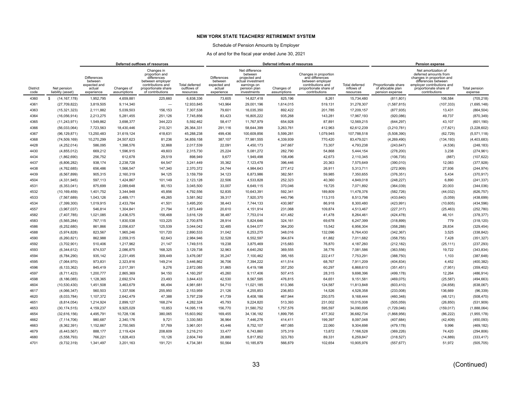### Schedule of Pension Amounts by Employer

|                         |                                  | Deferred outflows of resources                                        |                           |                                                                                                                                 |                                                   |                                                                       |                                                                                                               | Deferred inflows of resources |                                                                                                                              |                                                  |                                                             | <b>Pension expense</b>                                                                                                                                                    |                          |
|-------------------------|----------------------------------|-----------------------------------------------------------------------|---------------------------|---------------------------------------------------------------------------------------------------------------------------------|---------------------------------------------------|-----------------------------------------------------------------------|---------------------------------------------------------------------------------------------------------------|-------------------------------|------------------------------------------------------------------------------------------------------------------------------|--------------------------------------------------|-------------------------------------------------------------|---------------------------------------------------------------------------------------------------------------------------------------------------------------------------|--------------------------|
| <b>District</b><br>code | Net pension<br>liability (asset) | <b>Differences</b><br>between<br>expected and<br>actual<br>experience | Changes of<br>assumptions | Changes in<br>proportion and<br>differences<br>between employer<br>contributions and<br>proportionate share<br>of contributions | <b>Total deferred</b><br>outflows of<br>resources | <b>Differences</b><br>between<br>expected and<br>actual<br>experience | Net difference<br>between<br>projected and<br>actual investment<br>earnings on<br>pension plan<br>investments | Changes of<br>assumptions     | Changes in proportion<br>and differences<br>between employer<br>contributions and<br>proportionate share of<br>contributions | <b>Total deferred</b><br>inflows of<br>resources | Proportionate share<br>of allocable plan<br>pension expense | Net amortization of<br>deferred amounts from<br>changes in proportion and<br>differences between<br>employer contributions and<br>proportionate share of<br>contributions | Total pension<br>expense |
| 4360                    | (14, 167, 178)<br>s              | 1,952,795                                                             | 4.659.881                 | 225,660                                                                                                                         | 6,838,336                                         | 73,605                                                                | 14,827,418                                                                                                    | 825,196                       | 8,261                                                                                                                        | 15,734,480                                       | (811, 801)                                                  | 106,584                                                                                                                                                                   | (705, 218)               |
| 4361                    | (27, 709, 822)                   | 3,819,505                                                             | 9,114,340                 | $\overline{\phantom{0}}$                                                                                                        | 12,933,845                                        | 143,964                                                               | 29,001,196                                                                                                    | 1,614,015                     | 519,131                                                                                                                      | 31,278,307                                       | (1,587,815)                                                 | (107, 333)                                                                                                                                                                | (1,695,148)              |
| 4363                    | (15, 321, 323)                   | 2.111.882                                                             | 5.039.503                 | 156.153                                                                                                                         | 7.307.538                                         | 79.601                                                                | 16,035,350                                                                                                    | 892.422                       | 201.785                                                                                                                      | 17.209.157                                       | (877, 935)                                                  | 13,431                                                                                                                                                                    | (864, 504)               |
| 4364                    | (16,056,914)                     | 2,213,275                                                             | 5,281,455                 | 251,126                                                                                                                         | 7,745,856                                         | 83,423                                                                | 16,805,222                                                                                                    | 935,268                       | 143,281                                                                                                                      | 17,967,193                                       | (920, 086)                                                  | 49,737                                                                                                                                                                    | (870, 349)               |
| 4365                    | (11, 243, 971)                   | 1.549.862                                                             | 3.698.377                 | 344.223                                                                                                                         | 5.592.462                                         | 58.417                                                                | 11.767.979                                                                                                    | 654.928                       | 87.891                                                                                                                       | 12.569.215                                       | (644, 297)                                                  | 43.107                                                                                                                                                                    | (601, 190)               |
| 4366                    | (56,033,064)                     | 7,723,563                                                             | 18,430,446                | 210,321                                                                                                                         | 26,364,331                                        | 291,116                                                               | 58,644,399                                                                                                    | 3,263,761                     | 412,963                                                                                                                      | 62,612,239                                       | (3,210,781)                                                 | (17, 821)                                                                                                                                                                 | (3,228,602)              |
| 4367                    | (96, 129, 871)                   | 13,250,483                                                            | 31,619,124                | 418,631                                                                                                                         | 45,288,238                                        | 499,436                                                               | 100,609,856                                                                                                   | 5,599,281                     | 1,079,945                                                                                                                    | 107,788,518                                      | (5,508,390)                                                 | (62, 729)                                                                                                                                                                 | (5,571,118)              |
| 4368                    | (74, 509, 169)                   | 10,270,299                                                            | 24,507,623                | 81,236                                                                                                                          | 34,859,158                                        | 387,107                                                               | 77,981,555                                                                                                    | 4,339,939                     | 770,420                                                                                                                      | 83,479,021                                       | (4,269,490)                                                 | (134, 193)                                                                                                                                                                | (4, 403, 683)            |
| 4428                    | (4,252,014)                      | 586,095                                                               | 1,398,576                 | 32,868                                                                                                                          | 2,017,539                                         | 22,091                                                                | 4,450,173                                                                                                     | 247,667                       | 73,307                                                                                                                       | 4,793,238                                        | (243, 647)                                                  | (4,536)                                                                                                                                                                   | (248, 183)               |
| 4430                    | (4,855,012)                      | 669,212                                                               | 1,596,915                 | 49,603                                                                                                                          | 2,315,730                                         | 25,224                                                                | 5,081,272                                                                                                     | 282,790                       | 54,868                                                                                                                       | 5,444,154                                        | (278, 200)                                                  | 3,238                                                                                                                                                                     | (274, 961)               |
| 4434                    | (1,862,690)                      | 256,752                                                               | 612,678                   | 29,519                                                                                                                          | 898,949                                           | 9,677                                                                 | 1,949,498                                                                                                     | 108,496                       | 42,673                                                                                                                       | 2,110,345                                        | (106, 735)                                                  | (887)                                                                                                                                                                     | (107, 622)               |
| 4437                    | (6,806,282)                      | 938.174                                                               | 2.238.728                 | 64.547                                                                                                                          | 3.241.449                                         | 35,362                                                                | 7,123,478                                                                                                     | 396,446                       | 20,363                                                                                                                       | 7,575,649                                        | (390, 010)                                                  | 12,083                                                                                                                                                                    | (377, 928)               |
| 4438                    | (4,762,685)                      | 656,486                                                               | 1,566,547                 | 147,340                                                                                                                         | 2,370,372                                         | 24,744                                                                | 4,984,643                                                                                                     | 277,412                       | 26,911                                                                                                                       | 5,313,711                                        | (272,909)                                                   | 27,936                                                                                                                                                                    | (244, 974)               |
| 4439                    | (6, 567, 899)                    | 905,315                                                               | 2,160,319                 | 94,125                                                                                                                          | 3,159,759                                         | 34,123                                                                | 6,873,986                                                                                                     | 382,561                       | 59,985                                                                                                                       | 7,350,655                                        | (376, 351)                                                  | 5,434                                                                                                                                                                     | (370, 917)               |
| 4504                    | (4, 331, 945)                    | 597,113                                                               | 1,424,867                 | 101,149                                                                                                                         | 2,123,128                                         | 22,506                                                                | 4,533,828                                                                                                     | 252,323                       | 40,360                                                                                                                       | 4,849,018                                        | (248, 227)                                                  | 6,890                                                                                                                                                                     | (241, 337)               |
| 4531                    | (6,353,041)                      | 875,699                                                               | 2,089,648                 | 80,153                                                                                                                          | 3,045,500                                         | 33,007                                                                | 6,649,115                                                                                                     | 370,046                       | 19,725                                                                                                                       | 7,071,892                                        | (364, 039)                                                  | 20,003                                                                                                                                                                    | (344, 036)               |
| 4532                    | (10, 169, 459)                   | 1,401,752                                                             | 3,344,948                 | 45,856                                                                                                                          | 4,792,556                                         | 52,835                                                                | 10,643,391                                                                                                    | 592,341                       | 189,809                                                                                                                      | 11,478,376                                       | (582, 726)                                                  | (44, 032)                                                                                                                                                                 | (626, 757)               |
| 4533                    | (7, 567, 689)                    | 1,043,126                                                             | 2,489,171                 | 49,265                                                                                                                          | 3,581,562                                         | 39,317                                                                | 7,920,370                                                                                                     | 440,796                       | 113,315                                                                                                                      | 8,513,798                                        | (433, 640)                                                  | (5,059)                                                                                                                                                                   | (438, 699)               |
| 4534                    | (7, 399, 300)                    | 1,019,915                                                             | 2,433,784                 | 41,501                                                                                                                          | 3,495,200                                         | 38,443                                                                | 7,744,133                                                                                                     | 430,987                       | 86,918                                                                                                                       | 8,300,480                                        | (423, 991)                                                  | (10, 605)                                                                                                                                                                 | (434, 596)               |
| 4557                    | (3,967,037)                      | 546.814                                                               | 1,304,841                 | 21.794                                                                                                                          | 1.873.449                                         | 20,610                                                                | 4,151,914                                                                                                     | 231,068                       | 109.874                                                                                                                      | 4,513,467                                        | (227, 317)                                                  | (25, 463)                                                                                                                                                                 | (252, 780)               |
| 4582                    | (7, 407, 785)                    | 1,021,085                                                             | 2,436,575                 | 158,468                                                                                                                         | 3,616,129                                         | 38,487                                                                | 7,753,014                                                                                                     | 431,482                       | 41,478                                                                                                                       | 8,264,461                                        | (424, 478)                                                  | 46,101                                                                                                                                                                    | (378, 377)               |
| 4583                    | (5,565,284)                      | 767.115                                                               | 1.830.538                 | 103,225                                                                                                                         | 2.700.878                                         | 28,914                                                                | 5.824.646                                                                                                     | 324,161                       | 69,678                                                                                                                       | 6,247,399                                        | (318, 899)                                                  | 779                                                                                                                                                                       | (318, 120)               |
| 4586                    | (6,252,680)                      | 861,866                                                               | 2,056,637                 | 125,539                                                                                                                         | 3,044,042                                         | 32,485                                                                | 6,544,077                                                                                                     | 364,200                       | 15,542                                                                                                                       | 6,956,304                                        | (358, 288)                                                  | 28,834                                                                                                                                                                    | (329, 454)               |
| 4588                    | (5,974,828)                      | 823,567                                                               | 1,965,246                 | 101,720                                                                                                                         | 2,890,533                                         | 31,042                                                                | 6,253,275                                                                                                     | 348,016                       | 132,096                                                                                                                      | 6,764,430                                        | (342, 367)                                                  | 3,525                                                                                                                                                                     | (338, 842)               |
| 4590                    | (6,260,821)                      | 862,988                                                               | 2,059,315                 | 62,643                                                                                                                          | 2,984,946                                         | 32,528                                                                | 6,552,597                                                                                                     | 364,674                       | 61,882                                                                                                                       | 7,011,682                                        | (358, 755)                                                  | 7,428                                                                                                                                                                     | (351, 327)               |
| 4592                    | (3,702,901)                      | 510,406                                                               | 1,217,962                 | 21,147                                                                                                                          | 1,749,515                                         | 19,238                                                                | 3,875,469                                                                                                     | 215,683                       | 76,870                                                                                                                       | 4,187,260                                        | (212, 182)                                                  | (25, 111)                                                                                                                                                                 | (237, 293)               |
| 4593                    | (6,344,612)                      | 874,537                                                               | 2,086,875                 | 168,325                                                                                                                         | 3,129,738                                         | 32,963                                                                | 6,640,292                                                                                                     | 369,555                       | 38,776                                                                                                                       | 7,081,586                                        | (363, 556)                                                  | 19,722                                                                                                                                                                    | (343, 834)               |
| 4594                    | (6,784,290)                      | 935,142                                                               | 2,231,495                 | 309,449                                                                                                                         | 3,476,087                                         | 35,247                                                                | 7,100,462                                                                                                     | 395,165                       | 222,417                                                                                                                      | 7,753,291                                        | (388, 750)                                                  | 1,103                                                                                                                                                                     | (387, 648)               |
| 4595                    | (7,064,970)                      | 973.831                                                               | 2.323.816                 | 149,214                                                                                                                         | 3.446.862                                         | 36,706                                                                | 7.394.222                                                                                                     | 411,514                       | 68.767                                                                                                                       | 7,911,209                                        | (404, 834)                                                  | 4,452                                                                                                                                                                     | (400, 382)               |
| 4596                    | (6, 133, 362)                    | 845,419                                                               | 2,017,391                 | 9,276                                                                                                                           | 2,872,085                                         | 31,865                                                                | 6,419,198                                                                                                     | 357,250                       | 60,297                                                                                                                       | 6,868,610                                        | (351, 451)                                                  | (7, 951)                                                                                                                                                                  | (359, 402)               |
| 4597                    | (8,711,423)                      | 1,200,777                                                             | 2,865,369                 | 94,150                                                                                                                          | 4,160,297                                         | 45,260                                                                | 9.117.406                                                                                                     | 507,415                       | 28,315                                                                                                                       | 9,698,396                                        | (499, 178)                                                  | 12,264                                                                                                                                                                    | (486, 914)               |
| 4598                    | (8, 186, 085)                    | 1,128,365                                                             | 2,692,574                 | 23,493                                                                                                                          | 3,844,433                                         | 42,530                                                                | 8,567,585                                                                                                     | 476,815                       | 64,651                                                                                                                       | 9,151,581                                        | (469, 075)                                                  | (25, 587)                                                                                                                                                                 | (494, 663)               |
| 4604                    | (10, 530, 430)                   | 1,451,508                                                             | 3,463,679                 | 66,494                                                                                                                          | 4,981,681                                         | 54,710                                                                | 11,021,185                                                                                                    | 613,366                       | 124,587                                                                                                                      | 11,813,848                                       | (603, 410)                                                  | (34, 658)                                                                                                                                                                 | (638,067)                |
| 4617                    | (4,066,347)                      | 560,503                                                               | 1,337,506                 | 255,950                                                                                                                         | 2,153,959                                         | 21,126                                                                | 4,255,853                                                                                                     | 236,853                       | 14,526                                                                                                                       | 4,528,358                                        | (233,008)                                                   | 136,669                                                                                                                                                                   | (96, 339)                |
| 4620                    | (8,033,784)                      | 1,107,372                                                             | 2,642,479                 | 47,388                                                                                                                          | 3,797,239                                         | 41,739                                                                | 8,408,186                                                                                                     | 467,944                       | 250,575                                                                                                                      | 9,168,444                                        | (460, 348)                                                  | (48, 121)                                                                                                                                                                 | (508, 470)               |
| 4651                    | (8,814,054)                      | 1,214,924                                                             | 2,899,127                 | 168,274                                                                                                                         | 4,282,324                                         | 45,793                                                                | 9,224,820                                                                                                     | 513,393                       | 231,002                                                                                                                      | 10,015,008                                       | (505,059)                                                   | (26, 850)                                                                                                                                                                 | (531, 909)               |
| 4653                    | (30, 174, 515)                   | 4.159.237                                                             | 9.925.029                 | 10.853                                                                                                                          | 14.095.118                                        | 156,770                                                               | 31,580,752                                                                                                    | 1,757,576                     | 595,597                                                                                                                      | 34,090,695                                       | (1,729,046)                                                 | (159, 017)                                                                                                                                                                | (1,888,064)              |
| 4654                    | (32,616,156)                     | 4,495,791                                                             | 10,728,136                | 380,065                                                                                                                         | 15,603,992                                        | 169,455                                                               | 34, 136, 182                                                                                                  | 1,899,795                     | 477,302                                                                                                                      | 36,682,734                                       | (1,868,956)                                                 | (86, 222)                                                                                                                                                                 | (1,955,178)              |
| 4662                    | (7, 114, 706)                    | 980,687                                                               | 2,340,176                 | 9,721                                                                                                                           | 3,330,583                                         | 36,964                                                                | 7,446,276                                                                                                     | 414,411                       | 199,397                                                                                                                      | 8,097,048                                        | (407, 684)                                                  | (42, 409)                                                                                                                                                                 | (450, 093)               |
| 4663                    | (8,362,391)                      | 1,152,667                                                             | 2,750,565                 | 57,769                                                                                                                          | 3,961,001                                         | 43,446                                                                | 8,752,107                                                                                                     | 487,085                       | 22,060                                                                                                                       | 9,304,698                                        | (479, 178)                                                  | 9,996                                                                                                                                                                     | (469, 182)               |
| 4679                    | (6,443,567)                      | 888,177                                                               | 2,119,424                 | 208,609                                                                                                                         | 3,216,210                                         | 33,477                                                                | 6,743,860                                                                                                     | 375,319                       | 13,872                                                                                                                       | 7,166,528                                        | (369, 226)                                                  | 74,420                                                                                                                                                                    | (294, 806)               |
| 4680                    | (5,558,793)                      | 766,221                                                               | 1,828,403                 | 10,126                                                                                                                          | 2,604,749                                         | 28,880                                                                | 5,817,852                                                                                                     | 323,783                       | 89,331                                                                                                                       | 6,259,847                                        | (318, 527)                                                  | (14, 889)                                                                                                                                                                 | (333, 417)               |
| 4701                    | (9,732,319)                      | 1,341,497                                                             | 3,201,163                 | 191,721                                                                                                                         | 4,734,381                                         | 50,564                                                                | 10,185,879                                                                                                    | 566,879                       | 102,654                                                                                                                      | 10,905,976                                       | (557, 677)                                                  | 51,972                                                                                                                                                                    | (505, 705)               |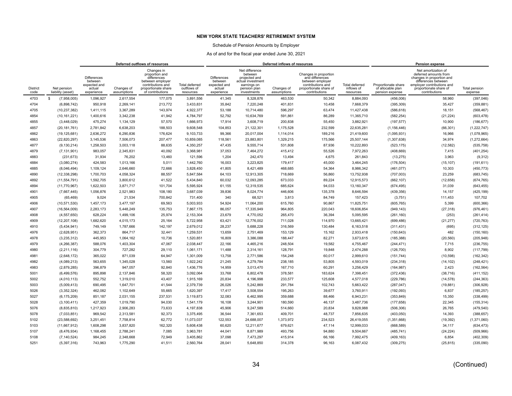### Schedule of Pension Amounts by Employer

|                         |                                  | Deferred outflows of resources<br>Changes in                          |                           |                                                                                                                   |                                            |                                                                       |                                                                                                               | Deferred inflows of resources |                                                                                                                              |                                                  |                                                             | <b>Pension expense</b>                                                                                                                                                    |                          |
|-------------------------|----------------------------------|-----------------------------------------------------------------------|---------------------------|-------------------------------------------------------------------------------------------------------------------|--------------------------------------------|-----------------------------------------------------------------------|---------------------------------------------------------------------------------------------------------------|-------------------------------|------------------------------------------------------------------------------------------------------------------------------|--------------------------------------------------|-------------------------------------------------------------|---------------------------------------------------------------------------------------------------------------------------------------------------------------------------|--------------------------|
| <b>District</b><br>code | Net pension<br>liability (asset) | <b>Differences</b><br>between<br>expected and<br>actual<br>experience | Changes of<br>assumptions | proportion and<br>differences<br>between employer<br>contributions and<br>proportionate share<br>of contributions | Total deferred<br>outflows of<br>resources | <b>Differences</b><br>between<br>expected and<br>actual<br>experience | Net difference<br>between<br>projected and<br>actual investment<br>earnings on<br>pension plan<br>investments | Changes of<br>assumptions     | Changes in proportion<br>and differences<br>between employer<br>contributions and<br>proportionate share of<br>contributions | <b>Total deferred</b><br>inflows of<br>resources | Proportionate share<br>of allocable plan<br>pension expense | Net amortization of<br>deferred amounts from<br>changes in proportion and<br>differences between<br>employer contributions and<br>proportionate share of<br>contributions | Total pension<br>expense |
| 4703                    | (7,958,005)<br>s                 | 1,096,927                                                             | 2.617.554                 | 177,075                                                                                                           | 3.891.556                                  | 41,345                                                                | 8,328,876                                                                                                     | 463.530                       | 50,342                                                                                                                       | 8,884,093                                        | (456,006)                                                   | 58,960                                                                                                                                                                    | (397,046)                |
| 4704                    | (6,898,742)                      | 950,918                                                               | 2,269,141                 | 213,772                                                                                                           | 3,433,831                                  | 35,842                                                                | 7,220,248                                                                                                     | 401,831                       | 10,458                                                                                                                       | 7,668,379                                        | (395, 309)                                                  | 35,427                                                                                                                                                                    | (359, 881)               |
| 4705                    | (10, 237, 382)                   | 1,411,115                                                             | 3,367,289                 | 143,974                                                                                                           | 4,922,377                                  | 53,188                                                                | 10,714,480                                                                                                    | 596,297                       | 63,474                                                                                                                       | 11,427,438                                       | (586, 618)                                                  | 18,151                                                                                                                                                                    | (568, 467)               |
| 4854                    | (10, 161, 221)                   | 1,400,616                                                             | 3,342,238                 | 41.942                                                                                                            | 4,784,797                                  | 52,792                                                                | 10,634,769                                                                                                    | 591.861                       | 86.289                                                                                                                       | 11,365,710                                       | (582, 254)                                                  | (21, 224)                                                                                                                                                                 | (603, 478)               |
| 4855                    | (3,448,029)                      | 475,274                                                               | 1,134,129                 | 57,570                                                                                                            | 1,666,973                                  | 17,914                                                                | 3,608,719                                                                                                     | 200,838                       | 55,450                                                                                                                       | 3,882,921                                        | (197, 577)                                                  | 10,900                                                                                                                                                                    | (186, 677)               |
| 4857                    | (20, 181, 761)                   | 2,781,842                                                             | 6,638,203                 | 188,503                                                                                                           | 9,608,548                                  | 104,853                                                               | 21,122,301                                                                                                    | 1,175,528                     | 232,599                                                                                                                      | 22,635,281                                       | (1, 156, 446)                                               | (66, 301)                                                                                                                                                                 | (1,222,747)              |
| 4862                    | (19, 125, 681)                   | 2,636,272                                                             | 6,290,836                 | 176,624                                                                                                           | 9,103,733                                  | 99,366                                                                | 20,017,004                                                                                                    | 1,114,014                     | 189,216                                                                                                                      | 21,419,600                                       | (1,095,931)                                                 | 16,966                                                                                                                                                                    | (1,078,965)              |
| 4863                    | (22,820,297)                     | 3,145,536                                                             | 7,506,073                 | 207,477                                                                                                           | 10,859,085                                 | 118,561                                                               | 23,883,801                                                                                                    | 1,329,215                     | 175,566                                                                                                                      | 25,507,144                                       | (1,307,638)                                                 | 34,974                                                                                                                                                                    | (1,272,664)              |
| 4877                    | (9, 130, 214)                    | 1,258,503                                                             | 3,003,118                 | 88,635                                                                                                            | 4,350,257                                  | 47,435                                                                | 9,555,714                                                                                                     | 531,808                       | 87,936                                                                                                                       | 10,222,893                                       | (523, 175)                                                  | (12, 582)                                                                                                                                                                 | (535, 758)               |
| 4879                    | (7, 131, 901)                    | 983.057                                                               | 2.345.831                 | 40,092                                                                                                            | 3.368.981                                  | 37,053                                                                | 7,464,272                                                                                                     | 415,412                       | 55,526                                                                                                                       | 7,972,263                                        | (408, 669)                                                  | 7,415                                                                                                                                                                     | (401, 254)               |
| 4883                    | (231, 673)                       | 31,934                                                                | 76,202                    | 13,460                                                                                                            | 121,596                                    | 1,204                                                                 | 242,470                                                                                                       | 13,494                        | 4,675                                                                                                                        | 261,843                                          | (13, 275)                                                   | 3,963                                                                                                                                                                     | (9,312)                  |
| 4884                    | (3,080,274)                      | 424,583                                                               | 1,013,166                 | 5,011                                                                                                             | 1,442,760                                  | 16,003                                                                | 3,223,825                                                                                                     | 179,417                       | 45,000                                                                                                                       | 3,464,245                                        | (176, 504)                                                  | (15, 107)                                                                                                                                                                 | (191, 611)               |
| 4885                    | (8,046,494)                      | 1,109,124                                                             | 2,646,660                 | 72,666                                                                                                            | 3,828,450                                  | 41,805                                                                | 8,421,489                                                                                                     | 468,685                       | 54,364                                                                                                                       | 8,986,342                                        | (461, 077)                                                  | 10,303                                                                                                                                                                    | (450, 773)               |
| 4890                    | (12, 338, 298)                   | 1,700,703                                                             | 4,058,324                 | 88,557                                                                                                            | 5,847,584                                  | 64,103                                                                | 12,913,305                                                                                                    | 718,669                       | 56,860                                                                                                                       | 13,752,938                                       | (707,003)                                                   | 23,259                                                                                                                                                                    | (683, 745)               |
| 4892                    | (11, 554, 791)                   | 1,592,705                                                             | 3,800,612                 | 41,522                                                                                                            | 5,434,840                                  | 60,032                                                                | 12,093,285                                                                                                    | 673,033                       | 89,224                                                                                                                       | 12,915,573                                       | (662, 107)                                                  | (12, 658)                                                                                                                                                                 | (674, 765)               |
| 4894                    | (11,770,967)                     | 1,622,503                                                             | 3,871,717                 | 101,704                                                                                                           | 5,595,924                                  | 61,155                                                                | 12,319,535                                                                                                    | 685,624                       | 94,033                                                                                                                       | 13,160,347                                       | (674, 495)                                                  | 31,039                                                                                                                                                                    | (643, 455)               |
| 4901                    | (7,667,445)                      | 1,056,876                                                             | 2,521,983                 | 108,180                                                                                                           | 3,687,039                                  | 39,836                                                                | 8,024,774                                                                                                     | 446,606                       | 135,378                                                                                                                      | 8,646,594                                        | (439, 356)                                                  | 14,157                                                                                                                                                                    | (425, 199)               |
| 4905                    | (65, 469)                        | 9,024                                                                 | 21,534                    | 700,842                                                                                                           | 731,400                                    | 340                                                                   | 68,521                                                                                                        | 3,813                         | 84,749                                                                                                                       | 157,423                                          | (3,751)                                                     | 111,453                                                                                                                                                                   | 107,702                  |
| 4906                    | (10, 571, 530)                   | 1,457,173                                                             | 3,477,197                 | 69,563                                                                                                            | 5.003.933                                  | 54,924                                                                | 11,064,200                                                                                                    | 615,760                       | 90.867                                                                                                                       | 11,825,751                                       | (605, 765)                                                  | 5,399                                                                                                                                                                     | (600, 366)               |
| 4907                    | (16, 564, 009)                   | 2,283,173                                                             | 5,448,249                 | 135,753                                                                                                           | 7,867,175                                  | 86,057                                                                | 17,335,949                                                                                                    | 964,805                       | 220,043                                                                                                                      | 18,606,854                                       | (949, 143)                                                  | (27, 318)                                                                                                                                                                 | (976, 461)               |
| 4908                    | (4,557,650)                      | 628,224                                                               | 1,499,106                 | 25,974                                                                                                            | 2,153,304                                  | 23,679                                                                | 4,770,052                                                                                                     | 265,470                       | 36,394                                                                                                                       | 5,095,595                                        | (261, 160)                                                  | (253)                                                                                                                                                                     | (261, 414)               |
| 4909                    | (12, 207, 108)                   | 1.682.620                                                             | 4,015,173                 | 25,164                                                                                                            | 5.722.958                                  | 63,421                                                                | 12,776,002                                                                                                    | 711,028                       | 114.970                                                                                                                      | 13,665,421                                       | (699, 486)                                                  | (21, 277)                                                                                                                                                                 | (720, 763)               |
| 4910                    | (5,434,941)                      | 749,149                                                               | 1,787,666                 | 142,197                                                                                                           | 2,679,012                                  | 28,237                                                                | 5,688,228                                                                                                     | 316,569                       | 130,484                                                                                                                      | 6,163,518                                        | (311, 431)                                                  | (695)                                                                                                                                                                     | (312, 125)               |
| 4976                    | (2,628,951)                      | 362,373                                                               | 864,717                   | 32,441                                                                                                            | 1,259,531                                  | 13,659                                                                | 2,751,469                                                                                                     | 153,129                       | 15,162                                                                                                                       | 2,933,418                                        | (150, 643)                                                  | 482                                                                                                                                                                       | (150, 160)               |
| 4978                    | (3,235,312)                      | 445,953                                                               | 1,064,162                 | 10,736                                                                                                            | 1,520,851                                  | 16,809                                                                | 3,386,088                                                                                                     | 188,447                       | 82,271                                                                                                                       | 3,673,615                                        | (185, 388)                                                  | (20, 560)                                                                                                                                                                 | (205, 948)               |
| 4979                    | (4, 266, 387)                    | 588,076                                                               | 1,403,304                 | 47,067                                                                                                            | 2,038,447                                  | 22,166                                                                | 4,465,216                                                                                                     | 248,504                       | 19,582                                                                                                                       | 4,755,467                                        | (244, 471)                                                  | 7,715                                                                                                                                                                     | (236, 755)               |
| 4980                    | (2,211,116)                      | 304,779                                                               | 727,282                   | 29,110                                                                                                            | 1,061,171                                  | 11,488                                                                | 2,314,161                                                                                                     | 128,791                       | 19,848                                                                                                                       | 2,474,288                                        | (126, 700)                                                  | 8,902                                                                                                                                                                     | (117, 799)               |
| 4981                    | (2,648,172)                      | 365,022                                                               | 871,039                   | 64,947                                                                                                            | 1.301.009                                  | 13,758                                                                | 2,771,586                                                                                                     | 154,248                       | 60,017                                                                                                                       | 2,999,610                                        | (151, 744)                                                  | (10, 598)                                                                                                                                                                 | (162, 342)               |
| 4982                    | (4,089,213)                      | 563,655                                                               | 1,345,028                 | 13,560                                                                                                            | 1,922,242                                  | 21,245                                                                | 4,279,784                                                                                                     | 238,185                       | 53,805                                                                                                                       | 4,593,019                                        | (234, 318)                                                  | (14, 102)                                                                                                                                                                 | (248, 421)               |
| 4983                    | (2,879,285)                      | 396.879                                                               | 947.057                   | 92.840                                                                                                            | 1.436.776                                  | 14,959                                                                | 3,013,470                                                                                                     | 167.710                       | 60.291                                                                                                                       | 3,256,429                                        | (164, 987)                                                  | 2,423                                                                                                                                                                     | (162, 564)               |
| 5001                    | (6,499,576)                      | 895.898                                                               | 2.137.846                 | 58,320                                                                                                            | 3.092.064                                  | 33,768                                                                | 6,802,478                                                                                                     | 378,581                       | 183,624                                                                                                                      | 7,398,451                                        | (372, 436)                                                  | (38, 716)                                                                                                                                                                 | (411, 152)               |
| 5002                    | (4,010,113)                      | 552,752                                                               | 1,319,010                 | 43,407                                                                                                            | 1,915,169                                  | 20,834                                                                | 4,196,998                                                                                                     | 233,577                       | 125,608                                                                                                                      | 4,577,018                                        | (229, 786)                                                  | (14, 578)                                                                                                                                                                 | (244, 363)               |
| 5003                    | (5,009,413)                      | 690,495                                                               | 1,647,701                 | 41,544                                                                                                            | 2,379,739                                  | 26,026                                                                | 5,242,869                                                                                                     | 291,784                       | 102,743                                                                                                                      | 5,663,422                                        | (287, 047)                                                  | (19, 881)                                                                                                                                                                 | (306, 928)               |
| 5026                    | (3,352,324)                      | 462,082                                                               | 1,102,649                 | 55,665                                                                                                            | 1,620,397                                  | 17,417                                                                | 3,508,554                                                                                                     | 195,263                       | 39,677                                                                                                                       | 3,760,911                                        | (192, 093)                                                  | 6,837                                                                                                                                                                     | (185, 257)               |
| 5027                    | (6, 175, 209)                    | 851,187                                                               | 2,031,155                 | 237,531                                                                                                           | 3.119.873                                  | 32,083                                                                | 6,462,995                                                                                                     | 359,688                       | 88,466                                                                                                                       | 6,943,231                                        | (353, 849)                                                  | 15,350                                                                                                                                                                    | (338, 499)               |
| 5028                    | (3, 100, 411)                    | 427,359                                                               | 1,019,790                 | 94,030                                                                                                            | 1,541,179                                  | 16,108                                                                | 3,244,901                                                                                                     | 180,590                       | 46,137                                                                                                                       | 3,487,736                                        | (177, 658)                                                  | 22,345                                                                                                                                                                    | (155, 314)               |
| 5076                    | (8,835,810)                      | 1,217,923                                                             | 2,906,283                 | 73,633                                                                                                            | 4,197,838                                  | 45,906                                                                | 9,247,589                                                                                                     | 514,660                       | 20,834                                                                                                                       | 9,828,988                                        | (506, 306)                                                  | 26,765                                                                                                                                                                    | (479, 540)               |
| 5078                    | (7,033,851)                      | 969,542                                                               | 2,313,581                 | 92,373                                                                                                            | 3,375,495                                  | 36,544                                                                | 7,361,653                                                                                                     | 409,701                       | 48,737                                                                                                                       | 7,856,635                                        | (403, 050)                                                  | 14,393                                                                                                                                                                    | (388, 657)               |
| 5102                    | (23,588,692)                     | 3.251.451                                                             | 7,758,814                 | 62,772                                                                                                            | 11.073.037                                 | 122,553                                                               | 24.688.007                                                                                                    | 1,373,972                     | 234.523                                                                                                                      | 26,419,055                                       | (1,351,668)                                                 | (19, 392)                                                                                                                                                                 | (1,371,060)              |
| 5103                    | (11,667,912)                     | 1,608,298                                                             | 3,837,820                 | 162,320                                                                                                           | 5,608,438                                  | 60,620                                                                | 12,211,677                                                                                                    | 679,621                       | 47,114                                                                                                                       | 12,999,033                                       | (668, 589)                                                  | 34,117                                                                                                                                                                    | (634, 473)               |
| 5107                    | (8,476,934)                      | 1,168,455                                                             | 2,788,241                 | 7,085                                                                                                             | 3,963,781                                  | 44,041                                                                | 8,871,989                                                                                                     | 493,756                       | 94,880                                                                                                                       | 9,504,667                                        | (485, 741)                                                  | (24, 224)                                                                                                                                                                 | (509, 966)               |
| 5108                    | (7, 140, 524)                    | 984,245                                                               | 2,348,668                 | 72,949                                                                                                            | 3,405,862                                  | 37,098                                                                | 7,473,297                                                                                                     | 415,914                       | 66,166                                                                                                                       | 7,992,475                                        | (409, 163)                                                  | 6,854                                                                                                                                                                     | (402, 309)               |
| 5251                    | (5, 397, 316)                    | 743,963                                                               | 1,775,290                 | 41,511                                                                                                            | 2,560,764                                  | 28,041                                                                | 5,648,850                                                                                                     | 314,378                       | 96,163                                                                                                                       | 6,087,432                                        | (309, 275)                                                  | (25, 815)                                                                                                                                                                 | (335,090)                |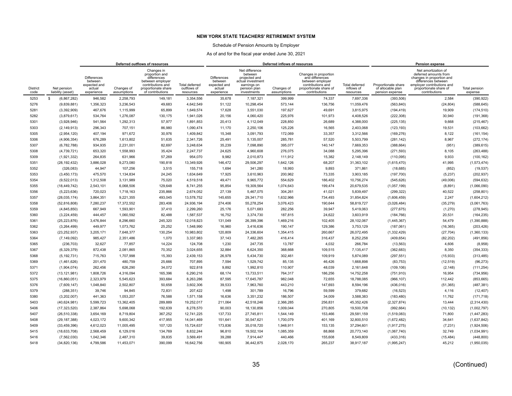### Schedule of Pension Amounts by Employer

|                         |                                  |                                                                       |                           | Deferred outflows of resources                                                                                                  |                                                   |                                                                       |                                                                                                               | Deferred inflows of resources |                                                                                                                              |                                           |                                                             | Pension expense                                                                                                                                                           |                          |
|-------------------------|----------------------------------|-----------------------------------------------------------------------|---------------------------|---------------------------------------------------------------------------------------------------------------------------------|---------------------------------------------------|-----------------------------------------------------------------------|---------------------------------------------------------------------------------------------------------------|-------------------------------|------------------------------------------------------------------------------------------------------------------------------|-------------------------------------------|-------------------------------------------------------------|---------------------------------------------------------------------------------------------------------------------------------------------------------------------------|--------------------------|
| <b>District</b><br>code | Net pension<br>liability (asset) | <b>Differences</b><br>between<br>expected and<br>actual<br>experience | Changes of<br>assumptions | Changes in<br>proportion and<br>differences<br>between employer<br>contributions and<br>proportionate share<br>of contributions | <b>Total deferred</b><br>outflows of<br>resources | <b>Differences</b><br>between<br>expected and<br>actual<br>experience | Net difference<br>between<br>projected and<br>actual investment<br>earnings on<br>pension plan<br>investments | Changes of<br>assumptions     | Changes in proportion<br>and differences<br>between employer<br>contributions and<br>proportionate share of<br>contributions | Total deferred<br>inflows of<br>resources | Proportionate share<br>of allocable plan<br>pension expense | Net amortization of<br>deferred amounts from<br>changes in proportion and<br>differences between<br>employer contributions and<br>proportionate share of<br>contributions | Total pension<br>expense |
| 5253                    | (6,867,282)<br>s.                | 946,582                                                               | 2.258.793                 | 149,181                                                                                                                         | 3,354,556                                         | 35,678                                                                | 7,187,321                                                                                                     | 399,999                       | 74,337                                                                                                                       | 7,697,336                                 | (393, 506)                                                  | 2,584                                                                                                                                                                     | (390, 922)               |
| 5276                    | (9,839,881)                      | 1,356,323                                                             | 3,236,543                 | 49,683                                                                                                                          | 4,642,549                                         | 51,122                                                                | 10,298,454                                                                                                    | 573,144                       | 136,756                                                                                                                      | 11,059,476                                | (563, 840)                                                  | (24, 804)                                                                                                                                                                 | (588, 645)               |
| 5281                    | (3,392,909)                      | 467.676                                                               | 1.115.999                 | 65.899                                                                                                                          | 1.649.574                                         | 17.628                                                                | 3,551,030                                                                                                     | 197.627                       | 49.691                                                                                                                       | 3.815.975                                 | (194, 419)                                                  | 19.909                                                                                                                                                                    | (174, 510)               |
| 5282                    | (3,879,617)                      | 534,764                                                               | 1,276,087                 | 130,175                                                                                                                         | 1.941.026                                         | 20,156                                                                | 4,060,420                                                                                                     | 225,976                       | 101,973                                                                                                                      | 4,408,526                                 | (222, 308)                                                  | 30,940                                                                                                                                                                    | (191, 368)               |
| 5301                    | (3,928,946)                      | 541.564                                                               | 1.292.313                 | 57.977                                                                                                                          | 1.891.853                                         | 20.413                                                                | 4.112.049                                                                                                     | 228,850                       | 26.689                                                                                                                       | 4.388.000                                 | (225, 135)                                                  | 9,668                                                                                                                                                                     | (215, 467)               |
| 5303                    | (2, 149, 913)                    | 296,343                                                               | 707,151                   | 86,980                                                                                                                          | 1,090,474                                         | 11,170                                                                | 2,250,106                                                                                                     | 125,226                       | 16,565                                                                                                                       | 2,403,068                                 | (123, 193)                                                  | 19,531                                                                                                                                                                    | (103, 662)               |
| 5305                    | (2,954,120)                      | 407,194                                                               | 971,672                   | 30,976                                                                                                                          | 1,409,842                                         | 15,348                                                                | 3,091,793                                                                                                     | 172,069                       | 33,357                                                                                                                       | 3,312,566                                 | (169, 276)                                                  | 8,122                                                                                                                                                                     | (161, 154)               |
| 5306                    | (4,906,354)                      | 676,289                                                               | 1,613,802                 | 51,635                                                                                                                          | 2,341,726                                         | 25,491                                                                | 5,135,007                                                                                                     | 285,781                       | 57,520                                                                                                                       | 5,503,799                                 | (281, 142)                                                  | 8,967                                                                                                                                                                     | (272, 174)               |
| 5307                    | (6,782,788)                      | 934,935                                                               | 2,231,001                 | 82,697                                                                                                                          | 3,248,634                                         | 35,239                                                                | 7,098,890                                                                                                     | 395,077                       | 140,147                                                                                                                      | 7,669,353                                 | (388, 664)                                                  | (951)                                                                                                                                                                     | (389, 615)               |
| 5308                    | (4,739,721)                      | 653,320                                                               | 1,558,993                 | 35,424                                                                                                                          | 2,247,737                                         | 24,625                                                                | 4,960,608                                                                                                     | 276,075                       | 34,088                                                                                                                       | 5,295,396                                 | (271, 593)                                                  | 8,105                                                                                                                                                                     | (263, 488)               |
| 5309                    | (1,921,332)                      | 264,835                                                               | 631,966                   | 57,269                                                                                                                          | 954,070                                           | 9,982                                                                 | 2,010,873                                                                                                     | 111,912                       | 15,382                                                                                                                       | 2,148,149                                 | (110,095)                                                   | 9,933                                                                                                                                                                     | (100, 162)               |
| 5351                    | (28, 192, 432)                   | 3,886,028                                                             | 9,273,080                 | 190.818                                                                                                                         | 13.349.926                                        | 146,472                                                               | 29,506,297                                                                                                    | 1,642,126                     | 68,207                                                                                                                       | 31,363,102                                | (1,615,470)                                                 | 41,995                                                                                                                                                                    | (1, 573, 474)            |
| 5352                    | (326,083)                        | 44,947                                                                | 107,256                   | 3,515                                                                                                                           | 155,718                                           | 1,694                                                                 | 341,280                                                                                                       | 18,993                        | 9,893                                                                                                                        | 371,861                                   | (18, 685)                                                   | (852)                                                                                                                                                                     | (19, 537)                |
| 5353                    | (3,450,173)                      | 475,570                                                               | 1,134,834                 | 24,245                                                                                                                          | 1,634,649                                         | 17,925                                                                | 3,610,963                                                                                                     | 200,962                       | 73,335                                                                                                                       | 3,903,185                                 | (197, 700)                                                  | (5,237)                                                                                                                                                                   | (202, 937)               |
| 5354                    | (9,522,013)                      | 1,312,508                                                             | 3,131,989                 | 75,020                                                                                                                          | 4,519,518                                         | 49,471                                                                | 9,965,772                                                                                                     | 554,629                       | 186,402                                                                                                                      | 10,756,274                                | (545, 626)                                                  | (49,006)                                                                                                                                                                  | (594, 632)               |
| 5355                    | (18, 449, 742)                   | 2,543,101                                                             | 6,068,506                 | 129,648                                                                                                                         | 8,741,255                                         | 95,854                                                                | 19,309,564                                                                                                    | 1,074,643                     | 199,474                                                                                                                      | 20,679,535                                | (1,057,199)                                                 | (8,891)                                                                                                                                                                   | (1,066,090)              |
| 5356                    | (5,223,636)                      | 720,023                                                               | 1,718,163                 | 235,866                                                                                                                         | 2,674,052                                         | 27,139                                                                | 5,467,075                                                                                                     | 304,261                       | 41,021                                                                                                                       | 5,839,497                                 | (299, 322)                                                  | 40,522                                                                                                                                                                    | (258, 801)               |
| 5357                    | (28,035,174)                     | 3,864,351                                                             | 9,221,355                 | 493,045                                                                                                                         | 13,578,752                                        | 145,655                                                               | 29,341,710                                                                                                    | 1,632,966                     | 734,493                                                                                                                      | 31,854,824                                | (1,606,459)                                                 | 2,247                                                                                                                                                                     | (1,604,212)              |
| 5358                    | (52,816,808)                     | 7,280,237                                                             | 17,372,552                | 283,406                                                                                                                         | 24,936,194                                        | 274,406                                                               | 55,278,254                                                                                                    | 3,076,423                     | 190,644                                                                                                                      | 58,819,727                                | (3,026,484)                                                 | (35, 279)                                                                                                                                                                 | (3,061,763)              |
| 5359                    | (4,845,850)                      | 667.949                                                               | 1,593,901                 | 37,410                                                                                                                          | 2.299.260                                         | 25,176                                                                | 5,071,683                                                                                                     | 282,256                       | 39,947                                                                                                                       | 5,419,063                                 | (277, 675)                                                  | (1,270)                                                                                                                                                                   | (278, 945)               |
| 5360                    | (3,224,459)                      | 444,457                                                               | 1,060,592                 | 82,488                                                                                                                          | 1,587,537                                         | 16,752                                                                | 3,374,730                                                                                                     | 187,815                       | 24,622                                                                                                                       | 3,603,919                                 | (184, 766)                                                  | 20,531                                                                                                                                                                    | (164, 235)               |
| 5361                    | (25, 223, 876)                   | 3.476.844                                                             | 8.296.660                 | 245,320                                                                                                                         | 12.018.823                                        | 131.049                                                               | 26.399.396                                                                                                    | 1,469,216                     | 102.405                                                                                                                      | 28,102,067                                | (1,445,367)                                                 | 54.479                                                                                                                                                                    | (1,390,888)              |
| 5362                    | (3,264,499)                      | 449,977                                                               | 1,073,762                 | 25,252                                                                                                                          | 1,548,990                                         | 16,960                                                                | 3,416,636                                                                                                     | 190,147                       | 129,386                                                                                                                      | 3,753,129                                 | (187,061)                                                   | (16, 365)                                                                                                                                                                 | (203, 426)               |
| 5363                    | (23, 252, 937)                   | 3,205,171                                                             | 7,648,377                 | 130,254                                                                                                                         | 10,983,802                                        | 120,809                                                               | 24,336,604                                                                                                    | 1,354,415                     | 260,667                                                                                                                      | 26,072,495                                | (1,332,429)                                                 | (27, 704)                                                                                                                                                                 | (1,360,133)              |
| 5364                    | (7, 149, 092)                    | 985,427                                                               | 2,351,486                 | 1,070                                                                                                                           | 3,337,983                                         | 37,143                                                                | 7,482,265                                                                                                     | 416,414                       | 316,437                                                                                                                      | 8,252,258                                 | (409, 654)                                                  | (82, 202)                                                                                                                                                                 | (491, 856)               |
| 5365                    | (236, 703)                       | 32,627                                                                | 77,857                    | 14,224                                                                                                                          | 124,708                                           | 1,230                                                                 | 247,735                                                                                                       | 13,787                        | 4,032                                                                                                                        | 266,784                                   | (13, 563)                                                   | 4,606                                                                                                                                                                     | (8,958)                  |
| 5367                    | (6,329,379)                      | 872,438                                                               | 2,081,865                 | 70,352                                                                                                                          | 3,024,655                                         | 32,884                                                                | 6,624,350                                                                                                     | 368,668                       | 109,515                                                                                                                      | 7,135,417                                 | (362, 683)                                                  | 8,350                                                                                                                                                                     | (354, 333)               |
| 5368                    | (5, 192, 731)                    | 715,763                                                               | 1,707,998                 | 15,393                                                                                                                          | 2,439,153                                         | 26,978                                                                | 5,434,730                                                                                                     | 302,461                       | 109,919                                                                                                                      | 5,874,089                                 | (297, 551)                                                  | (15, 933)                                                                                                                                                                 | (313, 485)               |
| 5369                    | (1,461,626)                      | 201.470                                                               | 480.759                   | 25.666                                                                                                                          | 707.895                                           | 7,594                                                                 | 1.529.742                                                                                                     | 85.135                        | 46.426                                                                                                                       | 1.668.898                                 | (83, 753)                                                   | (12, 519)                                                                                                                                                                 | (96, 273)                |
| 5371                    | (1,904,074)                      | 262,456                                                               | 626,290                   | 34,072                                                                                                                          | 922,818                                           | 9,892                                                                 | 1,992,810                                                                                                     | 110,907                       | 48,039                                                                                                                       | 2,161,648                                 | (109, 106)                                                  | (2, 148)                                                                                                                                                                  | (111, 254)               |
| 5372                    | (13, 121, 981)                   | 1,808,726                                                             | 4,316,094                 | 165,396                                                                                                                         | 6.290.216                                         | 68,174                                                                | 13,733,511                                                                                                    | 764,317                       | 186,256                                                                                                                      | 14,752,258                                | (751, 910)                                                  | 16,954                                                                                                                                                                    | (734, 956)               |
| 5375                    | (16,860,051)                     | 2,323,979                                                             | 5,545,623                 | 393,684                                                                                                                         | 8,263,286                                         | 87,595                                                                | 17,645,787                                                                                                    | 982,048                       | 72,655                                                                                                                       | 18,788,085                                | (966, 107)                                                  | 112,442                                                                                                                                                                   | (853, 665)               |
| 5376                    | (7,609,147)                      | 1,048,840                                                             | 2,502,807                 | 50,658                                                                                                                          | 3,602,306                                         | 39,533                                                                | 7,963,760                                                                                                     | 443,210                       | 147,693                                                                                                                      | 8,594,196                                 | (436, 016)                                                  | (51, 365)                                                                                                                                                                 | (487, 381)               |
| 5379                    | (288, 351)                       | 39,746                                                                | 94,845                    | 72,831                                                                                                                          | 207,422                                           | 1,498                                                                 | 301,789                                                                                                       | 16,796                        | 59,599                                                                                                                       | 379,682                                   | (16, 523)                                                   | 4,116                                                                                                                                                                     | (12, 407)                |
| 5380                    | (3,202,007)                      | 441,363                                                               | 1,053,207                 | 76,588                                                                                                                          | 1.571.158                                         | 16,636                                                                | 3,351,232                                                                                                     | 186,507                       | 34,009                                                                                                                       | 3,588,383                                 | (183, 480)                                                  | 11,762                                                                                                                                                                    | (171, 718)               |
| 5403                    | (40, 624, 981)                   | 5,599,723                                                             | 13,362,405                | 289,889                                                                                                                         | 19,252,017                                        | 211,064                                                               | 42,518,246                                                                                                    | 2,366,285                     | 256,831                                                                                                                      | 45,352,426                                | (2,327,874)                                                 | 13,444                                                                                                                                                                    | (2,314,430)              |
| 5406                    | (17, 323, 520)                   | 2.387.864                                                             | 5.698.068                 | 192,639                                                                                                                         | 8.278.570                                         | 90.003                                                                | 18,130,856                                                                                                    | 1.009.044                     | 270.805                                                                                                                      | 19.500.708                                | (992, 664)                                                  | (10, 132)                                                                                                                                                                 | (1,002,797)              |
| 5407                    | (26, 510, 338)                   | 3,654,169                                                             | 8,719,804                 | 367,252                                                                                                                         | 12,741,225                                        | 137,733                                                               | 27,745,811                                                                                                    | 1,544,149                     | 153,466                                                                                                                      | 29,581,159                                | (1,519,083)                                                 | 71,800                                                                                                                                                                    | (1, 447, 283)            |
| 5408                    | (29, 187, 388)                   | 4,023,172                                                             | 9,600,342                 | 417,955                                                                                                                         | 14,041,469                                        | 151,641                                                               | 30,547,621                                                                                                    | 1,700,079                     | 401,169                                                                                                                      | 32,800,510                                | (1,672,482)                                                 | 34,641                                                                                                                                                                    | (1,637,842)              |
| 5409                    | (33, 459, 396)                   | 4,612,023                                                             | 11,005,495                | 107,120                                                                                                                         | 15,724,637                                        | 173,836                                                               | 35,018,720                                                                                                    | 1,948,911                     | 153,135                                                                                                                      | 37,294,601                                | (1, 917, 275)                                               | (7, 231)                                                                                                                                                                  | (1,924,506)              |
| 5415                    | (18, 633, 708)                   | 2,568,459                                                             | 6,129,016                 | 134,769                                                                                                                         | 8,832,244                                         | 96,810                                                                | 19,502,104                                                                                                    | 1,085,359                     | 88,868                                                                                                                       | 20,773,140                                | (1,067,740)                                                 | 32,749                                                                                                                                                                    | (1,034,991)              |
| 5416                    | (7,562,030)                      | 1,042,346                                                             | 2,487,310                 | 39,835                                                                                                                          | 3,569,491                                         | 39,288                                                                | 7,914,447                                                                                                     | 440,466                       | 155,608                                                                                                                      | 8,549,809                                 | (433, 316)                                                  | (15, 484)                                                                                                                                                                 | (448, 800)               |
| 5418                    | (34, 820, 136)                   | 4,799,586                                                             | 11,453,071                | 390,099                                                                                                                         | 16,642,756                                        | 180,905                                                               | 36,442,875                                                                                                    | 2,028,170                     | 265,237                                                                                                                      | 38,917,187                                | (1,995,247)                                                 | 45,212                                                                                                                                                                    | (1,950,035)              |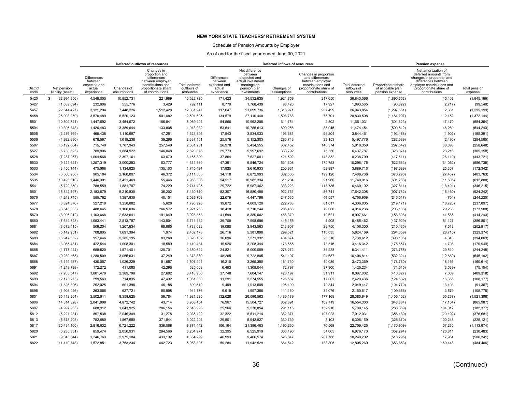### Schedule of Pension Amounts by Employer

|                         |                                  | Deferred outflows of resources                                        |                           |                                                                                                                                 |                                                   |                                                                |                                                                                                               | Deferred inflows of resources |                                                                                                                              |                                           |                                                             | Pension expense                                                                                                                                                           |                          |
|-------------------------|----------------------------------|-----------------------------------------------------------------------|---------------------------|---------------------------------------------------------------------------------------------------------------------------------|---------------------------------------------------|----------------------------------------------------------------|---------------------------------------------------------------------------------------------------------------|-------------------------------|------------------------------------------------------------------------------------------------------------------------------|-------------------------------------------|-------------------------------------------------------------|---------------------------------------------------------------------------------------------------------------------------------------------------------------------------|--------------------------|
| <b>District</b><br>code | Net pension<br>liability (asset) | <b>Differences</b><br>between<br>expected and<br>actual<br>experience | Changes of<br>assumptions | Changes in<br>proportion and<br>differences<br>between employer<br>contributions and<br>proportionate share<br>of contributions | <b>Total deferred</b><br>outflows of<br>resources | Differences<br>between<br>expected and<br>actual<br>experience | Net difference<br>between<br>projected and<br>actual investment<br>earnings on<br>pension plan<br>investments | Changes of<br>assumptions     | Changes in proportion<br>and differences<br>between employer<br>contributions and<br>proportionate share of<br>contributions | Total deferred<br>inflows of<br>resources | Proportionate share<br>of allocable plan<br>pension expense | Net amortization of<br>deferred amounts from<br>changes in proportion and<br>differences between<br>employer contributions and<br>proportionate share of<br>contributions | Total pension<br>expense |
| 5420                    | (32,994,956)<br>s.               | 4,548,005                                                             | 10.852.731                | 221.989                                                                                                                         | 15,622,725                                        | 171.423                                                        | 34.532.635                                                                                                    | 1,921,859                     | 217,650                                                                                                                      | 36.843.566                                | (1,890,662)                                                 | 45.463                                                                                                                                                                    | (1,845,199)              |
| 5427                    | (1,689,694)                      | 232,906                                                               | 555,776                   | 3,429                                                                                                                           | 792,111                                           | 8,779                                                          | 1,768,439                                                                                                     | 98,420                        | 17,927                                                                                                                       | 1,893,565                                 | (96, 822)                                                   | (2,717)                                                                                                                                                                   | (99, 540)                |
| 5457                    | (22, 644, 427)                   | 3,121,294                                                             | 7,448,226                 | 1,512,428                                                                                                                       | 12,081,947                                        | 117,647                                                        | 23,699,736                                                                                                    | 1,318,971                     | 907,499                                                                                                                      | 26,043,854                                | (1, 297, 561)                                               | 2,361                                                                                                                                                                     | (1, 295, 199)            |
| 5458                    | (25,903,259)                     | 3,570,489                                                             | 8,520,123                 | 501.082                                                                                                                         | 12.591.695                                        | 134,579                                                        | 27,110,440                                                                                                    | 1,508,788                     | 76.701                                                                                                                       | 28.830.508                                | (1,484,297)                                                 | 112,152                                                                                                                                                                   | (1,372,144)              |
| 5501                    | (10, 502, 744)                   | 1,447,692                                                             | 3,454,572                 | 166,841                                                                                                                         | 5,069,104                                         | 54,566                                                         | 10,992,208                                                                                                    | 611,754                       | 2,502                                                                                                                        | 11,661,031                                | (601, 823)                                                  | 47,470                                                                                                                                                                    | (554, 354)               |
| 5504                    | (10, 305, 348)                   | 1,420,483                                                             | 3,389,644                 | 133,805                                                                                                                         | 4.943.932                                         | 53,541                                                         | 10,785,613                                                                                                    | 600,256                       | 35,045                                                                                                                       | 11,474,454                                | (590, 512)                                                  | 46,269                                                                                                                                                                    | (544, 243)               |
| 5505                    | (3,376,669)                      | 465,438                                                               | 1,110,657                 | 47,251                                                                                                                          | 1,623,346                                         | 17,543                                                         | 3,534,033                                                                                                     | 196,681                       | 96,204                                                                                                                       | 3,844,461                                 | (193, 488)                                                  | (1,902)                                                                                                                                                                   | (195, 391)               |
| 5506                    | (4,922,880)                      | 678,567                                                               | 1,619,238                 | 39,296                                                                                                                          | 2,337,101                                         | 25,576                                                         | 5,152,303                                                                                                     | 286,743                       | 33,153                                                                                                                       | 5,497,776                                 | (282, 089)                                                  | (2, 496)                                                                                                                                                                  | (284, 585)               |
| 5507                    | (5, 192, 564)                    | 715,740                                                               | 1,707,943                 | 257,549                                                                                                                         | 2,681,231                                         | 26,978                                                         | 5,434,555                                                                                                     | 302,452                       | 146,374                                                                                                                      | 5,910,359                                 | (297, 542)                                                  | 38,893                                                                                                                                                                    | (258, 648)               |
| 5527                    | (5,730,625)                      | 789.906                                                               | 1.884.922                 | 146,048                                                                                                                         | 2.820.876                                         | 29,773                                                         | 5.997.692                                                                                                     | 333,792                       | 76,530                                                                                                                       | 6,437,787                                 | (328, 374)                                                  | 23,216                                                                                                                                                                    | (305, 158)               |
| 5528                    | (7, 287, 957)                    | 1,004,568                                                             | 2,397,161                 | 63,670                                                                                                                          | 3,465,399                                         | 37,864                                                         | 7,627,601                                                                                                     | 424,502                       | 148,832                                                                                                                      | 8,238,799                                 | (417, 611)                                                  | (26, 110)                                                                                                                                                                 | (443, 721)               |
| 5530                    | (9, 121, 624)                    | 1,257,319                                                             | 3,000,293                 | 53,777                                                                                                                          | 4,311,389                                         | 47,391                                                         | 9,546,724                                                                                                     | 531,308                       | 170,753                                                                                                                      | 10,296,175                                | (522, 683)                                                  | (34, 052)                                                                                                                                                                 | (556, 735)               |
| 5533                    | (3,450,144)                      | 475.566                                                               | 1,134,825                 | 135,103                                                                                                                         | 1,745,494                                         | 17,925                                                         | 3,610,933                                                                                                     | 200,961                       | 59,897                                                                                                                       | 3,889,716                                 | (197, 699)                                                  | 25,357                                                                                                                                                                    | (172, 342)               |
| 5534                    | (6, 566, 950)                    | 905,184                                                               | 2,160,007                 | 46,372                                                                                                                          | 3,111,563                                         | 34,118                                                         | 6,872,993                                                                                                     | 382,505                       | 199,120                                                                                                                      | 7,488,736                                 | (376, 296)                                                  | (27, 467)                                                                                                                                                                 | (403, 763)               |
| 5535                    | (10, 493, 310)                   | 1,446,391                                                             | 3,451,469                 | 55,446                                                                                                                          | 4,953,306                                         | 54,517                                                         | 10,982,334                                                                                                    | 611,204                       | 91,960                                                                                                                       | 11,740,016                                | (601, 283)                                                  | (11,605)                                                                                                                                                                  | (612, 888)               |
| 5541                    | (5,720,850)                      | 788,559                                                               | 1,881,707                 | 74,229                                                                                                                          | 2,744,495                                         | 29,722                                                         | 5,987,462                                                                                                     | 333,223                       | 118,786                                                                                                                      | 6,469,192                                 | (327, 814)                                                  | (18, 401)                                                                                                                                                                 | (346, 215)               |
| 5601                    | (15, 842, 197)                   | 2,183,679                                                             | 5,210,830                 | 36,202                                                                                                                          | 7,430,710                                         | 82,307                                                         | 16,580,498                                                                                                    | 922,761                       | 56,741                                                                                                                       | 17,642,308                                | (907, 782)                                                  | (16, 460)                                                                                                                                                                 | (924, 242)               |
| 5676                    | (4,249,745)                      | 585,782                                                               | 1,397,830                 | 40,151                                                                                                                          | 2,023,763                                         | 22,079                                                         | 4,447,798                                                                                                     | 247,535                       | 49,557                                                                                                                       | 4,766,969                                 | (243, 517)                                                  | (704)                                                                                                                                                                     | (244, 220)               |
| 5677                    | (3,824,876)                      | 527,219                                                               | 1,258,082                 | 5.628                                                                                                                           | 1,790,928                                         | 19,872                                                         | 4,003,128                                                                                                     | 222,788                       | 61,017                                                                                                                       | 4,306,805                                 | (219, 171)                                                  | (18, 726)                                                                                                                                                                 | (237, 897)               |
| 5678                    | (3,545,033)                      | 488,645                                                               | 1,166,036                 | 266,572                                                                                                                         | 1,921,253                                         | 18,418                                                         | 3,710,244                                                                                                     | 206,488                       | 79,086                                                                                                                       | 4,014,236                                 | (203, 136)                                                  | 29,236                                                                                                                                                                    | (173,900)                |
| 5679                    | (8,006,912)                      | 1,103,668                                                             | 2,633,641                 | 191,049                                                                                                                         | 3,928,358                                         | 41,599                                                         | 8,380,062                                                                                                     | 466,379                       | 19,621                                                                                                                       | 8,907,661                                 | (458, 808)                                                  | 44,565                                                                                                                                                                    | (414, 243)               |
| 5680                    | (7,642,528)                      | 1,053,441                                                             | 2,513,787                 | 143,904                                                                                                                         | 3.711.132                                         | 39,706                                                         | 7,998,696                                                                                                     | 445,155                       | 1.905                                                                                                                        | 8,485,462                                 | (437, 929)                                                  | 51,127                                                                                                                                                                    | (386, 801)               |
| 5681                    | (3,672,415)                      | 506,204                                                               | 1,207,934                 | 68,885                                                                                                                          | 1,783,023                                         | 19,080                                                         | 3,843,563                                                                                                     | 213,907                       | 29,750                                                                                                                       | 4,106,300                                 | (210, 435)                                                  | 7,518                                                                                                                                                                     | (202, 917)               |
| 5682                    | (5, 142, 251)                    | 708,805                                                               | 1,691,394                 | 1,974                                                                                                                           | 2,402,173                                         | 26,716                                                         | 5,381,898                                                                                                     | 299,521                       | 116,035                                                                                                                      | 5,824,169                                 | (294, 659)                                                  | (28, 715)                                                                                                                                                                 | (323, 374)               |
| 5683                    | (6,947,552)                      | 957,646                                                               | 2,285,195                 | 83,260                                                                                                                          | 3,326,102                                         | 36,096                                                         | 7,271,332                                                                                                     | 404,674                       | 26,510                                                                                                                       | 7,738,612                                 | (398, 105)                                                  | 4,043                                                                                                                                                                     | (394,063)                |
| 5684                    | (3,065,481)                      | 422,544                                                               | 1,008,301                 | 18,589                                                                                                                          | 1,449,434                                         | 15,926                                                         | 3,208,344                                                                                                     | 178,555                       | 13,516                                                                                                                       | 3,416,342                                 | (175, 657)                                                  | 4,708                                                                                                                                                                     | (170, 949)               |
| 5685                    | (4,777,444)                      | 658,520                                                               | 1,571,401                 | 120,701                                                                                                                         | 2,350,622                                         | 24,821                                                         | 5,000,089                                                                                                     | 278,272                       | 38,228                                                                                                                       | 5,341,411                                 | (273, 755)                                                  | 29,510                                                                                                                                                                    | (244, 245)               |
| 5687                    | (9, 289, 865)                    | 1,280,509                                                             | 3,055,631                 | 37,249                                                                                                                          | 4,373,389                                         | 48,265                                                         | 9,722,805                                                                                                     | 541,107                       | 94,637                                                                                                                       | 10,406,814                                | (532, 324)                                                  | (12, 869)                                                                                                                                                                 | (545, 192)               |
| 5688                    | (3, 119, 987)                    | 430,057                                                               | 1,026,229                 | 51,657                                                                                                                          | 1,507,944                                         | 16,210                                                         | 3,265,390                                                                                                     | 181,730                       | 10,039                                                                                                                       | 3,473,369                                 | (178, 780)                                                  | 18,166                                                                                                                                                                    | (160, 614)               |
| 5691                    | (1,249,799)                      | 172.272                                                               | 411.085                   | 42.296                                                                                                                          | 625.653                                           | 6.493                                                          | 1.308.044                                                                                                     | 72.797                        | 37,900                                                                                                                       | 1,425,234                                 | (71, 615)                                                   | (3,539)                                                                                                                                                                   | (75, 154)                |
| 5692                    | (7, 265, 547)                    | 1,001,479                                                             | 2.389.790                 | 27.692                                                                                                                          | 3.418.960                                         | 37.748                                                         | 7.604.147                                                                                                     | 423,197                       | 31,911                                                                                                                       | 8,097,002                                 | (416, 327)                                                  | 7,009                                                                                                                                                                     | (409, 318)               |
| 5693                    | (2, 173, 273)                    | 299,563                                                               | 714,835                   | 47,432                                                                                                                          | 1,061,830                                         | 11,291                                                         | 2,274,555                                                                                                     | 126,587                       | 17,002                                                                                                                       | 2,429,436                                 | (124, 532)                                                  | 16,355                                                                                                                                                                    | (108, 177)               |
| 5694                    | (1,828,396)                      | 252,025                                                               | 601,398                   | 46,188                                                                                                                          | 899,610                                           | 9,499                                                          | 1,913,605                                                                                                     | 106,499                       | 19,844                                                                                                                       | 2,049,447                                 | (104, 770)                                                  | 13,403                                                                                                                                                                    | (91, 367)                |
| 5695                    | (1,908,426)                      | 263,056                                                               | 627,721                   | 50,998                                                                                                                          | 941,776                                           | 9,915                                                          | 1,997,366                                                                                                     | 111,160                       | 32,076                                                                                                                       | 2,150,517                                 | (109, 356)                                                  | 3,579                                                                                                                                                                     | (105, 776)               |
| 5801                    | (25, 412, 264)                   | 3,502,811                                                             | 8,358,625                 | 59,784                                                                                                                          | 11,921,220                                        | 132,028                                                        | 26,596,563                                                                                                    | 1,480,189                     | 177,168                                                                                                                      | 28,385,949                                | (1,456,162)                                                 | (65, 237)                                                                                                                                                                 | (1,521,398)              |
| 5806                    | (14, 814, 328)                   | 2,041,998                                                             | 4,872,742                 | 43,714                                                                                                                          | 6,958,454                                         | 76,967                                                         | 15,504,727                                                                                                    | 862,891                       | 109,719                                                                                                                      | 16,554,303                                | (848, 884)                                                  | (17, 104)                                                                                                                                                                 | (865, 987)               |
| 5807                    | (4,997,933)                      | 688,912                                                               | 1,643,925                 | 286,156                                                                                                                         | 2,618,993                                         | 25,966                                                         | 5,230,854                                                                                                     | 291,115                       | 152,210                                                                                                                      | 5,700,145                                 | (286, 389)                                                  | 104,012                                                                                                                                                                   | (182, 377)               |
| 5812                    | (6,221,281)                      | 857,538                                                               | 2,046,309                 | 31,275                                                                                                                          | 2,935,122                                         | 32,322                                                         | 6,511,214                                                                                                     | 362,371                       | 107,023                                                                                                                      | 7,012,931                                 | (356, 489)                                                  | (20, 192)                                                                                                                                                                 | (376, 681)               |
| 5813                    | (5,678,203)                      | 782.680                                                               | 1.867.680                 | 371.844                                                                                                                         | 3.022.204                                         | 29,501                                                         | 5.942.827                                                                                                     | 330.739                       | 3.103                                                                                                                        | 6.306.169                                 | (325, 370)                                                  | 100,248                                                                                                                                                                   | (225, 121)               |
| 5817                    | (20, 434, 160)                   | 2,816,632                                                             | 6,721,222                 | 336,588                                                                                                                         | 9,874,442                                         | 106,164                                                        | 21,386,463                                                                                                    | 1,190,230                     | 76,568                                                                                                                       | 22,759,425                                | (1, 170, 909)                                               | 57,235                                                                                                                                                                    | (1, 113, 674)            |
| 5820                    | (6, 235, 331)                    | 859,474                                                               | 2,050,931                 | 294,566                                                                                                                         | 3,204,971                                         | 32,395                                                         | 6,525,919                                                                                                     | 363,190                       | 54,665                                                                                                                       | 6,976,170                                 | (357, 294)                                                  | 126,811                                                                                                                                                                   | (230, 483)               |
| 5821                    | (9,045,044)                      | 1,246,763                                                             | 2,975,104                 | 433,132                                                                                                                         | 4,654,999                                         | 46,993                                                         | 9,466,574                                                                                                     | 526,847                       | 207,788                                                                                                                      | 10,248,202                                | (518, 295)                                                  | 17,954                                                                                                                                                                    | (500, 341)               |
| 5822                    | (11, 410, 748)                   | 1,572,851                                                             | 3,753,234                 | 642,723                                                                                                                         | 5,968,807                                         | 59,284                                                         | 11,942,529                                                                                                    | 664,642                       | 138,805                                                                                                                      | 12,805,260                                | (653, 853)                                                  | 169,448                                                                                                                                                                   | (484, 406)               |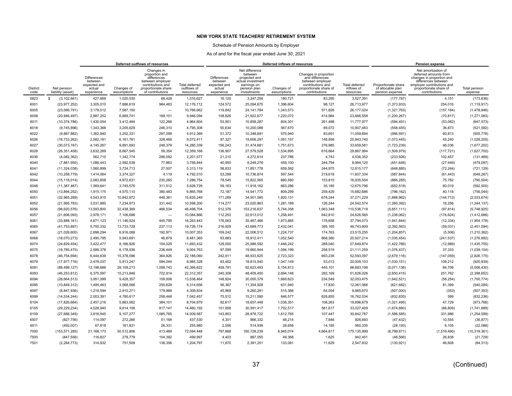### Schedule of Pension Amounts by Employer

|                         |                                  | Deferred outflows of resources                                        |                           |                                                                                                                                 |                                            | Deferred inflows of resources                                         |                                                                                                               |                           |                                                                                                                              |                                                  | Pension expense                                             |                                                                                                                                                                           |                          |
|-------------------------|----------------------------------|-----------------------------------------------------------------------|---------------------------|---------------------------------------------------------------------------------------------------------------------------------|--------------------------------------------|-----------------------------------------------------------------------|---------------------------------------------------------------------------------------------------------------|---------------------------|------------------------------------------------------------------------------------------------------------------------------|--------------------------------------------------|-------------------------------------------------------------|---------------------------------------------------------------------------------------------------------------------------------------------------------------------------|--------------------------|
| <b>District</b><br>code | Net pension<br>liability (asset) | <b>Differences</b><br>between<br>expected and<br>actual<br>experience | Changes of<br>assumptions | Changes in<br>proportion and<br>differences<br>between employer<br>contributions and<br>proportionate share<br>of contributions | Total deferred<br>outflows of<br>resources | <b>Differences</b><br>between<br>expected and<br>actual<br>experience | Net difference<br>between<br>projected and<br>actual investment<br>earnings on<br>pension plan<br>investments | Changes of<br>assumptions | Changes in proportion<br>and differences<br>between employer<br>contributions and<br>proportionate share of<br>contributions | <b>Total deferred</b><br>inflows of<br>resources | Proportionate share<br>of allocable plan<br>pension expense | Net amortization of<br>deferred amounts from<br>changes in proportion and<br>differences between<br>employer contributions and<br>proportionate share of<br>contributions | Total pension<br>expense |
| 5823                    | (3, 102, 661)<br>s               | 427.669                                                               | 1.020.530                 | 68.428                                                                                                                          | 1.516.627                                  | 16,120                                                                | 3,247,256                                                                                                     | 180.721                   | 83.295                                                                                                                       | 3,527,391                                        | (177, 787)                                                  | 4,151                                                                                                                                                                     | (173, 636)               |
| 6001                    | (23, 977, 252)                   | 3,305,010                                                             | 7,886,619                 | 984,483                                                                                                                         | 12,176,112                                 | 124,572                                                               | 25,094,675                                                                                                    | 1,396,604                 | 98,127                                                                                                                       | 26,713,977                                       | (1,373,933)                                                 | 254,016                                                                                                                                                                   | (1, 119, 917)            |
| 6005                    | (23,066,791)                     | 3,179,512                                                             | 7,587,150                 | $\overline{\phantom{0}}$                                                                                                        | 10,766,662                                 | 119,842                                                               | 24, 141, 784                                                                                                  | 1,343,573                 | 571,826                                                                                                                      | 26,177,024                                       | (1,321,763)                                                 | (157, 184)                                                                                                                                                                | (1,478,946)              |
| 6008                    | (20, 946, 497)                   | 2,887,252                                                             | 6.889.741                 | 169.101                                                                                                                         | 9.946.094                                  | 108,826                                                               | 21,922,677                                                                                                    | 1,220,072                 | 414.984                                                                                                                      | 23,666,558                                       | (1,200,267)                                                 | (70, 817)                                                                                                                                                                 | (1, 271, 083)            |
| 6011                    | (10, 374, 786)                   | 1,430,054                                                             | 3,412,484                 | 122,266                                                                                                                         | 4,964,804                                  | 53,901                                                                | 10,858,287                                                                                                    | 604,301                   | 261,488                                                                                                                      | 11,777,977                                       | (594, 491)                                                  | (53,082)                                                                                                                                                                  | (647, 573)               |
| 6018                    | (9,745,896)                      | 1,343,368                                                             | 3,205,629                 | 246,310                                                                                                                         | 4,795,308                                  | 50,634                                                                | 10,200,088                                                                                                    | 567,670                   | 89,072                                                                                                                       | 10,907,463                                       | (558, 455)                                                  | 36,873                                                                                                                                                                    | (521, 582)               |
| 6022                    | (9,887,882)                      | 1,362,940                                                             | 3,252,331                 | 297,099                                                                                                                         | 4,912,369                                  | 51,372                                                                | 10,348,691                                                                                                    | 575,940                   | 83,691                                                                                                                       | 11,059,694                                       | (566, 591)                                                  | 60,813                                                                                                                                                                    | (505, 778)               |
| 6026                    | (18, 733, 262)                   | 2,582,181                                                             | 6,161,761                 | 328,468                                                                                                                         | 9,072,411                                  | 97,327                                                                | 19,606,297                                                                                                    | 1,091,157                 | 148,958                                                                                                                      | 20,943,740                                       | (1,073,445)                                                 | 45,240                                                                                                                                                                    | (1,028,205)              |
| 6027                    | (30,073,167)                     | 4,145,267                                                             | 9,891,693                 | 248,379                                                                                                                         | 14,285,339                                 | 156,243                                                               | 31,474,681                                                                                                    | 1,751,673                 | 276,985                                                                                                                      | 33,659,581                                       | (1,723,239)                                                 | 46,036                                                                                                                                                                    | (1,677,202)              |
| 6028                    | (26, 351, 458)                   | 3.632.269                                                             | 8.667.545                 | 59.354                                                                                                                          | 12.359.168                                 | 136,907                                                               | 27,579,528                                                                                                    | 1,534,895                 | 616,664                                                                                                                      | 29,867,994                                       | (1,509,979)                                                 | (117, 721)                                                                                                                                                                | (1,627,700)              |
| 6036                    | (4,082,362)                      | 562,710                                                               | 1,342,774                 | 296,092                                                                                                                         | 2,201,577                                  | 21,210                                                                | 4,272,614                                                                                                     | 237,786                   | 4,743                                                                                                                        | 4,536,352                                        | (233, 926)                                                  | 102,457                                                                                                                                                                   | (131, 469)               |
| 6040                    | (7,881,950)                      | 1,086,443                                                             | 2,592,538                 | 77,863                                                                                                                          | 3,756,844                                  | 40,950                                                                | 8,249,276                                                                                                     | 459,100                   | 244,794                                                                                                                      | 8,994,120                                        | (451, 648)                                                  | (27, 449)                                                                                                                                                                 | (479, 097)               |
| 6041                    | (11, 324, 038)                   | 1.560.899                                                             | 3,724,713                 | 27,507                                                                                                                          | 5.313.119                                  | 58,833                                                                | 11,851,778                                                                                                    | 659,592                   | 244,975                                                                                                                      | 12,815,177                                       | (648, 885)                                                  | (72, 244)                                                                                                                                                                 | (721, 129)               |
| 6042                    | (10, 258, 779)                   | 1,414,064                                                             | 3,374,327                 | 4,119                                                                                                                           | 4,792,510                                  | 53,299                                                                | 10,736,874                                                                                                    | 597,544                   | 219,618                                                                                                                      | 11,607,334                                       | (587, 844)                                                  | (61, 443)                                                                                                                                                                 | (649, 287)               |
| 6044                    | (15, 118, 014)                   | 2,083,858                                                             | 4,972,631                 | 230,265                                                                                                                         | 7,286,754                                  | 78,545                                                                | 15,822,565                                                                                                    | 880,580                   | 153,815                                                                                                                      | 16,935,504                                       | (866, 285)                                                  | 75,782                                                                                                                                                                    | (790, 504)               |
| 6048                    | (11, 387, 467)                   | 1,569,641                                                             | 3,745,576                 | 311,512                                                                                                                         | 5,626,729                                  | 59,163                                                                | 11,918,162                                                                                                    | 663,286                   | 35,185                                                                                                                       | 12,675,796                                       | (652, 519)                                                  | 60,019                                                                                                                                                                    | (592, 500)               |
| 6050                    | (13,894,252)                     | 1,915,175                                                             | 4,570,110                 | 380,483                                                                                                                         | 6,865,768                                  | 72,187                                                                | 14,541,772                                                                                                    | 809,299                   | 259,429                                                                                                                      | 15,682,686                                       | (796, 162)                                                  | 40,118                                                                                                                                                                    | (756, 044)               |
| 6051                    | (32,965,289)                     | 4,543,915                                                             | 10,842,972                | 448,361                                                                                                                         | 15,835,249                                 | 171,269                                                               | 34,501,585                                                                                                    | 1,920,131                 | 678,244                                                                                                                      | 37,271,229                                       | (1,888,962)                                                 | (144, 712)                                                                                                                                                                | (2,033,674)              |
| 6052                    | (21, 995, 783)                   | 3,031,885                                                             | 7,234,873                 | 331,442                                                                                                                         | 10.598.200                                 | 114,277                                                               | 23,020,863                                                                                                    | 1,281,189                 | 126.244                                                                                                                      | 24,542,574                                       | (1,260,392)                                                 | 16,256                                                                                                                                                                    | (1, 244, 137)            |
| 6056                    | (98, 620, 576)                   | 13,593,800                                                            | 32,438,369                | 466,534                                                                                                                         | 46,498,704                                 | 512,376                                                               | 103,216,637                                                                                                   | 5,744,358                 | 1,063,348                                                                                                                    | 110,536,719                                      | (5,651,111)                                                 | (97, 814)                                                                                                                                                                 | (5,748,925)              |
| 6057                    | (21,606,093)                     | 2,978,171                                                             | 7,106,696                 | $\overline{\phantom{0}}$                                                                                                        | 10,084,866                                 | 112,253                                                               | 22,613,012                                                                                                    | 1,258,491                 | 642,810                                                                                                                      | 24,626,565                                       | (1,238,062)                                                 | (174, 624)                                                                                                                                                                | (1,412,686)              |
| 6061                    | (33,888,161)                     | 4,671,123                                                             | 11,146,524                | 445.795                                                                                                                         | 16.263.443                                 | 176.063                                                               | 35,467,466                                                                                                    | 1.973.885                 | 176,658                                                                                                                      | 37,794,073                                       | (1,941,844)                                                 | (12, 334)                                                                                                                                                                 | (1,954,178)              |
| 6065                    | (41, 753, 897)                   | 5,755,332                                                             | 13,733,729                | 237,113                                                                                                                         | 19,726,174                                 | 216,929                                                               | 43,699,773                                                                                                    | 2,432,041                 | 395,165                                                                                                                      | 46,743,909                                       | (2, 392, 563)                                               | (59,031)                                                                                                                                                                  | (2,451,594)              |
| 6067                    | (21,026,600)                     | 2,898,294                                                             | 6,916,088                 | 192,971                                                                                                                         | 10,007,353                                 | 109,242                                                               | 22,006,512                                                                                                    | 1,224,737                 | 174,763                                                                                                                      | 23,515,255                                       | (1, 204, 857)                                               | (5,506)                                                                                                                                                                   | (1, 210, 362)            |
| 6068                    | (18,070,273)                     | 2,490,795                                                             | 5,943,691                 | 46,879                                                                                                                          | 8,481,365                                  | 93,883                                                                | 18,912,411                                                                                                    | 1,052,540                 | 868,380                                                                                                                      | 20,927,214                                       | (1,035,454)                                                 | (241, 537)                                                                                                                                                                | (1, 276, 992)            |
| 6074                    | (24, 829, 454)                   | 3,422,477                                                             | 8,166,926                 | 104,029                                                                                                                         | 11,693,432                                 | 129,000                                                               | 25,986,592                                                                                                    | 1,446,242                 | 288,040                                                                                                                      | 27,849,874                                       | (1,422,766)                                                 | (12,989)                                                                                                                                                                  | (1,435,755)              |
| 6075                    | (18, 785, 475)                   | 2,589,378                                                             | 6,178,936                 | 236,449                                                                                                                         | 9,004,763                                  | 97,599                                                                | 19,660,944                                                                                                    | 1,094,199                 | 258,519                                                                                                                      | 21,111,259                                       | (1,076,437)                                                 | 37,333                                                                                                                                                                    | (1,039,104)              |
| 6078                    | (46, 754, 694)                   | 6,444,639                                                             | 15,378,596                | 364,826                                                                                                                         | 22,188,060                                 | 242,911                                                               | 48,933,625                                                                                                    | 2,723,323                 | 693,238                                                                                                                      | 52,593,097                                       | (2,679,116)                                                 | (147, 059)                                                                                                                                                                | (2,826,175)              |
| 6079                    | (17, 977, 716)                   | 2,478,037                                                             | 5,913,247                 | 594,044                                                                                                                         | 8,985,328                                  | 93,402                                                                | 18,815,540                                                                                                    | 1,047,149                 | 53,013                                                                                                                       | 20,009,103                                       | (1,030,151)                                                 | 109,212                                                                                                                                                                   | (920, 939)               |
| 6091                    | (88, 499, 127)                   | 12.198.666                                                            | 29.109.213                | 1.058.743                                                                                                                       | 42.366.622                                 | 459.791                                                               | 92.623.493                                                                                                    | 5.154.813                 | 445.101                                                                                                                      | 98.683.198                                       | (5,071,136)                                                 | 64.706                                                                                                                                                                    | (5,006,430)              |
| 6093                    | (46, 253, 812)                   | 6,375,597                                                             | 15,213,846                | 722,914                                                                                                                         | 22.312.357                                 | 240,308                                                               | 48,409,400                                                                                                    | 2.694.148                 | 282.169                                                                                                                      | 51,626,026                                       | (2,650,415)                                                 | 251.762                                                                                                                                                                   | (2,398,652)              |
| 6094                    | (28, 664, 513)                   | 3,951,099                                                             | 9,428,357                 | 159,008                                                                                                                         | 13,538,464                                 | 148,924                                                               | 30,000,379                                                                                                    | 1,669,623                 | 234,549                                                                                                                      | 32,053,475                                       | (1,642,521)                                                 | (58, 254)                                                                                                                                                                 | (1,700,774)              |
| 6095                    | (10, 849, 312)                   | 1,495,463                                                             | 3,568,566                 | 250,628                                                                                                                         | 5.314.656                                  | 56,367                                                                | 11,354,928                                                                                                    | 631,940                   | 17,830                                                                                                                       | 12,061,066                                       | (621, 682)                                                  | 81,399                                                                                                                                                                    | (540, 284)               |
| 6097                    | (8, 847, 936)                    | 1,219,594                                                             | 2,910,271                 | 179,968                                                                                                                         | 4,309,834                                  | 45,969                                                                | 9,260,281                                                                                                     | 515,366                   | 64,054                                                                                                                       | 9,885,670                                        | (507,000)                                                   | (353)                                                                                                                                                                     | (507, 353)               |
| 6099                    | (14, 534, 244)                   | 2,003,391                                                             | 4,780,617                 | 258,448                                                                                                                         | 7,042,457                                  | 75,512                                                                | 15,211,590                                                                                                    | 846,577                   | 628,855                                                                                                                      | 16,762,534                                       | (832, 835)                                                  | 599                                                                                                                                                                       | (832, 236)               |
| 6104                    | (17, 826, 664)                   | 2,457,216                                                             | 5,863,562                 | 384,101                                                                                                                         | 8,704,879                                  | 92,617                                                                | 18,657,448                                                                                                    | 1,038,351                 | 108,263                                                                                                                      | 19,896,679                                       | (1,021,495)                                                 | 47,729                                                                                                                                                                    | (973, 766)               |
| 6105                    | (29, 229, 234)                   | 4,028,940                                                             | 9,614,106                 | 817,147                                                                                                                         | 14,460,192                                 | 151,858                                                               | 30,591,417                                                                                                    | 1,702,517                 | 581.617                                                                                                                      | 33,027,409                                       | (1,674,880)                                                 | (66, 809)                                                                                                                                                                 | (1,741,689)              |
| 6109                    | (27, 688, 349)                   | 3,816,545                                                             | 9,107,277                 | 1,085,765                                                                                                                       | 14,009,587                                 | 143,853                                                               | 28,978,722                                                                                                    | 1,612,765                 | 107,447                                                                                                                      | 30,842,787                                       | (1,586,585)                                                 | 331,986                                                                                                                                                                   | (1,254,599)              |
| 6507                    | (827, 756)                       | 114.097                                                               | 272.266                   | 51.166                                                                                                                          | 437.530                                    | 4,301                                                                 | 866.332                                                                                                       | 48,214                    | 7.846                                                                                                                        | 926.693                                          | (47, 432)                                                   | 10.555                                                                                                                                                                    | (36, 877)                |
| 6511                    | (492,007)                        | 67,818                                                                | 161,831                   | 26,331                                                                                                                          | 255.980                                    | 2,556                                                                 | 514,936                                                                                                       | 28,658                    | 14,185                                                                                                                       | 560,335                                          | (28, 193)                                                   | 6,105                                                                                                                                                                     | (22,088)                 |
| 7000                    | (153, 571, 285)                  | 21,168,173                                                            | 50,512,806                | 413,469                                                                                                                         | 72,094,448                                 | 797,868                                                               | 160,728,239                                                                                                   | 8,945,074                 | 4,664,817                                                                                                                    | 175,135,999                                      | (8,799,871)                                                 | (1,519,490)                                                                                                                                                               | (10, 319, 361)           |
| 7500                    | (847, 556)                       | 116,827                                                               | 278,779                   | 104,392                                                                                                                         | 499,997                                    | 4,403                                                                 | 887,055                                                                                                       | 49,368                    | 1,625                                                                                                                        | 942,451                                          | (48, 566)                                                   | 26,838                                                                                                                                                                    | (21, 729)                |
| 7501                    | (2, 284, 773)                    | 314,932                                                               | 751,509                   | 138,356                                                                                                                         | 1,204,797                                  | 11,870                                                                | 2,391,251                                                                                                     | 133,081                   | 11,629                                                                                                                       | 2,547,832                                        | (130, 921)                                                  | 46,608                                                                                                                                                                    | (84, 313)                |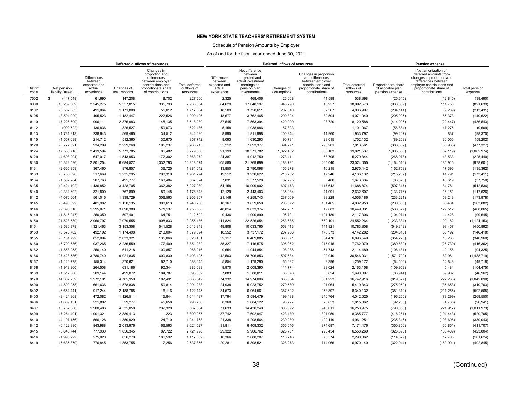### Schedule of Pension Amounts by Employer

|                         |                                  | Deferred outflows of resources                                        |                           |                                                                                                                                 |                                                   |                                                                |                                                                                                               | Deferred inflows of resources | Pension expense                                                                                                              |                                           |                                                             |                                                                                                                                                                           |                           |
|-------------------------|----------------------------------|-----------------------------------------------------------------------|---------------------------|---------------------------------------------------------------------------------------------------------------------------------|---------------------------------------------------|----------------------------------------------------------------|---------------------------------------------------------------------------------------------------------------|-------------------------------|------------------------------------------------------------------------------------------------------------------------------|-------------------------------------------|-------------------------------------------------------------|---------------------------------------------------------------------------------------------------------------------------------------------------------------------------|---------------------------|
| <b>District</b><br>code | Net pension<br>liability (asset) | <b>Differences</b><br>between<br>expected and<br>actual<br>experience | Changes of<br>assumptions | Changes in<br>proportion and<br>differences<br>between employer<br>contributions and<br>proportionate share<br>of contributions | <b>Total deferred</b><br>outflows of<br>resources | Differences<br>between<br>expected and<br>actual<br>experience | Net difference<br>between<br>projected and<br>actual investment<br>earnings on<br>pension plan<br>investments | Changes of<br>assumptions     | Changes in proportion<br>and differences<br>between employer<br>contributions and<br>proportionate share of<br>contributions | Total deferred<br>inflows of<br>resources | Proportionate share<br>of allocable plan<br>pension expense | Net amortization of<br>deferred amounts from<br>changes in proportion and<br>differences between<br>employer contributions and<br>proportionate share of<br>contributions | Total pension<br>expense  |
| 7502                    | \$<br>(447, 548)                 | 61,690                                                                | 147,208                   | 18,702                                                                                                                          | 227,600                                           | 2,325                                                          | 468,406                                                                                                       | 26,068                        | 41,598                                                                                                                       | 538,398                                   | (25, 645)                                                   | (12, 845)                                                                                                                                                                 | (38, 490)                 |
| 8000                    | (16, 289, 069)                   | 2,245,275                                                             | 5,357,815                 | 335,793                                                                                                                         | 7,938,884                                         | 84,629                                                         | 17,048,197                                                                                                    | 948,790                       | 10,957                                                                                                                       | 18,092,573                                | (933, 389)                                                  | 111,750                                                                                                                                                                   | (821, 639)                |
| 8102                    | (3, 562, 583)                    | 491,064                                                               | 1,171,808                 | 55,012                                                                                                                          | 1,717,884                                         | 18,509                                                         | 3,728,611                                                                                                     | 207,510                       | 52,367                                                                                                                       | 4,006,997                                 | (204, 141)                                                  | (9, 289)                                                                                                                                                                  | (213, 431)                |
| 8105                    | (3,594,929)                      | 495.523                                                               | 1.182.447                 | 222.526                                                                                                                         | 1.900.496                                         | 18.677                                                         | 3.762.465                                                                                                     | 209.394                       | 80.504                                                                                                                       | 4.071.040                                 | (205, 995)                                                  | 65.373                                                                                                                                                                    | (140, 622)                |
| 8110                    | (7, 226, 609)                    | 996.111                                                               | 2,376,983                 | 145,135                                                                                                                         | 3,518,230                                         | 37,545                                                         | 7,563,394                                                                                                     | 420,929                       | 98,720                                                                                                                       | 8,120,588                                 | (414,096)                                                   | (22, 447)                                                                                                                                                                 | (436, 543)                |
| 8112                    | (992, 722)                       | 136.836                                                               | 326.527                   | 159.073                                                                                                                         | 622.436                                           | 5.158                                                          | 1.038.986                                                                                                     | 57,823                        |                                                                                                                              | 1,101,967                                 | (56, 884)                                                   | 47,275                                                                                                                                                                    | (9,609)                   |
| 8113                    | (1,731,313)                      | 238,643                                                               | 569,465                   | 34,512                                                                                                                          | 842,620                                           | 8,995                                                          | 1,811,998                                                                                                     | 100,844                       | 11,960                                                                                                                       | 1,933,797                                 | (99, 207)                                                   | 837                                                                                                                                                                       | (98, 370)                 |
| 8115                    | (1,557,699)                      | 214,712                                                               | 512,360                   | 130,670                                                                                                                         | 857,742                                           | 8,093                                                          | 1,630,293                                                                                                     | 90,731                        | 23,015                                                                                                                       | 1,752,132                                 | (89, 259)                                                   | 30,056                                                                                                                                                                    | (59, 202)                 |
| 8120                    | (6,777,521)                      | 934,209                                                               | 2,229,268                 | 105,237                                                                                                                         | 3,268,715                                         | 35,212                                                         | 7,093,377                                                                                                     | 394,771                       | 290,201                                                                                                                      | 7,813,561                                 | (388, 362)                                                  | (88, 965)                                                                                                                                                                 | (477, 327)                |
| 8124                    | (17, 553, 718)                   | 2,419,594                                                             | 5,773,785                 | 86,482                                                                                                                          | 8,279,860                                         | 91,199                                                         | 18,371,782                                                                                                    | 1,022,452                     | 336,103                                                                                                                      | 19,821,537                                | (1,005,855)                                                 | (57, 119)                                                                                                                                                                 | (1,062,974)               |
| 8129                    | (4,693,994)                      | 647,017                                                               | 1,543,953                 | 172,302                                                                                                                         | 2.363.272                                         | 24,387                                                         | 4,912,750                                                                                                     | 273,411                       | 68.795                                                                                                                       | 5,279,344                                 | (268, 973)                                                  | 43,533                                                                                                                                                                    | (225, 440)                |
| 8130                    | (20, 322, 596)                   | 2,801,254                                                             | 6,684,527                 | 1,332,793                                                                                                                       | 10,818,574                                        | 105,585                                                        | 21,269,699                                                                                                    | 1,183,731                     | 465,040                                                                                                                      | 23,024,055                                | (1, 164, 516)                                               | 185,915                                                                                                                                                                   | (978, 601)                |
| 8131                    | (2,665,859)                      | 367.460                                                               | 876.857                   | 136,725                                                                                                                         | 1.381.042                                         | 13,850                                                         | 2,790,098                                                                                                     | 155,278                       | 16.215                                                                                                                       | 2.975.442                                 | (152, 758)                                                  | 17,396                                                                                                                                                                    | (135, 362)                |
| 8133                    | (3,755,598)                      | 517,669                                                               | 1,235,295                 | 208,310                                                                                                                         | 1,961,274                                         | 19,512                                                         | 3,930,622                                                                                                     | 218,752                       | 17,246                                                                                                                       | 4,186,132                                 | (215, 202)                                                  | 41,791                                                                                                                                                                    | (173, 411)                |
| 8134                    | (1,507,284)                      | 207,763                                                               | 495,777                   | 163,484                                                                                                                         | 867,024                                           | 7,831                                                          | 1,577,528                                                                                                     | 87,795                        | 480                                                                                                                          | 1,673,634                                 | (86, 370)                                                   | 48,619                                                                                                                                                                    | (37,750)                  |
| 8135                    | (10, 424, 102)                   | 1,436,852                                                             | 3,428,705                 | 362,382                                                                                                                         | 5,227,939                                         | 54,158                                                         | 10,909,902                                                                                                    | 607,173                       | 117,642                                                                                                                      | 11,688,874                                | (597, 317)                                                  | 84,781                                                                                                                                                                    | (512, 536)                |
| 8140                    | (2, 334, 602)                    | 321,800                                                               | 767,899                   | 89,148                                                                                                                          | 1,178,848                                         | 12,129                                                         | 2,443,403                                                                                                     | 135,984                       | 41,091                                                                                                                       | 2,632,607                                 | (133, 776)                                                  | 16,151                                                                                                                                                                    | (117, 626)                |
| 8142                    | (4,070,064)                      | 561,015                                                               | 1,338,729                 | 306,563                                                                                                                         | 2,206,307                                         | 21,146                                                         | 4,259,743                                                                                                     | 237,069                       | 38,228                                                                                                                       | 4,556,186                                 | (233, 221)                                                  | 59,243                                                                                                                                                                    | (173, 978)                |
| 8145                    | (3, 496, 692)                    | 481,982                                                               | 1,150,135                 | 308,613                                                                                                                         | 1,940,730                                         | 18,167                                                         | 3,659,650                                                                                                     | 203,672                       | 151,465                                                                                                                      | 4,032,953                                 | (200, 366)                                                  | 36,484                                                                                                                                                                    | (163, 882)                |
| 8146                    | (9,395,510)                      | 1,295,071                                                             | 3,090,380                 | 571.137                                                                                                                         | 4,956,588                                         | 48,814                                                         | 9,833,374                                                                                                     | 547,261                       | 19,883                                                                                                                       | 10,449,331                                | (538, 377)                                                  | 129,512                                                                                                                                                                   | (408, 865)                |
| 8149                    | (1,816,247)                      | 250,350                                                               | 597,401                   | 64,751                                                                                                                          | 912,502                                           | 9,436                                                          | 1,900,890                                                                                                     | 105,791                       | 101,189                                                                                                                      | 2,117,306                                 | (104, 074)                                                  | 4,428                                                                                                                                                                     | (99, 645)                 |
| 8150                    | (21,523,580)                     | 2,966,797                                                             | 7,079,555                 | 908,833                                                                                                                         | 10,955,186                                        | 111,824                                                        | 22,526,654                                                                                                    | 1,253,685                     | 660,101                                                                                                                      | 24,552,264                                | (1,233,334)                                                 | 109,182                                                                                                                                                                   | (1, 124, 153)             |
| 8151                    | (9,586,979)                      | 1,321,463                                                             | 3,153,358                 | 541.528                                                                                                                         | 5.016.349                                         | 49.808                                                         | 10,033,765                                                                                                    | 558,413                       | 141,821                                                                                                                      | 10,783,808                                | (549, 349)                                                  | 98.457                                                                                                                                                                    | (450, 892)                |
| 8153                    | (3,570,762)                      | 492,192                                                               | 1,174,498                 | 213,004                                                                                                                         | 1,879,694                                         | 18,552                                                         | 3,737,172                                                                                                     | 207,986                       | 178,573                                                                                                                      | 4,142,282                                 | (204, 610)                                                  | 58,192                                                                                                                                                                    | (146, 418)                |
| 8155                    | (6, 181, 792)                    | 852.094                                                               | 2,033,321                 | 135,066                                                                                                                         | 3,020,481                                         | 32.117                                                         | 6,469,885                                                                                                     | 360,071                       | 34,476                                                                                                                       | 6.896.549                                 | (354, 226)                                                  | 13,266                                                                                                                                                                    | (340, 960)                |
| 8160                    | (6,799,686)                      | 937,265                                                               | 2,236,559                 | 177,409                                                                                                                         | 3,351,232                                         | 35,327                                                         | 7,116,575                                                                                                     | 396,062                       | 215,015                                                                                                                      | 7,762,979                                 | (389, 632)                                                  | (26, 730)                                                                                                                                                                 | (416, 362)                |
| 8162                    | (1,858,253)                      | 256,140                                                               | 611,218                   | 100,857                                                                                                                         | 968,216                                           | 9,654                                                          | 1,944,854                                                                                                     | 108,238                       | 51,743                                                                                                                       | 2,114,489                                 | (106, 481)                                                  | 12,156                                                                                                                                                                    | (94, 325)                 |
| 8166                    | (27, 428, 586)                   | 3,780,740                                                             | 9,021,835                 | 600,830                                                                                                                         | 13,403,405                                        | 142,503                                                        | 28,706,853                                                                                                    | 1,597,634                     | 99,940                                                                                                                       | 30,546,931                                | (1,571,700)                                                 | 82,981                                                                                                                                                                    | (1,488,719)               |
| 8167<br>8168            | (1, 126, 778)                    | 155,314                                                               | 370,621                   | 62,710<br>90.344                                                                                                                | 588,645                                           | 5,854                                                          | 1,179,290                                                                                                     | 65,632                        | 8,396                                                                                                                        | 1,259,172                                 | (64, 566)                                                   | 14,848                                                                                                                                                                    | (49, 718)                 |
|                         | (1,918,960)                      | 264,508                                                               | 631,186                   |                                                                                                                                 | 986,038                                           | 9,970                                                          | 2,008,390                                                                                                     | 111,774                       | 33,024                                                                                                                       | 2,163,158                                 | (109, 959)                                                  | 5,484                                                                                                                                                                     | (104, 475)                |
| 8169<br>8170            | (1,517,300)                      | 209,144                                                               | 499,072                   | 184,787<br>187.491                                                                                                              | 893,002<br>6.865.542                              | 7,883                                                          | 1,588,011                                                                                                     | 88,378                        | 5,824<br>861.223                                                                                                             | 1,690,097                                 | (86, 944)                                                   | 39,982                                                                                                                                                                    | (46,962)                  |
| 8400                    | (14, 307, 239)<br>(4,800,053)    | 1,972,101<br>661,636                                                  | 4,705,950<br>1,578,838    | 50,814                                                                                                                          | 2,291,288                                         | 74,332<br>24,938                                               | 14,974,006<br>5,023,752                                                                                       | 833,354<br>279,589            | 91,064                                                                                                                       | 16,742,916<br>5,419,343                   | (819, 827)                                                  | (222, 263)                                                                                                                                                                | (1,042,090)<br>(310, 703) |
| 8402                    | (6,654,441)                      | 917,244                                                               | 2,188,785                 | 16,116                                                                                                                          | 3,122,145                                         | 34,573                                                         | 6,964,561                                                                                                     | 387,602                       | 953,397                                                                                                                      | 8,340,132                                 | (275,050)<br>(381, 310)                                     | (35, 653)<br>(211, 255)                                                                                                                                                   | (592, 565)                |
| 8403                    | (3, 424, 868)                    | 472,082                                                               | 1,126,511                 | 15,844                                                                                                                          | 1,614,437                                         | 17,794                                                         | 3,584,479                                                                                                     | 199,488                       | 240,764                                                                                                                      | 4,042,525                                 | (196, 250)                                                  | (73, 299)                                                                                                                                                                 | (269, 550)                |
| 8406                    | (1,609,131)                      | 221,802                                                               | 529,277                   | 45,658                                                                                                                          | 796,736                                           | 8,360                                                          | 1,684,122                                                                                                     | 93,727                        | 28,853                                                                                                                       | 1,815,062                                 | (92, 206)                                                   | (4,736)                                                                                                                                                                   | (96, 941)                 |
| 8407                    | (13,787,686)                     | 1,900,486                                                             | 4,535,058                 | 232,320                                                                                                                         | 6,667,864                                         | 71,633                                                         | 14,430,240                                                                                                    | 803,092                       | 946,011                                                                                                                      | 16,250,975                                | (790, 056)                                                  | (221, 917)                                                                                                                                                                | (1,011,973)               |
| 8409                    | (7,264,401)                      | 1,001,321                                                             | 2,389,413                 | 223                                                                                                                             | 3,390,957                                         | 37,742                                                         | 7,602,947                                                                                                     | 423,130                       | 321,959                                                                                                                      | 8,385,777                                 | (416, 261)                                                  | (104, 443)                                                                                                                                                                | (520, 705)                |
| 8410                    | (4, 107, 156)                    | 566,128                                                               | 1,350,929                 | 24.710                                                                                                                          | 1.941.768                                         | 21,338                                                         | 4,298,564                                                                                                     | 239,230                       | 402,119                                                                                                                      | 4,961,251                                 | (235, 346)                                                  | (103, 696)                                                                                                                                                                | (339, 043)                |
| 8412                    | (6, 122, 980)                    | 843,988                                                               | 2,013,976                 | 166,563                                                                                                                         | 3,024,527                                         | 31,811                                                         | 6,408,332                                                                                                     | 356,646                       | 374,687                                                                                                                      | 7,171,476                                 | (350, 856)                                                  | (60, 851)                                                                                                                                                                 | (411, 707)                |
| 8415                    | (5,643,744)                      | 777,930                                                               | 1,856,345                 | 87,722                                                                                                                          | 2,721,998                                         | 29,322                                                         | 5,906,762                                                                                                     | 328,731                       | 293,454                                                                                                                      | 6,558,269                                 | (323, 395)                                                  | (100, 409)                                                                                                                                                                | (423, 804)                |
| 8416                    | (1,995,222)                      | 275,020                                                               | 656.270                   | 186.592                                                                                                                         | 1,117,882                                         | 10,366                                                         | 2,088,207                                                                                                     | 116,216                       | 75.574                                                                                                                       | 2.290.362                                 | (114, 329)                                                  | 12,705                                                                                                                                                                    | (101, 624)                |
| 8419                    | (5,635,870)                      | 776,845                                                               | 1,853,755                 | 7,256                                                                                                                           | 2,637,856                                         | 29,281                                                         | 5,898,521                                                                                                     | 328,273                       | 714,066                                                                                                                      | 6,970,140                                 | (322, 944)                                                  | (169, 901)                                                                                                                                                                | (492, 845)                |
|                         |                                  |                                                                       |                           |                                                                                                                                 |                                                   |                                                                |                                                                                                               |                               |                                                                                                                              |                                           |                                                             |                                                                                                                                                                           |                           |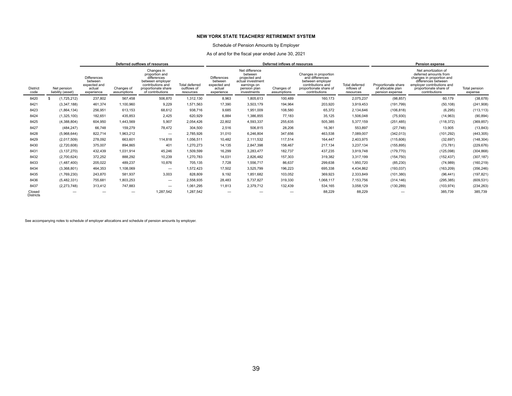### Schedule of Pension Amounts by Employer

### As of and for the fiscal year ended June 30, 2021

|                            |                                  | Deferred outflows of resources                                        |                           |                                                                                                                                 |                                                   |                                                                       |                                                                                                               | Deferred inflows of resources | Pension expense                                                                                                              |                                           |                                                             |                                                                                                                                                                           |                          |
|----------------------------|----------------------------------|-----------------------------------------------------------------------|---------------------------|---------------------------------------------------------------------------------------------------------------------------------|---------------------------------------------------|-----------------------------------------------------------------------|---------------------------------------------------------------------------------------------------------------|-------------------------------|------------------------------------------------------------------------------------------------------------------------------|-------------------------------------------|-------------------------------------------------------------|---------------------------------------------------------------------------------------------------------------------------------------------------------------------------|--------------------------|
| <b>District</b><br>code    | Net pension<br>liability (asset) | <b>Differences</b><br>between<br>expected and<br>actual<br>experience | Changes of<br>assumptions | Changes in<br>proportion and<br>differences<br>between employer<br>contributions and<br>proportionate share<br>of contributions | <b>Total deferred</b><br>outflows of<br>resources | <b>Differences</b><br>between<br>expected and<br>actual<br>experience | Net difference<br>between<br>projected and<br>actual investment<br>earnings on<br>pension plan<br>investments | Changes of<br>assumptions     | Changes in proportion<br>and differences<br>between employer<br>contributions and<br>proportionate share of<br>contributions | Total deferred<br>inflows of<br>resources | Proportionate share<br>of allocable plan<br>pension expense | Net amortization of<br>deferred amounts from<br>changes in proportion and<br>differences between<br>emplover contributions and<br>proportionate share of<br>contributions | Total pension<br>expense |
| 8420                       | (1,725,212)                      | 237,802                                                               | 567,458                   | 506,870                                                                                                                         | 1,312,130                                         | 8,963                                                                 | 1,805,613                                                                                                     | 100,489                       | 160.173                                                                                                                      | 2,075,237                                 | (98, 857)                                                   | 60,179                                                                                                                                                                    | (38, 678)                |
| 8421                       | (3,347,188)                      | 461,374                                                               | 1,100,960                 | 9,229                                                                                                                           | 1,571,563                                         | 17,390                                                                | 3,503,179                                                                                                     | 194,964                       | 203,920                                                                                                                      | 3,919,453                                 | (191, 799)                                                  | (50, 108)                                                                                                                                                                 | (241,908)                |
| 8423                       | (1,864,134)                      | 256,951                                                               | 613,153                   | 68,612                                                                                                                          | 938,716                                           | 9,685                                                                 | 1,951,009                                                                                                     | 108,580                       | 65,372                                                                                                                       | 2,134,646                                 | (106, 818)                                                  | (6, 295)                                                                                                                                                                  | (113, 113)               |
| 8424                       | (1,325,100)                      | 182,651                                                               | 435,853                   | 2,425                                                                                                                           | 620,929                                           | 6,884                                                                 | 1,386,855                                                                                                     | 77,183                        | 35,125                                                                                                                       | 1,506,048                                 | (75, 930)                                                   | (14, 963)                                                                                                                                                                 | (90, 894)                |
| 8425                       | (4,388,804)                      | 604,950                                                               | 1,443,569                 | 5,907                                                                                                                           | 2,054,426                                         | 22,802                                                                | 4,593,337                                                                                                     | 255,635                       | 505,385                                                                                                                      | 5,377,159                                 | (251, 485)                                                  | (118, 372)                                                                                                                                                                | (369, 857)               |
| 8427                       | (484, 247)                       | 66,748                                                                | 159,279                   | 78,472                                                                                                                          | 304,500                                           | 2,516                                                                 | 506,815                                                                                                       | 28,206                        | 16,361                                                                                                                       | 553,897                                   | (27, 748)                                                   | 13,905                                                                                                                                                                    | (13, 843)                |
| 8428                       | (5,968,644)                      | 822.714                                                               | 1,963,212                 | $\overline{\phantom{0}}$                                                                                                        | 2,785,926                                         | 31,010                                                                | 6,246,804                                                                                                     | 347,656                       | 463,538                                                                                                                      | 7,089,007                                 | (342, 013)                                                  | (101, 292)                                                                                                                                                                | (443, 305)               |
| 8429                       | (2,017,509)                      | 278,092                                                               | 663,601                   | 114,818                                                                                                                         | 1,056,511                                         | 10,482                                                                | 2,111,532                                                                                                     | 117,514                       | 164,447                                                                                                                      | 2,403,975                                 | (115,606)                                                   | (32, 697)                                                                                                                                                                 | (148, 304)               |
| 8430                       | (2,720,608)                      | 375,007                                                               | 894,865                   | 401                                                                                                                             | 1,270,273                                         | 14,135                                                                | 2,847,398                                                                                                     | 158,467                       | 217,134                                                                                                                      | 3,237,134                                 | (155, 895)                                                  | (73, 781)                                                                                                                                                                 | (229, 676)               |
| 8431                       | (3, 137, 270)                    | 432,439                                                               | 1,031,914                 | 45,246                                                                                                                          | 1,509,599                                         | 16,299                                                                | 3,283,477                                                                                                     | 182,737                       | 437.235                                                                                                                      | 3,919,748                                 | (179, 770)                                                  | (125,098)                                                                                                                                                                 | (304, 868)               |
| 8432                       | (2,700,624)                      | 372,252                                                               | 888,292                   | 10,239                                                                                                                          | 1,270,783                                         | 14.031                                                                | 2,826,482                                                                                                     | 157,303                       | 319,382                                                                                                                      | 3,317,199                                 | (154, 750)                                                  | (152, 437)                                                                                                                                                                | (307, 187)               |
| 8433                       | (1,487,400)                      | 205,022                                                               | 489,237                   | 10,876                                                                                                                          | 705,135                                           | 7,728                                                                 | 1,556,717                                                                                                     | 86,637                        | 299,638                                                                                                                      | 1,950,720                                 | (85, 230)                                                   | (74, 989)                                                                                                                                                                 | (160, 219)               |
| 8434                       | (3,368,801)                      | 464.353                                                               | 1,108,069                 |                                                                                                                                 | 1,572,423                                         | 17,502                                                                | 3,525,799                                                                                                     | 196,223                       | 695,338                                                                                                                      | 4,434,862                                 | (193, 037)                                                  | (163, 209)                                                                                                                                                                | (356, 246)               |
| 8435                       | (1,769,230)                      | 243,870                                                               | 581,937                   | 3,003                                                                                                                           | 828,809                                           | 9,192                                                                 | 1,851,682                                                                                                     | 103,052                       | 369,923                                                                                                                      | 2,333,849                                 | (101, 380)                                                  | (96, 441)                                                                                                                                                                 | (197, 821)               |
| 8436                       | (5,482,331)                      | 755,681                                                               | 1,803,253                 | $\qquad \qquad$                                                                                                                 | 2,558,935                                         | 28,483                                                                | 5,737,827                                                                                                     | 319,330                       | 1,068,117                                                                                                                    | 7,153,756                                 | (314, 146)                                                  | (295, 385)                                                                                                                                                                | (609, 531)               |
| 8437                       | (2, 273, 748)                    | 313.412                                                               | 747.883                   |                                                                                                                                 | 1,061,295                                         | 11,813                                                                | 2,379,712                                                                                                     | 132,439                       | 534.165                                                                                                                      | 3,058,129                                 | (130, 289)                                                  | (103, 974)                                                                                                                                                                | (234, 263)               |
| Closed<br><b>Districts</b> |                                  |                                                                       |                           | 1,287,542                                                                                                                       | 1,287,542                                         |                                                                       |                                                                                                               |                               | 88.229                                                                                                                       | 88,229                                    |                                                             | 385.739                                                                                                                                                                   | 385,739                  |

See accompanying notes to schedule of employer allocations and schedule of pension amounts by employer.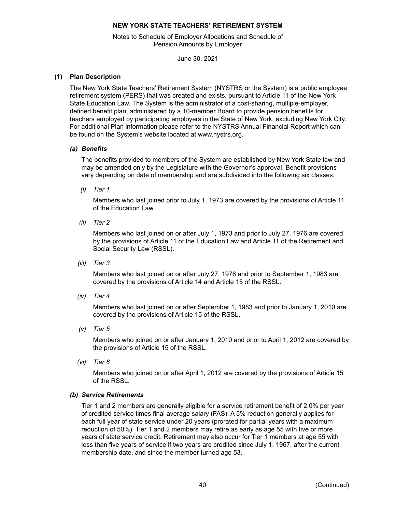Notes to Schedule of Employer Allocations and Schedule of Pension Amounts by Employer

June 30, 2021

# <span id="page-41-0"></span>**(1) Plan Description**

The New York State Teachers' Retirement System (NYSTRS or the System) is a public employee retirement system (PERS) that was created and exists, pursuant to Article 11 of the New York State Education Law. The System is the administrator of a cost-sharing, multiple-employer, defined benefit plan, administered by a 10-member Board to provide pension benefits for teachers employed by participating employers in the State of New York, excluding New York City. For additional Plan information please refer to the NYSTRS Annual Financial Report which can be found on the System's website located at www.nystrs.org.

# *(a) Benefits*

The benefits provided to members of the System are established by New York State law and may be amended only by the Legislature with the Governor's approval. Benefit provisions vary depending on date of membership and are subdivided into the following six classes:

*(i) Tier 1*

Members who last joined prior to July 1, 1973 are covered by the provisions of Article 11 of the Education Law.

*(ii) Tier 2*

Members who last joined on or after July 1, 1973 and prior to July 27, 1976 are covered by the provisions of Article 11 of the Education Law and Article 11 of the Retirement and Social Security Law (RSSL).

*(iii) Tier 3*

Members who last joined on or after July 27, 1976 and prior to September 1, 1983 are covered by the provisions of Article 14 and Article 15 of the RSSL.

*(iv) Tier 4*

Members who last joined on or after September 1, 1983 and prior to January 1, 2010 are covered by the provisions of Article 15 of the RSSL.

*(v) Tier 5*

Members who joined on or after January 1, 2010 and prior to April 1, 2012 are covered by the provisions of Article 15 of the RSSL.

*(vi) Tier 6*

Members who joined on or after April 1, 2012 are covered by the provisions of Article 15 of the RSSL.

## *(b) Service Retirements*

Tier 1 and 2 members are generally eligible for a service retirement benefit of 2.0% per year of credited service times final average salary (FAS). A 5% reduction generally applies for each full year of state service under 20 years (prorated for partial years with a maximum reduction of 50%). Tier 1 and 2 members may retire as early as age 55 with five or more years of state service credit. Retirement may also occur for Tier 1 members at age 55 with less than five years of service if two years are credited since July 1, 1967, after the current membership date, and since the member turned age 53.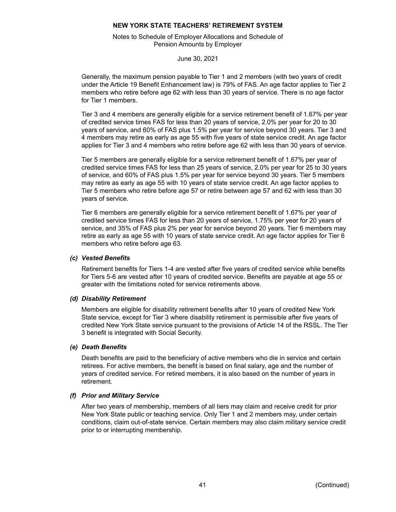Notes to Schedule of Employer Allocations and Schedule of Pension Amounts by Employer

June 30, 2021

Generally, the maximum pension payable to Tier 1 and 2 members (with two years of credit under the Article 19 Benefit Enhancement law) is 79% of FAS. An age factor applies to Tier 2 members who retire before age 62 with less than 30 years of service. There is no age factor for Tier 1 members.

Tier 3 and 4 members are generally eligible for a service retirement benefit of 1.67% per year of credited service times FAS for less than 20 years of service, 2.0% per year for 20 to 30 years of service, and 60% of FAS plus 1.5% per year for service beyond 30 years. Tier 3 and 4 members may retire as early as age 55 with five years of state service credit. An age factor applies for Tier 3 and 4 members who retire before age 62 with less than 30 years of service.

Tier 5 members are generally eligible for a service retirement benefit of 1.67% per year of credited service times FAS for less than 25 years of service, 2.0% per year for 25 to 30 years of service, and 60% of FAS plus 1.5% per year for service beyond 30 years. Tier 5 members may retire as early as age 55 with 10 years of state service credit. An age factor applies to Tier 5 members who retire before age 57 or retire between age 57 and 62 with less than 30 years of service.

Tier 6 members are generally eligible for a service retirement benefit of 1.67% per year of credited service times FAS for less than 20 years of service, 1.75% per year for 20 years of service, and 35% of FAS plus 2% per year for service beyond 20 years. Tier 6 members may retire as early as age 55 with 10 years of state service credit. An age factor applies for Tier 6 members who retire before age 63.

## *(c) Vested Benefits*

Retirement benefits for Tiers 1-4 are vested after five years of credited service while benefits for Tiers 5-6 are vested after 10 years of credited service. Benefits are payable at age 55 or greater with the limitations noted for service retirements above.

## *(d) Disability Retirement*

Members are eligible for disability retirement benefits after 10 years of credited New York State service, except for Tier 3 where disability retirement is permissible after five years of credited New York State service pursuant to the provisions of Article 14 of the RSSL. The Tier 3 benefit is integrated with Social Security.

## *(e) Death Benefits*

Death benefits are paid to the beneficiary of active members who die in service and certain retirees. For active members, the benefit is based on final salary, age and the number of years of credited service. For retired members, it is also based on the number of years in retirement.

## *(f) Prior and Military Service*

After two years of membership, members of all tiers may claim and receive credit for prior New York State public or teaching service. Only Tier 1 and 2 members may, under certain conditions, claim out-of-state service. Certain members may also claim military service credit prior to or interrupting membership.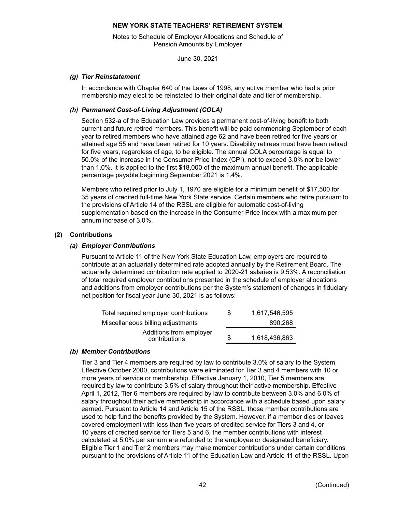Notes to Schedule of Employer Allocations and Schedule of Pension Amounts by Employer

June 30, 2021

## *(g) Tier Reinstatement*

In accordance with Chapter 640 of the Laws of 1998, any active member who had a prior membership may elect to be reinstated to their original date and tier of membership.

# *(h) Permanent Cost-of-Living Adjustment (COLA)*

Section 532-a of the Education Law provides a permanent cost-of-living benefit to both current and future retired members. This benefit will be paid commencing September of each year to retired members who have attained age 62 and have been retired for five years or attained age 55 and have been retired for 10 years. Disability retirees must have been retired for five years, regardless of age, to be eligible. The annual COLA percentage is equal to 50.0% of the increase in the Consumer Price Index (CPI), not to exceed 3.0% nor be lower than 1.0%. It is applied to the first \$18,000 of the maximum annual benefit. The applicable percentage payable beginning September 2021 is 1.4%.

Members who retired prior to July 1, 1970 are eligible for a minimum benefit of \$17,500 for 35 years of credited full-time New York State service. Certain members who retire pursuant to the provisions of Article 14 of the RSSL are eligible for automatic cost-of-living supplementation based on the increase in the Consumer Price Index with a maximum per annum increase of 3.0%.

# **(2) Contributions**

# *(a) Employer Contributions*

Pursuant to Article 11 of the New York State Education Law, employers are required to contribute at an actuarially determined rate adopted annually by the Retirement Board. The actuarially determined contribution rate applied to 2020-21 salaries is 9.53%. A reconciliation of total required employer contributions presented in the schedule of employer allocations and additions from employer contributions per the System's statement of changes in fiduciary net position for fiscal year June 30, 2021 is as follows:

| Total required employer contributions    | S | 1.617.546.595 |
|------------------------------------------|---|---------------|
| Miscellaneous billing adjustments        |   | 890.268       |
| Additions from employer<br>contributions | S | 1,618,436,863 |

# *(b) Member Contributions*

Tier 3 and Tier 4 members are required by law to contribute 3.0% of salary to the System. Effective October 2000, contributions were eliminated for Tier 3 and 4 members with 10 or more years of service or membership. Effective January 1, 2010, Tier 5 members are required by law to contribute 3.5% of salary throughout their active membership. Effective April 1, 2012, Tier 6 members are required by law to contribute between 3.0% and 6.0% of salary throughout their active membership in accordance with a schedule based upon salary earned. Pursuant to Article 14 and Article 15 of the RSSL, those member contributions are used to help fund the benefits provided by the System. However, if a member dies or leaves covered employment with less than five years of credited service for Tiers 3 and 4, or 10 years of credited service for Tiers 5 and 6, the member contributions with interest calculated at 5.0% per annum are refunded to the employee or designated beneficiary. Eligible Tier 1 and Tier 2 members may make member contributions under certain conditions pursuant to the provisions of Article 11 of the Education Law and Article 11 of the RSSL. Upon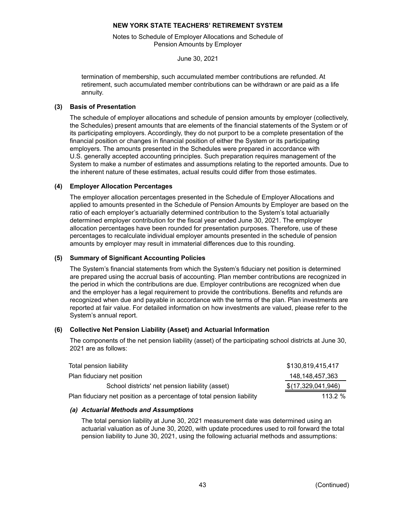Notes to Schedule of Employer Allocations and Schedule of Pension Amounts by Employer

June 30, 2021

termination of membership, such accumulated member contributions are refunded. At retirement, such accumulated member contributions can be withdrawn or are paid as a life annuity.

## **(3) Basis of Presentation**

The schedule of employer allocations and schedule of pension amounts by employer (collectively, the Schedules) present amounts that are elements of the financial statements of the System or of its participating employers. Accordingly, they do not purport to be a complete presentation of the financial position or changes in financial position of either the System or its participating employers. The amounts presented in the Schedules were prepared in accordance with U.S. generally accepted accounting principles. Such preparation requires management of the System to make a number of estimates and assumptions relating to the reported amounts. Due to the inherent nature of these estimates, actual results could differ from those estimates.

# **(4) Employer Allocation Percentages**

The employer allocation percentages presented in the Schedule of Employer Allocations and applied to amounts presented in the Schedule of Pension Amounts by Employer are based on the ratio of each employer's actuarially determined contribution to the System's total actuarially determined employer contribution for the fiscal year ended June 30, 2021. The employer allocation percentages have been rounded for presentation purposes. Therefore, use of these percentages to recalculate individual employer amounts presented in the schedule of pension amounts by employer may result in immaterial differences due to this rounding.

# **(5) Summary of Significant Accounting Policies**

The System's financial statements from which the System's fiduciary net position is determined are prepared using the accrual basis of accounting. Plan member contributions are recognized in the period in which the contributions are due. Employer contributions are recognized when due and the employer has a legal requirement to provide the contributions. Benefits and refunds are recognized when due and payable in accordance with the terms of the plan. Plan investments are reported at fair value. For detailed information on how investments are valued, please refer to the System's annual report.

## **(6) Collective Net Pension Liability (Asset) and Actuarial Information**

The components of the net pension liability (asset) of the participating school districts at June 30, 2021 are as follows:

| Total pension liability                                                | \$130,819,415,417  |
|------------------------------------------------------------------------|--------------------|
| Plan fiduciary net position                                            | 148.148.457.363    |
| School districts' net pension liability (asset)                        | \$(17,329,041,946) |
| Plan fiduciary net position as a percentage of total pension liability | 113.2 $%$          |

# *(a) Actuarial Methods and Assumptions*

The total pension liability at June 30, 2021 measurement date was determined using an actuarial valuation as of June 30, 2020, with update procedures used to roll forward the total pension liability to June 30, 2021, using the following actuarial methods and assumptions: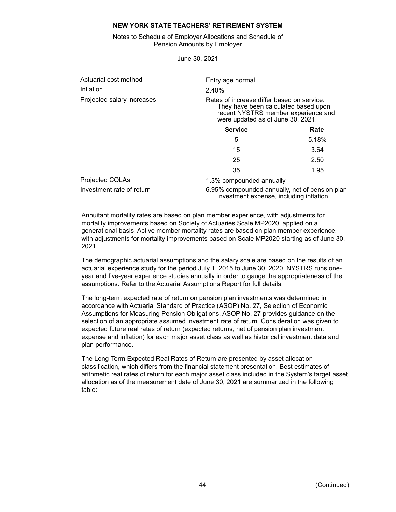Notes to Schedule of Employer Allocations and Schedule of Pension Amounts by Employer

June 30, 2021

| Actuarial cost method      | Entry age normal         |                                                                                                                                                                |  |  |  |  |  |
|----------------------------|--------------------------|----------------------------------------------------------------------------------------------------------------------------------------------------------------|--|--|--|--|--|
| Inflation                  | 2.40%                    |                                                                                                                                                                |  |  |  |  |  |
| Projected salary increases |                          | Rates of increase differ based on service.<br>They have been calculated based upon<br>recent NYSTRS member experience and<br>were updated as of June 30, 2021. |  |  |  |  |  |
|                            | <b>Service</b>           | Rate                                                                                                                                                           |  |  |  |  |  |
|                            | 5                        | 5.18%                                                                                                                                                          |  |  |  |  |  |
|                            | 15                       | 3.64                                                                                                                                                           |  |  |  |  |  |
|                            | 25                       | 2.50                                                                                                                                                           |  |  |  |  |  |
|                            | 35                       | 1.95                                                                                                                                                           |  |  |  |  |  |
| Projected COLAs            | 1.3% compounded annually |                                                                                                                                                                |  |  |  |  |  |
| Investment rate of return  |                          | 6.95% compounded annually, net of pension plan<br>investment expense, including inflation.                                                                     |  |  |  |  |  |

Annuitant mortality rates are based on plan member experience, with adjustments for mortality improvements based on Society of Actuaries Scale MP2020, applied on a generational basis. Active member mortality rates are based on plan member experience, with adjustments for mortality improvements based on Scale MP2020 starting as of June 30, 2021.

The demographic actuarial assumptions and the salary scale are based on the results of an actuarial experience study for the period July 1, 2015 to June 30, 2020. NYSTRS runs oneyear and five-year experience studies annually in order to gauge the appropriateness of the assumptions. Refer to the Actuarial Assumptions Report for full details.

The long-term expected rate of return on pension plan investments was determined in accordance with Actuarial Standard of Practice (ASOP) No. 27, Selection of Economic Assumptions for Measuring Pension Obligations. ASOP No. 27 provides guidance on the selection of an appropriate assumed investment rate of return. Consideration was given to expected future real rates of return (expected returns, net of pension plan investment expense and inflation) for each major asset class as well as historical investment data and plan performance.

The Long-Term Expected Real Rates of Return are presented by asset allocation classification, which differs from the financial statement presentation. Best estimates of arithmetic real rates of return for each major asset class included in the System's target asset allocation as of the measurement date of June 30, 2021 are summarized in the following table: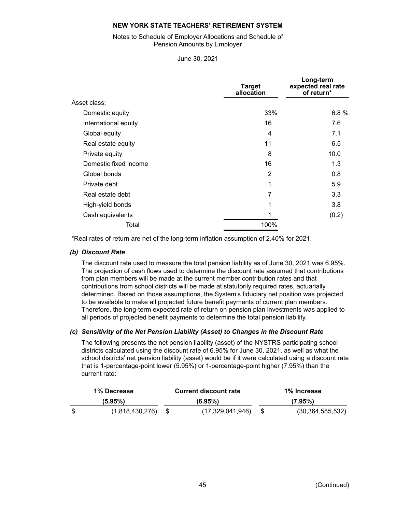## Notes to Schedule of Employer Allocations and Schedule of Pension Amounts by Employer

June 30, 2021

|                       | <b>Target</b><br>allocation | Long-term<br>expected real rate<br>of return* |
|-----------------------|-----------------------------|-----------------------------------------------|
| Asset class:          |                             |                                               |
| Domestic equity       | 33%                         | 6.8%                                          |
| International equity  | 16                          | 7.6                                           |
| Global equity         | 4                           | 7.1                                           |
| Real estate equity    | 11                          | 6.5                                           |
| Private equity        | 8                           | 10.0                                          |
| Domestic fixed income | 16                          | 1.3                                           |
| Global bonds          | 2                           | 0.8                                           |
| Private debt          | 1                           | 5.9                                           |
| Real estate debt      | 7                           | 3.3                                           |
| High-yield bonds      | 1                           | 3.8                                           |
| Cash equivalents      |                             | (0.2)                                         |
| Total                 | 100%                        |                                               |

\*Real rates of return are net of the long-term inflation assumption of 2.40% for 2021.

# *(b) Discount Rate*

The discount rate used to measure the total pension liability as of June 30, 2021 was 6.95%. The projection of cash flows used to determine the discount rate assumed that contributions from plan members will be made at the current member contribution rates and that contributions from school districts will be made at statutorily required rates, actuarially determined. Based on those assumptions, the System's fiduciary net position was projected to be available to make all projected future benefit payments of current plan members. Therefore, the long-term expected rate of return on pension plan investments was applied to all periods of projected benefit payments to determine the total pension liability.

## *(c) Sensitivity of the Net Pension Liability (Asset) to Changes in the Discount Rate*

The following presents the net pension liability (asset) of the NYSTRS participating school districts calculated using the discount rate of 6.95% for June 30, 2021, as well as what the school districts' net pension liability (asset) would be if it were calculated using a discount rate that is 1-percentage-point lower (5.95%) or 1-percentage-point higher (7.95%) than the current rate:

| 1% Decrease |                 |  | <b>Current discount rate</b> | 1% Increase |                     |  |  |  |
|-------------|-----------------|--|------------------------------|-------------|---------------------|--|--|--|
| $(5.95\%)$  |                 |  | (6.95%)                      | $(7.95\%)$  |                     |  |  |  |
|             | (1,818,430,276) |  | (17,329,041,946)             |             | (30, 364, 585, 532) |  |  |  |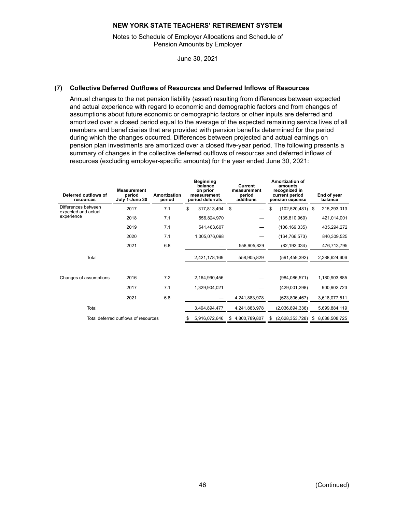Notes to Schedule of Employer Allocations and Schedule of Pension Amounts by Employer

June 30, 2021

# **(7) Collective Deferred Outflows of Resources and Deferred Inflows of Resources**

Annual changes to the net pension liability (asset) resulting from differences between expected and actual experience with regard to economic and demographic factors and from changes of assumptions about future economic or demographic factors or other inputs are deferred and amortized over a closed period equal to the average of the expected remaining service lives of all members and beneficiaries that are provided with pension benefits determined for the period during which the changes occurred. Differences between projected and actual earnings on pension plan investments are amortized over a closed five-year period. The following presents a summary of changes in the collective deferred outflows of resources and deferred inflows of resources (excluding employer-specific amounts) for the year ended June 30, 2021:

| Deferred outflows of<br>resources          | <b>Measurement</b><br>period<br>July 1-June 30 | Amortization<br>period | <b>Beginning</b><br>balance<br>on prior<br>measurement<br>period deferrals | Current<br>measurement<br>period<br>additions | Amortization of<br>amounts<br>recognized in<br>current period<br>pension expense | End of year<br>balance |
|--------------------------------------------|------------------------------------------------|------------------------|----------------------------------------------------------------------------|-----------------------------------------------|----------------------------------------------------------------------------------|------------------------|
| Differences between<br>expected and actual | 2017                                           | 7.1                    | \$<br>317,813,494                                                          | \$                                            | \$<br>(102, 520, 481)                                                            | 215,293,013<br>-\$     |
| experience                                 | 2018                                           | 7.1                    | 556,824,970                                                                |                                               | (135, 810, 969)                                                                  | 421,014,001            |
|                                            | 2019                                           | 7.1                    | 541,463,607                                                                |                                               | (106, 169, 335)                                                                  | 435,294,272            |
|                                            | 2020                                           | 7.1                    | 1,005,076,098                                                              |                                               | (164, 766, 573)                                                                  | 840,309,525            |
|                                            | 2021                                           | 6.8                    |                                                                            | 558,905,829                                   | (82, 192, 034)                                                                   | 476,713,795            |
| Total                                      |                                                |                        | 2,421,178,169                                                              | 558,905,829                                   | (591, 459, 392)                                                                  | 2,388,624,606          |
| Changes of assumptions                     | 2016                                           | 7.2                    | 2,164,990,456                                                              |                                               | (984, 086, 571)                                                                  | 1,180,903,885          |
|                                            | 2017                                           | 7.1                    | 1,329,904,021                                                              |                                               | (429,001,298)                                                                    | 900,902,723            |
|                                            | 2021                                           | 6.8                    |                                                                            | 4,241,883,978                                 | (623, 806, 467)                                                                  | 3,618,077,511          |
| Total                                      |                                                |                        | 3,494,894,477                                                              | 4,241,883,978                                 | (2,036,894,336)                                                                  | 5,699,884,119          |
|                                            | Total deferred outflows of resources           |                        | 5,916,072,646<br>\$                                                        | 4,800,789,807<br>\$                           | (2,628,353,728)<br>S                                                             | S<br>8,088,508,725     |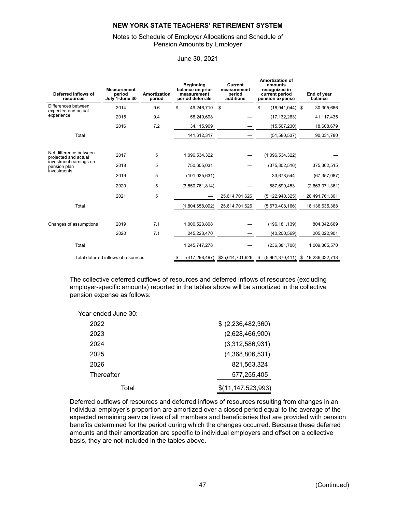# Notes to Schedule of Employer Allocations and Schedule of Pension Amounts by Employer

| <b>Measurement</b><br>Deferred inflows of<br>period<br>July 1-June 30<br>resources |                                     | <b>Amortization</b><br>period | <b>Beginning</b><br>balance on prior<br>measurement<br>period deferrals |                 | Current<br>measurement<br>period<br>additions |                  | <b>Amortization of</b><br>amounts<br>recognized in<br>current period<br>pension expense |                    | End of year<br>balance |                 |
|------------------------------------------------------------------------------------|-------------------------------------|-------------------------------|-------------------------------------------------------------------------|-----------------|-----------------------------------------------|------------------|-----------------------------------------------------------------------------------------|--------------------|------------------------|-----------------|
| Differences between<br>expected and actual                                         | 2014                                | 9.6                           | \$                                                                      | 49,246,710      | \$                                            |                  | \$                                                                                      | $(18,941,044)$ \$  |                        | 30,305,666      |
| experience                                                                         | 2015                                | 9.4                           |                                                                         | 58,249,698      |                                               |                  |                                                                                         | (17, 132, 263)     |                        | 41,117,435      |
|                                                                                    | 2016                                | 7.2                           |                                                                         | 34,115,909      |                                               |                  |                                                                                         | (15,507,230)       |                        | 18,608,679      |
| Total                                                                              |                                     |                               |                                                                         | 141,612,317     |                                               |                  |                                                                                         | (51, 580, 537)     |                        | 90,031,780      |
|                                                                                    |                                     |                               |                                                                         |                 |                                               |                  |                                                                                         |                    |                        |                 |
| Net difference between<br>projected and actual                                     | 2017                                | 5                             | 1,096,534,322                                                           |                 |                                               |                  |                                                                                         | (1,096,534,322)    |                        |                 |
| investment earnings on<br>pension plan<br>investments                              | 2018                                | 5                             | 750,605,031                                                             |                 |                                               |                  |                                                                                         | (375, 302, 516)    |                        | 375,302,515     |
|                                                                                    | 2019                                | 5                             | (101, 035, 631)                                                         |                 |                                               |                  |                                                                                         | 33,678,544         |                        | (67, 357, 087)  |
|                                                                                    | 2020                                | 5                             |                                                                         | (3,550,761,814) |                                               |                  |                                                                                         | 887,690,453        |                        | (2,663,071,361) |
|                                                                                    | 2021                                | 5                             |                                                                         |                 |                                               | 25,614,701,626   |                                                                                         | (5, 122, 940, 325) |                        | 20,491,761,301  |
| Total                                                                              |                                     |                               |                                                                         | (1,804,658,092) |                                               | 25,614,701,626   |                                                                                         | (5,673,408,166)    |                        | 18,136,635,368  |
|                                                                                    |                                     |                               |                                                                         |                 |                                               |                  |                                                                                         |                    |                        |                 |
| Changes of assumptions                                                             | 2019                                | 7.1                           |                                                                         | 1,000,523,808   |                                               |                  |                                                                                         | (196, 181, 139)    |                        | 804,342,669     |
|                                                                                    | 2020                                | 7.1                           |                                                                         | 245,223,470     |                                               |                  |                                                                                         | (40, 200, 569)     |                        | 205,022,901     |
| Total                                                                              |                                     |                               |                                                                         | 1,245,747,278   |                                               |                  |                                                                                         | (236, 381, 708)    |                        | 1,009,365,570   |
|                                                                                    | Total deferred inflows of resources |                               |                                                                         | (417, 298, 497) |                                               | \$25,614,701,626 | S                                                                                       | (5,961,370,411)    | S                      | 19,236,032,718  |

## June 30, 2021

The collective deferred outflows of resources and deferred inflows of resources (excluding employer-specific amounts) reported in the tables above will be amortized in the collective pension expense as follows:

| Year ended June 30: |                   |
|---------------------|-------------------|
| 2022                | \$(2,236,482,360) |
| 2023                | (2,628,466,900)   |
| 2024                | (3,312,586,931)   |
| 2025                | (4,368,806,531)   |
| 2026                | 821,563,324       |
| Thereafter          | 577,255,405       |
| Total               | (11,147,523,993)  |

Deferred outflows of resources and deferred inflows of resources resulting from changes in an individual employer's proportion are amortized over a closed period equal to the average of the expected remaining service lives of all members and beneficiaries that are provided with pension benefits determined for the period during which the changes occurred. Because these deferred amounts and their amortization are specific to individual employers and offset on a collective basis, they are not included in the tables above.